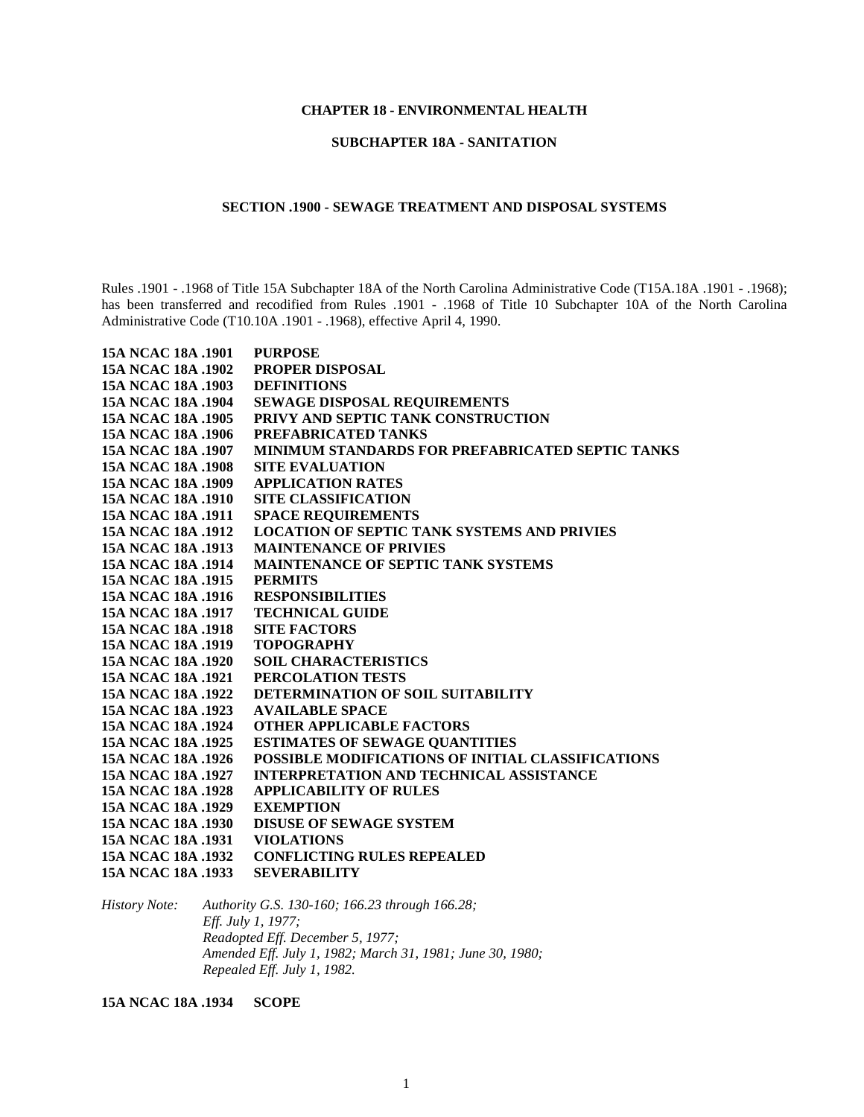## **CHAPTER 18 - ENVIRONMENTAL HEALTH**

## **SUBCHAPTER 18A - SANITATION**

## **SECTION .1900 - SEWAGE TREATMENT AND DISPOSAL SYSTEMS**

Rules .1901 - .1968 of Title 15A Subchapter 18A of the North Carolina Administrative Code (T15A.18A .1901 - .1968); has been transferred and recodified from Rules .1901 - .1968 of Title 10 Subchapter 10A of the North Carolina Administrative Code (T10.10A .1901 - .1968), effective April 4, 1990.

| 15A NCAC 18A .1901 | <b>PURPOSE</b>                                          |
|--------------------|---------------------------------------------------------|
| 15A NCAC 18A .1902 | <b>PROPER DISPOSAL</b>                                  |
| 15A NCAC 18A .1903 | <b>DEFINITIONS</b>                                      |
| 15A NCAC 18A .1904 | <b>SEWAGE DISPOSAL REQUIREMENTS</b>                     |
| 15A NCAC 18A .1905 | PRIVY AND SEPTIC TANK CONSTRUCTION                      |
| 15A NCAC 18A .1906 | PREFABRICATED TANKS                                     |
| 15A NCAC 18A .1907 | <b>MINIMUM STANDARDS FOR PREFABRICATED SEPTIC TANKS</b> |
| 15A NCAC 18A .1908 | <b>SITE EVALUATION</b>                                  |
| 15A NCAC 18A .1909 | <b>APPLICATION RATES</b>                                |
| 15A NCAC 18A .1910 | <b>SITE CLASSIFICATION</b>                              |
| 15A NCAC 18A .1911 | <b>SPACE REQUIREMENTS</b>                               |
| 15A NCAC 18A .1912 | <b>LOCATION OF SEPTIC TANK SYSTEMS AND PRIVIES</b>      |
| 15A NCAC 18A .1913 | <b>MAINTENANCE OF PRIVIES</b>                           |
| 15A NCAC 18A .1914 | <b>MAINTENANCE OF SEPTIC TANK SYSTEMS</b>               |
| 15A NCAC 18A .1915 | <b>PERMITS</b>                                          |
| 15A NCAC 18A .1916 | <b>RESPONSIBILITIES</b>                                 |
| 15A NCAC 18A .1917 | <b>TECHNICAL GUIDE</b>                                  |
| 15A NCAC 18A .1918 | <b>SITE FACTORS</b>                                     |
| 15A NCAC 18A .1919 | <b>TOPOGRAPHY</b>                                       |
| 15A NCAC 18A .1920 | <b>SOIL CHARACTERISTICS</b>                             |
| 15A NCAC 18A .1921 | PERCOLATION TESTS                                       |
| 15A NCAC 18A .1922 | DETERMINATION OF SOIL SUITABILITY                       |
| 15A NCAC 18A .1923 | <b>AVAILABLE SPACE</b>                                  |
| 15A NCAC 18A .1924 | <b>OTHER APPLICABLE FACTORS</b>                         |
| 15A NCAC 18A .1925 | <b>ESTIMATES OF SEWAGE QUANTITIES</b>                   |
| 15A NCAC 18A .1926 | POSSIBLE MODIFICATIONS OF INITIAL CLASSIFICATIONS       |
| 15A NCAC 18A .1927 | <b>INTERPRETATION AND TECHNICAL ASSISTANCE</b>          |
| 15A NCAC 18A .1928 | <b>APPLICABILITY OF RULES</b>                           |
| 15A NCAC 18A .1929 | <b>EXEMPTION</b>                                        |
| 15A NCAC 18A .1930 | <b>DISUSE OF SEWAGE SYSTEM</b>                          |
| 15A NCAC 18A .1931 | <b>VIOLATIONS</b>                                       |
| 15A NCAC 18A .1932 | <b>CONFLICTING RULES REPEALED</b>                       |
| 15A NCAC 18A .1933 | <b>SEVERABILITY</b>                                     |

*History Note: Authority G.S. 130-160; 166.23 through 166.28; Eff. July 1, 1977; Readopted Eff. December 5, 1977; Amended Eff. July 1, 1982; March 31, 1981; June 30, 1980; Repealed Eff. July 1, 1982.*

**15A NCAC 18A .1934 SCOPE**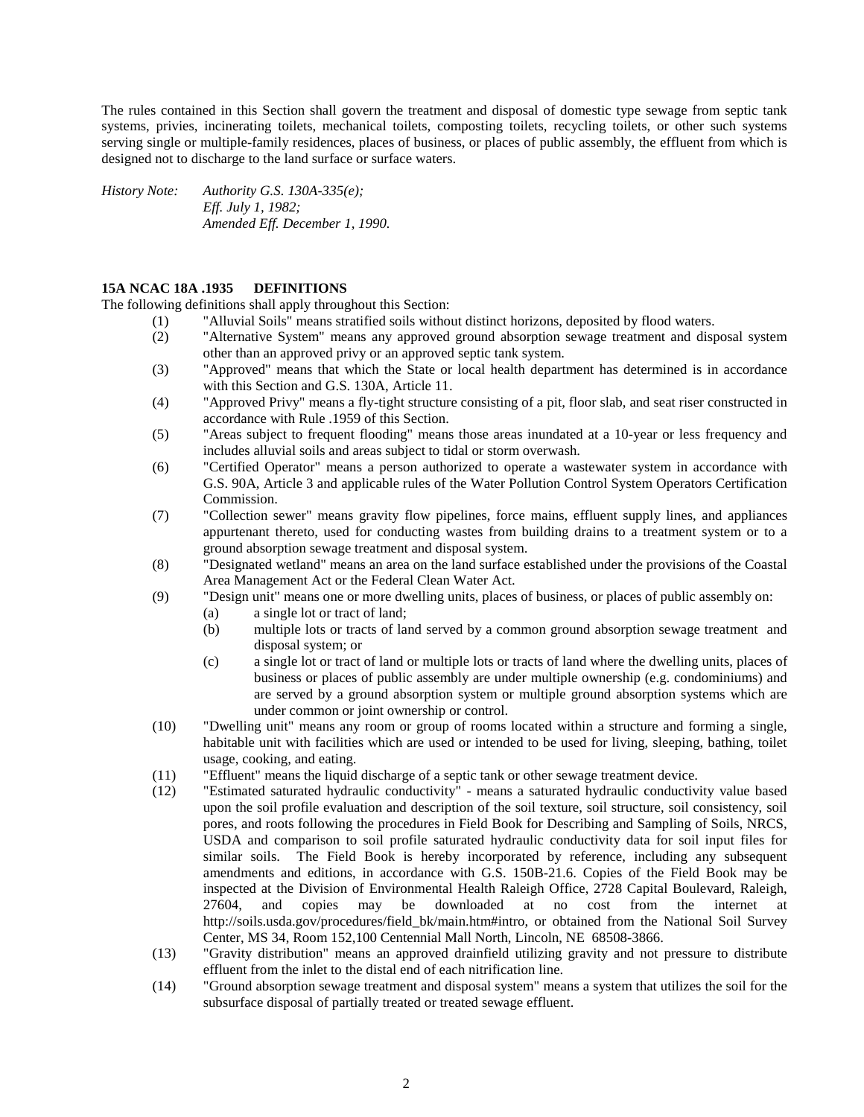The rules contained in this Section shall govern the treatment and disposal of domestic type sewage from septic tank systems, privies, incinerating toilets, mechanical toilets, composting toilets, recycling toilets, or other such systems serving single or multiple-family residences, places of business, or places of public assembly, the effluent from which is designed not to discharge to the land surface or surface waters.

*History Note: Authority G.S. 130A-335(e); Eff. July 1, 1982; Amended Eff. December 1, 1990.*

## **15A NCAC 18A .1935 DEFINITIONS**

The following definitions shall apply throughout this Section:

- (1) "Alluvial Soils" means stratified soils without distinct horizons, deposited by flood waters.
- (2) "Alternative System" means any approved ground absorption sewage treatment and disposal system other than an approved privy or an approved septic tank system.
- (3) "Approved" means that which the State or local health department has determined is in accordance with this Section and G.S. 130A, Article 11.
- (4) "Approved Privy" means a fly-tight structure consisting of a pit, floor slab, and seat riser constructed in accordance with Rule .1959 of this Section.
- (5) "Areas subject to frequent flooding" means those areas inundated at a 10-year or less frequency and includes alluvial soils and areas subject to tidal or storm overwash.
- (6) "Certified Operator" means a person authorized to operate a wastewater system in accordance with G.S. 90A, Article 3 and applicable rules of the Water Pollution Control System Operators Certification Commission.
- (7) "Collection sewer" means gravity flow pipelines, force mains, effluent supply lines, and appliances appurtenant thereto, used for conducting wastes from building drains to a treatment system or to a ground absorption sewage treatment and disposal system.
- (8) "Designated wetland" means an area on the land surface established under the provisions of the Coastal Area Management Act or the Federal Clean Water Act.
- (9) "Design unit" means one or more dwelling units, places of business, or places of public assembly on:
	- (a) a single lot or tract of land;
	- (b) multiple lots or tracts of land served by a common ground absorption sewage treatment and disposal system; or
	- (c) a single lot or tract of land or multiple lots or tracts of land where the dwelling units, places of business or places of public assembly are under multiple ownership (e.g. condominiums) and are served by a ground absorption system or multiple ground absorption systems which are under common or joint ownership or control.
- (10) "Dwelling unit" means any room or group of rooms located within a structure and forming a single, habitable unit with facilities which are used or intended to be used for living, sleeping, bathing, toilet usage, cooking, and eating.
- (11) "Effluent" means the liquid discharge of a septic tank or other sewage treatment device.
- (12) "Estimated saturated hydraulic conductivity" means a saturated hydraulic conductivity value based upon the soil profile evaluation and description of the soil texture, soil structure, soil consistency, soil pores, and roots following the procedures in Field Book for Describing and Sampling of Soils, NRCS, USDA and comparison to soil profile saturated hydraulic conductivity data for soil input files for similar soils. The Field Book is hereby incorporated by reference, including any subsequent amendments and editions, in accordance with G.S. 150B-21.6. Copies of the Field Book may be inspected at the Division of Environmental Health Raleigh Office, 2728 Capital Boulevard, Raleigh, 27604, and copies may be downloaded at no cost from the internet at http://soils.usda.gov/procedures/field\_bk/main.htm#intro, or obtained from the National Soil Survey Center, MS 34, Room 152,100 Centennial Mall North, Lincoln, NE 68508-3866.
- (13) "Gravity distribution" means an approved drainfield utilizing gravity and not pressure to distribute effluent from the inlet to the distal end of each nitrification line.
- (14) "Ground absorption sewage treatment and disposal system" means a system that utilizes the soil for the subsurface disposal of partially treated or treated sewage effluent.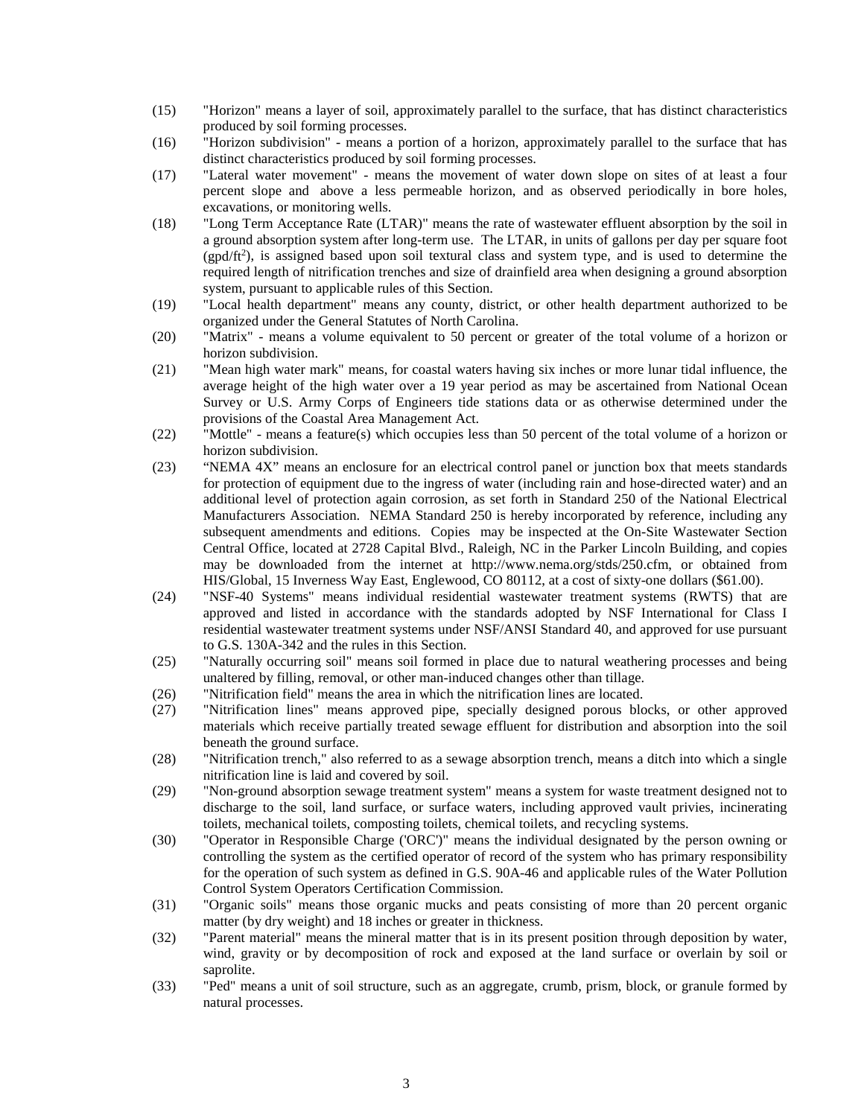- (15) "Horizon" means a layer of soil, approximately parallel to the surface, that has distinct characteristics produced by soil forming processes.
- (16) "Horizon subdivision" means a portion of a horizon, approximately parallel to the surface that has distinct characteristics produced by soil forming processes.
- (17) "Lateral water movement" means the movement of water down slope on sites of at least a four percent slope and above a less permeable horizon, and as observed periodically in bore holes, excavations, or monitoring wells.
- (18) "Long Term Acceptance Rate (LTAR)" means the rate of wastewater effluent absorption by the soil in a ground absorption system after long-term use. The LTAR, in units of gallons per day per square foot (gpd/ft<sup>2</sup>), is assigned based upon soil textural class and system type, and is used to determine the required length of nitrification trenches and size of drainfield area when designing a ground absorption system, pursuant to applicable rules of this Section.
- (19) "Local health department" means any county, district, or other health department authorized to be organized under the General Statutes of North Carolina.
- (20) "Matrix" means a volume equivalent to 50 percent or greater of the total volume of a horizon or horizon subdivision.
- (21) "Mean high water mark" means, for coastal waters having six inches or more lunar tidal influence, the average height of the high water over a 19 year period as may be ascertained from National Ocean Survey or U.S. Army Corps of Engineers tide stations data or as otherwise determined under the provisions of the Coastal Area Management Act.
- (22) "Mottle" means a feature(s) which occupies less than 50 percent of the total volume of a horizon or horizon subdivision.
- (23) "NEMA 4X" means an enclosure for an electrical control panel or junction box that meets standards for protection of equipment due to the ingress of water (including rain and hose-directed water) and an additional level of protection again corrosion, as set forth in Standard 250 of the National Electrical Manufacturers Association. NEMA Standard 250 is hereby incorporated by reference, including any subsequent amendments and editions. Copies may be inspected at the On-Site Wastewater Section Central Office, located at 2728 Capital Blvd., Raleigh, NC in the Parker Lincoln Building, and copies may be downloaded from the internet at http://www.nema.org/stds/250.cfm, or obtained from HIS/Global, 15 Inverness Way East, Englewood, CO 80112, at a cost of sixty-one dollars (\$61.00).
- (24) "NSF-40 Systems" means individual residential wastewater treatment systems (RWTS) that are approved and listed in accordance with the standards adopted by NSF International for Class I residential wastewater treatment systems under NSF/ANSI Standard 40, and approved for use pursuant to G.S. 130A-342 and the rules in this Section.
- (25) "Naturally occurring soil" means soil formed in place due to natural weathering processes and being unaltered by filling, removal, or other man-induced changes other than tillage.
- (26) "Nitrification field" means the area in which the nitrification lines are located.
- (27) "Nitrification lines" means approved pipe, specially designed porous blocks, or other approved materials which receive partially treated sewage effluent for distribution and absorption into the soil beneath the ground surface.
- (28) "Nitrification trench," also referred to as a sewage absorption trench, means a ditch into which a single nitrification line is laid and covered by soil.
- (29) "Non-ground absorption sewage treatment system" means a system for waste treatment designed not to discharge to the soil, land surface, or surface waters, including approved vault privies, incinerating toilets, mechanical toilets, composting toilets, chemical toilets, and recycling systems.
- (30) "Operator in Responsible Charge ('ORC')" means the individual designated by the person owning or controlling the system as the certified operator of record of the system who has primary responsibility for the operation of such system as defined in G.S. 90A-46 and applicable rules of the Water Pollution Control System Operators Certification Commission.
- (31) "Organic soils" means those organic mucks and peats consisting of more than 20 percent organic matter (by dry weight) and 18 inches or greater in thickness.
- (32) "Parent material" means the mineral matter that is in its present position through deposition by water, wind, gravity or by decomposition of rock and exposed at the land surface or overlain by soil or saprolite.
- (33) "Ped" means a unit of soil structure, such as an aggregate, crumb, prism, block, or granule formed by natural processes.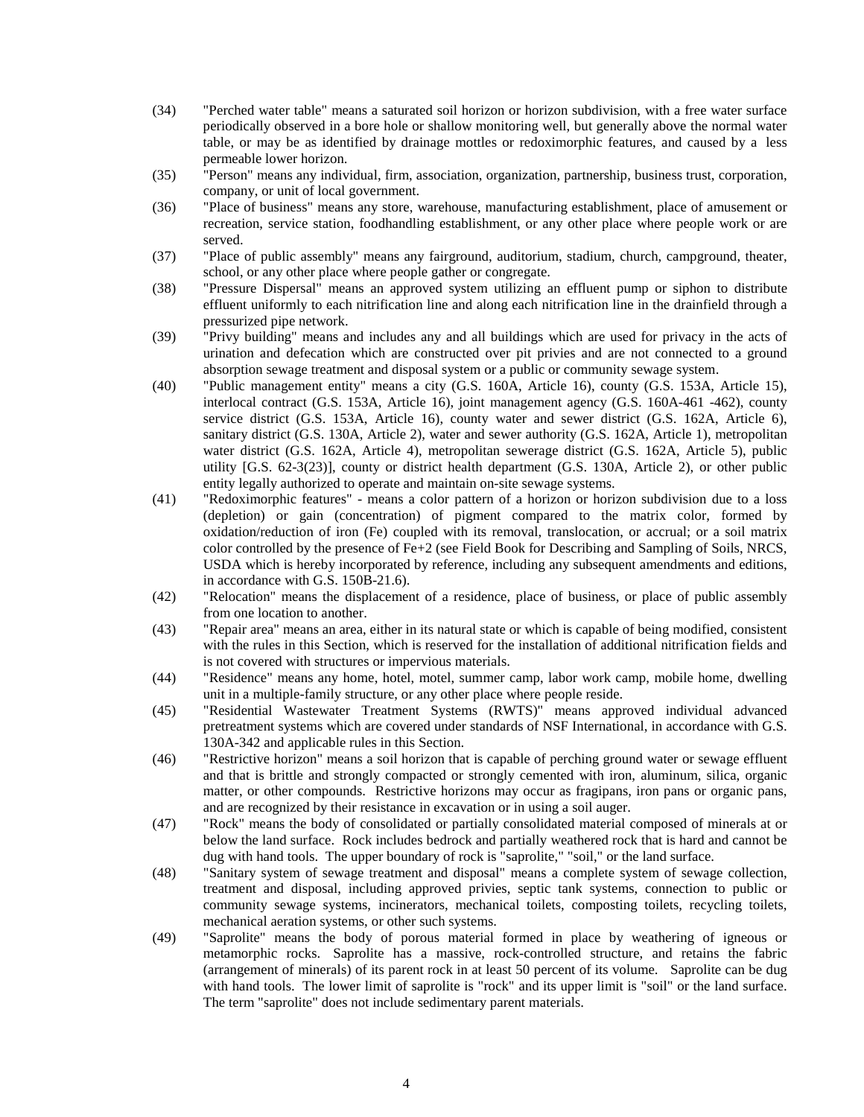- (34) "Perched water table" means a saturated soil horizon or horizon subdivision, with a free water surface periodically observed in a bore hole or shallow monitoring well, but generally above the normal water table, or may be as identified by drainage mottles or redoximorphic features, and caused by a less permeable lower horizon.
- (35) "Person" means any individual, firm, association, organization, partnership, business trust, corporation, company, or unit of local government.
- (36) "Place of business" means any store, warehouse, manufacturing establishment, place of amusement or recreation, service station, foodhandling establishment, or any other place where people work or are served.
- (37) "Place of public assembly" means any fairground, auditorium, stadium, church, campground, theater, school, or any other place where people gather or congregate.
- (38) "Pressure Dispersal" means an approved system utilizing an effluent pump or siphon to distribute effluent uniformly to each nitrification line and along each nitrification line in the drainfield through a pressurized pipe network.
- (39) "Privy building" means and includes any and all buildings which are used for privacy in the acts of urination and defecation which are constructed over pit privies and are not connected to a ground absorption sewage treatment and disposal system or a public or community sewage system.
- (40) "Public management entity" means a city (G.S. 160A, Article 16), county (G.S. 153A, Article 15), interlocal contract (G.S. 153A, Article 16), joint management agency (G.S. 160A-461 -462), county service district (G.S. 153A, Article 16), county water and sewer district (G.S. 162A, Article 6), sanitary district (G.S. 130A, Article 2), water and sewer authority (G.S. 162A, Article 1), metropolitan water district (G.S. 162A, Article 4), metropolitan sewerage district (G.S. 162A, Article 5), public utility [G.S. 62-3(23)], county or district health department (G.S. 130A, Article 2), or other public entity legally authorized to operate and maintain on-site sewage systems.
- (41) "Redoximorphic features" means a color pattern of a horizon or horizon subdivision due to a loss (depletion) or gain (concentration) of pigment compared to the matrix color, formed by oxidation/reduction of iron (Fe) coupled with its removal, translocation, or accrual; or a soil matrix color controlled by the presence of Fe+2 (see Field Book for Describing and Sampling of Soils, NRCS, USDA which is hereby incorporated by reference, including any subsequent amendments and editions, in accordance with G.S. 150B-21.6).
- (42) "Relocation" means the displacement of a residence, place of business, or place of public assembly from one location to another.
- (43) "Repair area" means an area, either in its natural state or which is capable of being modified, consistent with the rules in this Section, which is reserved for the installation of additional nitrification fields and is not covered with structures or impervious materials.
- (44) "Residence" means any home, hotel, motel, summer camp, labor work camp, mobile home, dwelling unit in a multiple-family structure, or any other place where people reside.
- (45) "Residential Wastewater Treatment Systems (RWTS)" means approved individual advanced pretreatment systems which are covered under standards of NSF International, in accordance with G.S. 130A-342 and applicable rules in this Section.
- (46) "Restrictive horizon" means a soil horizon that is capable of perching ground water or sewage effluent and that is brittle and strongly compacted or strongly cemented with iron, aluminum, silica, organic matter, or other compounds. Restrictive horizons may occur as fragipans, iron pans or organic pans, and are recognized by their resistance in excavation or in using a soil auger.
- (47) "Rock" means the body of consolidated or partially consolidated material composed of minerals at or below the land surface. Rock includes bedrock and partially weathered rock that is hard and cannot be dug with hand tools. The upper boundary of rock is "saprolite," "soil," or the land surface.
- (48) "Sanitary system of sewage treatment and disposal" means a complete system of sewage collection, treatment and disposal, including approved privies, septic tank systems, connection to public or community sewage systems, incinerators, mechanical toilets, composting toilets, recycling toilets, mechanical aeration systems, or other such systems.
- (49) "Saprolite" means the body of porous material formed in place by weathering of igneous or metamorphic rocks. Saprolite has a massive, rock-controlled structure, and retains the fabric (arrangement of minerals) of its parent rock in at least 50 percent of its volume. Saprolite can be dug with hand tools. The lower limit of saprolite is "rock" and its upper limit is "soil" or the land surface. The term "saprolite" does not include sedimentary parent materials.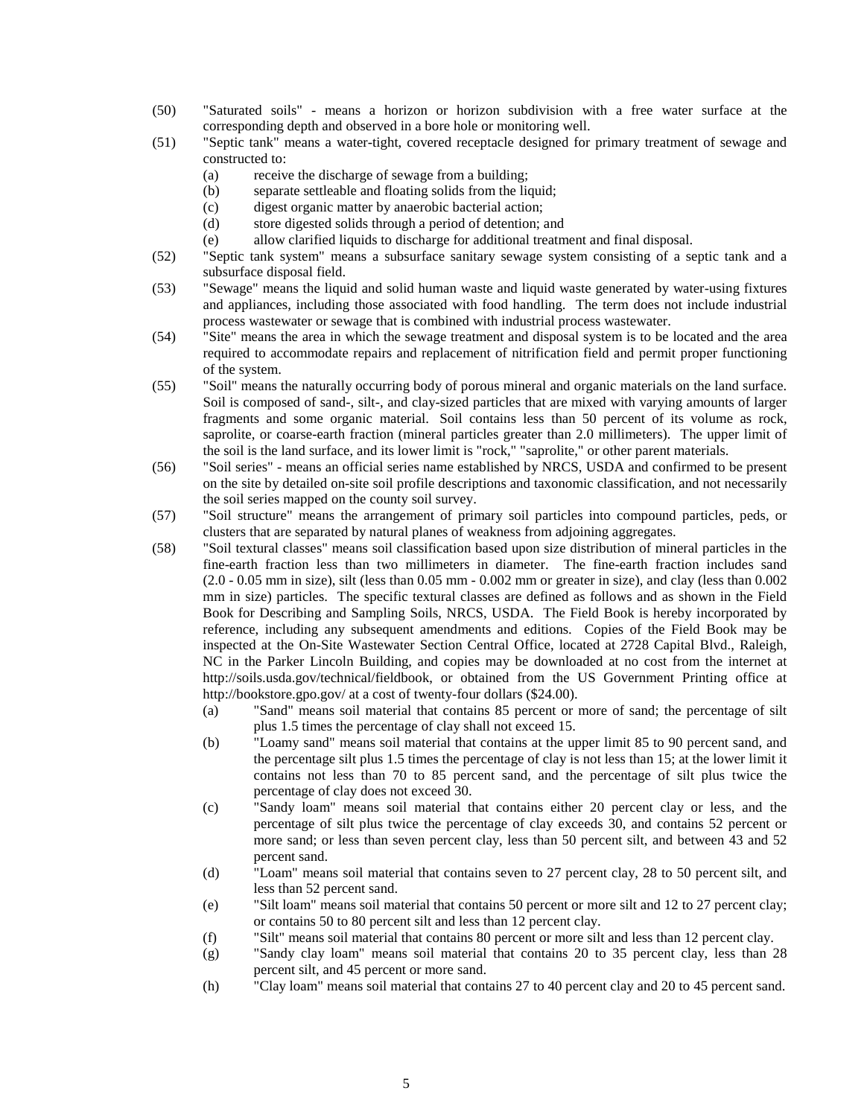- (50) "Saturated soils" means a horizon or horizon subdivision with a free water surface at the corresponding depth and observed in a bore hole or monitoring well.
- (51) "Septic tank" means a water-tight, covered receptacle designed for primary treatment of sewage and constructed to:
	- (a) receive the discharge of sewage from a building;
	- (b) separate settleable and floating solids from the liquid;
	- (c) digest organic matter by anaerobic bacterial action;
	- (d) store digested solids through a period of detention; and
	- (e) allow clarified liquids to discharge for additional treatment and final disposal.
- (52) "Septic tank system" means a subsurface sanitary sewage system consisting of a septic tank and a subsurface disposal field.
- (53) "Sewage" means the liquid and solid human waste and liquid waste generated by water-using fixtures and appliances, including those associated with food handling. The term does not include industrial process wastewater or sewage that is combined with industrial process wastewater.
- (54) "Site" means the area in which the sewage treatment and disposal system is to be located and the area required to accommodate repairs and replacement of nitrification field and permit proper functioning of the system.
- (55) "Soil" means the naturally occurring body of porous mineral and organic materials on the land surface. Soil is composed of sand-, silt-, and clay-sized particles that are mixed with varying amounts of larger fragments and some organic material. Soil contains less than 50 percent of its volume as rock, saprolite, or coarse-earth fraction (mineral particles greater than 2.0 millimeters). The upper limit of the soil is the land surface, and its lower limit is "rock," "saprolite," or other parent materials.
- (56) "Soil series" means an official series name established by NRCS, USDA and confirmed to be present on the site by detailed on-site soil profile descriptions and taxonomic classification, and not necessarily the soil series mapped on the county soil survey.
- (57) "Soil structure" means the arrangement of primary soil particles into compound particles, peds, or clusters that are separated by natural planes of weakness from adjoining aggregates.
- (58) "Soil textural classes" means soil classification based upon size distribution of mineral particles in the fine-earth fraction less than two millimeters in diameter. The fine-earth fraction includes sand  $(2.0 - 0.05$  mm in size), silt (less than  $0.05$  mm  $-0.002$  mm or greater in size), and clay (less than  $0.002$ mm in size) particles. The specific textural classes are defined as follows and as shown in the Field Book for Describing and Sampling Soils, NRCS, USDA. The Field Book is hereby incorporated by reference, including any subsequent amendments and editions. Copies of the Field Book may be inspected at the On-Site Wastewater Section Central Office, located at 2728 Capital Blvd., Raleigh, NC in the Parker Lincoln Building, and copies may be downloaded at no cost from the internet at http://soils.usda.gov/technical/fieldbook, or obtained from the US Government Printing office at http://bookstore.gpo.gov/ at a cost of twenty-four dollars (\$24.00).
	- (a) "Sand" means soil material that contains 85 percent or more of sand; the percentage of silt plus 1.5 times the percentage of clay shall not exceed 15.
	- (b) "Loamy sand" means soil material that contains at the upper limit 85 to 90 percent sand, and the percentage silt plus 1.5 times the percentage of clay is not less than 15; at the lower limit it contains not less than 70 to 85 percent sand, and the percentage of silt plus twice the percentage of clay does not exceed 30.
	- (c) "Sandy loam" means soil material that contains either 20 percent clay or less, and the percentage of silt plus twice the percentage of clay exceeds 30, and contains 52 percent or more sand; or less than seven percent clay, less than 50 percent silt, and between 43 and 52 percent sand.
	- (d) "Loam" means soil material that contains seven to 27 percent clay, 28 to 50 percent silt, and less than 52 percent sand.
	- (e) "Silt loam" means soil material that contains 50 percent or more silt and 12 to 27 percent clay; or contains 50 to 80 percent silt and less than 12 percent clay.
	- (f) "Silt" means soil material that contains 80 percent or more silt and less than 12 percent clay.
	- (g) "Sandy clay loam" means soil material that contains 20 to 35 percent clay, less than 28 percent silt, and 45 percent or more sand.
	- (h) "Clay loam" means soil material that contains 27 to 40 percent clay and 20 to 45 percent sand.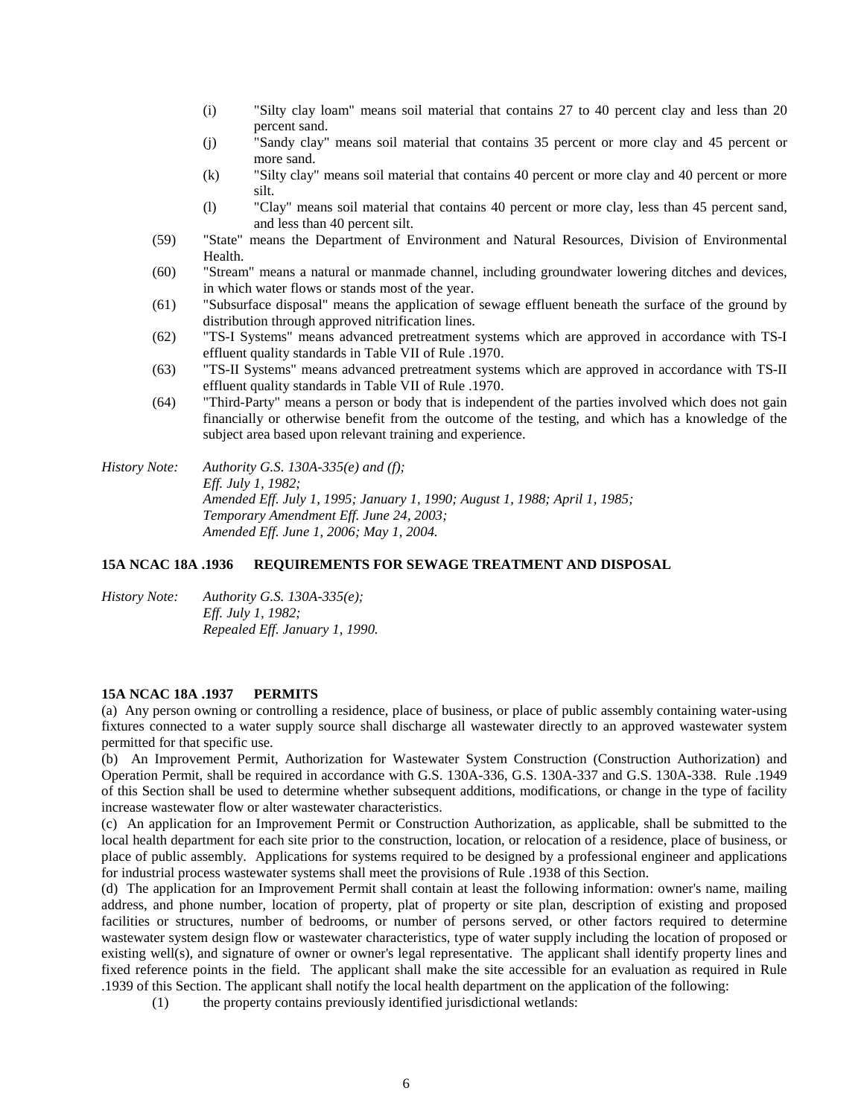- (i) "Silty clay loam" means soil material that contains 27 to 40 percent clay and less than 20 percent sand.
- (j) "Sandy clay" means soil material that contains 35 percent or more clay and 45 percent or more sand.
- (k) "Silty clay" means soil material that contains 40 percent or more clay and 40 percent or more silt.
- (l) "Clay" means soil material that contains 40 percent or more clay, less than 45 percent sand, and less than 40 percent silt.
- (59) "State" means the Department of Environment and Natural Resources, Division of Environmental Health.
- (60) "Stream" means a natural or manmade channel, including groundwater lowering ditches and devices, in which water flows or stands most of the year.
- (61) "Subsurface disposal" means the application of sewage effluent beneath the surface of the ground by distribution through approved nitrification lines.
- (62) "TS-I Systems" means advanced pretreatment systems which are approved in accordance with TS-I effluent quality standards in Table VII of Rule .1970.
- (63) "TS-II Systems" means advanced pretreatment systems which are approved in accordance with TS-II effluent quality standards in Table VII of Rule .1970.
- (64) "Third-Party" means a person or body that is independent of the parties involved which does not gain financially or otherwise benefit from the outcome of the testing, and which has a knowledge of the subject area based upon relevant training and experience.

*History Note: Authority G.S. 130A-335(e) and (f); Eff. July 1, 1982; Amended Eff. July 1, 1995; January 1, 1990; August 1, 1988; April 1, 1985; Temporary Amendment Eff. June 24, 2003; Amended Eff. June 1, 2006; May 1, 2004.*

### **15A NCAC 18A .1936 REQUIREMENTS FOR SEWAGE TREATMENT AND DISPOSAL**

*History Note: Authority G.S. 130A-335(e); Eff. July 1, 1982; Repealed Eff. January 1, 1990.*

#### **15A NCAC 18A .1937 PERMITS**

(a) Any person owning or controlling a residence, place of business, or place of public assembly containing water-using fixtures connected to a water supply source shall discharge all wastewater directly to an approved wastewater system permitted for that specific use.

(b) An Improvement Permit, Authorization for Wastewater System Construction (Construction Authorization) and Operation Permit, shall be required in accordance with G.S. 130A-336, G.S. 130A-337 and G.S. 130A-338. Rule .1949 of this Section shall be used to determine whether subsequent additions, modifications, or change in the type of facility increase wastewater flow or alter wastewater characteristics.

(c) An application for an Improvement Permit or Construction Authorization, as applicable, shall be submitted to the local health department for each site prior to the construction, location, or relocation of a residence, place of business, or place of public assembly. Applications for systems required to be designed by a professional engineer and applications for industrial process wastewater systems shall meet the provisions of Rule .1938 of this Section.

(d) The application for an Improvement Permit shall contain at least the following information: owner's name, mailing address, and phone number, location of property, plat of property or site plan, description of existing and proposed facilities or structures, number of bedrooms, or number of persons served, or other factors required to determine wastewater system design flow or wastewater characteristics, type of water supply including the location of proposed or existing well(s), and signature of owner or owner's legal representative. The applicant shall identify property lines and fixed reference points in the field. The applicant shall make the site accessible for an evaluation as required in Rule .1939 of this Section. The applicant shall notify the local health department on the application of the following:

(1) the property contains previously identified jurisdictional wetlands: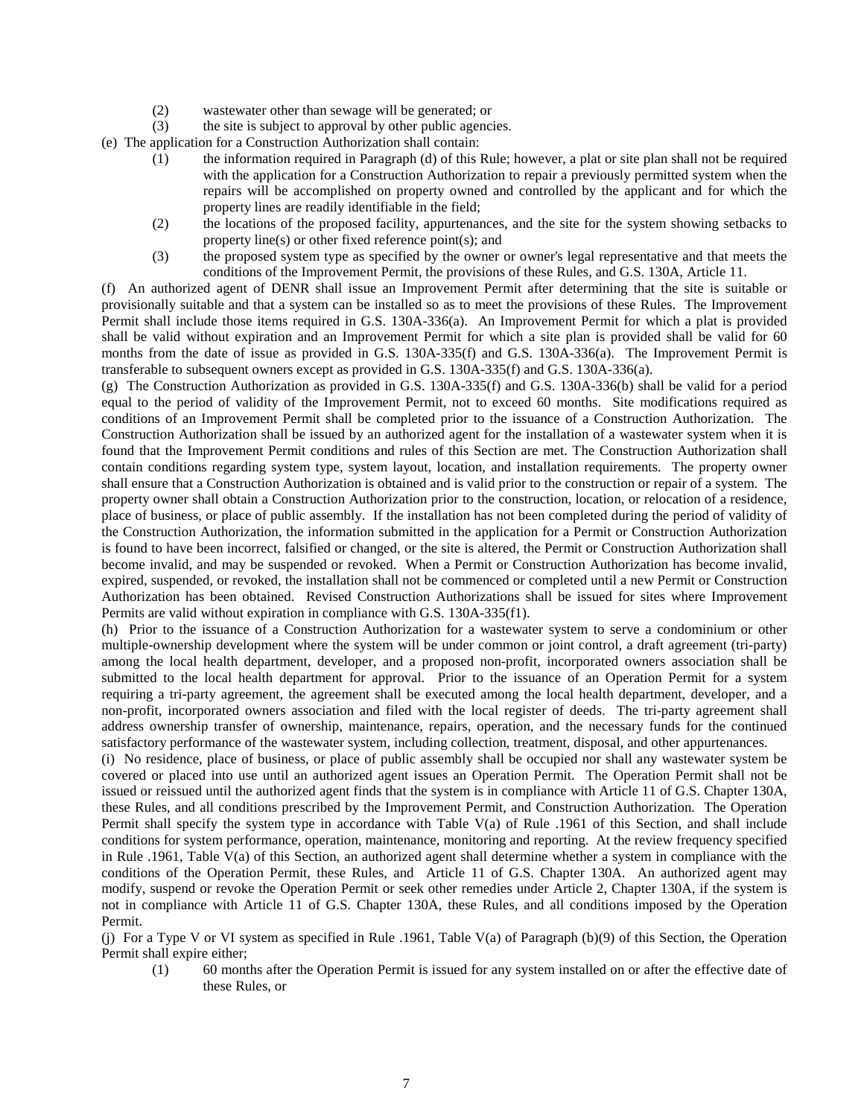- (2) wastewater other than sewage will be generated; or
- (3) the site is subject to approval by other public agencies.

(e) The application for a Construction Authorization shall contain:

- (1) the information required in Paragraph (d) of this Rule; however, a plat or site plan shall not be required with the application for a Construction Authorization to repair a previously permitted system when the repairs will be accomplished on property owned and controlled by the applicant and for which the property lines are readily identifiable in the field;
- (2) the locations of the proposed facility, appurtenances, and the site for the system showing setbacks to property line(s) or other fixed reference point(s); and
- (3) the proposed system type as specified by the owner or owner's legal representative and that meets the conditions of the Improvement Permit, the provisions of these Rules, and G.S. 130A, Article 11.

(f) An authorized agent of DENR shall issue an Improvement Permit after determining that the site is suitable or provisionally suitable and that a system can be installed so as to meet the provisions of these Rules. The Improvement Permit shall include those items required in G.S. 130A-336(a). An Improvement Permit for which a plat is provided shall be valid without expiration and an Improvement Permit for which a site plan is provided shall be valid for 60 months from the date of issue as provided in G.S. 130A-335(f) and G.S. 130A-336(a). The Improvement Permit is transferable to subsequent owners except as provided in G.S. 130A-335(f) and G.S. 130A-336(a).

(g) The Construction Authorization as provided in G.S. 130A-335(f) and G.S. 130A-336(b) shall be valid for a period equal to the period of validity of the Improvement Permit, not to exceed 60 months. Site modifications required as conditions of an Improvement Permit shall be completed prior to the issuance of a Construction Authorization. The Construction Authorization shall be issued by an authorized agent for the installation of a wastewater system when it is found that the Improvement Permit conditions and rules of this Section are met. The Construction Authorization shall contain conditions regarding system type, system layout, location, and installation requirements. The property owner shall ensure that a Construction Authorization is obtained and is valid prior to the construction or repair of a system. The property owner shall obtain a Construction Authorization prior to the construction, location, or relocation of a residence, place of business, or place of public assembly. If the installation has not been completed during the period of validity of the Construction Authorization, the information submitted in the application for a Permit or Construction Authorization is found to have been incorrect, falsified or changed, or the site is altered, the Permit or Construction Authorization shall become invalid, and may be suspended or revoked. When a Permit or Construction Authorization has become invalid, expired, suspended, or revoked, the installation shall not be commenced or completed until a new Permit or Construction Authorization has been obtained. Revised Construction Authorizations shall be issued for sites where Improvement Permits are valid without expiration in compliance with G.S. 130A-335(f1).

(h) Prior to the issuance of a Construction Authorization for a wastewater system to serve a condominium or other multiple-ownership development where the system will be under common or joint control, a draft agreement (tri-party) among the local health department, developer, and a proposed non-profit, incorporated owners association shall be submitted to the local health department for approval. Prior to the issuance of an Operation Permit for a system requiring a tri-party agreement, the agreement shall be executed among the local health department, developer, and a non-profit, incorporated owners association and filed with the local register of deeds. The tri-party agreement shall address ownership transfer of ownership, maintenance, repairs, operation, and the necessary funds for the continued satisfactory performance of the wastewater system, including collection, treatment, disposal, and other appurtenances.

(i) No residence, place of business, or place of public assembly shall be occupied nor shall any wastewater system be covered or placed into use until an authorized agent issues an Operation Permit. The Operation Permit shall not be issued or reissued until the authorized agent finds that the system is in compliance with Article 11 of G.S. Chapter 130A, these Rules, and all conditions prescribed by the Improvement Permit, and Construction Authorization. The Operation Permit shall specify the system type in accordance with Table V(a) of Rule .1961 of this Section, and shall include conditions for system performance, operation, maintenance, monitoring and reporting. At the review frequency specified in Rule .1961, Table V(a) of this Section, an authorized agent shall determine whether a system in compliance with the conditions of the Operation Permit, these Rules, and Article 11 of G.S. Chapter 130A. An authorized agent may modify, suspend or revoke the Operation Permit or seek other remedies under Article 2, Chapter 130A, if the system is not in compliance with Article 11 of G.S. Chapter 130A, these Rules, and all conditions imposed by the Operation Permit.

(j) For a Type V or VI system as specified in Rule .1961, Table V(a) of Paragraph (b)(9) of this Section, the Operation Permit shall expire either;

(1) 60 months after the Operation Permit is issued for any system installed on or after the effective date of these Rules, or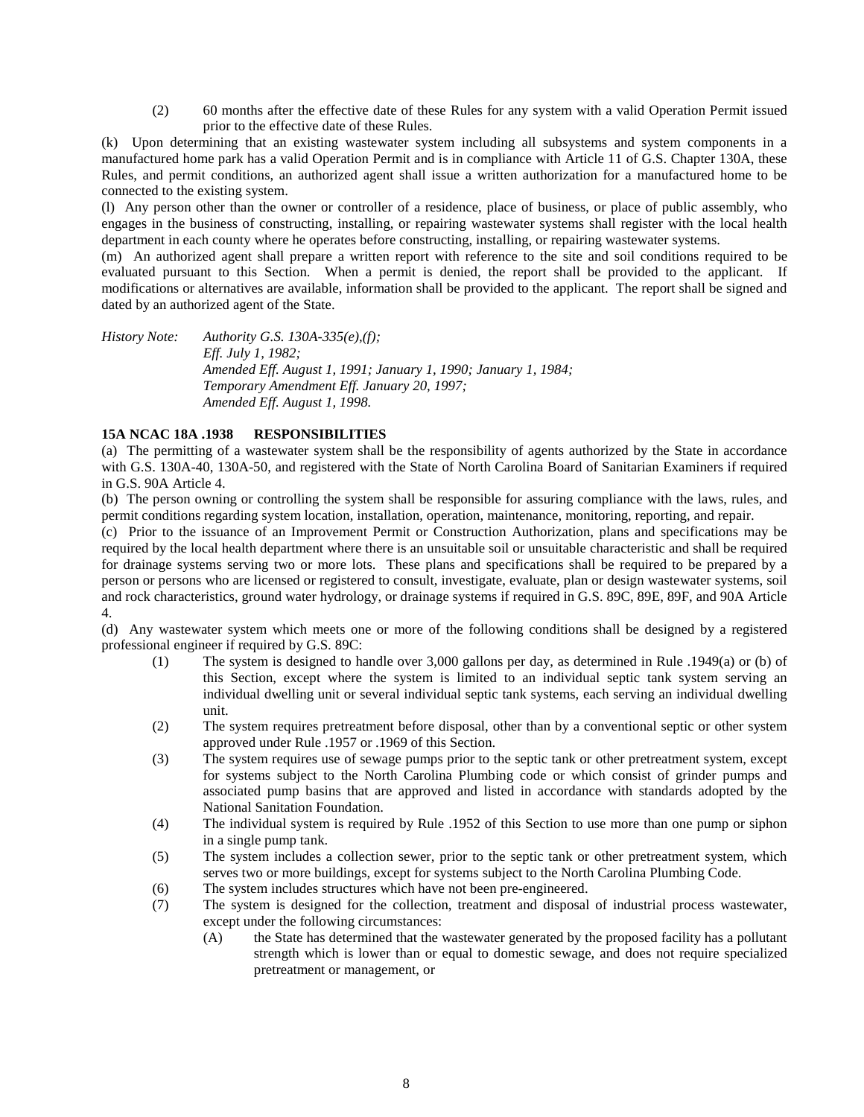(2) 60 months after the effective date of these Rules for any system with a valid Operation Permit issued prior to the effective date of these Rules.

(k) Upon determining that an existing wastewater system including all subsystems and system components in a manufactured home park has a valid Operation Permit and is in compliance with Article 11 of G.S. Chapter 130A, these Rules, and permit conditions, an authorized agent shall issue a written authorization for a manufactured home to be connected to the existing system.

(l) Any person other than the owner or controller of a residence, place of business, or place of public assembly, who engages in the business of constructing, installing, or repairing wastewater systems shall register with the local health department in each county where he operates before constructing, installing, or repairing wastewater systems.

(m) An authorized agent shall prepare a written report with reference to the site and soil conditions required to be evaluated pursuant to this Section. When a permit is denied, the report shall be provided to the applicant. If modifications or alternatives are available, information shall be provided to the applicant. The report shall be signed and dated by an authorized agent of the State.

*History Note: Authority G.S. 130A-335(e),(f); Eff. July 1, 1982; Amended Eff. August 1, 1991; January 1, 1990; January 1, 1984; Temporary Amendment Eff. January 20, 1997; Amended Eff. August 1, 1998.*

## **15A NCAC 18A .1938 RESPONSIBILITIES**

(a) The permitting of a wastewater system shall be the responsibility of agents authorized by the State in accordance with G.S. 130A-40, 130A-50, and registered with the State of North Carolina Board of Sanitarian Examiners if required in G.S. 90A Article 4.

(b) The person owning or controlling the system shall be responsible for assuring compliance with the laws, rules, and permit conditions regarding system location, installation, operation, maintenance, monitoring, reporting, and repair.

(c) Prior to the issuance of an Improvement Permit or Construction Authorization, plans and specifications may be required by the local health department where there is an unsuitable soil or unsuitable characteristic and shall be required for drainage systems serving two or more lots. These plans and specifications shall be required to be prepared by a person or persons who are licensed or registered to consult, investigate, evaluate, plan or design wastewater systems, soil and rock characteristics, ground water hydrology, or drainage systems if required in G.S. 89C, 89E, 89F, and 90A Article 4.

(d) Any wastewater system which meets one or more of the following conditions shall be designed by a registered professional engineer if required by G.S. 89C:

- (1) The system is designed to handle over 3,000 gallons per day, as determined in Rule .1949(a) or (b) of this Section, except where the system is limited to an individual septic tank system serving an individual dwelling unit or several individual septic tank systems, each serving an individual dwelling unit.
- (2) The system requires pretreatment before disposal, other than by a conventional septic or other system approved under Rule .1957 or .1969 of this Section.
- (3) The system requires use of sewage pumps prior to the septic tank or other pretreatment system, except for systems subject to the North Carolina Plumbing code or which consist of grinder pumps and associated pump basins that are approved and listed in accordance with standards adopted by the National Sanitation Foundation.
- (4) The individual system is required by Rule .1952 of this Section to use more than one pump or siphon in a single pump tank.
- (5) The system includes a collection sewer, prior to the septic tank or other pretreatment system, which serves two or more buildings, except for systems subject to the North Carolina Plumbing Code.
- (6) The system includes structures which have not been pre-engineered.
- (7) The system is designed for the collection, treatment and disposal of industrial process wastewater, except under the following circumstances:
	- (A) the State has determined that the wastewater generated by the proposed facility has a pollutant strength which is lower than or equal to domestic sewage, and does not require specialized pretreatment or management, or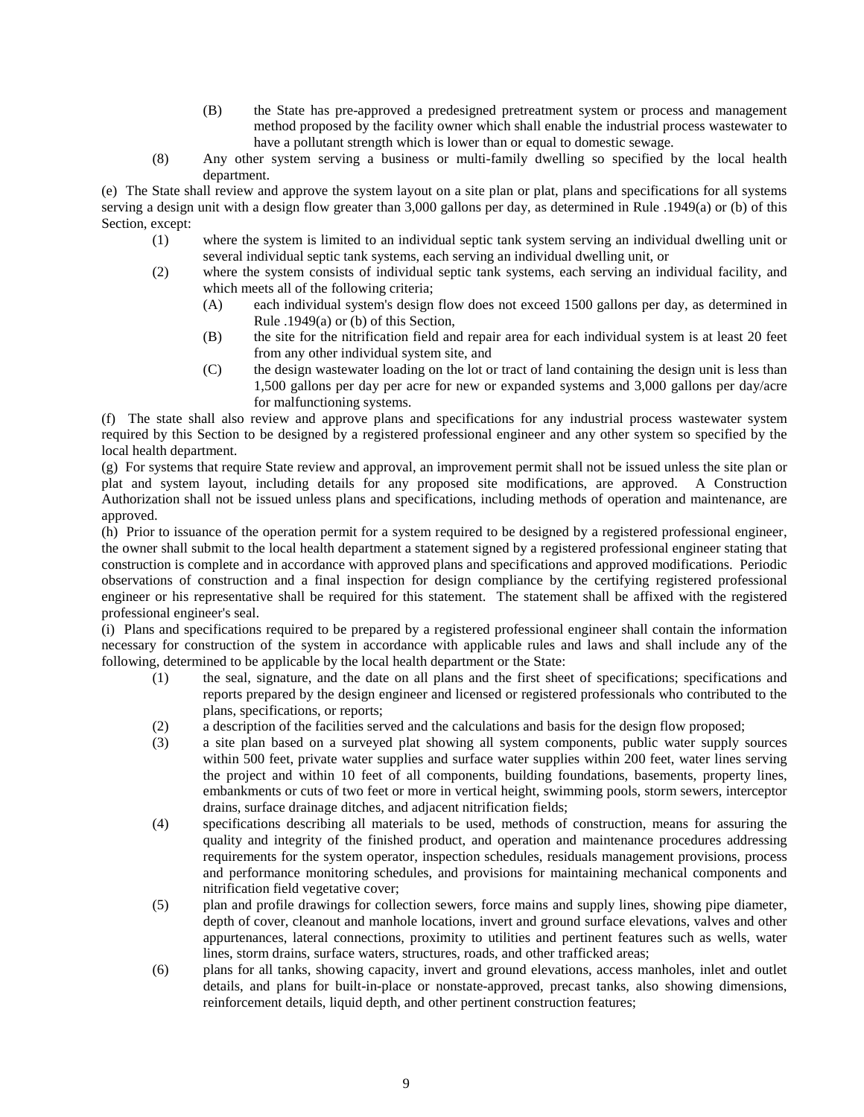- (B) the State has pre-approved a predesigned pretreatment system or process and management method proposed by the facility owner which shall enable the industrial process wastewater to have a pollutant strength which is lower than or equal to domestic sewage.
- (8) Any other system serving a business or multi-family dwelling so specified by the local health department.

(e) The State shall review and approve the system layout on a site plan or plat, plans and specifications for all systems serving a design unit with a design flow greater than 3,000 gallons per day, as determined in Rule .1949(a) or (b) of this Section, except:

- (1) where the system is limited to an individual septic tank system serving an individual dwelling unit or several individual septic tank systems, each serving an individual dwelling unit, or
- (2) where the system consists of individual septic tank systems, each serving an individual facility, and which meets all of the following criteria;
	- (A) each individual system's design flow does not exceed 1500 gallons per day, as determined in Rule .1949(a) or (b) of this Section,
	- (B) the site for the nitrification field and repair area for each individual system is at least 20 feet from any other individual system site, and
	- (C) the design wastewater loading on the lot or tract of land containing the design unit is less than 1,500 gallons per day per acre for new or expanded systems and 3,000 gallons per day/acre for malfunctioning systems.

(f) The state shall also review and approve plans and specifications for any industrial process wastewater system required by this Section to be designed by a registered professional engineer and any other system so specified by the local health department.

(g) For systems that require State review and approval, an improvement permit shall not be issued unless the site plan or plat and system layout, including details for any proposed site modifications, are approved. A Construction Authorization shall not be issued unless plans and specifications, including methods of operation and maintenance, are approved.

(h) Prior to issuance of the operation permit for a system required to be designed by a registered professional engineer, the owner shall submit to the local health department a statement signed by a registered professional engineer stating that construction is complete and in accordance with approved plans and specifications and approved modifications. Periodic observations of construction and a final inspection for design compliance by the certifying registered professional engineer or his representative shall be required for this statement. The statement shall be affixed with the registered professional engineer's seal.

(i) Plans and specifications required to be prepared by a registered professional engineer shall contain the information necessary for construction of the system in accordance with applicable rules and laws and shall include any of the following, determined to be applicable by the local health department or the State:

- (1) the seal, signature, and the date on all plans and the first sheet of specifications; specifications and reports prepared by the design engineer and licensed or registered professionals who contributed to the plans, specifications, or reports;
- (2) a description of the facilities served and the calculations and basis for the design flow proposed;
- (3) a site plan based on a surveyed plat showing all system components, public water supply sources within 500 feet, private water supplies and surface water supplies within 200 feet, water lines serving the project and within 10 feet of all components, building foundations, basements, property lines, embankments or cuts of two feet or more in vertical height, swimming pools, storm sewers, interceptor drains, surface drainage ditches, and adjacent nitrification fields;
- (4) specifications describing all materials to be used, methods of construction, means for assuring the quality and integrity of the finished product, and operation and maintenance procedures addressing requirements for the system operator, inspection schedules, residuals management provisions, process and performance monitoring schedules, and provisions for maintaining mechanical components and nitrification field vegetative cover;
- (5) plan and profile drawings for collection sewers, force mains and supply lines, showing pipe diameter, depth of cover, cleanout and manhole locations, invert and ground surface elevations, valves and other appurtenances, lateral connections, proximity to utilities and pertinent features such as wells, water lines, storm drains, surface waters, structures, roads, and other trafficked areas;
- (6) plans for all tanks, showing capacity, invert and ground elevations, access manholes, inlet and outlet details, and plans for built-in-place or nonstate-approved, precast tanks, also showing dimensions, reinforcement details, liquid depth, and other pertinent construction features;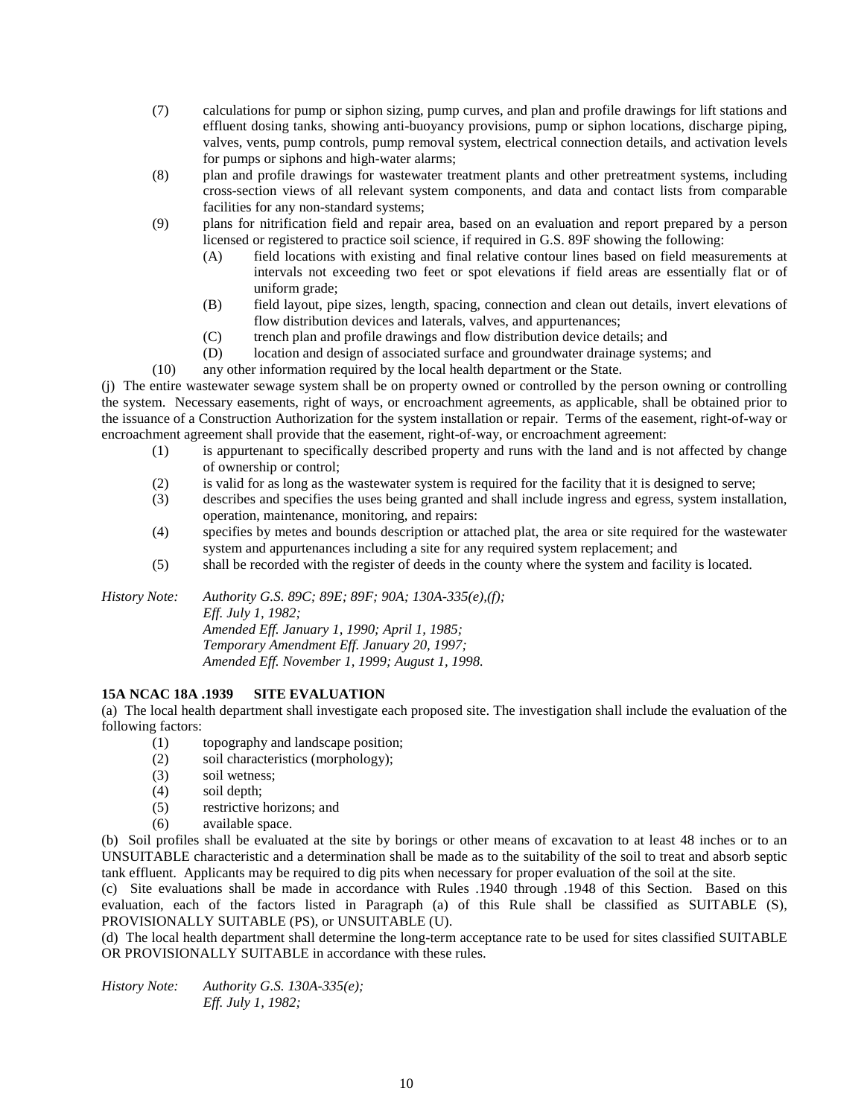- (7) calculations for pump or siphon sizing, pump curves, and plan and profile drawings for lift stations and effluent dosing tanks, showing anti-buoyancy provisions, pump or siphon locations, discharge piping, valves, vents, pump controls, pump removal system, electrical connection details, and activation levels for pumps or siphons and high-water alarms;
- (8) plan and profile drawings for wastewater treatment plants and other pretreatment systems, including cross-section views of all relevant system components, and data and contact lists from comparable facilities for any non-standard systems;
- (9) plans for nitrification field and repair area, based on an evaluation and report prepared by a person licensed or registered to practice soil science, if required in G.S. 89F showing the following:
	- (A) field locations with existing and final relative contour lines based on field measurements at intervals not exceeding two feet or spot elevations if field areas are essentially flat or of uniform grade;
	- (B) field layout, pipe sizes, length, spacing, connection and clean out details, invert elevations of flow distribution devices and laterals, valves, and appurtenances;
	- (C) trench plan and profile drawings and flow distribution device details; and
	- (D) location and design of associated surface and groundwater drainage systems; and
- (10) any other information required by the local health department or the State.

(j) The entire wastewater sewage system shall be on property owned or controlled by the person owning or controlling the system. Necessary easements, right of ways, or encroachment agreements, as applicable, shall be obtained prior to the issuance of a Construction Authorization for the system installation or repair. Terms of the easement, right-of-way or encroachment agreement shall provide that the easement, right-of-way, or encroachment agreement:

- (1) is appurtenant to specifically described property and runs with the land and is not affected by change of ownership or control;
- (2) is valid for as long as the wastewater system is required for the facility that it is designed to serve;
- (3) describes and specifies the uses being granted and shall include ingress and egress, system installation, operation, maintenance, monitoring, and repairs:
- (4) specifies by metes and bounds description or attached plat, the area or site required for the wastewater system and appurtenances including a site for any required system replacement; and
- (5) shall be recorded with the register of deeds in the county where the system and facility is located.

*History Note: Authority G.S. 89C; 89E; 89F; 90A; 130A-335(e),(f); Eff. July 1, 1982; Amended Eff. January 1, 1990; April 1, 1985; Temporary Amendment Eff. January 20, 1997; Amended Eff. November 1, 1999; August 1, 1998.*

# **15A NCAC 18A .1939 SITE EVALUATION**

(a) The local health department shall investigate each proposed site. The investigation shall include the evaluation of the following factors:

- (1) topography and landscape position;
- (2) soil characteristics (morphology);
- (3) soil wetness;
- (4) soil depth;
- (5) restrictive horizons; and
- (6) available space.

(b) Soil profiles shall be evaluated at the site by borings or other means of excavation to at least 48 inches or to an UNSUITABLE characteristic and a determination shall be made as to the suitability of the soil to treat and absorb septic tank effluent. Applicants may be required to dig pits when necessary for proper evaluation of the soil at the site.

(c) Site evaluations shall be made in accordance with Rules .1940 through .1948 of this Section. Based on this evaluation, each of the factors listed in Paragraph (a) of this Rule shall be classified as SUITABLE (S), PROVISIONALLY SUITABLE (PS), or UNSUITABLE (U).

(d) The local health department shall determine the long-term acceptance rate to be used for sites classified SUITABLE OR PROVISIONALLY SUITABLE in accordance with these rules.

*History Note: Authority G.S. 130A-335(e); Eff. July 1, 1982;*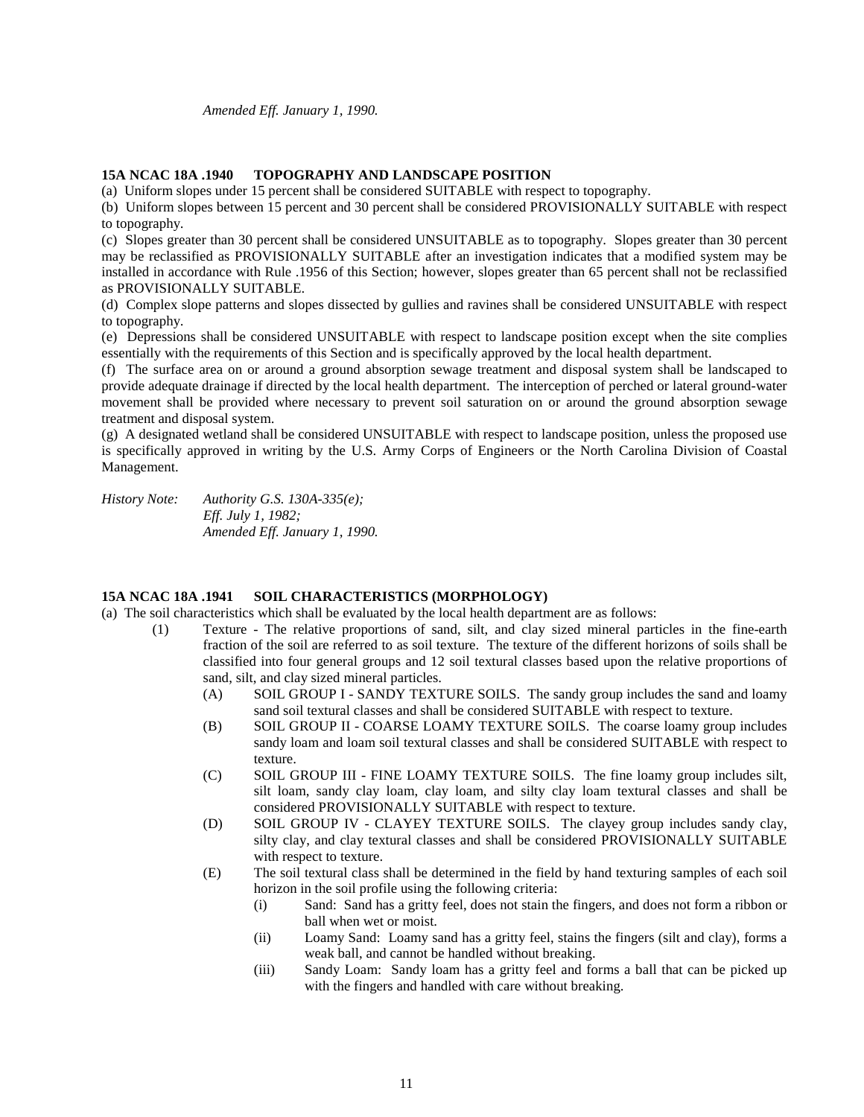*Amended Eff. January 1, 1990.*

## **15A NCAC 18A .1940 TOPOGRAPHY AND LANDSCAPE POSITION**

(a) Uniform slopes under 15 percent shall be considered SUITABLE with respect to topography.

(b) Uniform slopes between 15 percent and 30 percent shall be considered PROVISIONALLY SUITABLE with respect to topography.

(c) Slopes greater than 30 percent shall be considered UNSUITABLE as to topography. Slopes greater than 30 percent may be reclassified as PROVISIONALLY SUITABLE after an investigation indicates that a modified system may be installed in accordance with Rule .1956 of this Section; however, slopes greater than 65 percent shall not be reclassified as PROVISIONALLY SUITABLE.

(d) Complex slope patterns and slopes dissected by gullies and ravines shall be considered UNSUITABLE with respect to topography.

(e) Depressions shall be considered UNSUITABLE with respect to landscape position except when the site complies essentially with the requirements of this Section and is specifically approved by the local health department.

(f) The surface area on or around a ground absorption sewage treatment and disposal system shall be landscaped to provide adequate drainage if directed by the local health department. The interception of perched or lateral ground-water movement shall be provided where necessary to prevent soil saturation on or around the ground absorption sewage treatment and disposal system.

(g) A designated wetland shall be considered UNSUITABLE with respect to landscape position, unless the proposed use is specifically approved in writing by the U.S. Army Corps of Engineers or the North Carolina Division of Coastal Management.

*History Note: Authority G.S. 130A-335(e); Eff. July 1, 1982; Amended Eff. January 1, 1990.*

## **15A NCAC 18A .1941 SOIL CHARACTERISTICS (MORPHOLOGY)**

(a) The soil characteristics which shall be evaluated by the local health department are as follows:

- (1) Texture The relative proportions of sand, silt, and clay sized mineral particles in the fine-earth fraction of the soil are referred to as soil texture. The texture of the different horizons of soils shall be classified into four general groups and 12 soil textural classes based upon the relative proportions of sand, silt, and clay sized mineral particles.
	- (A) SOIL GROUP I SANDY TEXTURE SOILS. The sandy group includes the sand and loamy sand soil textural classes and shall be considered SUITABLE with respect to texture.
	- (B) SOIL GROUP II COARSE LOAMY TEXTURE SOILS. The coarse loamy group includes sandy loam and loam soil textural classes and shall be considered SUITABLE with respect to texture.
	- (C) SOIL GROUP III FINE LOAMY TEXTURE SOILS. The fine loamy group includes silt, silt loam, sandy clay loam, clay loam, and silty clay loam textural classes and shall be considered PROVISIONALLY SUITABLE with respect to texture.
	- (D) SOIL GROUP IV CLAYEY TEXTURE SOILS. The clayey group includes sandy clay, silty clay, and clay textural classes and shall be considered PROVISIONALLY SUITABLE with respect to texture.
	- (E) The soil textural class shall be determined in the field by hand texturing samples of each soil horizon in the soil profile using the following criteria:
		- (i) Sand: Sand has a gritty feel, does not stain the fingers, and does not form a ribbon or ball when wet or moist.
		- (ii) Loamy Sand: Loamy sand has a gritty feel, stains the fingers (silt and clay), forms a weak ball, and cannot be handled without breaking.
		- (iii) Sandy Loam: Sandy loam has a gritty feel and forms a ball that can be picked up with the fingers and handled with care without breaking.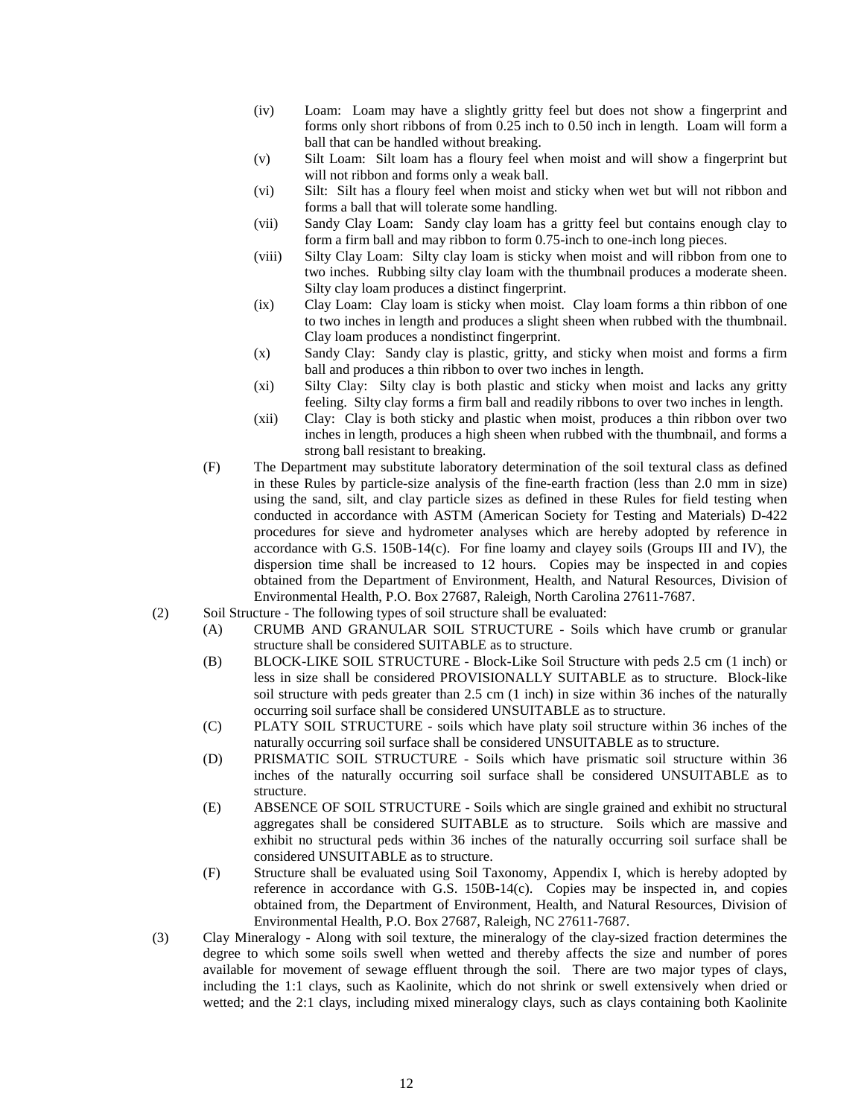- (iv) Loam: Loam may have a slightly gritty feel but does not show a fingerprint and forms only short ribbons of from 0.25 inch to 0.50 inch in length. Loam will form a ball that can be handled without breaking.
- (v) Silt Loam: Silt loam has a floury feel when moist and will show a fingerprint but will not ribbon and forms only a weak ball.
- (vi) Silt: Silt has a floury feel when moist and sticky when wet but will not ribbon and forms a ball that will tolerate some handling.
- (vii) Sandy Clay Loam: Sandy clay loam has a gritty feel but contains enough clay to form a firm ball and may ribbon to form 0.75-inch to one-inch long pieces.
- (viii) Silty Clay Loam: Silty clay loam is sticky when moist and will ribbon from one to two inches. Rubbing silty clay loam with the thumbnail produces a moderate sheen. Silty clay loam produces a distinct fingerprint.
- (ix) Clay Loam: Clay loam is sticky when moist. Clay loam forms a thin ribbon of one to two inches in length and produces a slight sheen when rubbed with the thumbnail. Clay loam produces a nondistinct fingerprint.
- (x) Sandy Clay: Sandy clay is plastic, gritty, and sticky when moist and forms a firm ball and produces a thin ribbon to over two inches in length.
- (xi) Silty Clay: Silty clay is both plastic and sticky when moist and lacks any gritty feeling. Silty clay forms a firm ball and readily ribbons to over two inches in length.
- (xii) Clay: Clay is both sticky and plastic when moist, produces a thin ribbon over two inches in length, produces a high sheen when rubbed with the thumbnail, and forms a strong ball resistant to breaking.
- (F) The Department may substitute laboratory determination of the soil textural class as defined in these Rules by particle-size analysis of the fine-earth fraction (less than 2.0 mm in size) using the sand, silt, and clay particle sizes as defined in these Rules for field testing when conducted in accordance with ASTM (American Society for Testing and Materials) D-422 procedures for sieve and hydrometer analyses which are hereby adopted by reference in accordance with G.S. 150B-14(c). For fine loamy and clayey soils (Groups III and IV), the dispersion time shall be increased to 12 hours. Copies may be inspected in and copies obtained from the Department of Environment, Health, and Natural Resources, Division of Environmental Health, P.O. Box 27687, Raleigh, North Carolina 27611-7687.
- (2) Soil Structure The following types of soil structure shall be evaluated:
	- (A) CRUMB AND GRANULAR SOIL STRUCTURE Soils which have crumb or granular structure shall be considered SUITABLE as to structure.
	- (B) BLOCK-LIKE SOIL STRUCTURE Block-Like Soil Structure with peds 2.5 cm (1 inch) or less in size shall be considered PROVISIONALLY SUITABLE as to structure. Block-like soil structure with peds greater than 2.5 cm (1 inch) in size within 36 inches of the naturally occurring soil surface shall be considered UNSUITABLE as to structure.
	- (C) PLATY SOIL STRUCTURE soils which have platy soil structure within 36 inches of the naturally occurring soil surface shall be considered UNSUITABLE as to structure.
	- (D) PRISMATIC SOIL STRUCTURE Soils which have prismatic soil structure within 36 inches of the naturally occurring soil surface shall be considered UNSUITABLE as to structure.
	- (E) ABSENCE OF SOIL STRUCTURE Soils which are single grained and exhibit no structural aggregates shall be considered SUITABLE as to structure. Soils which are massive and exhibit no structural peds within 36 inches of the naturally occurring soil surface shall be considered UNSUITABLE as to structure.
	- (F) Structure shall be evaluated using Soil Taxonomy, Appendix I, which is hereby adopted by reference in accordance with G.S. 150B-14(c). Copies may be inspected in, and copies obtained from, the Department of Environment, Health, and Natural Resources, Division of Environmental Health, P.O. Box 27687, Raleigh, NC 27611-7687.
- (3) Clay Mineralogy Along with soil texture, the mineralogy of the clay-sized fraction determines the degree to which some soils swell when wetted and thereby affects the size and number of pores available for movement of sewage effluent through the soil. There are two major types of clays, including the 1:1 clays, such as Kaolinite, which do not shrink or swell extensively when dried or wetted; and the 2:1 clays, including mixed mineralogy clays, such as clays containing both Kaolinite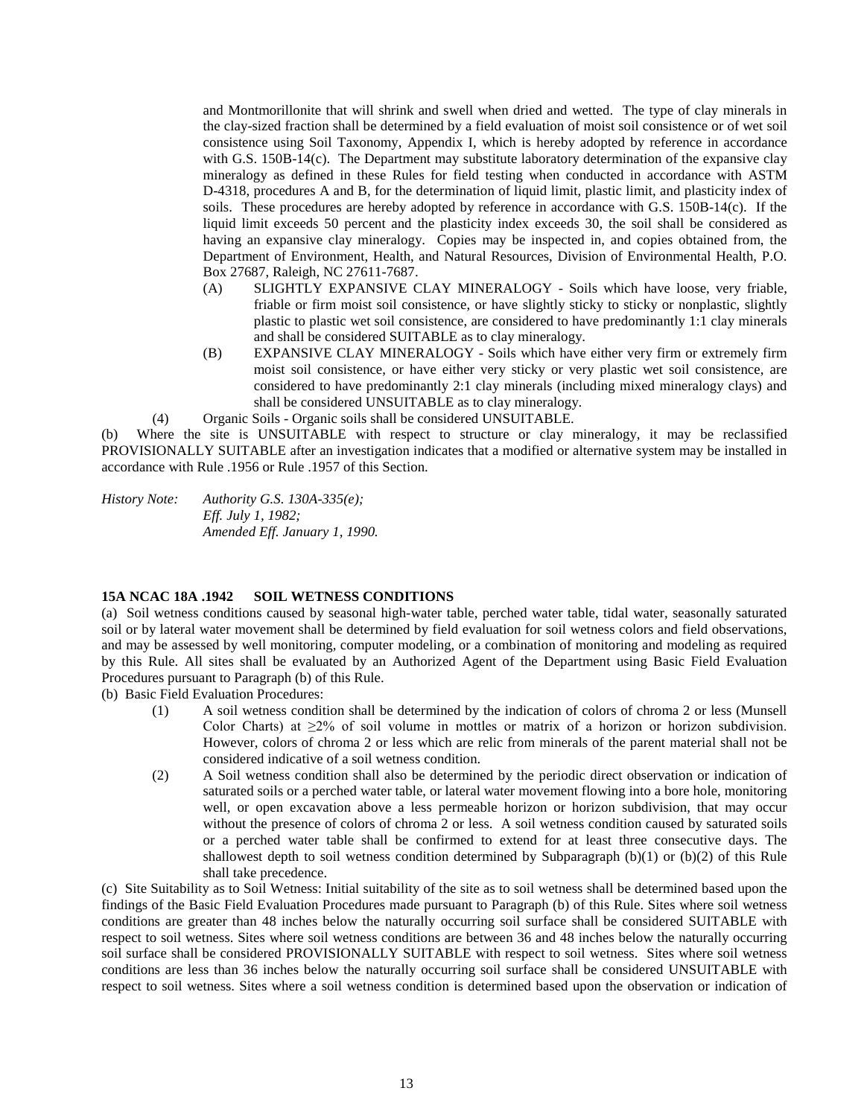and Montmorillonite that will shrink and swell when dried and wetted. The type of clay minerals in the clay-sized fraction shall be determined by a field evaluation of moist soil consistence or of wet soil consistence using Soil Taxonomy, Appendix I, which is hereby adopted by reference in accordance with G.S. 150B-14(c). The Department may substitute laboratory determination of the expansive clay mineralogy as defined in these Rules for field testing when conducted in accordance with ASTM D-4318, procedures A and B, for the determination of liquid limit, plastic limit, and plasticity index of soils. These procedures are hereby adopted by reference in accordance with G.S. 150B-14(c). If the liquid limit exceeds 50 percent and the plasticity index exceeds 30, the soil shall be considered as having an expansive clay mineralogy. Copies may be inspected in, and copies obtained from, the Department of Environment, Health, and Natural Resources, Division of Environmental Health, P.O. Box 27687, Raleigh, NC 27611-7687.

- (A) SLIGHTLY EXPANSIVE CLAY MINERALOGY Soils which have loose, very friable, friable or firm moist soil consistence, or have slightly sticky to sticky or nonplastic, slightly plastic to plastic wet soil consistence, are considered to have predominantly 1:1 clay minerals and shall be considered SUITABLE as to clay mineralogy.
- (B) EXPANSIVE CLAY MINERALOGY Soils which have either very firm or extremely firm moist soil consistence, or have either very sticky or very plastic wet soil consistence, are considered to have predominantly 2:1 clay minerals (including mixed mineralogy clays) and shall be considered UNSUITABLE as to clay mineralogy.
- (4) Organic Soils Organic soils shall be considered UNSUITABLE.

(b) Where the site is UNSUITABLE with respect to structure or clay mineralogy, it may be reclassified PROVISIONALLY SUITABLE after an investigation indicates that a modified or alternative system may be installed in accordance with Rule .1956 or Rule .1957 of this Section.

*History Note: Authority G.S. 130A-335(e); Eff. July 1, 1982; Amended Eff. January 1, 1990.*

## **15A NCAC 18A .1942 SOIL WETNESS CONDITIONS**

(a) Soil wetness conditions caused by seasonal high-water table, perched water table, tidal water, seasonally saturated soil or by lateral water movement shall be determined by field evaluation for soil wetness colors and field observations, and may be assessed by well monitoring, computer modeling, or a combination of monitoring and modeling as required by this Rule. All sites shall be evaluated by an Authorized Agent of the Department using Basic Field Evaluation Procedures pursuant to Paragraph (b) of this Rule.

(b) Basic Field Evaluation Procedures:

- (1) A soil wetness condition shall be determined by the indication of colors of chroma 2 or less (Munsell Color Charts) at  $\geq 2\%$  of soil volume in mottles or matrix of a horizon or horizon subdivision. However, colors of chroma 2 or less which are relic from minerals of the parent material shall not be considered indicative of a soil wetness condition.
- (2) A Soil wetness condition shall also be determined by the periodic direct observation or indication of saturated soils or a perched water table, or lateral water movement flowing into a bore hole, monitoring well, or open excavation above a less permeable horizon or horizon subdivision, that may occur without the presence of colors of chroma 2 or less. A soil wetness condition caused by saturated soils or a perched water table shall be confirmed to extend for at least three consecutive days. The shallowest depth to soil wetness condition determined by Subparagraph (b)(1) or (b)(2) of this Rule shall take precedence.

(c) Site Suitability as to Soil Wetness: Initial suitability of the site as to soil wetness shall be determined based upon the findings of the Basic Field Evaluation Procedures made pursuant to Paragraph (b) of this Rule. Sites where soil wetness conditions are greater than 48 inches below the naturally occurring soil surface shall be considered SUITABLE with respect to soil wetness. Sites where soil wetness conditions are between 36 and 48 inches below the naturally occurring soil surface shall be considered PROVISIONALLY SUITABLE with respect to soil wetness. Sites where soil wetness conditions are less than 36 inches below the naturally occurring soil surface shall be considered UNSUITABLE with respect to soil wetness. Sites where a soil wetness condition is determined based upon the observation or indication of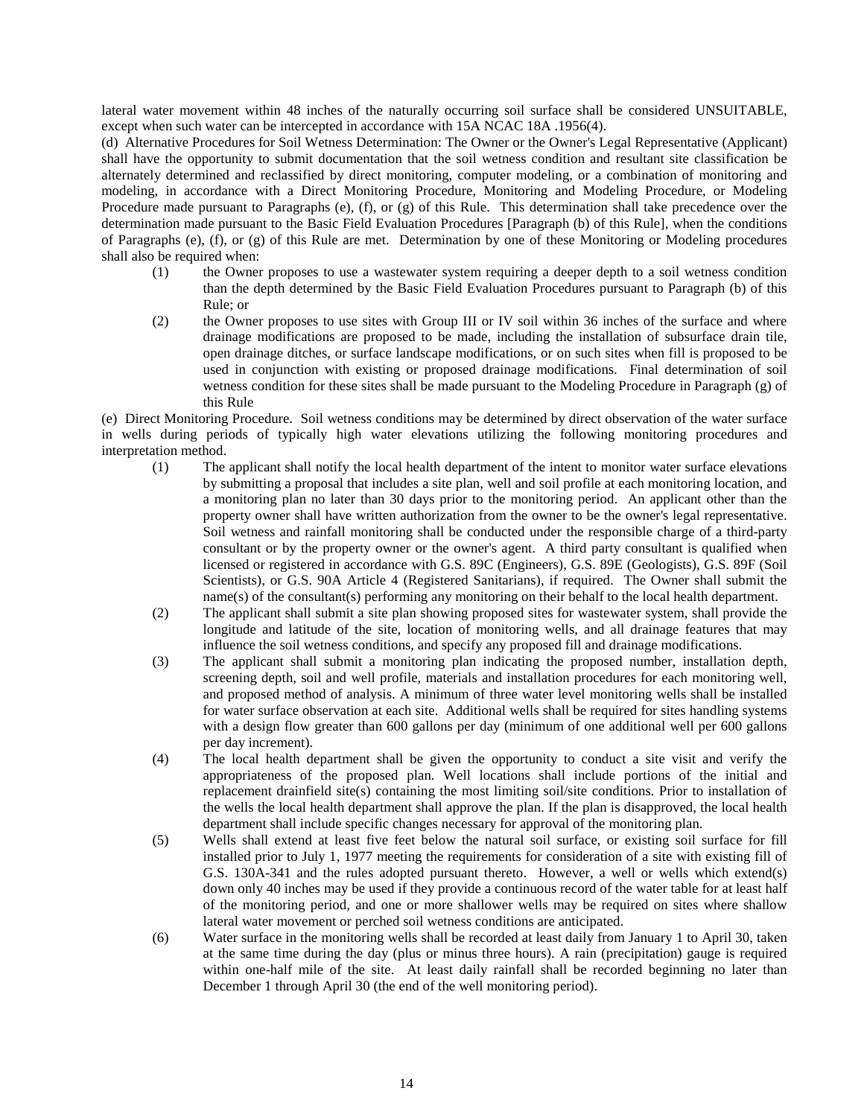lateral water movement within 48 inches of the naturally occurring soil surface shall be considered UNSUITABLE, except when such water can be intercepted in accordance with 15A NCAC 18A .1956(4).

(d) Alternative Procedures for Soil Wetness Determination: The Owner or the Owner's Legal Representative (Applicant) shall have the opportunity to submit documentation that the soil wetness condition and resultant site classification be alternately determined and reclassified by direct monitoring, computer modeling, or a combination of monitoring and modeling, in accordance with a Direct Monitoring Procedure, Monitoring and Modeling Procedure, or Modeling Procedure made pursuant to Paragraphs (e), (f), or (g) of this Rule. This determination shall take precedence over the determination made pursuant to the Basic Field Evaluation Procedures [Paragraph (b) of this Rule], when the conditions of Paragraphs (e), (f), or (g) of this Rule are met. Determination by one of these Monitoring or Modeling procedures shall also be required when:

- (1) the Owner proposes to use a wastewater system requiring a deeper depth to a soil wetness condition than the depth determined by the Basic Field Evaluation Procedures pursuant to Paragraph (b) of this Rule; or
- (2) the Owner proposes to use sites with Group III or IV soil within 36 inches of the surface and where drainage modifications are proposed to be made, including the installation of subsurface drain tile, open drainage ditches, or surface landscape modifications, or on such sites when fill is proposed to be used in conjunction with existing or proposed drainage modifications. Final determination of soil wetness condition for these sites shall be made pursuant to the Modeling Procedure in Paragraph (g) of this Rule

(e) Direct Monitoring Procedure. Soil wetness conditions may be determined by direct observation of the water surface in wells during periods of typically high water elevations utilizing the following monitoring procedures and interpretation method.

- (1) The applicant shall notify the local health department of the intent to monitor water surface elevations by submitting a proposal that includes a site plan, well and soil profile at each monitoring location, and a monitoring plan no later than 30 days prior to the monitoring period. An applicant other than the property owner shall have written authorization from the owner to be the owner's legal representative. Soil wetness and rainfall monitoring shall be conducted under the responsible charge of a third-party consultant or by the property owner or the owner's agent. A third party consultant is qualified when licensed or registered in accordance with G.S. 89C (Engineers), G.S. 89E (Geologists), G.S. 89F (Soil Scientists), or G.S. 90A Article 4 (Registered Sanitarians), if required. The Owner shall submit the name(s) of the consultant(s) performing any monitoring on their behalf to the local health department.
- (2) The applicant shall submit a site plan showing proposed sites for wastewater system, shall provide the longitude and latitude of the site, location of monitoring wells, and all drainage features that may influence the soil wetness conditions, and specify any proposed fill and drainage modifications.
- (3) The applicant shall submit a monitoring plan indicating the proposed number, installation depth, screening depth, soil and well profile, materials and installation procedures for each monitoring well, and proposed method of analysis. A minimum of three water level monitoring wells shall be installed for water surface observation at each site. Additional wells shall be required for sites handling systems with a design flow greater than 600 gallons per day (minimum of one additional well per 600 gallons per day increment).
- (4) The local health department shall be given the opportunity to conduct a site visit and verify the appropriateness of the proposed plan. Well locations shall include portions of the initial and replacement drainfield site(s) containing the most limiting soil/site conditions. Prior to installation of the wells the local health department shall approve the plan. If the plan is disapproved, the local health department shall include specific changes necessary for approval of the monitoring plan.
- (5) Wells shall extend at least five feet below the natural soil surface, or existing soil surface for fill installed prior to July 1, 1977 meeting the requirements for consideration of a site with existing fill of G.S. 130A-341 and the rules adopted pursuant thereto. However, a well or wells which extend(s) down only 40 inches may be used if they provide a continuous record of the water table for at least half of the monitoring period, and one or more shallower wells may be required on sites where shallow lateral water movement or perched soil wetness conditions are anticipated.
- (6) Water surface in the monitoring wells shall be recorded at least daily from January 1 to April 30, taken at the same time during the day (plus or minus three hours). A rain (precipitation) gauge is required within one-half mile of the site. At least daily rainfall shall be recorded beginning no later than December 1 through April 30 (the end of the well monitoring period).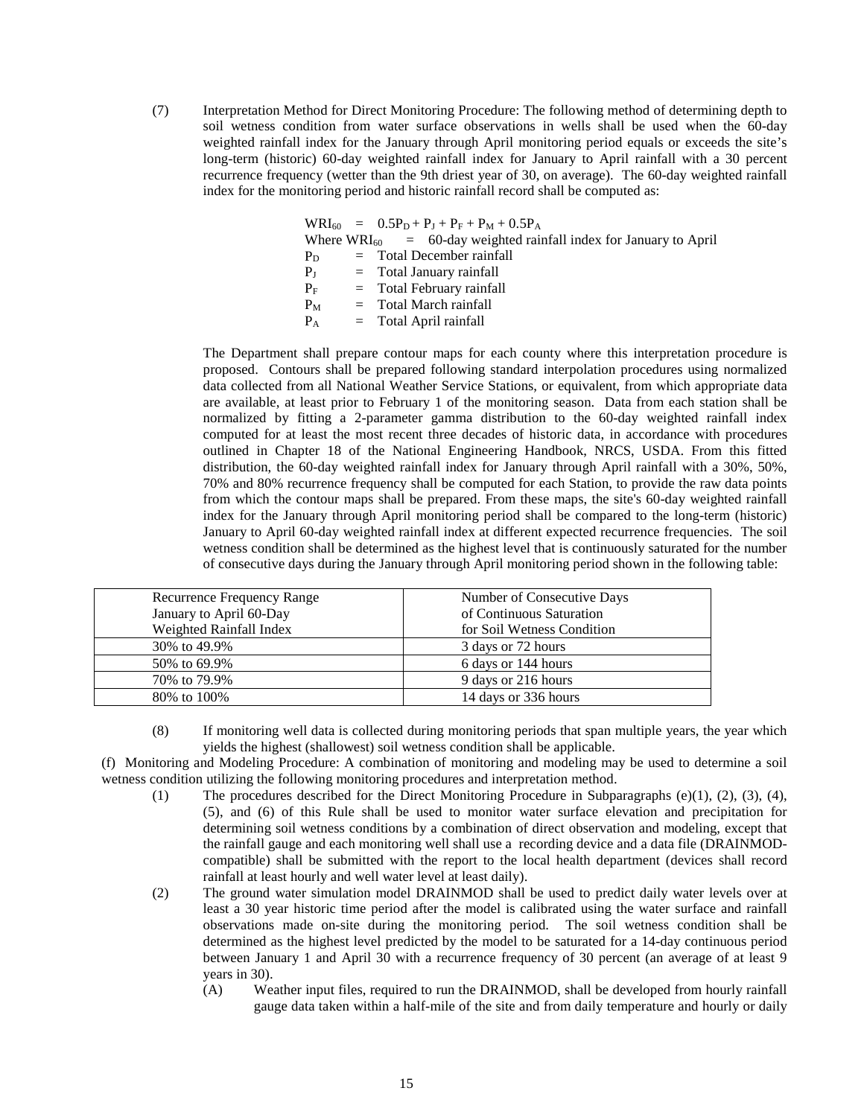(7) Interpretation Method for Direct Monitoring Procedure: The following method of determining depth to soil wetness condition from water surface observations in wells shall be used when the 60-day weighted rainfall index for the January through April monitoring period equals or exceeds the site's long-term (historic) 60-day weighted rainfall index for January to April rainfall with a 30 percent recurrence frequency (wetter than the 9th driest year of 30, on average). The 60-day weighted rainfall index for the monitoring period and historic rainfall record shall be computed as:

|             | $WRI_{60} = 0.5P_D + P_J + P_F + P_M + 0.5P_A$                         |
|-------------|------------------------------------------------------------------------|
|             | Where $WRI_{60}$ = 60-day weighted rainfall index for January to April |
| $P_D$       | $=$ Total December rainfall                                            |
| $P_{\rm J}$ | $=$ Total January rainfall                                             |
| $P_F$       | $=$ Total February rainfall                                            |
| $P_M$       | $=$ Total March rainfall                                               |
| $P_A$       | $=$ Total April rainfall                                               |
|             |                                                                        |

The Department shall prepare contour maps for each county where this interpretation procedure is proposed. Contours shall be prepared following standard interpolation procedures using normalized data collected from all National Weather Service Stations, or equivalent, from which appropriate data are available, at least prior to February 1 of the monitoring season. Data from each station shall be normalized by fitting a 2-parameter gamma distribution to the 60-day weighted rainfall index computed for at least the most recent three decades of historic data, in accordance with procedures outlined in Chapter 18 of the National Engineering Handbook, NRCS, USDA. From this fitted distribution, the 60-day weighted rainfall index for January through April rainfall with a 30%, 50%, 70% and 80% recurrence frequency shall be computed for each Station, to provide the raw data points from which the contour maps shall be prepared. From these maps, the site's 60-day weighted rainfall index for the January through April monitoring period shall be compared to the long-term (historic) January to April 60-day weighted rainfall index at different expected recurrence frequencies. The soil wetness condition shall be determined as the highest level that is continuously saturated for the number of consecutive days during the January through April monitoring period shown in the following table:

| Recurrence Frequency Range | Number of Consecutive Days |
|----------------------------|----------------------------|
| January to April 60-Day    | of Continuous Saturation   |
| Weighted Rainfall Index    | for Soil Wetness Condition |
| 30\% to 49.9\%             | 3 days or 72 hours         |
| 50\% to 69.9\%             | 6 days or 144 hours        |
| 70% to 79.9%               | 9 days or 216 hours        |
| 80\% to 100\%              | 14 days or 336 hours       |

(8) If monitoring well data is collected during monitoring periods that span multiple years, the year which yields the highest (shallowest) soil wetness condition shall be applicable.

(f) Monitoring and Modeling Procedure: A combination of monitoring and modeling may be used to determine a soil wetness condition utilizing the following monitoring procedures and interpretation method.

- (1) The procedures described for the Direct Monitoring Procedure in Subparagraphs (e)(1), (2), (3), (4), (5), and (6) of this Rule shall be used to monitor water surface elevation and precipitation for determining soil wetness conditions by a combination of direct observation and modeling, except that the rainfall gauge and each monitoring well shall use a recording device and a data file (DRAINMODcompatible) shall be submitted with the report to the local health department (devices shall record rainfall at least hourly and well water level at least daily).
- (2) The ground water simulation model DRAINMOD shall be used to predict daily water levels over at least a 30 year historic time period after the model is calibrated using the water surface and rainfall observations made on-site during the monitoring period. The soil wetness condition shall be determined as the highest level predicted by the model to be saturated for a 14-day continuous period between January 1 and April 30 with a recurrence frequency of 30 percent (an average of at least 9 years in 30).
	- (A) Weather input files, required to run the DRAINMOD, shall be developed from hourly rainfall gauge data taken within a half-mile of the site and from daily temperature and hourly or daily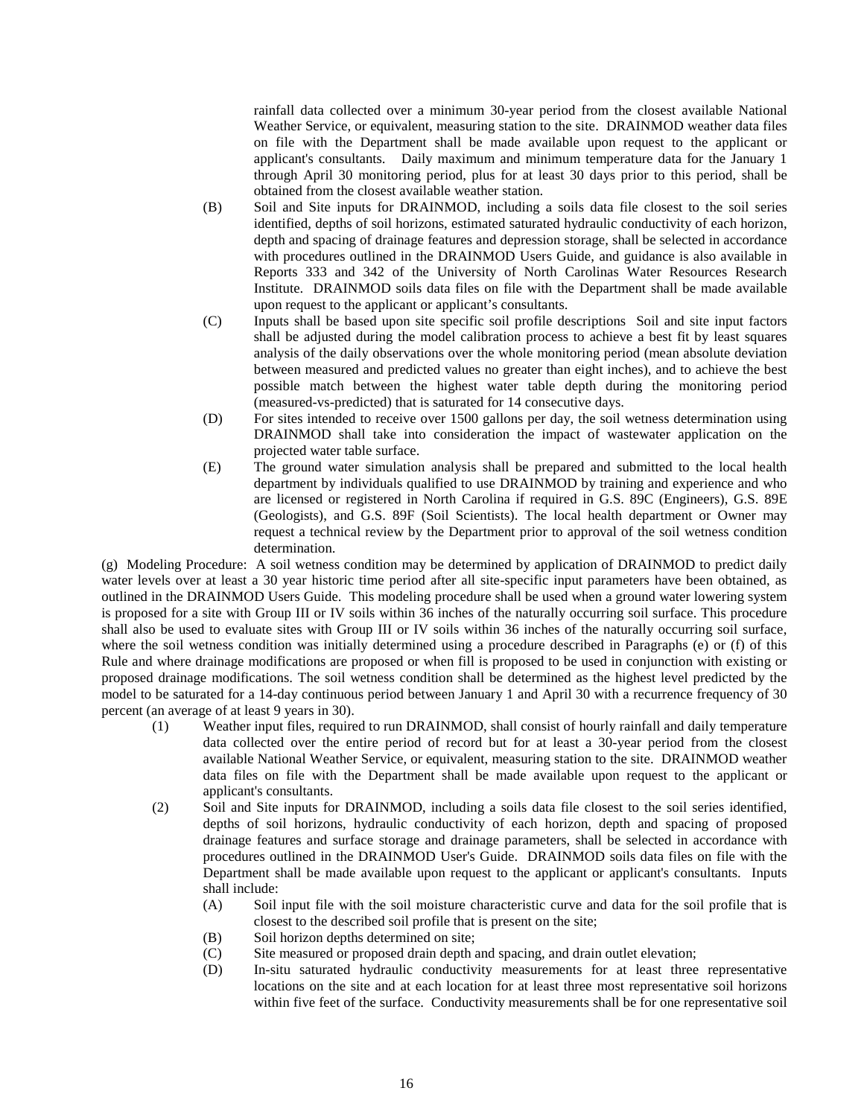rainfall data collected over a minimum 30-year period from the closest available National Weather Service, or equivalent, measuring station to the site. DRAINMOD weather data files on file with the Department shall be made available upon request to the applicant or applicant's consultants. Daily maximum and minimum temperature data for the January 1 through April 30 monitoring period, plus for at least 30 days prior to this period, shall be obtained from the closest available weather station.

- (B) Soil and Site inputs for DRAINMOD, including a soils data file closest to the soil series identified, depths of soil horizons, estimated saturated hydraulic conductivity of each horizon, depth and spacing of drainage features and depression storage, shall be selected in accordance with procedures outlined in the DRAINMOD Users Guide, and guidance is also available in Reports 333 and 342 of the University of North Carolinas Water Resources Research Institute. DRAINMOD soils data files on file with the Department shall be made available upon request to the applicant or applicant's consultants.
- (C) Inputs shall be based upon site specific soil profile descriptions Soil and site input factors shall be adjusted during the model calibration process to achieve a best fit by least squares analysis of the daily observations over the whole monitoring period (mean absolute deviation between measured and predicted values no greater than eight inches), and to achieve the best possible match between the highest water table depth during the monitoring period (measured-vs-predicted) that is saturated for 14 consecutive days.
- (D) For sites intended to receive over 1500 gallons per day, the soil wetness determination using DRAINMOD shall take into consideration the impact of wastewater application on the projected water table surface.
- (E) The ground water simulation analysis shall be prepared and submitted to the local health department by individuals qualified to use DRAINMOD by training and experience and who are licensed or registered in North Carolina if required in G.S. 89C (Engineers), G.S. 89E (Geologists), and G.S. 89F (Soil Scientists). The local health department or Owner may request a technical review by the Department prior to approval of the soil wetness condition determination.

(g) Modeling Procedure: A soil wetness condition may be determined by application of DRAINMOD to predict daily water levels over at least a 30 year historic time period after all site-specific input parameters have been obtained, as outlined in the DRAINMOD Users Guide. This modeling procedure shall be used when a ground water lowering system is proposed for a site with Group III or IV soils within 36 inches of the naturally occurring soil surface. This procedure shall also be used to evaluate sites with Group III or IV soils within 36 inches of the naturally occurring soil surface, where the soil wetness condition was initially determined using a procedure described in Paragraphs (e) or (f) of this Rule and where drainage modifications are proposed or when fill is proposed to be used in conjunction with existing or proposed drainage modifications. The soil wetness condition shall be determined as the highest level predicted by the model to be saturated for a 14-day continuous period between January 1 and April 30 with a recurrence frequency of 30 percent (an average of at least 9 years in 30).

- (1) Weather input files, required to run DRAINMOD, shall consist of hourly rainfall and daily temperature data collected over the entire period of record but for at least a 30-year period from the closest available National Weather Service, or equivalent, measuring station to the site. DRAINMOD weather data files on file with the Department shall be made available upon request to the applicant or applicant's consultants.
- (2) Soil and Site inputs for DRAINMOD, including a soils data file closest to the soil series identified, depths of soil horizons, hydraulic conductivity of each horizon, depth and spacing of proposed drainage features and surface storage and drainage parameters, shall be selected in accordance with procedures outlined in the DRAINMOD User's Guide. DRAINMOD soils data files on file with the Department shall be made available upon request to the applicant or applicant's consultants. Inputs shall include:
	- (A) Soil input file with the soil moisture characteristic curve and data for the soil profile that is closest to the described soil profile that is present on the site;
	- (B) Soil horizon depths determined on site;
	- (C) Site measured or proposed drain depth and spacing, and drain outlet elevation;<br>(D) In-situ saturated hydraulic conductivity measurements for at least three
	- In-situ saturated hydraulic conductivity measurements for at least three representative locations on the site and at each location for at least three most representative soil horizons within five feet of the surface. Conductivity measurements shall be for one representative soil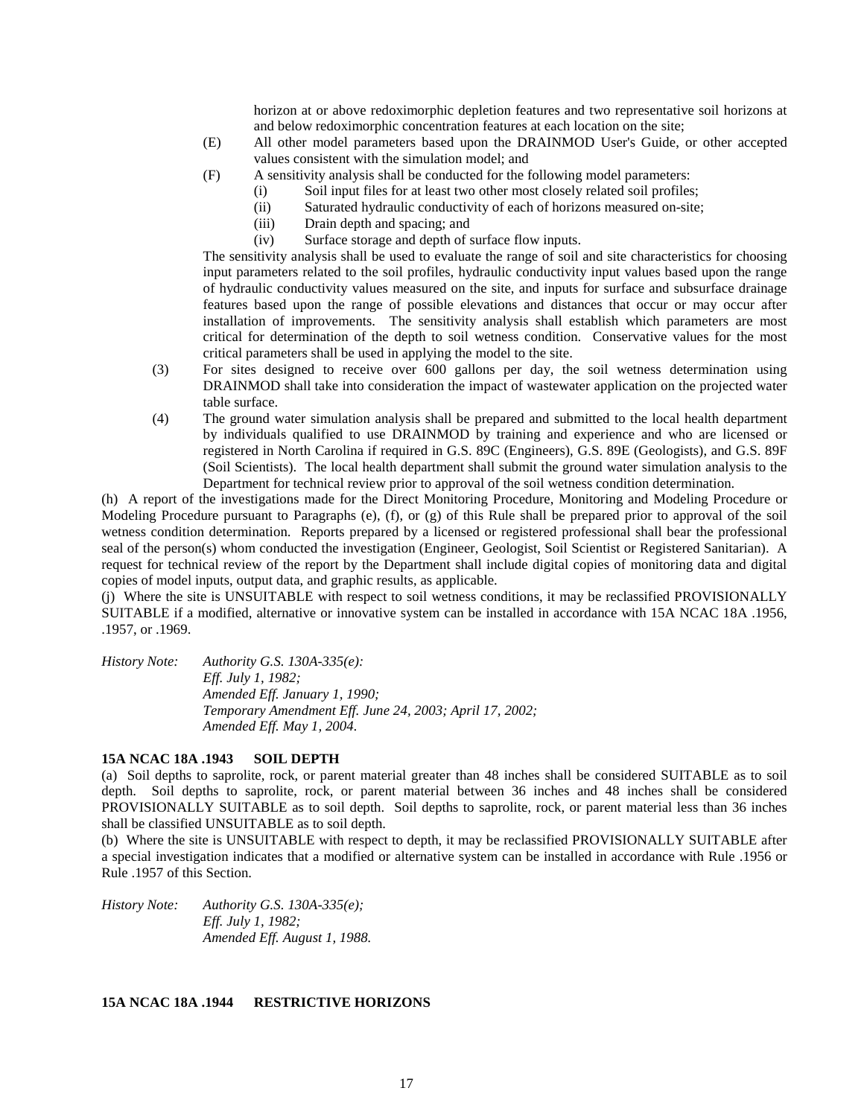horizon at or above redoximorphic depletion features and two representative soil horizons at and below redoximorphic concentration features at each location on the site;

- (E) All other model parameters based upon the DRAINMOD User's Guide, or other accepted values consistent with the simulation model; and
- (F) A sensitivity analysis shall be conducted for the following model parameters:
	- (i) Soil input files for at least two other most closely related soil profiles;
	- (ii) Saturated hydraulic conductivity of each of horizons measured on-site;
	- (iii) Drain depth and spacing; and
	- (iv) Surface storage and depth of surface flow inputs.

The sensitivity analysis shall be used to evaluate the range of soil and site characteristics for choosing input parameters related to the soil profiles, hydraulic conductivity input values based upon the range of hydraulic conductivity values measured on the site, and inputs for surface and subsurface drainage features based upon the range of possible elevations and distances that occur or may occur after installation of improvements. The sensitivity analysis shall establish which parameters are most critical for determination of the depth to soil wetness condition. Conservative values for the most critical parameters shall be used in applying the model to the site.

- (3) For sites designed to receive over 600 gallons per day, the soil wetness determination using DRAINMOD shall take into consideration the impact of wastewater application on the projected water table surface.
- (4) The ground water simulation analysis shall be prepared and submitted to the local health department by individuals qualified to use DRAINMOD by training and experience and who are licensed or registered in North Carolina if required in G.S. 89C (Engineers), G.S. 89E (Geologists), and G.S. 89F (Soil Scientists). The local health department shall submit the ground water simulation analysis to the Department for technical review prior to approval of the soil wetness condition determination.

(h) A report of the investigations made for the Direct Monitoring Procedure, Monitoring and Modeling Procedure or Modeling Procedure pursuant to Paragraphs (e), (f), or (g) of this Rule shall be prepared prior to approval of the soil wetness condition determination. Reports prepared by a licensed or registered professional shall bear the professional seal of the person(s) whom conducted the investigation (Engineer, Geologist, Soil Scientist or Registered Sanitarian). A request for technical review of the report by the Department shall include digital copies of monitoring data and digital copies of model inputs, output data, and graphic results, as applicable.

(j) Where the site is UNSUITABLE with respect to soil wetness conditions, it may be reclassified PROVISIONALLY SUITABLE if a modified, alternative or innovative system can be installed in accordance with 15A NCAC 18A .1956, .1957, or .1969.

*History Note: Authority G.S. 130A-335(e): Eff. July 1, 1982; Amended Eff. January 1, 1990; Temporary Amendment Eff. June 24, 2003; April 17, 2002; Amended Eff. May 1, 2004.*

### **15A NCAC 18A .1943 SOIL DEPTH**

(a) Soil depths to saprolite, rock, or parent material greater than 48 inches shall be considered SUITABLE as to soil depth. Soil depths to saprolite, rock, or parent material between 36 inches and 48 inches shall be considered PROVISIONALLY SUITABLE as to soil depth. Soil depths to saprolite, rock, or parent material less than 36 inches shall be classified UNSUITABLE as to soil depth.

(b) Where the site is UNSUITABLE with respect to depth, it may be reclassified PROVISIONALLY SUITABLE after a special investigation indicates that a modified or alternative system can be installed in accordance with Rule .1956 or Rule .1957 of this Section.

*History Note: Authority G.S. 130A-335(e); Eff. July 1, 1982; Amended Eff. August 1, 1988.*

## **15A NCAC 18A .1944 RESTRICTIVE HORIZONS**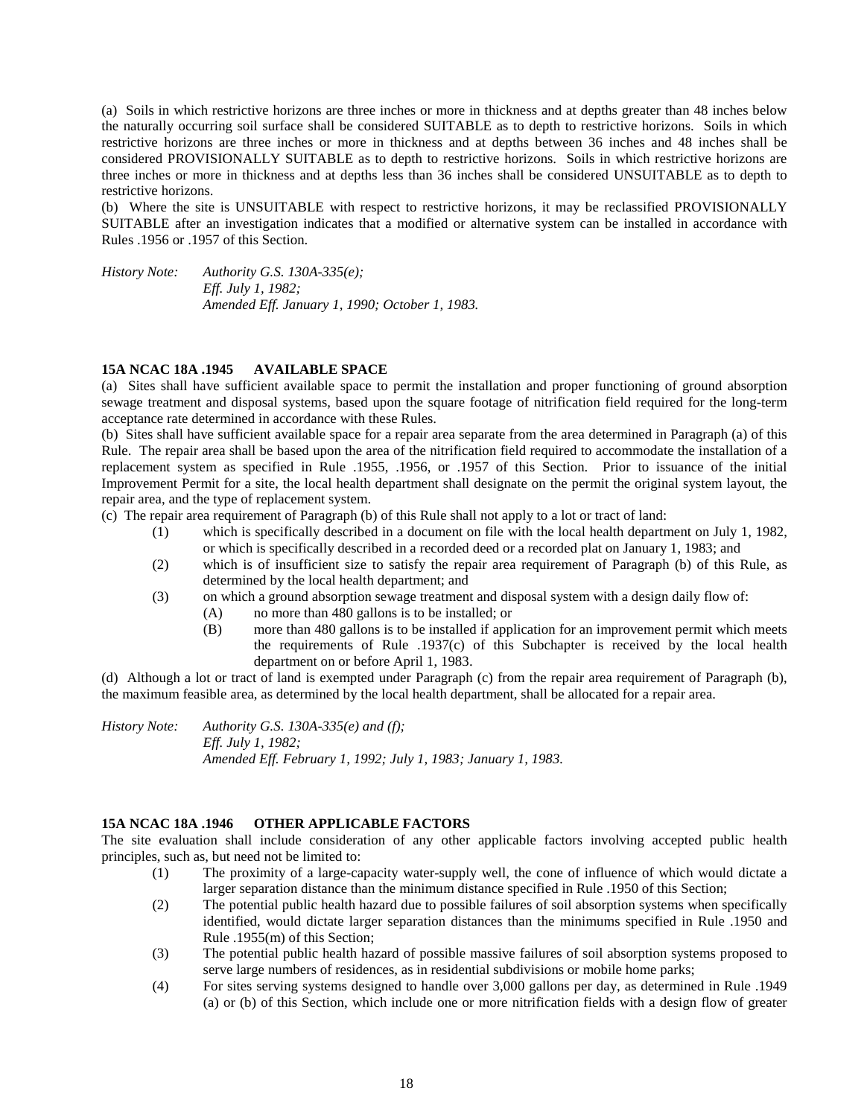(a) Soils in which restrictive horizons are three inches or more in thickness and at depths greater than 48 inches below the naturally occurring soil surface shall be considered SUITABLE as to depth to restrictive horizons. Soils in which restrictive horizons are three inches or more in thickness and at depths between 36 inches and 48 inches shall be considered PROVISIONALLY SUITABLE as to depth to restrictive horizons. Soils in which restrictive horizons are three inches or more in thickness and at depths less than 36 inches shall be considered UNSUITABLE as to depth to restrictive horizons.

(b) Where the site is UNSUITABLE with respect to restrictive horizons, it may be reclassified PROVISIONALLY SUITABLE after an investigation indicates that a modified or alternative system can be installed in accordance with Rules .1956 or .1957 of this Section.

*History Note: Authority G.S. 130A-335(e); Eff. July 1, 1982; Amended Eff. January 1, 1990; October 1, 1983.*

## **15A NCAC 18A .1945 AVAILABLE SPACE**

(a) Sites shall have sufficient available space to permit the installation and proper functioning of ground absorption sewage treatment and disposal systems, based upon the square footage of nitrification field required for the long-term acceptance rate determined in accordance with these Rules.

(b) Sites shall have sufficient available space for a repair area separate from the area determined in Paragraph (a) of this Rule. The repair area shall be based upon the area of the nitrification field required to accommodate the installation of a replacement system as specified in Rule .1955, .1956, or .1957 of this Section. Prior to issuance of the initial Improvement Permit for a site, the local health department shall designate on the permit the original system layout, the repair area, and the type of replacement system.

(c) The repair area requirement of Paragraph (b) of this Rule shall not apply to a lot or tract of land:

- (1) which is specifically described in a document on file with the local health department on July 1, 1982, or which is specifically described in a recorded deed or a recorded plat on January 1, 1983; and
- (2) which is of insufficient size to satisfy the repair area requirement of Paragraph (b) of this Rule, as determined by the local health department; and
- (3) on which a ground absorption sewage treatment and disposal system with a design daily flow of:
	- (A) no more than 480 gallons is to be installed; or
	- (B) more than 480 gallons is to be installed if application for an improvement permit which meets the requirements of Rule .1937(c) of this Subchapter is received by the local health department on or before April 1, 1983.

(d) Although a lot or tract of land is exempted under Paragraph (c) from the repair area requirement of Paragraph (b), the maximum feasible area, as determined by the local health department, shall be allocated for a repair area.

*History Note: Authority G.S. 130A-335(e) and (f); Eff. July 1, 1982; Amended Eff. February 1, 1992; July 1, 1983; January 1, 1983.*

## **15A NCAC 18A .1946 OTHER APPLICABLE FACTORS**

The site evaluation shall include consideration of any other applicable factors involving accepted public health principles, such as, but need not be limited to:

- (1) The proximity of a large-capacity water-supply well, the cone of influence of which would dictate a larger separation distance than the minimum distance specified in Rule .1950 of this Section;
- (2) The potential public health hazard due to possible failures of soil absorption systems when specifically identified, would dictate larger separation distances than the minimums specified in Rule .1950 and Rule .1955(m) of this Section;
- (3) The potential public health hazard of possible massive failures of soil absorption systems proposed to serve large numbers of residences, as in residential subdivisions or mobile home parks;
- (4) For sites serving systems designed to handle over 3,000 gallons per day, as determined in Rule .1949 (a) or (b) of this Section, which include one or more nitrification fields with a design flow of greater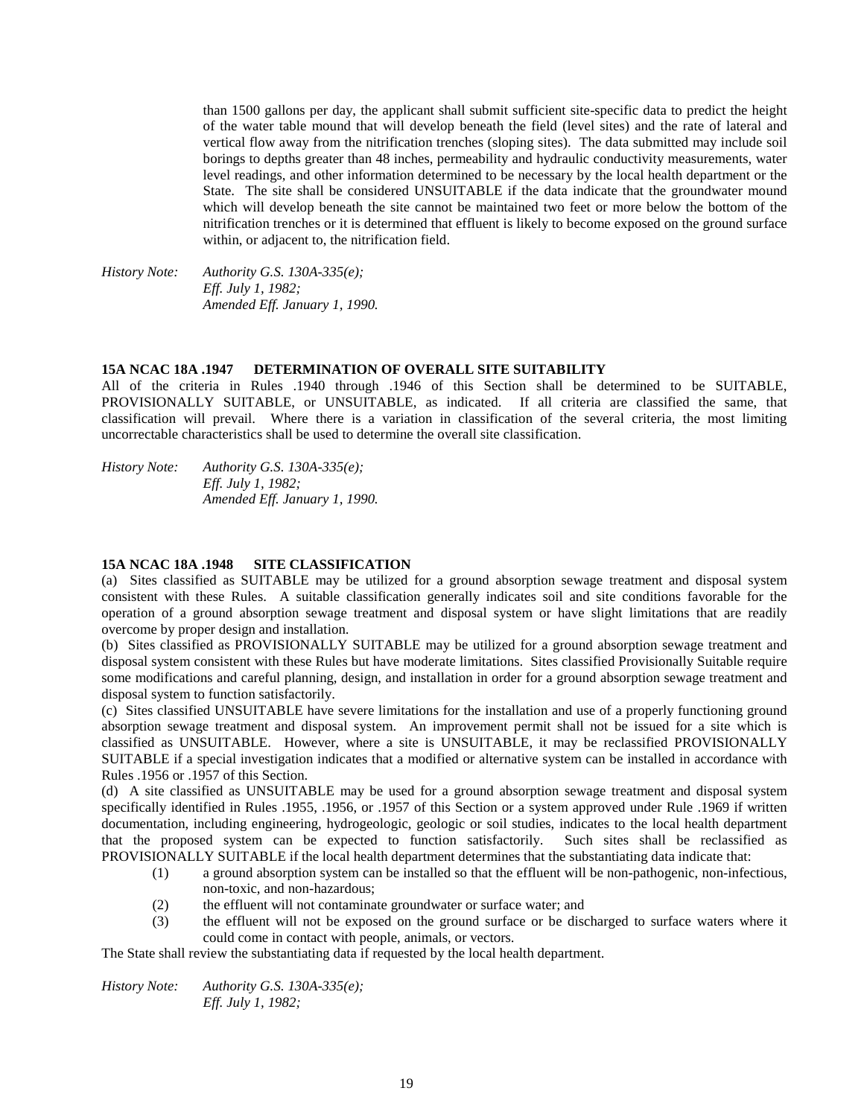than 1500 gallons per day, the applicant shall submit sufficient site-specific data to predict the height of the water table mound that will develop beneath the field (level sites) and the rate of lateral and vertical flow away from the nitrification trenches (sloping sites). The data submitted may include soil borings to depths greater than 48 inches, permeability and hydraulic conductivity measurements, water level readings, and other information determined to be necessary by the local health department or the State. The site shall be considered UNSUITABLE if the data indicate that the groundwater mound which will develop beneath the site cannot be maintained two feet or more below the bottom of the nitrification trenches or it is determined that effluent is likely to become exposed on the ground surface within, or adjacent to, the nitrification field.

*History Note: Authority G.S. 130A-335(e); Eff. July 1, 1982; Amended Eff. January 1, 1990.*

#### **15A NCAC 18A .1947 DETERMINATION OF OVERALL SITE SUITABILITY**

All of the criteria in Rules .1940 through .1946 of this Section shall be determined to be SUITABLE, PROVISIONALLY SUITABLE, or UNSUITABLE, as indicated. If all criteria are classified the same, that classification will prevail. Where there is a variation in classification of the several criteria, the most limiting uncorrectable characteristics shall be used to determine the overall site classification.

*History Note: Authority G.S. 130A-335(e); Eff. July 1, 1982; Amended Eff. January 1, 1990.*

#### **15A NCAC 18A .1948 SITE CLASSIFICATION**

(a) Sites classified as SUITABLE may be utilized for a ground absorption sewage treatment and disposal system consistent with these Rules. A suitable classification generally indicates soil and site conditions favorable for the operation of a ground absorption sewage treatment and disposal system or have slight limitations that are readily overcome by proper design and installation.

(b) Sites classified as PROVISIONALLY SUITABLE may be utilized for a ground absorption sewage treatment and disposal system consistent with these Rules but have moderate limitations. Sites classified Provisionally Suitable require some modifications and careful planning, design, and installation in order for a ground absorption sewage treatment and disposal system to function satisfactorily.

(c) Sites classified UNSUITABLE have severe limitations for the installation and use of a properly functioning ground absorption sewage treatment and disposal system. An improvement permit shall not be issued for a site which is classified as UNSUITABLE. However, where a site is UNSUITABLE, it may be reclassified PROVISIONALLY SUITABLE if a special investigation indicates that a modified or alternative system can be installed in accordance with Rules .1956 or .1957 of this Section.

(d) A site classified as UNSUITABLE may be used for a ground absorption sewage treatment and disposal system specifically identified in Rules .1955, .1956, or .1957 of this Section or a system approved under Rule .1969 if written documentation, including engineering, hydrogeologic, geologic or soil studies, indicates to the local health department that the proposed system can be expected to function satisfactorily. Such sites shall be reclassified as PROVISIONALLY SUITABLE if the local health department determines that the substantiating data indicate that:

- (1) a ground absorption system can be installed so that the effluent will be non-pathogenic, non-infectious, non-toxic, and non-hazardous;
- (2) the effluent will not contaminate groundwater or surface water; and
- (3) the effluent will not be exposed on the ground surface or be discharged to surface waters where it could come in contact with people, animals, or vectors.

The State shall review the substantiating data if requested by the local health department.

*History Note: Authority G.S. 130A-335(e); Eff. July 1, 1982;*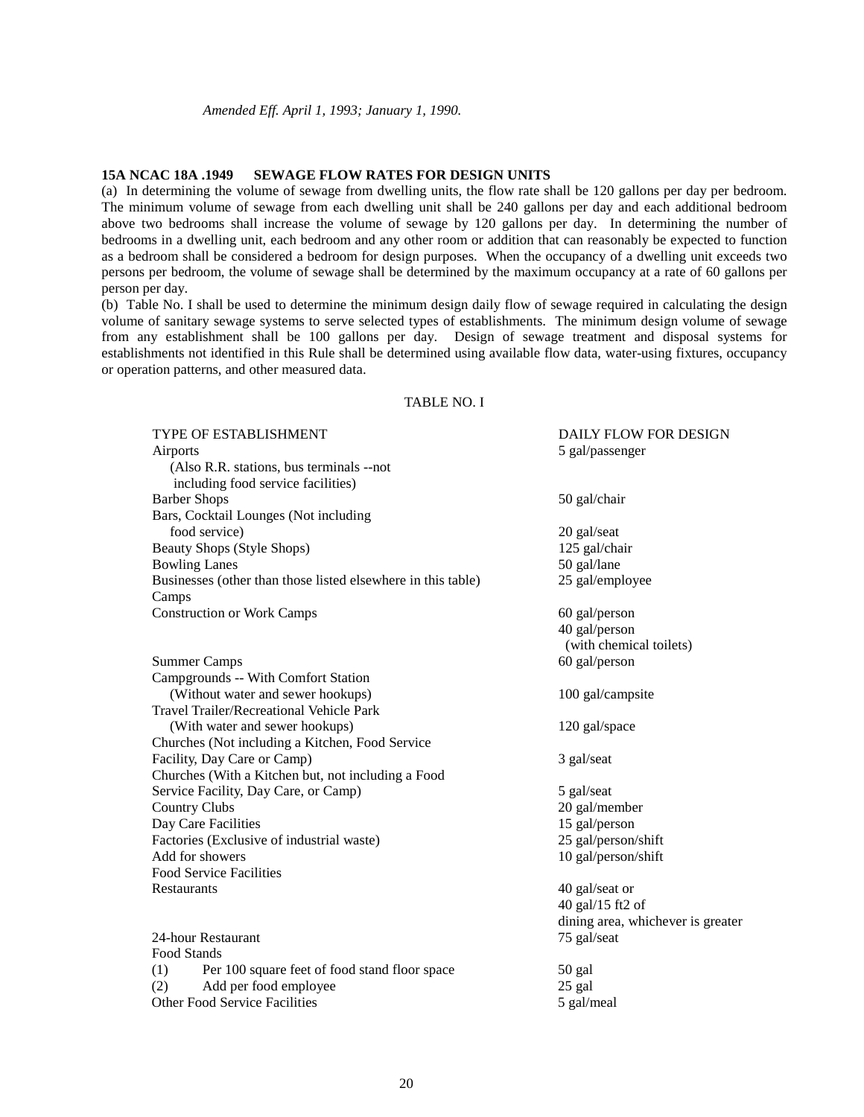#### **15A NCAC 18A .1949 SEWAGE FLOW RATES FOR DESIGN UNITS**

(a) In determining the volume of sewage from dwelling units, the flow rate shall be 120 gallons per day per bedroom. The minimum volume of sewage from each dwelling unit shall be 240 gallons per day and each additional bedroom above two bedrooms shall increase the volume of sewage by 120 gallons per day. In determining the number of bedrooms in a dwelling unit, each bedroom and any other room or addition that can reasonably be expected to function as a bedroom shall be considered a bedroom for design purposes. When the occupancy of a dwelling unit exceeds two persons per bedroom, the volume of sewage shall be determined by the maximum occupancy at a rate of 60 gallons per person per day.

(b) Table No. I shall be used to determine the minimum design daily flow of sewage required in calculating the design volume of sanitary sewage systems to serve selected types of establishments. The minimum design volume of sewage from any establishment shall be 100 gallons per day. Design of sewage treatment and disposal systems for establishments not identified in this Rule shall be determined using available flow data, water-using fixtures, occupancy or operation patterns, and other measured data.

## TABLE NO. I

| <b>TYPE OF ESTABLISHMENT</b>                                 | <b>DAILY FLOW FOR DESIGN</b>      |
|--------------------------------------------------------------|-----------------------------------|
| Airports                                                     | 5 gal/passenger                   |
| (Also R.R. stations, bus terminals --not                     |                                   |
| including food service facilities)                           |                                   |
| <b>Barber Shops</b>                                          | 50 gal/chair                      |
| Bars, Cocktail Lounges (Not including                        |                                   |
| food service)                                                | 20 gal/seat                       |
| Beauty Shops (Style Shops)                                   | 125 gal/chair                     |
| <b>Bowling Lanes</b>                                         | 50 gal/lane                       |
| Businesses (other than those listed elsewhere in this table) | 25 gal/employee                   |
| Camps                                                        |                                   |
| <b>Construction or Work Camps</b>                            | 60 gal/person                     |
|                                                              | 40 gal/person                     |
|                                                              | (with chemical toilets)           |
| <b>Summer Camps</b>                                          | 60 gal/person                     |
| Campgrounds -- With Comfort Station                          |                                   |
| (Without water and sewer hookups)                            | 100 gal/campsite                  |
| Travel Trailer/Recreational Vehicle Park                     |                                   |
| (With water and sewer hookups)                               | 120 gal/space                     |
| Churches (Not including a Kitchen, Food Service              |                                   |
| Facility, Day Care or Camp)                                  | 3 gal/seat                        |
| Churches (With a Kitchen but, not including a Food           |                                   |
| Service Facility, Day Care, or Camp)                         | 5 gal/seat                        |
| <b>Country Clubs</b>                                         | 20 gal/member                     |
| Day Care Facilities                                          | 15 gal/person                     |
| Factories (Exclusive of industrial waste)                    | 25 gal/person/shift               |
| Add for showers                                              | 10 gal/person/shift               |
| <b>Food Service Facilities</b>                               |                                   |
| Restaurants                                                  | 40 gal/seat or                    |
|                                                              | 40 gal/15 ft2 of                  |
|                                                              | dining area, whichever is greater |
| 24-hour Restaurant                                           | 75 gal/seat                       |
| Food Stands                                                  |                                   |
| (1)<br>Per 100 square feet of food stand floor space         | 50 gal                            |
| (2)<br>Add per food employee                                 | 25 gal                            |
| <b>Other Food Service Facilities</b>                         | 5 gal/meal                        |
|                                                              |                                   |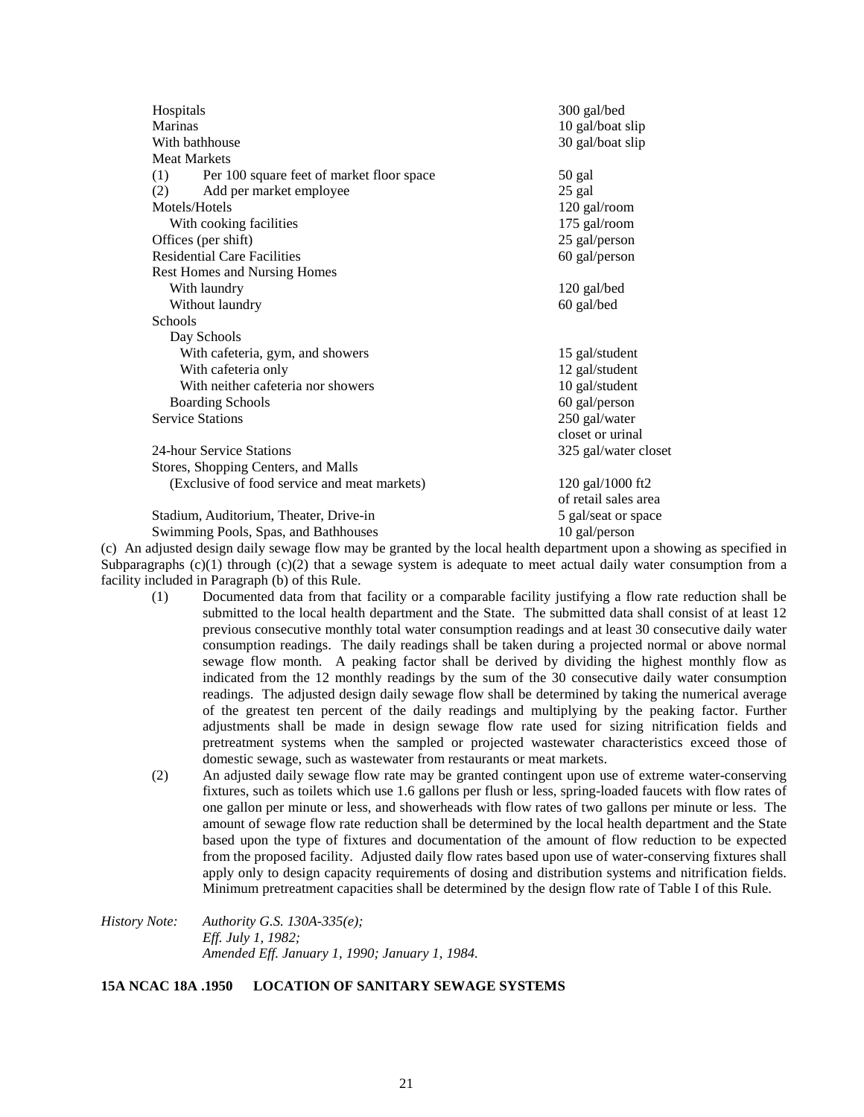| Hospitals<br>Marinas                             | 300 gal/bed                          |
|--------------------------------------------------|--------------------------------------|
| With bathhouse                                   | 10 gal/boat slip<br>30 gal/boat slip |
| <b>Meat Markets</b>                              |                                      |
|                                                  |                                      |
| Per 100 square feet of market floor space<br>(1) | 50 gal                               |
| (2)<br>Add per market employee                   | 25 gal                               |
| Motels/Hotels                                    | 120 gal/room                         |
| With cooking facilities                          | 175 gal/room                         |
| Offices (per shift)                              | 25 gal/person                        |
| <b>Residential Care Facilities</b>               | 60 gal/person                        |
| Rest Homes and Nursing Homes                     |                                      |
| With laundry                                     | 120 gal/bed                          |
| Without laundry                                  | 60 gal/bed                           |
| Schools                                          |                                      |
| Day Schools                                      |                                      |
| With cafeteria, gym, and showers                 | 15 gal/student                       |
| With cafeteria only                              | 12 gal/student                       |
| With neither cafeteria nor showers               | 10 gal/student                       |
| <b>Boarding Schools</b>                          | 60 gal/person                        |
| <b>Service Stations</b>                          | 250 gal/water                        |
|                                                  | closet or urinal                     |
| 24-hour Service Stations                         | 325 gal/water closet                 |
| Stores, Shopping Centers, and Malls              |                                      |
| (Exclusive of food service and meat markets)     | 120 gal/1000 ft2                     |
|                                                  | of retail sales area                 |
| Stadium, Auditorium, Theater, Drive-in           | 5 gal/seat or space                  |
| Swimming Pools, Spas, and Bathhouses             | 10 gal/person                        |

(c) An adjusted design daily sewage flow may be granted by the local health department upon a showing as specified in Subparagraphs  $(c)(1)$  through  $(c)(2)$  that a sewage system is adequate to meet actual daily water consumption from a facility included in Paragraph (b) of this Rule.

- (1) Documented data from that facility or a comparable facility justifying a flow rate reduction shall be submitted to the local health department and the State. The submitted data shall consist of at least 12 previous consecutive monthly total water consumption readings and at least 30 consecutive daily water consumption readings. The daily readings shall be taken during a projected normal or above normal sewage flow month. A peaking factor shall be derived by dividing the highest monthly flow as indicated from the 12 monthly readings by the sum of the 30 consecutive daily water consumption readings. The adjusted design daily sewage flow shall be determined by taking the numerical average of the greatest ten percent of the daily readings and multiplying by the peaking factor. Further adjustments shall be made in design sewage flow rate used for sizing nitrification fields and pretreatment systems when the sampled or projected wastewater characteristics exceed those of domestic sewage, such as wastewater from restaurants or meat markets.
- (2) An adjusted daily sewage flow rate may be granted contingent upon use of extreme water-conserving fixtures, such as toilets which use 1.6 gallons per flush or less, spring-loaded faucets with flow rates of one gallon per minute or less, and showerheads with flow rates of two gallons per minute or less. The amount of sewage flow rate reduction shall be determined by the local health department and the State based upon the type of fixtures and documentation of the amount of flow reduction to be expected from the proposed facility. Adjusted daily flow rates based upon use of water-conserving fixtures shall apply only to design capacity requirements of dosing and distribution systems and nitrification fields. Minimum pretreatment capacities shall be determined by the design flow rate of Table I of this Rule.

*History Note: Authority G.S. 130A-335(e); Eff. July 1, 1982; Amended Eff. January 1, 1990; January 1, 1984.*

## **15A NCAC 18A .1950 LOCATION OF SANITARY SEWAGE SYSTEMS**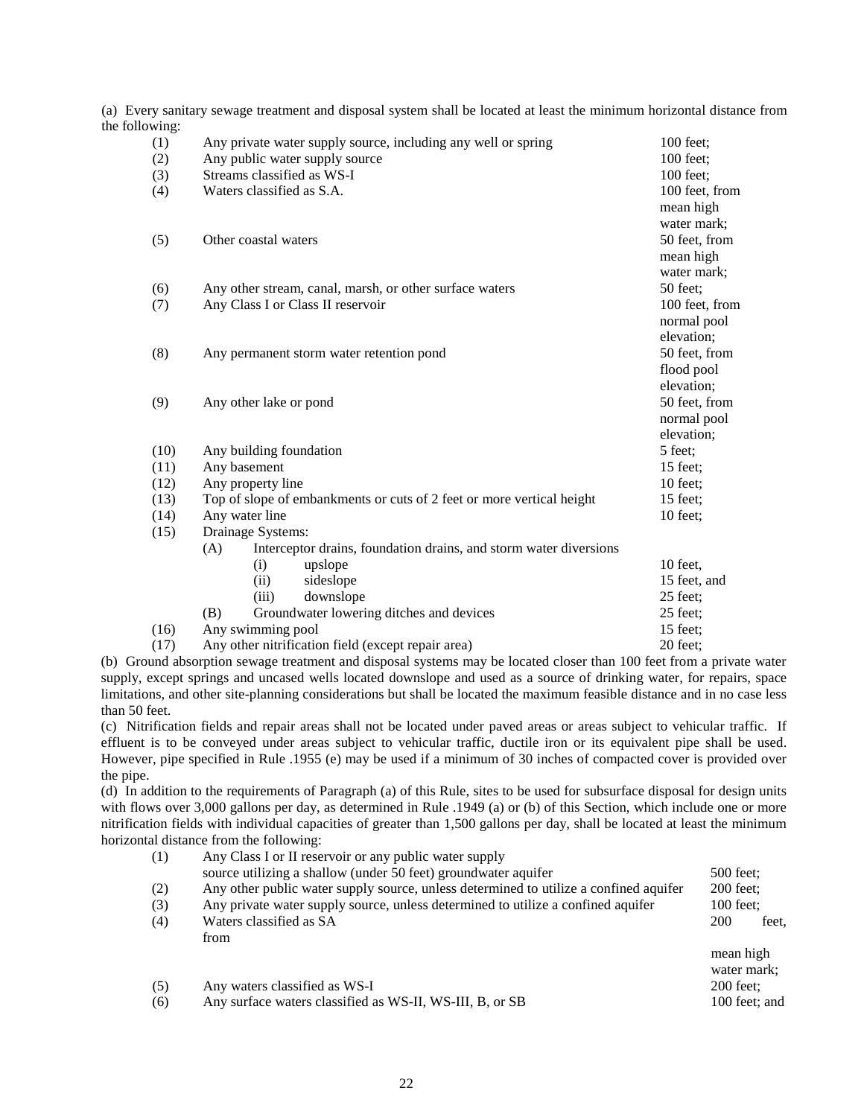(a) Every sanitary sewage treatment and disposal system shall be located at least the minimum horizontal distance from the following:

| (1)  | Any private water supply source, including any well or spring            | 100 feet;                   |  |
|------|--------------------------------------------------------------------------|-----------------------------|--|
| (2)  | Any public water supply source                                           | 100 feet;                   |  |
| (3)  | Streams classified as WS-I                                               | 100 feet:<br>100 feet, from |  |
| (4)  | Waters classified as S.A.                                                |                             |  |
|      |                                                                          | mean high                   |  |
|      |                                                                          | water mark;                 |  |
| (5)  | Other coastal waters                                                     | 50 feet, from               |  |
|      |                                                                          | mean high                   |  |
|      |                                                                          | water mark;                 |  |
| (6)  | Any other stream, canal, marsh, or other surface waters                  | 50 feet:                    |  |
| (7)  | Any Class I or Class II reservoir                                        | 100 feet, from              |  |
|      |                                                                          | normal pool                 |  |
|      |                                                                          | elevation;                  |  |
| (8)  | Any permanent storm water retention pond                                 | 50 feet, from               |  |
|      |                                                                          | flood pool                  |  |
|      |                                                                          | elevation;                  |  |
| (9)  | Any other lake or pond                                                   | 50 feet, from               |  |
|      |                                                                          | normal pool                 |  |
|      |                                                                          | elevation;                  |  |
| (10) | Any building foundation                                                  | 5 feet;                     |  |
| (11) | Any basement                                                             | 15 feet;                    |  |
| (12) | Any property line                                                        | $10$ feet:                  |  |
| (13) | Top of slope of embankments or cuts of 2 feet or more vertical height    | $15$ feet;                  |  |
| (14) | Any water line                                                           | $10$ feet;                  |  |
| (15) | Drainage Systems:                                                        |                             |  |
|      | Interceptor drains, foundation drains, and storm water diversions<br>(A) |                             |  |
|      | (i)<br>upslope                                                           | 10 feet,                    |  |
|      | (ii)<br>sideslope                                                        | 15 feet, and                |  |
|      | (iii)<br>downslope                                                       | 25 feet;                    |  |
|      | (B)<br>Groundwater lowering ditches and devices                          | 25 feet;                    |  |
| (16) | Any swimming pool<br>$\sim$ $\sim$                                       | 15 feet;                    |  |
|      |                                                                          |                             |  |

(17) Any other nitrification field (except repair area) 20 feet;

(b) Ground absorption sewage treatment and disposal systems may be located closer than 100 feet from a private water supply, except springs and uncased wells located downslope and used as a source of drinking water, for repairs, space limitations, and other site-planning considerations but shall be located the maximum feasible distance and in no case less than 50 feet.

(c) Nitrification fields and repair areas shall not be located under paved areas or areas subject to vehicular traffic. If effluent is to be conveyed under areas subject to vehicular traffic, ductile iron or its equivalent pipe shall be used. However, pipe specified in Rule .1955 (e) may be used if a minimum of 30 inches of compacted cover is provided over the pipe.

(d) In addition to the requirements of Paragraph (a) of this Rule, sites to be used for subsurface disposal for design units with flows over 3,000 gallons per day, as determined in Rule .1949 (a) or (b) of this Section, which include one or more nitrification fields with individual capacities of greater than 1,500 gallons per day, shall be located at least the minimum horizontal distance from the following:

| (1) | Any Class I or II reservoir or any public water supply                                |               |
|-----|---------------------------------------------------------------------------------------|---------------|
|     | source utilizing a shallow (under 50 feet) groundwater aquifer                        | 500 feet:     |
| (2) | Any other public water supply source, unless determined to utilize a confined aquifer | $200$ feet:   |
| (3) | Any private water supply source, unless determined to utilize a confined aquifer      | $100$ feet:   |
| (4) | Waters classified as SA                                                               | 200<br>feet.  |
|     | from                                                                                  |               |
|     |                                                                                       | mean high     |
|     |                                                                                       | water mark;   |
| (5) | Any waters classified as WS-I                                                         | $200$ feet;   |
| (6) | Any surface waters classified as WS-II, WS-III, B, or SB                              | 100 feet; and |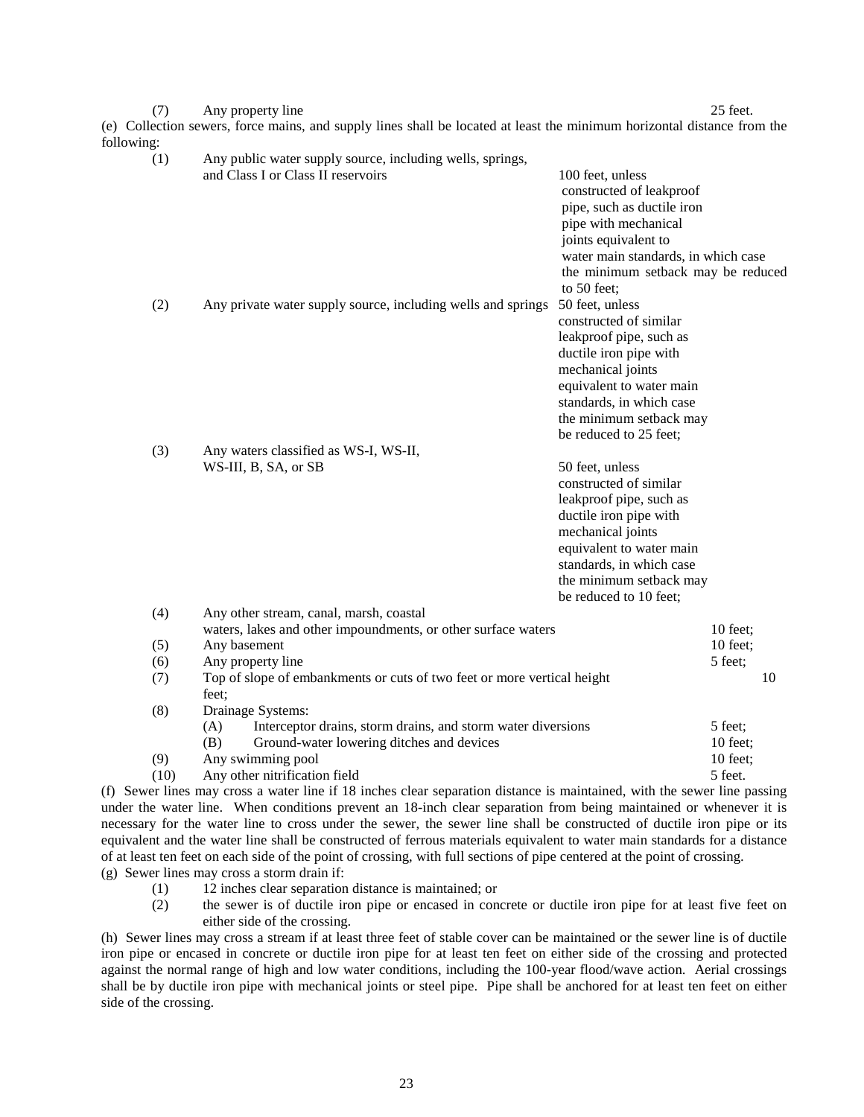(7) Any property line 25 feet. (e) Collection sewers, force mains, and supply lines shall be located at least the minimum horizontal distance from the following:

| ,ա.  |                                                                                                                                              |                                                                                                                                                                                                                                  |                     |    |
|------|----------------------------------------------------------------------------------------------------------------------------------------------|----------------------------------------------------------------------------------------------------------------------------------------------------------------------------------------------------------------------------------|---------------------|----|
| (1)  | Any public water supply source, including wells, springs,<br>and Class I or Class II reservoirs                                              | 100 feet, unless<br>constructed of leakproof<br>pipe, such as ductile iron<br>pipe with mechanical<br>joints equivalent to<br>water main standards, in which case<br>the minimum setback may be reduced<br>to 50 feet;           |                     |    |
| (2)  | Any private water supply source, including wells and springs                                                                                 | 50 feet, unless<br>constructed of similar<br>leakproof pipe, such as<br>ductile iron pipe with<br>mechanical joints<br>equivalent to water main<br>standards, in which case<br>the minimum setback may<br>be reduced to 25 feet; |                     |    |
| (3)  | Any waters classified as WS-I, WS-II,<br>WS-III, B, SA, or SB                                                                                | 50 feet, unless<br>constructed of similar<br>leakproof pipe, such as<br>ductile iron pipe with<br>mechanical joints<br>equivalent to water main<br>standards, in which case<br>the minimum setback may<br>be reduced to 10 feet; |                     |    |
| (4)  | Any other stream, canal, marsh, coastal<br>waters, lakes and other impoundments, or other surface waters                                     |                                                                                                                                                                                                                                  | $10$ feet;          |    |
| (5)  | Any basement                                                                                                                                 |                                                                                                                                                                                                                                  | 10 feet;            |    |
| (6)  | Any property line                                                                                                                            |                                                                                                                                                                                                                                  | 5 feet;             |    |
| (7)  | Top of slope of embankments or cuts of two feet or more vertical height<br>feet;                                                             |                                                                                                                                                                                                                                  |                     | 10 |
| (8)  | Drainage Systems:<br>Interceptor drains, storm drains, and storm water diversions<br>(A)<br>(B)<br>Ground-water lowering ditches and devices |                                                                                                                                                                                                                                  | 5 feet;<br>10 feet; |    |
| (9)  | Any swimming pool                                                                                                                            |                                                                                                                                                                                                                                  | 10 feet;            |    |
| (10) | Any other nitrification field                                                                                                                |                                                                                                                                                                                                                                  | 5 feet.             |    |

(f) Sewer lines may cross a water line if 18 inches clear separation distance is maintained, with the sewer line passing under the water line. When conditions prevent an 18-inch clear separation from being maintained or whenever it is necessary for the water line to cross under the sewer, the sewer line shall be constructed of ductile iron pipe or its equivalent and the water line shall be constructed of ferrous materials equivalent to water main standards for a distance of at least ten feet on each side of the point of crossing, with full sections of pipe centered at the point of crossing. (g) Sewer lines may cross a storm drain if:

- (1) 12 inches clear separation distance is maintained; or
- (2) the sewer is of ductile iron pipe or encased in concrete or ductile iron pipe for at least five feet on either side of the crossing.

(h) Sewer lines may cross a stream if at least three feet of stable cover can be maintained or the sewer line is of ductile iron pipe or encased in concrete or ductile iron pipe for at least ten feet on either side of the crossing and protected against the normal range of high and low water conditions, including the 100-year flood/wave action. Aerial crossings shall be by ductile iron pipe with mechanical joints or steel pipe. Pipe shall be anchored for at least ten feet on either side of the crossing.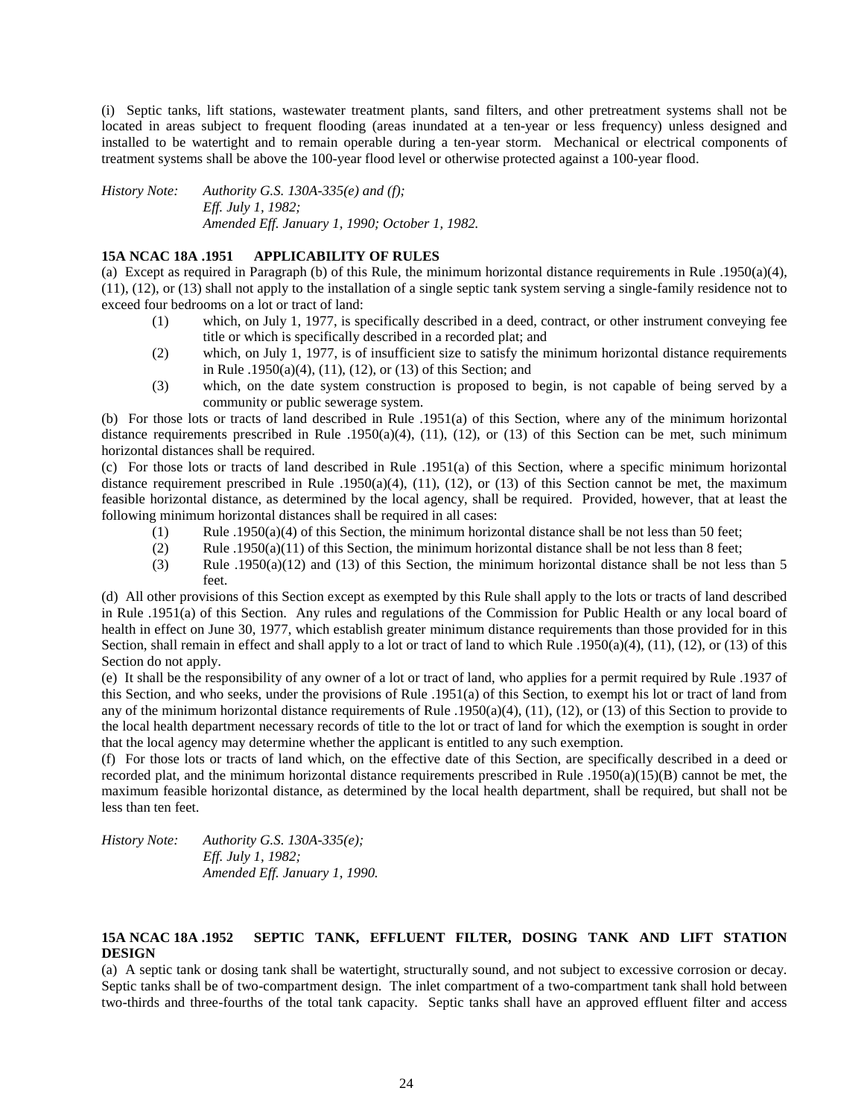(i) Septic tanks, lift stations, wastewater treatment plants, sand filters, and other pretreatment systems shall not be located in areas subject to frequent flooding (areas inundated at a ten-year or less frequency) unless designed and installed to be watertight and to remain operable during a ten-year storm. Mechanical or electrical components of treatment systems shall be above the 100-year flood level or otherwise protected against a 100-year flood.

*History Note: Authority G.S. 130A-335(e) and (f); Eff. July 1, 1982; Amended Eff. January 1, 1990; October 1, 1982.*

## **15A NCAC 18A .1951 APPLICABILITY OF RULES**

(a) Except as required in Paragraph (b) of this Rule, the minimum horizontal distance requirements in Rule .1950(a)(4), (11), (12), or (13) shall not apply to the installation of a single septic tank system serving a single-family residence not to exceed four bedrooms on a lot or tract of land:

- (1) which, on July 1, 1977, is specifically described in a deed, contract, or other instrument conveying fee title or which is specifically described in a recorded plat; and
- (2) which, on July 1, 1977, is of insufficient size to satisfy the minimum horizontal distance requirements in Rule .1950(a)(4), (11), (12), or (13) of this Section; and
- (3) which, on the date system construction is proposed to begin, is not capable of being served by a community or public sewerage system.

(b) For those lots or tracts of land described in Rule .1951(a) of this Section, where any of the minimum horizontal distance requirements prescribed in Rule .1950(a)(4), (11), (12), or (13) of this Section can be met, such minimum horizontal distances shall be required.

(c) For those lots or tracts of land described in Rule .1951(a) of this Section, where a specific minimum horizontal distance requirement prescribed in Rule .1950(a)(4), (11), (12), or (13) of this Section cannot be met, the maximum feasible horizontal distance, as determined by the local agency, shall be required. Provided, however, that at least the following minimum horizontal distances shall be required in all cases:

- (1) Rule .1950(a)(4) of this Section, the minimum horizontal distance shall be not less than 50 feet;
- (2) Rule .1950(a)(11) of this Section, the minimum horizontal distance shall be not less than 8 feet;
- (3) Rule .1950(a)(12) and (13) of this Section, the minimum horizontal distance shall be not less than 5 feet.

(d) All other provisions of this Section except as exempted by this Rule shall apply to the lots or tracts of land described in Rule .1951(a) of this Section. Any rules and regulations of the Commission for Public Health or any local board of health in effect on June 30, 1977, which establish greater minimum distance requirements than those provided for in this Section, shall remain in effect and shall apply to a lot or tract of land to which Rule .1950(a)(4), (11), (12), or (13) of this Section do not apply.

(e) It shall be the responsibility of any owner of a lot or tract of land, who applies for a permit required by Rule .1937 of this Section, and who seeks, under the provisions of Rule .1951(a) of this Section, to exempt his lot or tract of land from any of the minimum horizontal distance requirements of Rule .1950(a)(4), (11), (12), or (13) of this Section to provide to the local health department necessary records of title to the lot or tract of land for which the exemption is sought in order that the local agency may determine whether the applicant is entitled to any such exemption.

(f) For those lots or tracts of land which, on the effective date of this Section, are specifically described in a deed or recorded plat, and the minimum horizontal distance requirements prescribed in Rule .1950(a)(15)(B) cannot be met, the maximum feasible horizontal distance, as determined by the local health department, shall be required, but shall not be less than ten feet.

*History Note: Authority G.S. 130A-335(e); Eff. July 1, 1982; Amended Eff. January 1, 1990.*

## **15A NCAC 18A .1952 SEPTIC TANK, EFFLUENT FILTER, DOSING TANK AND LIFT STATION DESIGN**

(a) A septic tank or dosing tank shall be watertight, structurally sound, and not subject to excessive corrosion or decay. Septic tanks shall be of two-compartment design. The inlet compartment of a two-compartment tank shall hold between two-thirds and three-fourths of the total tank capacity. Septic tanks shall have an approved effluent filter and access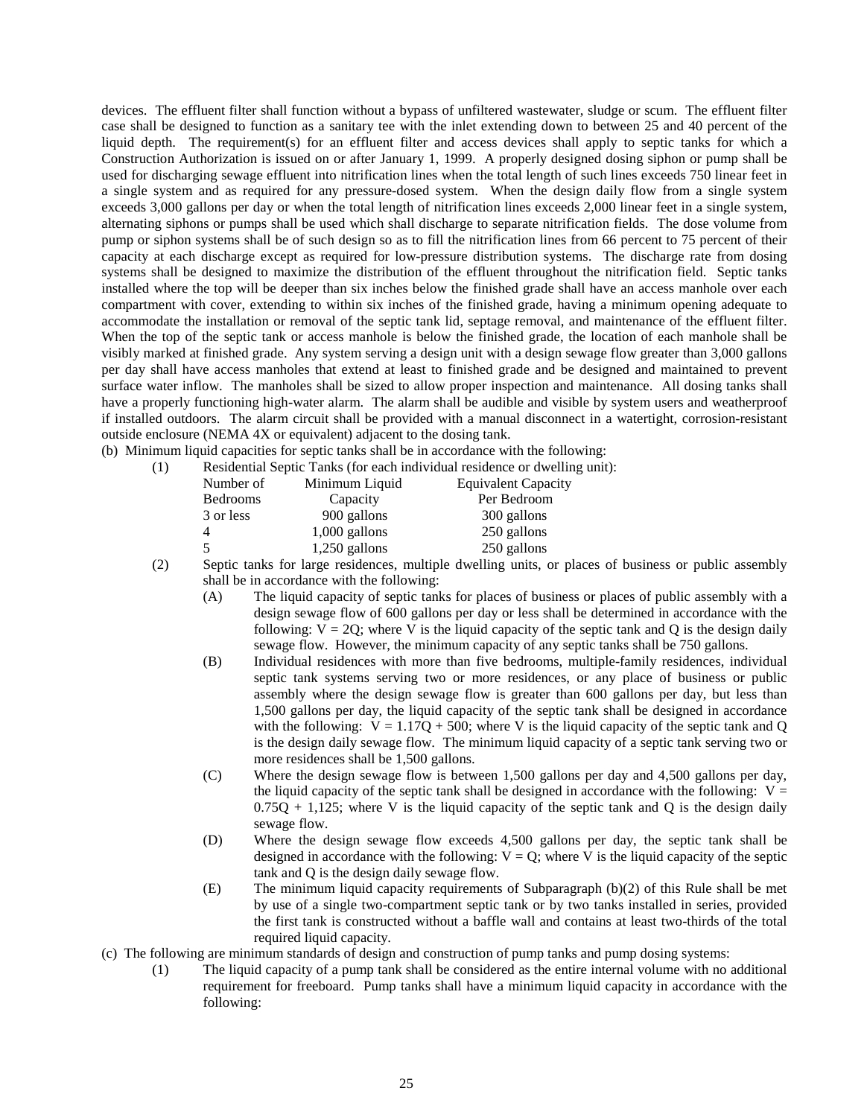devices. The effluent filter shall function without a bypass of unfiltered wastewater, sludge or scum. The effluent filter case shall be designed to function as a sanitary tee with the inlet extending down to between 25 and 40 percent of the liquid depth. The requirement(s) for an effluent filter and access devices shall apply to septic tanks for which a Construction Authorization is issued on or after January 1, 1999. A properly designed dosing siphon or pump shall be used for discharging sewage effluent into nitrification lines when the total length of such lines exceeds 750 linear feet in a single system and as required for any pressure-dosed system. When the design daily flow from a single system exceeds 3,000 gallons per day or when the total length of nitrification lines exceeds 2,000 linear feet in a single system, alternating siphons or pumps shall be used which shall discharge to separate nitrification fields. The dose volume from pump or siphon systems shall be of such design so as to fill the nitrification lines from 66 percent to 75 percent of their capacity at each discharge except as required for low-pressure distribution systems. The discharge rate from dosing systems shall be designed to maximize the distribution of the effluent throughout the nitrification field. Septic tanks installed where the top will be deeper than six inches below the finished grade shall have an access manhole over each compartment with cover, extending to within six inches of the finished grade, having a minimum opening adequate to accommodate the installation or removal of the septic tank lid, septage removal, and maintenance of the effluent filter. When the top of the septic tank or access manhole is below the finished grade, the location of each manhole shall be visibly marked at finished grade. Any system serving a design unit with a design sewage flow greater than 3,000 gallons per day shall have access manholes that extend at least to finished grade and be designed and maintained to prevent surface water inflow. The manholes shall be sized to allow proper inspection and maintenance. All dosing tanks shall have a properly functioning high-water alarm. The alarm shall be audible and visible by system users and weatherproof if installed outdoors. The alarm circuit shall be provided with a manual disconnect in a watertight, corrosion-resistant outside enclosure (NEMA 4X or equivalent) adjacent to the dosing tank.

(b) Minimum liquid capacities for septic tanks shall be in accordance with the following:

(1) Residential Septic Tanks (for each individual residence or dwelling unit):

| Number of       | Minimum Liquid  | <b>Equivalent Capacity</b> |
|-----------------|-----------------|----------------------------|
| <b>Bedrooms</b> | Capacity        | Per Bedroom                |
| 3 or less       | 900 gallons     | 300 gallons                |
|                 | $1,000$ gallons | 250 gallons                |
|                 | $1,250$ gallons | 250 gallons                |

(2) Septic tanks for large residences, multiple dwelling units, or places of business or public assembly shall be in accordance with the following:

- (A) The liquid capacity of septic tanks for places of business or places of public assembly with a design sewage flow of 600 gallons per day or less shall be determined in accordance with the following:  $V = 2Q$ ; where V is the liquid capacity of the septic tank and Q is the design daily sewage flow. However, the minimum capacity of any septic tanks shall be 750 gallons.
- (B) Individual residences with more than five bedrooms, multiple-family residences, individual septic tank systems serving two or more residences, or any place of business or public assembly where the design sewage flow is greater than 600 gallons per day, but less than 1,500 gallons per day, the liquid capacity of the septic tank shall be designed in accordance with the following:  $V = 1.17Q + 500$ ; where V is the liquid capacity of the septic tank and Q is the design daily sewage flow. The minimum liquid capacity of a septic tank serving two or more residences shall be 1,500 gallons.
- (C) Where the design sewage flow is between 1,500 gallons per day and 4,500 gallons per day, the liquid capacity of the septic tank shall be designed in accordance with the following:  $V =$  $0.75Q + 1.125$ ; where V is the liquid capacity of the septic tank and Q is the design daily sewage flow.
- (D) Where the design sewage flow exceeds 4,500 gallons per day, the septic tank shall be designed in accordance with the following:  $V = Q$ ; where V is the liquid capacity of the septic tank and Q is the design daily sewage flow.
- (E) The minimum liquid capacity requirements of Subparagraph (b)(2) of this Rule shall be met by use of a single two-compartment septic tank or by two tanks installed in series, provided the first tank is constructed without a baffle wall and contains at least two-thirds of the total required liquid capacity.
- (c) The following are minimum standards of design and construction of pump tanks and pump dosing systems:
	- (1) The liquid capacity of a pump tank shall be considered as the entire internal volume with no additional requirement for freeboard. Pump tanks shall have a minimum liquid capacity in accordance with the following: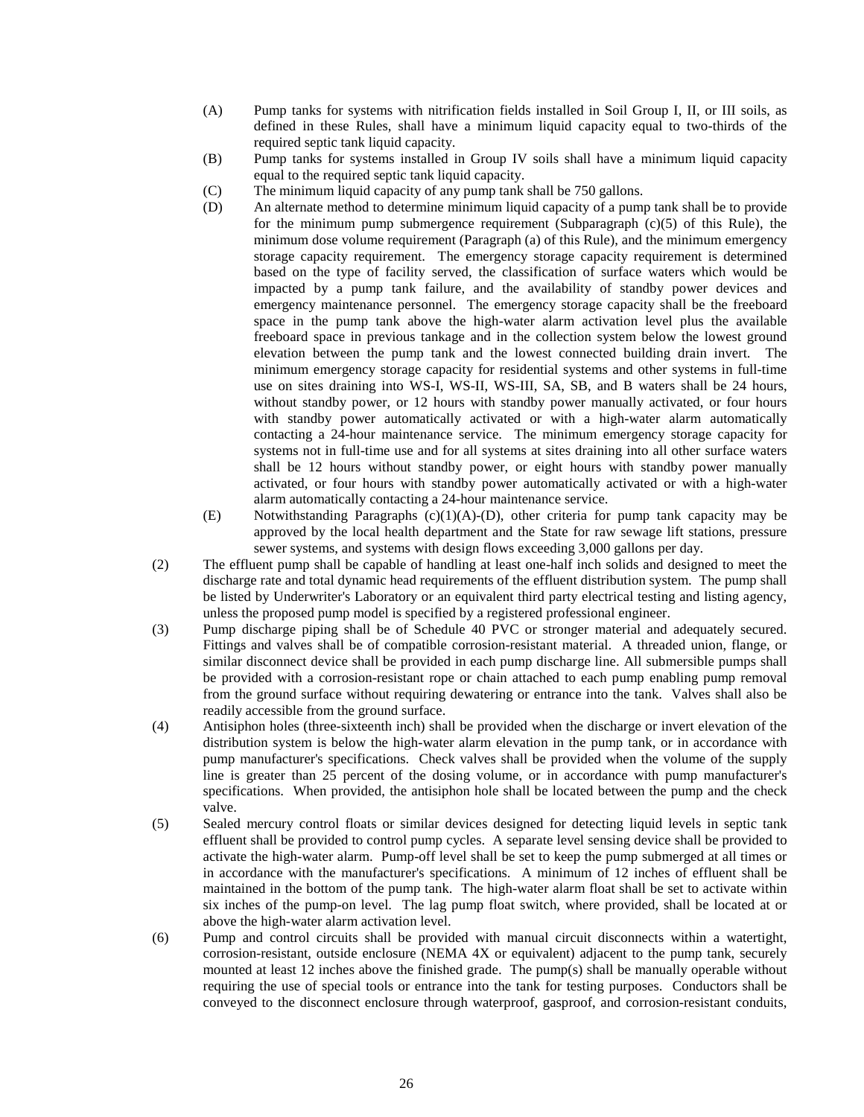- (A) Pump tanks for systems with nitrification fields installed in Soil Group I, II, or III soils, as defined in these Rules, shall have a minimum liquid capacity equal to two-thirds of the required septic tank liquid capacity.
- (B) Pump tanks for systems installed in Group IV soils shall have a minimum liquid capacity equal to the required septic tank liquid capacity.
- (C) The minimum liquid capacity of any pump tank shall be 750 gallons.
- (D) An alternate method to determine minimum liquid capacity of a pump tank shall be to provide for the minimum pump submergence requirement (Subparagraph  $(c)(5)$  of this Rule), the minimum dose volume requirement (Paragraph (a) of this Rule), and the minimum emergency storage capacity requirement. The emergency storage capacity requirement is determined based on the type of facility served, the classification of surface waters which would be impacted by a pump tank failure, and the availability of standby power devices and emergency maintenance personnel. The emergency storage capacity shall be the freeboard space in the pump tank above the high-water alarm activation level plus the available freeboard space in previous tankage and in the collection system below the lowest ground elevation between the pump tank and the lowest connected building drain invert. The minimum emergency storage capacity for residential systems and other systems in full-time use on sites draining into WS-I, WS-II, WS-III, SA, SB, and B waters shall be 24 hours, without standby power, or 12 hours with standby power manually activated, or four hours with standby power automatically activated or with a high-water alarm automatically contacting a 24-hour maintenance service. The minimum emergency storage capacity for systems not in full-time use and for all systems at sites draining into all other surface waters shall be 12 hours without standby power, or eight hours with standby power manually activated, or four hours with standby power automatically activated or with a high-water alarm automatically contacting a 24-hour maintenance service.
- (E) Notwithstanding Paragraphs (c)(1)(A)-(D), other criteria for pump tank capacity may be approved by the local health department and the State for raw sewage lift stations, pressure sewer systems, and systems with design flows exceeding 3,000 gallons per day.
- (2) The effluent pump shall be capable of handling at least one-half inch solids and designed to meet the discharge rate and total dynamic head requirements of the effluent distribution system. The pump shall be listed by Underwriter's Laboratory or an equivalent third party electrical testing and listing agency, unless the proposed pump model is specified by a registered professional engineer.
- (3) Pump discharge piping shall be of Schedule 40 PVC or stronger material and adequately secured. Fittings and valves shall be of compatible corrosion-resistant material. A threaded union, flange, or similar disconnect device shall be provided in each pump discharge line. All submersible pumps shall be provided with a corrosion-resistant rope or chain attached to each pump enabling pump removal from the ground surface without requiring dewatering or entrance into the tank. Valves shall also be readily accessible from the ground surface.
- (4) Antisiphon holes (three-sixteenth inch) shall be provided when the discharge or invert elevation of the distribution system is below the high-water alarm elevation in the pump tank, or in accordance with pump manufacturer's specifications. Check valves shall be provided when the volume of the supply line is greater than 25 percent of the dosing volume, or in accordance with pump manufacturer's specifications. When provided, the antisiphon hole shall be located between the pump and the check valve.
- (5) Sealed mercury control floats or similar devices designed for detecting liquid levels in septic tank effluent shall be provided to control pump cycles. A separate level sensing device shall be provided to activate the high-water alarm. Pump-off level shall be set to keep the pump submerged at all times or in accordance with the manufacturer's specifications. A minimum of 12 inches of effluent shall be maintained in the bottom of the pump tank. The high-water alarm float shall be set to activate within six inches of the pump-on level. The lag pump float switch, where provided, shall be located at or above the high-water alarm activation level.
- (6) Pump and control circuits shall be provided with manual circuit disconnects within a watertight, corrosion-resistant, outside enclosure (NEMA 4X or equivalent) adjacent to the pump tank, securely mounted at least 12 inches above the finished grade. The pump(s) shall be manually operable without requiring the use of special tools or entrance into the tank for testing purposes. Conductors shall be conveyed to the disconnect enclosure through waterproof, gasproof, and corrosion-resistant conduits,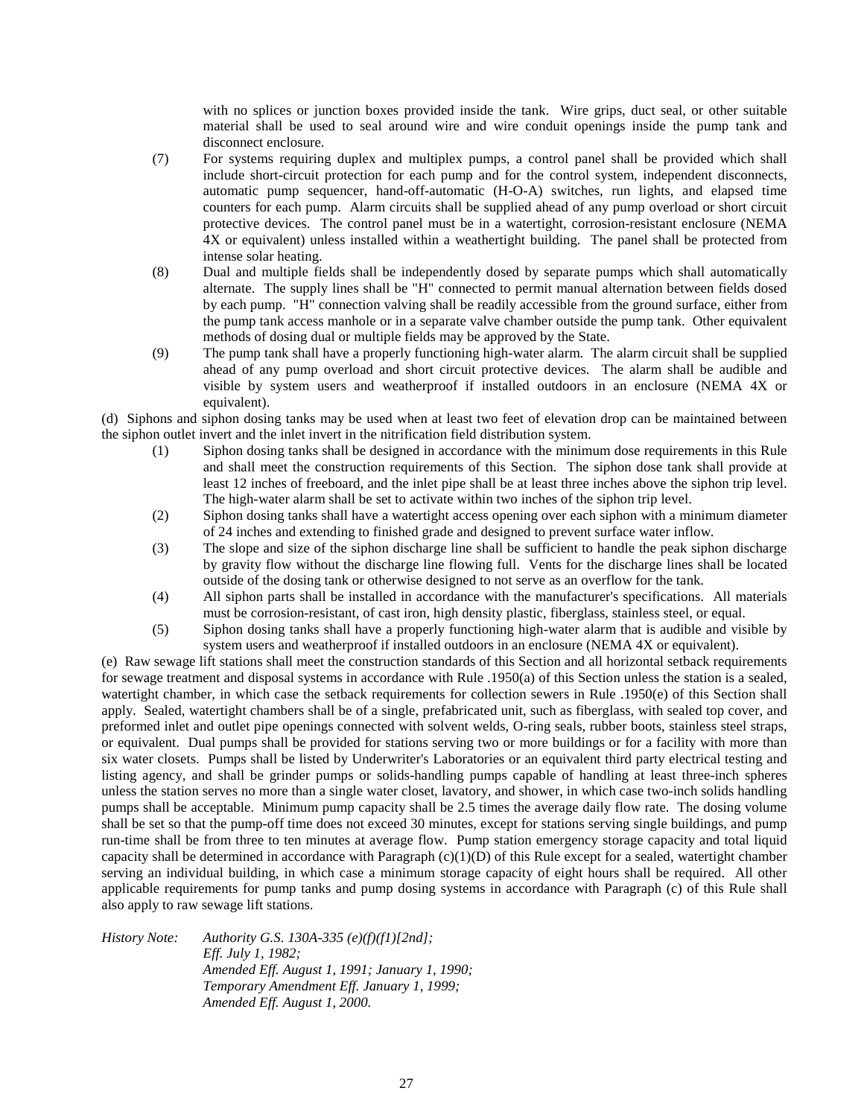with no splices or junction boxes provided inside the tank. Wire grips, duct seal, or other suitable material shall be used to seal around wire and wire conduit openings inside the pump tank and disconnect enclosure.

- (7) For systems requiring duplex and multiplex pumps, a control panel shall be provided which shall include short-circuit protection for each pump and for the control system, independent disconnects, automatic pump sequencer, hand-off-automatic (H-O-A) switches, run lights, and elapsed time counters for each pump. Alarm circuits shall be supplied ahead of any pump overload or short circuit protective devices. The control panel must be in a watertight, corrosion-resistant enclosure (NEMA 4X or equivalent) unless installed within a weathertight building. The panel shall be protected from intense solar heating.
- (8) Dual and multiple fields shall be independently dosed by separate pumps which shall automatically alternate. The supply lines shall be "H" connected to permit manual alternation between fields dosed by each pump. "H" connection valving shall be readily accessible from the ground surface, either from the pump tank access manhole or in a separate valve chamber outside the pump tank. Other equivalent methods of dosing dual or multiple fields may be approved by the State.
- (9) The pump tank shall have a properly functioning high-water alarm. The alarm circuit shall be supplied ahead of any pump overload and short circuit protective devices. The alarm shall be audible and visible by system users and weatherproof if installed outdoors in an enclosure (NEMA 4X or equivalent).

(d) Siphons and siphon dosing tanks may be used when at least two feet of elevation drop can be maintained between the siphon outlet invert and the inlet invert in the nitrification field distribution system.

- (1) Siphon dosing tanks shall be designed in accordance with the minimum dose requirements in this Rule and shall meet the construction requirements of this Section. The siphon dose tank shall provide at least 12 inches of freeboard, and the inlet pipe shall be at least three inches above the siphon trip level. The high-water alarm shall be set to activate within two inches of the siphon trip level.
- (2) Siphon dosing tanks shall have a watertight access opening over each siphon with a minimum diameter of 24 inches and extending to finished grade and designed to prevent surface water inflow.
- (3) The slope and size of the siphon discharge line shall be sufficient to handle the peak siphon discharge by gravity flow without the discharge line flowing full. Vents for the discharge lines shall be located outside of the dosing tank or otherwise designed to not serve as an overflow for the tank.
- (4) All siphon parts shall be installed in accordance with the manufacturer's specifications. All materials must be corrosion-resistant, of cast iron, high density plastic, fiberglass, stainless steel, or equal.
- (5) Siphon dosing tanks shall have a properly functioning high-water alarm that is audible and visible by system users and weatherproof if installed outdoors in an enclosure (NEMA 4X or equivalent).

(e) Raw sewage lift stations shall meet the construction standards of this Section and all horizontal setback requirements for sewage treatment and disposal systems in accordance with Rule .1950(a) of this Section unless the station is a sealed, watertight chamber, in which case the setback requirements for collection sewers in Rule .1950(e) of this Section shall apply. Sealed, watertight chambers shall be of a single, prefabricated unit, such as fiberglass, with sealed top cover, and preformed inlet and outlet pipe openings connected with solvent welds, O-ring seals, rubber boots, stainless steel straps, or equivalent. Dual pumps shall be provided for stations serving two or more buildings or for a facility with more than six water closets. Pumps shall be listed by Underwriter's Laboratories or an equivalent third party electrical testing and listing agency, and shall be grinder pumps or solids-handling pumps capable of handling at least three-inch spheres unless the station serves no more than a single water closet, lavatory, and shower, in which case two-inch solids handling pumps shall be acceptable. Minimum pump capacity shall be 2.5 times the average daily flow rate. The dosing volume shall be set so that the pump-off time does not exceed 30 minutes, except for stations serving single buildings, and pump run-time shall be from three to ten minutes at average flow. Pump station emergency storage capacity and total liquid capacity shall be determined in accordance with Paragraph  $(c)(1)(D)$  of this Rule except for a sealed, watertight chamber serving an individual building, in which case a minimum storage capacity of eight hours shall be required. All other applicable requirements for pump tanks and pump dosing systems in accordance with Paragraph (c) of this Rule shall also apply to raw sewage lift stations.

*History Note: Authority G.S. 130A-335 (e)(f)(f1)[2nd]; Eff. July 1, 1982; Amended Eff. August 1, 1991; January 1, 1990; Temporary Amendment Eff. January 1, 1999; Amended Eff. August 1, 2000.*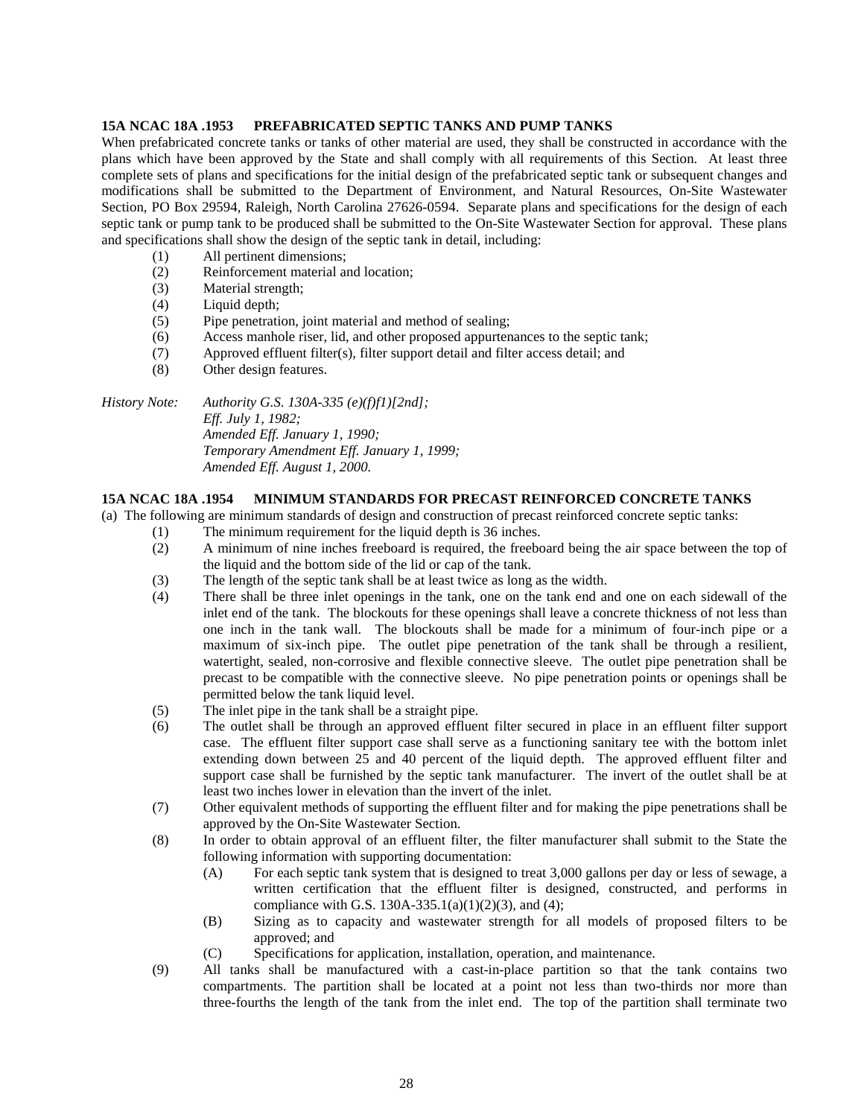## **15A NCAC 18A .1953 PREFABRICATED SEPTIC TANKS AND PUMP TANKS**

When prefabricated concrete tanks or tanks of other material are used, they shall be constructed in accordance with the plans which have been approved by the State and shall comply with all requirements of this Section. At least three complete sets of plans and specifications for the initial design of the prefabricated septic tank or subsequent changes and modifications shall be submitted to the Department of Environment, and Natural Resources, On-Site Wastewater Section, PO Box 29594, Raleigh, North Carolina 27626-0594. Separate plans and specifications for the design of each septic tank or pump tank to be produced shall be submitted to the On-Site Wastewater Section for approval. These plans and specifications shall show the design of the septic tank in detail, including:

- (1) All pertinent dimensions;
- (2) Reinforcement material and location;
- (3) Material strength;
- (4) Liquid depth;
- (5) Pipe penetration, joint material and method of sealing;
- (6) Access manhole riser, lid, and other proposed appurtenances to the septic tank;
- (7) Approved effluent filter(s), filter support detail and filter access detail; and
- (8) Other design features.

*History Note: Authority G.S. 130A-335 (e)(f)f1)[2nd]; Eff. July 1, 1982; Amended Eff. January 1, 1990; Temporary Amendment Eff. January 1, 1999; Amended Eff. August 1, 2000.*

## **15A NCAC 18A .1954 MINIMUM STANDARDS FOR PRECAST REINFORCED CONCRETE TANKS**

(a) The following are minimum standards of design and construction of precast reinforced concrete septic tanks:

- (1) The minimum requirement for the liquid depth is 36 inches.
- (2) A minimum of nine inches freeboard is required, the freeboard being the air space between the top of the liquid and the bottom side of the lid or cap of the tank.
- (3) The length of the septic tank shall be at least twice as long as the width.
- (4) There shall be three inlet openings in the tank, one on the tank end and one on each sidewall of the inlet end of the tank. The blockouts for these openings shall leave a concrete thickness of not less than one inch in the tank wall. The blockouts shall be made for a minimum of four-inch pipe or a maximum of six-inch pipe. The outlet pipe penetration of the tank shall be through a resilient, watertight, sealed, non-corrosive and flexible connective sleeve. The outlet pipe penetration shall be precast to be compatible with the connective sleeve. No pipe penetration points or openings shall be permitted below the tank liquid level.
- (5) The inlet pipe in the tank shall be a straight pipe.
- (6) The outlet shall be through an approved effluent filter secured in place in an effluent filter support case. The effluent filter support case shall serve as a functioning sanitary tee with the bottom inlet extending down between 25 and 40 percent of the liquid depth. The approved effluent filter and support case shall be furnished by the septic tank manufacturer. The invert of the outlet shall be at least two inches lower in elevation than the invert of the inlet.
- (7) Other equivalent methods of supporting the effluent filter and for making the pipe penetrations shall be approved by the On-Site Wastewater Section.
- (8) In order to obtain approval of an effluent filter, the filter manufacturer shall submit to the State the following information with supporting documentation:
	- (A) For each septic tank system that is designed to treat 3,000 gallons per day or less of sewage, a written certification that the effluent filter is designed, constructed, and performs in compliance with G.S. 130A-335.1(a)(1)(2)(3), and (4);
	- (B) Sizing as to capacity and wastewater strength for all models of proposed filters to be approved; and
	- (C) Specifications for application, installation, operation, and maintenance.
- (9) All tanks shall be manufactured with a cast-in-place partition so that the tank contains two compartments. The partition shall be located at a point not less than two-thirds nor more than three-fourths the length of the tank from the inlet end. The top of the partition shall terminate two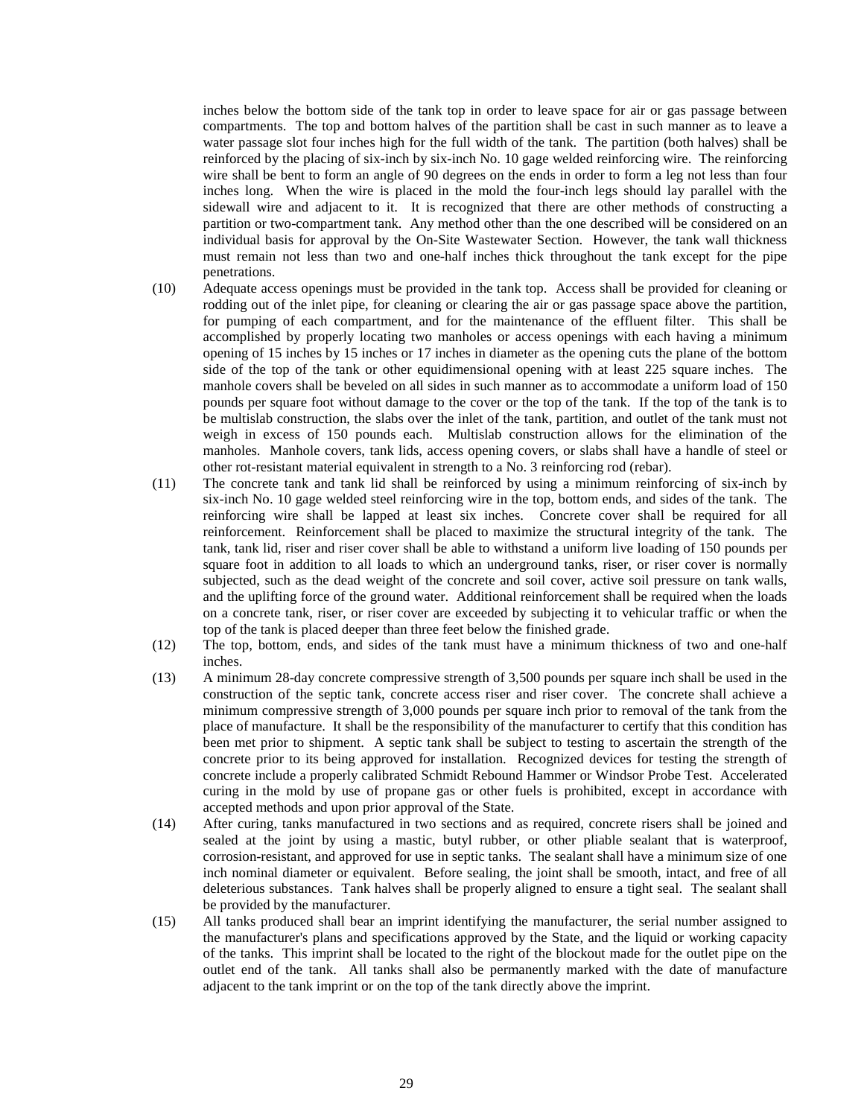inches below the bottom side of the tank top in order to leave space for air or gas passage between compartments. The top and bottom halves of the partition shall be cast in such manner as to leave a water passage slot four inches high for the full width of the tank. The partition (both halves) shall be reinforced by the placing of six-inch by six-inch No. 10 gage welded reinforcing wire. The reinforcing wire shall be bent to form an angle of 90 degrees on the ends in order to form a leg not less than four inches long. When the wire is placed in the mold the four-inch legs should lay parallel with the sidewall wire and adjacent to it. It is recognized that there are other methods of constructing a partition or two-compartment tank. Any method other than the one described will be considered on an individual basis for approval by the On-Site Wastewater Section. However, the tank wall thickness must remain not less than two and one-half inches thick throughout the tank except for the pipe penetrations.

- (10) Adequate access openings must be provided in the tank top. Access shall be provided for cleaning or rodding out of the inlet pipe, for cleaning or clearing the air or gas passage space above the partition, for pumping of each compartment, and for the maintenance of the effluent filter. This shall be accomplished by properly locating two manholes or access openings with each having a minimum opening of 15 inches by 15 inches or 17 inches in diameter as the opening cuts the plane of the bottom side of the top of the tank or other equidimensional opening with at least 225 square inches. The manhole covers shall be beveled on all sides in such manner as to accommodate a uniform load of 150 pounds per square foot without damage to the cover or the top of the tank. If the top of the tank is to be multislab construction, the slabs over the inlet of the tank, partition, and outlet of the tank must not weigh in excess of 150 pounds each. Multislab construction allows for the elimination of the manholes. Manhole covers, tank lids, access opening covers, or slabs shall have a handle of steel or other rot-resistant material equivalent in strength to a No. 3 reinforcing rod (rebar).
- (11) The concrete tank and tank lid shall be reinforced by using a minimum reinforcing of six-inch by six-inch No. 10 gage welded steel reinforcing wire in the top, bottom ends, and sides of the tank. The reinforcing wire shall be lapped at least six inches. Concrete cover shall be required for all reinforcement. Reinforcement shall be placed to maximize the structural integrity of the tank. The tank, tank lid, riser and riser cover shall be able to withstand a uniform live loading of 150 pounds per square foot in addition to all loads to which an underground tanks, riser, or riser cover is normally subjected, such as the dead weight of the concrete and soil cover, active soil pressure on tank walls, and the uplifting force of the ground water. Additional reinforcement shall be required when the loads on a concrete tank, riser, or riser cover are exceeded by subjecting it to vehicular traffic or when the top of the tank is placed deeper than three feet below the finished grade.
- (12) The top, bottom, ends, and sides of the tank must have a minimum thickness of two and one-half inches.
- (13) A minimum 28-day concrete compressive strength of 3,500 pounds per square inch shall be used in the construction of the septic tank, concrete access riser and riser cover. The concrete shall achieve a minimum compressive strength of 3,000 pounds per square inch prior to removal of the tank from the place of manufacture. It shall be the responsibility of the manufacturer to certify that this condition has been met prior to shipment. A septic tank shall be subject to testing to ascertain the strength of the concrete prior to its being approved for installation. Recognized devices for testing the strength of concrete include a properly calibrated Schmidt Rebound Hammer or Windsor Probe Test. Accelerated curing in the mold by use of propane gas or other fuels is prohibited, except in accordance with accepted methods and upon prior approval of the State.
- (14) After curing, tanks manufactured in two sections and as required, concrete risers shall be joined and sealed at the joint by using a mastic, butyl rubber, or other pliable sealant that is waterproof, corrosion-resistant, and approved for use in septic tanks. The sealant shall have a minimum size of one inch nominal diameter or equivalent. Before sealing, the joint shall be smooth, intact, and free of all deleterious substances. Tank halves shall be properly aligned to ensure a tight seal. The sealant shall be provided by the manufacturer.
- (15) All tanks produced shall bear an imprint identifying the manufacturer, the serial number assigned to the manufacturer's plans and specifications approved by the State, and the liquid or working capacity of the tanks. This imprint shall be located to the right of the blockout made for the outlet pipe on the outlet end of the tank. All tanks shall also be permanently marked with the date of manufacture adjacent to the tank imprint or on the top of the tank directly above the imprint.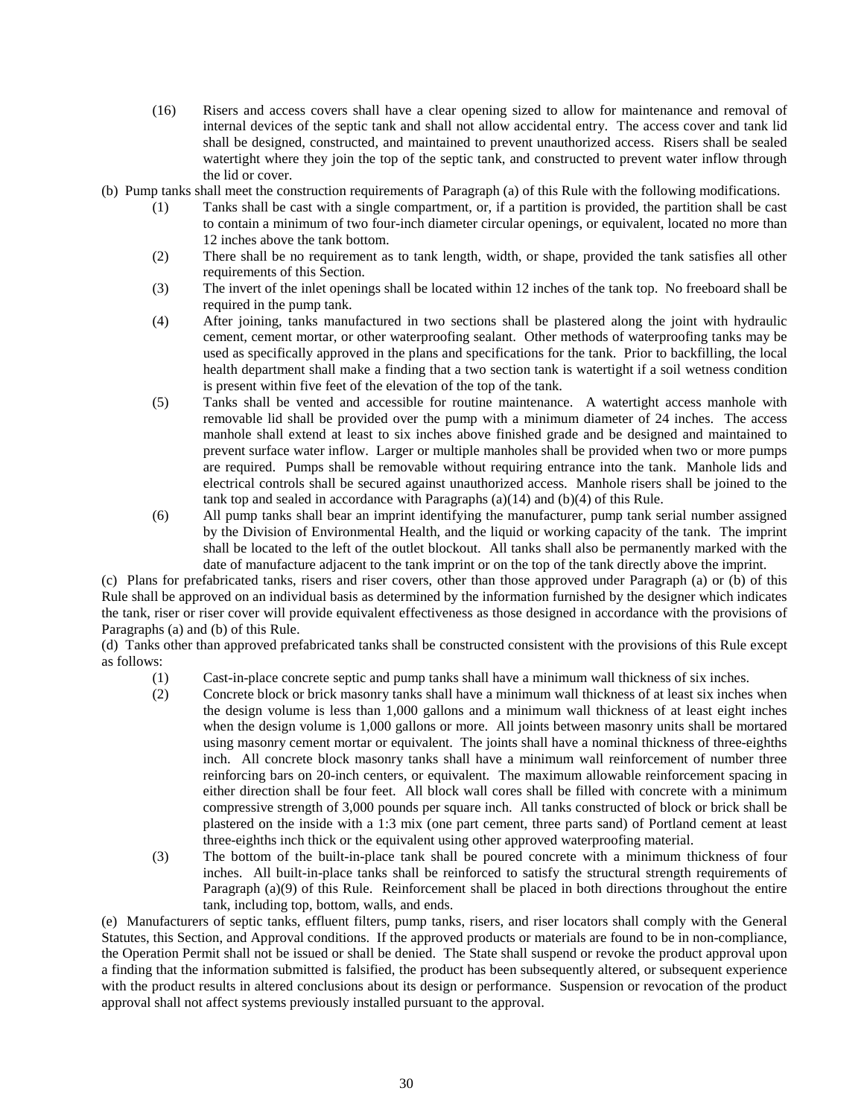- (16) Risers and access covers shall have a clear opening sized to allow for maintenance and removal of internal devices of the septic tank and shall not allow accidental entry. The access cover and tank lid shall be designed, constructed, and maintained to prevent unauthorized access. Risers shall be sealed watertight where they join the top of the septic tank, and constructed to prevent water inflow through the lid or cover.
- (b) Pump tanks shall meet the construction requirements of Paragraph (a) of this Rule with the following modifications.
	- (1) Tanks shall be cast with a single compartment, or, if a partition is provided, the partition shall be cast to contain a minimum of two four-inch diameter circular openings, or equivalent, located no more than 12 inches above the tank bottom.
	- (2) There shall be no requirement as to tank length, width, or shape, provided the tank satisfies all other requirements of this Section.
	- (3) The invert of the inlet openings shall be located within 12 inches of the tank top. No freeboard shall be required in the pump tank.
	- (4) After joining, tanks manufactured in two sections shall be plastered along the joint with hydraulic cement, cement mortar, or other waterproofing sealant. Other methods of waterproofing tanks may be used as specifically approved in the plans and specifications for the tank. Prior to backfilling, the local health department shall make a finding that a two section tank is watertight if a soil wetness condition is present within five feet of the elevation of the top of the tank.
	- (5) Tanks shall be vented and accessible for routine maintenance. A watertight access manhole with removable lid shall be provided over the pump with a minimum diameter of 24 inches. The access manhole shall extend at least to six inches above finished grade and be designed and maintained to prevent surface water inflow. Larger or multiple manholes shall be provided when two or more pumps are required. Pumps shall be removable without requiring entrance into the tank. Manhole lids and electrical controls shall be secured against unauthorized access. Manhole risers shall be joined to the tank top and sealed in accordance with Paragraphs (a)(14) and (b)(4) of this Rule.
	- (6) All pump tanks shall bear an imprint identifying the manufacturer, pump tank serial number assigned by the Division of Environmental Health, and the liquid or working capacity of the tank. The imprint shall be located to the left of the outlet blockout. All tanks shall also be permanently marked with the date of manufacture adjacent to the tank imprint or on the top of the tank directly above the imprint.

(c) Plans for prefabricated tanks, risers and riser covers, other than those approved under Paragraph (a) or (b) of this Rule shall be approved on an individual basis as determined by the information furnished by the designer which indicates the tank, riser or riser cover will provide equivalent effectiveness as those designed in accordance with the provisions of Paragraphs (a) and (b) of this Rule.

(d) Tanks other than approved prefabricated tanks shall be constructed consistent with the provisions of this Rule except as follows:

- (1) Cast-in-place concrete septic and pump tanks shall have a minimum wall thickness of six inches.
- (2) Concrete block or brick masonry tanks shall have a minimum wall thickness of at least six inches when the design volume is less than 1,000 gallons and a minimum wall thickness of at least eight inches when the design volume is 1,000 gallons or more. All joints between masonry units shall be mortared using masonry cement mortar or equivalent. The joints shall have a nominal thickness of three-eighths inch. All concrete block masonry tanks shall have a minimum wall reinforcement of number three reinforcing bars on 20-inch centers, or equivalent. The maximum allowable reinforcement spacing in either direction shall be four feet. All block wall cores shall be filled with concrete with a minimum compressive strength of 3,000 pounds per square inch. All tanks constructed of block or brick shall be plastered on the inside with a 1:3 mix (one part cement, three parts sand) of Portland cement at least three-eighths inch thick or the equivalent using other approved waterproofing material.
- (3) The bottom of the built-in-place tank shall be poured concrete with a minimum thickness of four inches. All built-in-place tanks shall be reinforced to satisfy the structural strength requirements of Paragraph (a)(9) of this Rule. Reinforcement shall be placed in both directions throughout the entire tank, including top, bottom, walls, and ends.

(e) Manufacturers of septic tanks, effluent filters, pump tanks, risers, and riser locators shall comply with the General Statutes, this Section, and Approval conditions. If the approved products or materials are found to be in non-compliance, the Operation Permit shall not be issued or shall be denied. The State shall suspend or revoke the product approval upon a finding that the information submitted is falsified, the product has been subsequently altered, or subsequent experience with the product results in altered conclusions about its design or performance. Suspension or revocation of the product approval shall not affect systems previously installed pursuant to the approval.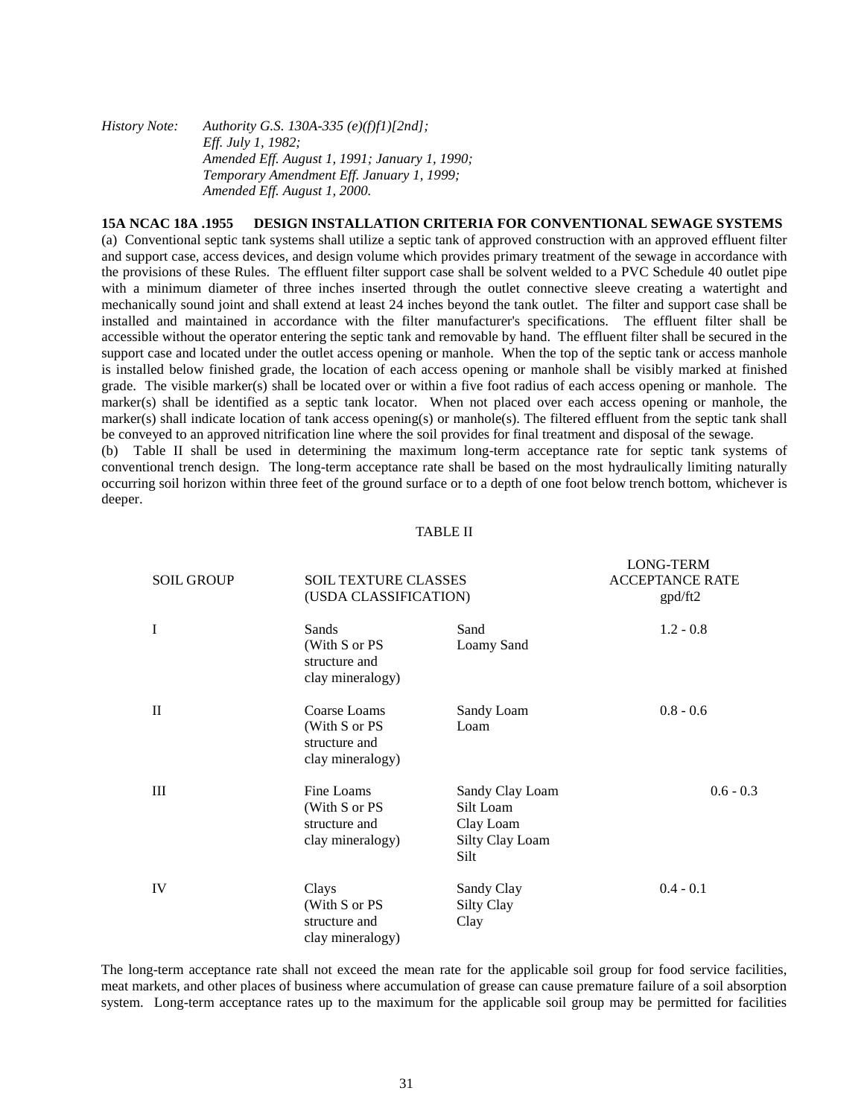| History Note: | Authority G.S. 130A-335 (e)(f)f1)[2nd];       |
|---------------|-----------------------------------------------|
|               | <i>Eff. July 1, 1982;</i>                     |
|               | Amended Eff. August 1, 1991; January 1, 1990; |
|               | Temporary Amendment Eff. January 1, 1999;     |
|               | Amended Eff. August 1, 2000.                  |

## **15A NCAC 18A .1955 DESIGN INSTALLATION CRITERIA FOR CONVENTIONAL SEWAGE SYSTEMS**

(a) Conventional septic tank systems shall utilize a septic tank of approved construction with an approved effluent filter and support case, access devices, and design volume which provides primary treatment of the sewage in accordance with the provisions of these Rules. The effluent filter support case shall be solvent welded to a PVC Schedule 40 outlet pipe with a minimum diameter of three inches inserted through the outlet connective sleeve creating a watertight and mechanically sound joint and shall extend at least 24 inches beyond the tank outlet. The filter and support case shall be installed and maintained in accordance with the filter manufacturer's specifications. The effluent filter shall be accessible without the operator entering the septic tank and removable by hand. The effluent filter shall be secured in the support case and located under the outlet access opening or manhole. When the top of the septic tank or access manhole is installed below finished grade, the location of each access opening or manhole shall be visibly marked at finished grade. The visible marker(s) shall be located over or within a five foot radius of each access opening or manhole. The marker(s) shall be identified as a septic tank locator. When not placed over each access opening or manhole, the marker(s) shall indicate location of tank access opening(s) or manhole(s). The filtered effluent from the septic tank shall be conveyed to an approved nitrification line where the soil provides for final treatment and disposal of the sewage.

(b) Table II shall be used in determining the maximum long-term acceptance rate for septic tank systems of conventional trench design. The long-term acceptance rate shall be based on the most hydraulically limiting naturally occurring soil horizon within three feet of the ground surface or to a depth of one foot below trench bottom, whichever is deeper.

#### TABLE II

LOMO TEDM

| <b>SOIL GROUP</b> | <b>SOIL TEXTURE CLASSES</b><br>(USDA CLASSIFICATION)               |                                                                      | LUNG-LEKNI<br><b>ACCEPTANCE RATE</b><br>gpd/ft2 |  |
|-------------------|--------------------------------------------------------------------|----------------------------------------------------------------------|-------------------------------------------------|--|
| $\mathbf I$       | Sands<br>(With S or PS)<br>structure and<br>clay mineralogy)       | Sand<br>Loamy Sand                                                   | $1.2 - 0.8$                                     |  |
| $\mathbf{H}$      | Coarse Loams<br>(With S or PS<br>structure and<br>clay mineralogy) | Sandy Loam<br>Loam                                                   | $0.8 - 0.6$                                     |  |
| Ш                 | Fine Loams<br>(With S or PS<br>structure and<br>clay mineralogy)   | Sandy Clay Loam<br>Silt Loam<br>Clay Loam<br>Silty Clay Loam<br>Silt | $0.6 - 0.3$                                     |  |
| IV                | Clays<br>(With S or PS<br>structure and<br>clay mineralogy)        | Sandy Clay<br>Silty Clay<br>Clay                                     | $0.4 - 0.1$                                     |  |

The long-term acceptance rate shall not exceed the mean rate for the applicable soil group for food service facilities, meat markets, and other places of business where accumulation of grease can cause premature failure of a soil absorption system. Long-term acceptance rates up to the maximum for the applicable soil group may be permitted for facilities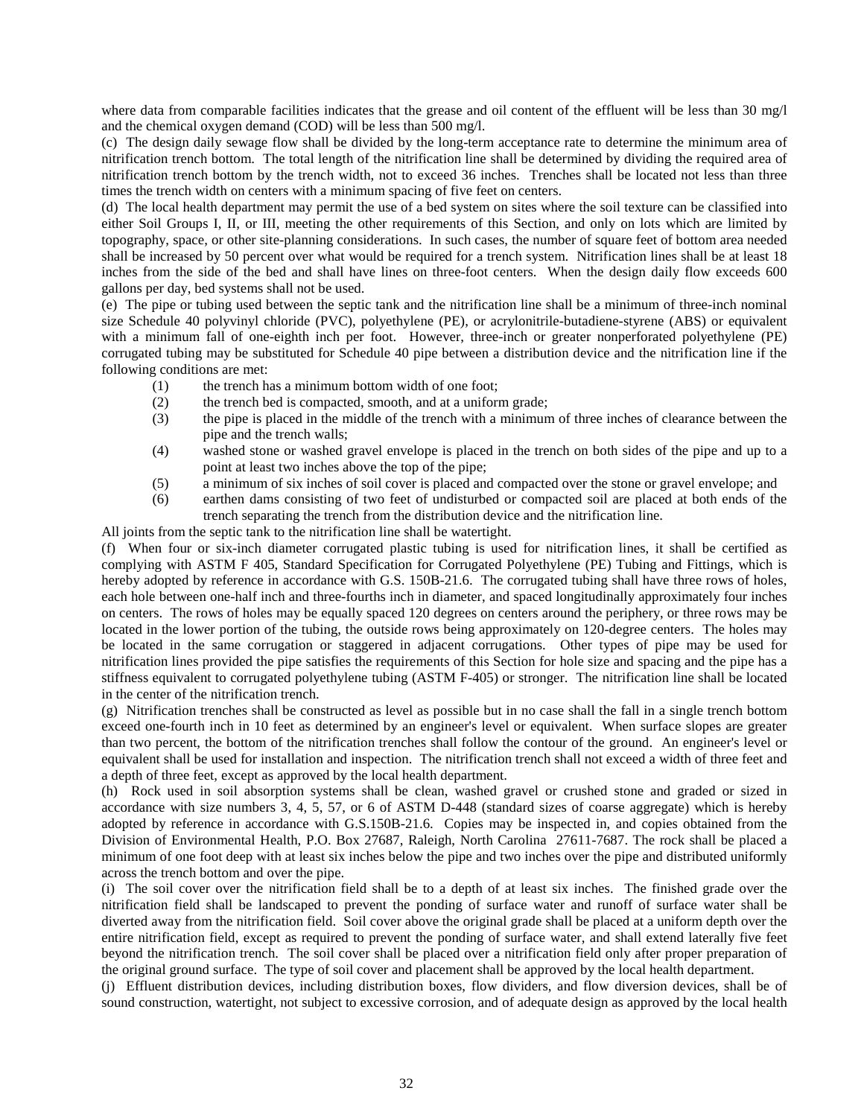where data from comparable facilities indicates that the grease and oil content of the effluent will be less than 30 mg/l and the chemical oxygen demand (COD) will be less than 500 mg/l.

(c) The design daily sewage flow shall be divided by the long-term acceptance rate to determine the minimum area of nitrification trench bottom. The total length of the nitrification line shall be determined by dividing the required area of nitrification trench bottom by the trench width, not to exceed 36 inches. Trenches shall be located not less than three times the trench width on centers with a minimum spacing of five feet on centers.

(d) The local health department may permit the use of a bed system on sites where the soil texture can be classified into either Soil Groups I, II, or III, meeting the other requirements of this Section, and only on lots which are limited by topography, space, or other site-planning considerations. In such cases, the number of square feet of bottom area needed shall be increased by 50 percent over what would be required for a trench system. Nitrification lines shall be at least 18 inches from the side of the bed and shall have lines on three-foot centers. When the design daily flow exceeds 600 gallons per day, bed systems shall not be used.

(e) The pipe or tubing used between the septic tank and the nitrification line shall be a minimum of three-inch nominal size Schedule 40 polyvinyl chloride (PVC), polyethylene (PE), or acrylonitrile-butadiene-styrene (ABS) or equivalent with a minimum fall of one-eighth inch per foot. However, three-inch or greater nonperforated polyethylene (PE) corrugated tubing may be substituted for Schedule 40 pipe between a distribution device and the nitrification line if the following conditions are met:

- (1) the trench has a minimum bottom width of one foot;
- (2) the trench bed is compacted, smooth, and at a uniform grade;
- (3) the pipe is placed in the middle of the trench with a minimum of three inches of clearance between the pipe and the trench walls;
- (4) washed stone or washed gravel envelope is placed in the trench on both sides of the pipe and up to a point at least two inches above the top of the pipe;
- (5) a minimum of six inches of soil cover is placed and compacted over the stone or gravel envelope; and
- (6) earthen dams consisting of two feet of undisturbed or compacted soil are placed at both ends of the trench separating the trench from the distribution device and the nitrification line.

All joints from the septic tank to the nitrification line shall be watertight.

(f) When four or six-inch diameter corrugated plastic tubing is used for nitrification lines, it shall be certified as complying with ASTM F 405, Standard Specification for Corrugated Polyethylene (PE) Tubing and Fittings, which is hereby adopted by reference in accordance with G.S. 150B-21.6. The corrugated tubing shall have three rows of holes, each hole between one-half inch and three-fourths inch in diameter, and spaced longitudinally approximately four inches on centers. The rows of holes may be equally spaced 120 degrees on centers around the periphery, or three rows may be located in the lower portion of the tubing, the outside rows being approximately on 120-degree centers. The holes may be located in the same corrugation or staggered in adjacent corrugations. Other types of pipe may be used for nitrification lines provided the pipe satisfies the requirements of this Section for hole size and spacing and the pipe has a stiffness equivalent to corrugated polyethylene tubing (ASTM F-405) or stronger. The nitrification line shall be located in the center of the nitrification trench.

(g) Nitrification trenches shall be constructed as level as possible but in no case shall the fall in a single trench bottom exceed one-fourth inch in 10 feet as determined by an engineer's level or equivalent. When surface slopes are greater than two percent, the bottom of the nitrification trenches shall follow the contour of the ground. An engineer's level or equivalent shall be used for installation and inspection. The nitrification trench shall not exceed a width of three feet and a depth of three feet, except as approved by the local health department.

(h) Rock used in soil absorption systems shall be clean, washed gravel or crushed stone and graded or sized in accordance with size numbers 3, 4, 5, 57, or 6 of ASTM D-448 (standard sizes of coarse aggregate) which is hereby adopted by reference in accordance with G.S.150B-21.6. Copies may be inspected in, and copies obtained from the Division of Environmental Health, P.O. Box 27687, Raleigh, North Carolina 27611-7687. The rock shall be placed a minimum of one foot deep with at least six inches below the pipe and two inches over the pipe and distributed uniformly across the trench bottom and over the pipe.

(i) The soil cover over the nitrification field shall be to a depth of at least six inches. The finished grade over the nitrification field shall be landscaped to prevent the ponding of surface water and runoff of surface water shall be diverted away from the nitrification field. Soil cover above the original grade shall be placed at a uniform depth over the entire nitrification field, except as required to prevent the ponding of surface water, and shall extend laterally five feet beyond the nitrification trench. The soil cover shall be placed over a nitrification field only after proper preparation of the original ground surface. The type of soil cover and placement shall be approved by the local health department.

(j) Effluent distribution devices, including distribution boxes, flow dividers, and flow diversion devices, shall be of sound construction, watertight, not subject to excessive corrosion, and of adequate design as approved by the local health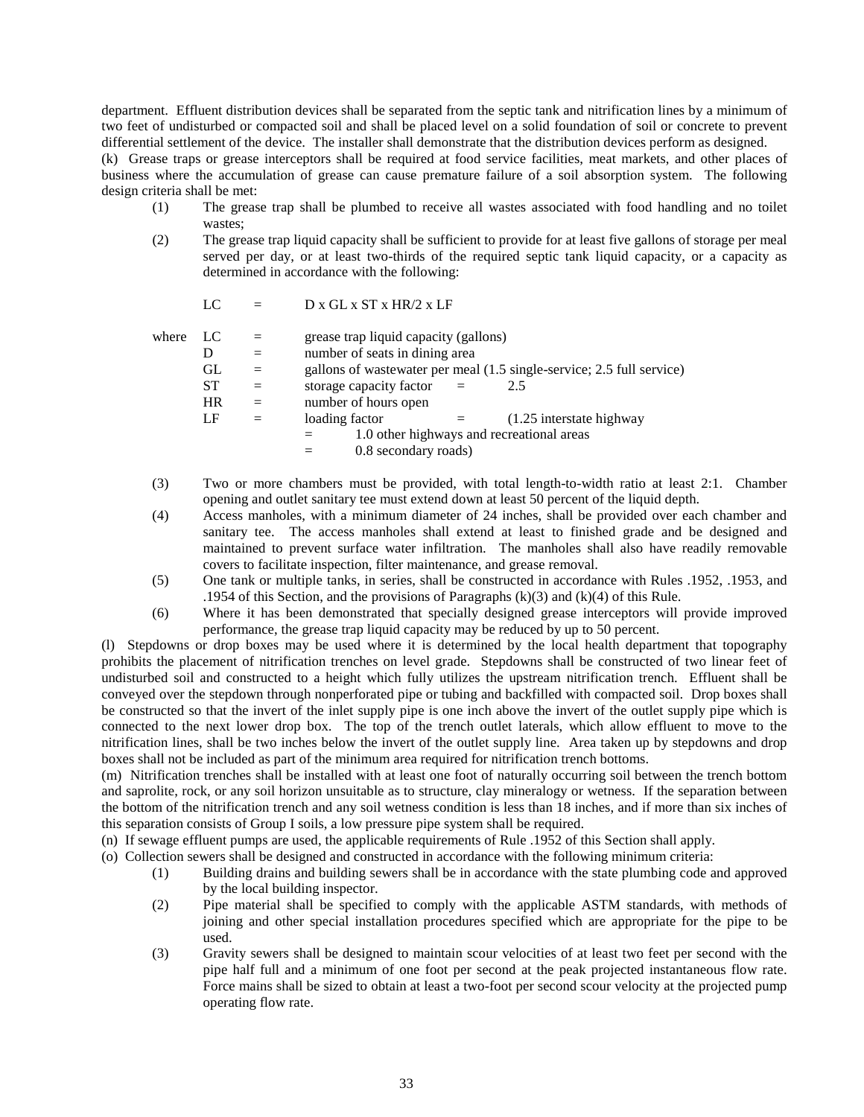department. Effluent distribution devices shall be separated from the septic tank and nitrification lines by a minimum of two feet of undisturbed or compacted soil and shall be placed level on a solid foundation of soil or concrete to prevent differential settlement of the device. The installer shall demonstrate that the distribution devices perform as designed.

(k) Grease traps or grease interceptors shall be required at food service facilities, meat markets, and other places of business where the accumulation of grease can cause premature failure of a soil absorption system. The following design criteria shall be met:

- (1) The grease trap shall be plumbed to receive all wastes associated with food handling and no toilet wastes;
- (2) The grease trap liquid capacity shall be sufficient to provide for at least five gallons of storage per meal served per day, or at least two-thirds of the required septic tank liquid capacity, or a capacity as determined in accordance with the following:

|       | LC                         |            | D x GL x ST x HR/2 x LF                                                                                                                                                                   |
|-------|----------------------------|------------|-------------------------------------------------------------------------------------------------------------------------------------------------------------------------------------------|
| where | LC<br>D<br>GL<br><b>ST</b> | $=$<br>$=$ | grease trap liquid capacity (gallons)<br>number of seats in dining area<br>gallons of wastewater per meal (1.5 single-service; 2.5 full service)<br>storage capacity factor<br>2.5<br>$=$ |
|       | <b>HR</b>                  | $=$        | number of hours open                                                                                                                                                                      |
|       | LF                         | $=$        | loading factor<br>$(1.25$ interstate highway<br>$=$<br>1.0 other highways and recreational areas<br>0.8 secondary roads)                                                                  |

- (3) Two or more chambers must be provided, with total length-to-width ratio at least 2:1. Chamber opening and outlet sanitary tee must extend down at least 50 percent of the liquid depth.
- (4) Access manholes, with a minimum diameter of 24 inches, shall be provided over each chamber and sanitary tee. The access manholes shall extend at least to finished grade and be designed and maintained to prevent surface water infiltration. The manholes shall also have readily removable covers to facilitate inspection, filter maintenance, and grease removal.
- (5) One tank or multiple tanks, in series, shall be constructed in accordance with Rules .1952, .1953, and .1954 of this Section, and the provisions of Paragraphs (k)(3) and (k)(4) of this Rule.
- (6) Where it has been demonstrated that specially designed grease interceptors will provide improved performance, the grease trap liquid capacity may be reduced by up to 50 percent.

(l) Stepdowns or drop boxes may be used where it is determined by the local health department that topography prohibits the placement of nitrification trenches on level grade. Stepdowns shall be constructed of two linear feet of undisturbed soil and constructed to a height which fully utilizes the upstream nitrification trench. Effluent shall be conveyed over the stepdown through nonperforated pipe or tubing and backfilled with compacted soil. Drop boxes shall be constructed so that the invert of the inlet supply pipe is one inch above the invert of the outlet supply pipe which is connected to the next lower drop box. The top of the trench outlet laterals, which allow effluent to move to the nitrification lines, shall be two inches below the invert of the outlet supply line. Area taken up by stepdowns and drop boxes shall not be included as part of the minimum area required for nitrification trench bottoms.

(m) Nitrification trenches shall be installed with at least one foot of naturally occurring soil between the trench bottom and saprolite, rock, or any soil horizon unsuitable as to structure, clay mineralogy or wetness. If the separation between the bottom of the nitrification trench and any soil wetness condition is less than 18 inches, and if more than six inches of this separation consists of Group I soils, a low pressure pipe system shall be required.

- (n) If sewage effluent pumps are used, the applicable requirements of Rule .1952 of this Section shall apply.
- (o) Collection sewers shall be designed and constructed in accordance with the following minimum criteria:
	- (1) Building drains and building sewers shall be in accordance with the state plumbing code and approved by the local building inspector.
	- (2) Pipe material shall be specified to comply with the applicable ASTM standards, with methods of joining and other special installation procedures specified which are appropriate for the pipe to be used.
	- (3) Gravity sewers shall be designed to maintain scour velocities of at least two feet per second with the pipe half full and a minimum of one foot per second at the peak projected instantaneous flow rate. Force mains shall be sized to obtain at least a two-foot per second scour velocity at the projected pump operating flow rate.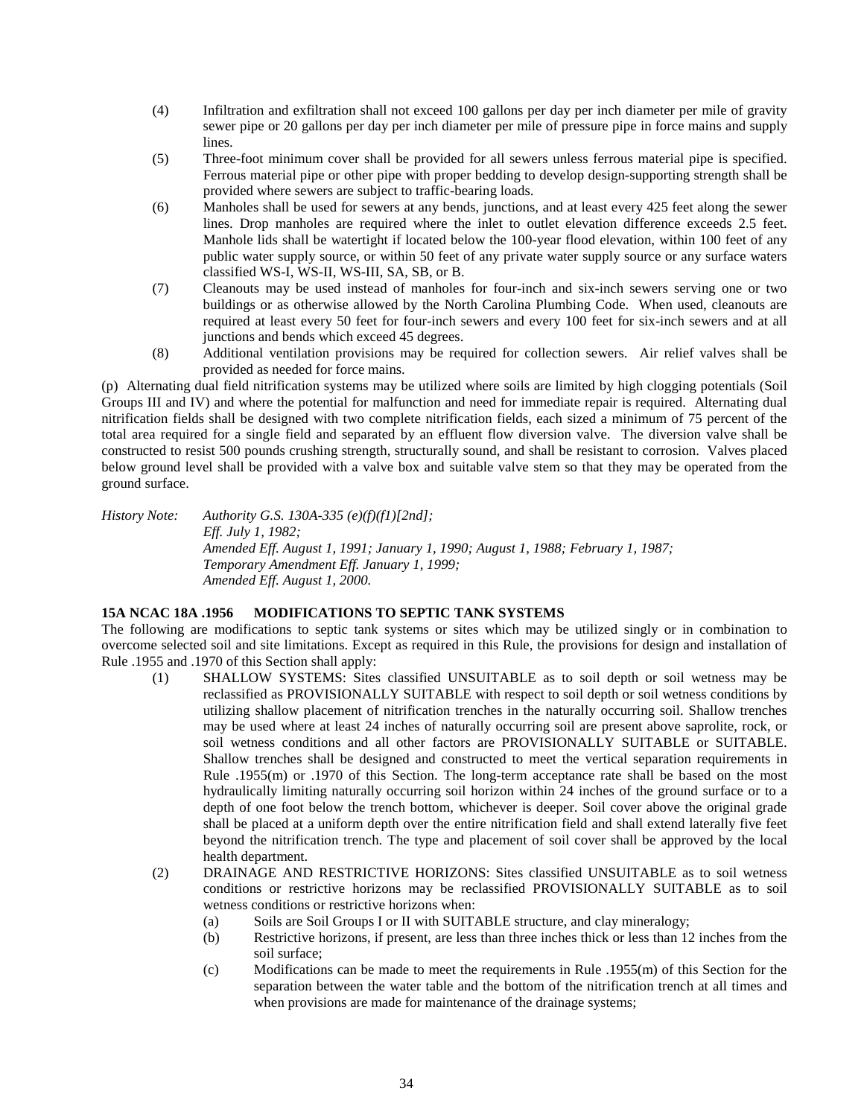- (4) Infiltration and exfiltration shall not exceed 100 gallons per day per inch diameter per mile of gravity sewer pipe or 20 gallons per day per inch diameter per mile of pressure pipe in force mains and supply lines.
- (5) Three-foot minimum cover shall be provided for all sewers unless ferrous material pipe is specified. Ferrous material pipe or other pipe with proper bedding to develop design-supporting strength shall be provided where sewers are subject to traffic-bearing loads.
- (6) Manholes shall be used for sewers at any bends, junctions, and at least every 425 feet along the sewer lines. Drop manholes are required where the inlet to outlet elevation difference exceeds 2.5 feet. Manhole lids shall be watertight if located below the 100-year flood elevation, within 100 feet of any public water supply source, or within 50 feet of any private water supply source or any surface waters classified WS-I, WS-II, WS-III, SA, SB, or B.
- (7) Cleanouts may be used instead of manholes for four-inch and six-inch sewers serving one or two buildings or as otherwise allowed by the North Carolina Plumbing Code. When used, cleanouts are required at least every 50 feet for four-inch sewers and every 100 feet for six-inch sewers and at all junctions and bends which exceed 45 degrees.
- (8) Additional ventilation provisions may be required for collection sewers. Air relief valves shall be provided as needed for force mains.

(p) Alternating dual field nitrification systems may be utilized where soils are limited by high clogging potentials (Soil Groups III and IV) and where the potential for malfunction and need for immediate repair is required. Alternating dual nitrification fields shall be designed with two complete nitrification fields, each sized a minimum of 75 percent of the total area required for a single field and separated by an effluent flow diversion valve. The diversion valve shall be constructed to resist 500 pounds crushing strength, structurally sound, and shall be resistant to corrosion. Valves placed below ground level shall be provided with a valve box and suitable valve stem so that they may be operated from the ground surface.

*History Note: Authority G.S. 130A-335 (e)(f)(f1)[2nd]; Eff. July 1, 1982; Amended Eff. August 1, 1991; January 1, 1990; August 1, 1988; February 1, 1987; Temporary Amendment Eff. January 1, 1999; Amended Eff. August 1, 2000.*

## **15A NCAC 18A .1956 MODIFICATIONS TO SEPTIC TANK SYSTEMS**

The following are modifications to septic tank systems or sites which may be utilized singly or in combination to overcome selected soil and site limitations. Except as required in this Rule, the provisions for design and installation of Rule .1955 and .1970 of this Section shall apply:

- (1) SHALLOW SYSTEMS: Sites classified UNSUITABLE as to soil depth or soil wetness may be reclassified as PROVISIONALLY SUITABLE with respect to soil depth or soil wetness conditions by utilizing shallow placement of nitrification trenches in the naturally occurring soil. Shallow trenches may be used where at least 24 inches of naturally occurring soil are present above saprolite, rock, or soil wetness conditions and all other factors are PROVISIONALLY SUITABLE or SUITABLE. Shallow trenches shall be designed and constructed to meet the vertical separation requirements in Rule .1955(m) or .1970 of this Section. The long-term acceptance rate shall be based on the most hydraulically limiting naturally occurring soil horizon within 24 inches of the ground surface or to a depth of one foot below the trench bottom, whichever is deeper. Soil cover above the original grade shall be placed at a uniform depth over the entire nitrification field and shall extend laterally five feet beyond the nitrification trench. The type and placement of soil cover shall be approved by the local health department.
- (2) DRAINAGE AND RESTRICTIVE HORIZONS: Sites classified UNSUITABLE as to soil wetness conditions or restrictive horizons may be reclassified PROVISIONALLY SUITABLE as to soil wetness conditions or restrictive horizons when:
	- (a) Soils are Soil Groups I or II with SUITABLE structure, and clay mineralogy;
	- (b) Restrictive horizons, if present, are less than three inches thick or less than 12 inches from the soil surface;
	- (c) Modifications can be made to meet the requirements in Rule .1955(m) of this Section for the separation between the water table and the bottom of the nitrification trench at all times and when provisions are made for maintenance of the drainage systems;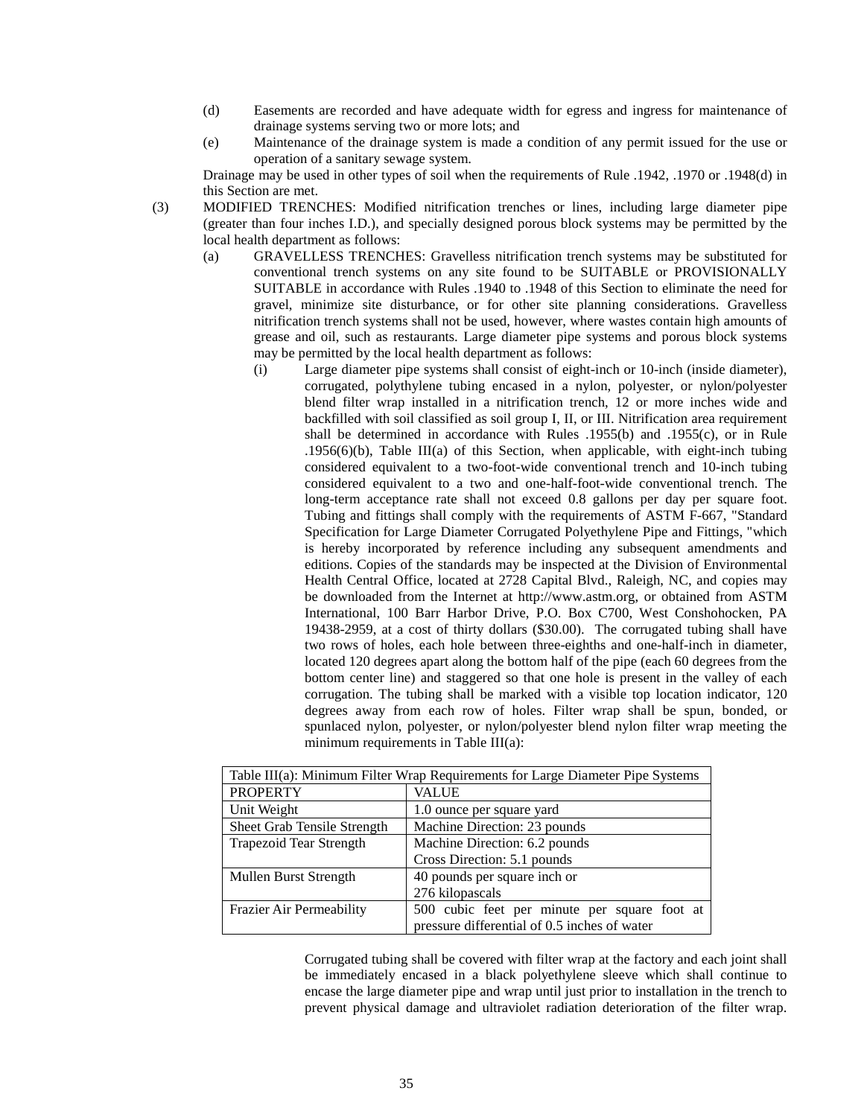- (d) Easements are recorded and have adequate width for egress and ingress for maintenance of drainage systems serving two or more lots; and
- (e) Maintenance of the drainage system is made a condition of any permit issued for the use or operation of a sanitary sewage system.

Drainage may be used in other types of soil when the requirements of Rule .1942, .1970 or .1948(d) in this Section are met.

- (3) MODIFIED TRENCHES: Modified nitrification trenches or lines, including large diameter pipe (greater than four inches I.D.), and specially designed porous block systems may be permitted by the local health department as follows:
	- (a) GRAVELLESS TRENCHES: Gravelless nitrification trench systems may be substituted for conventional trench systems on any site found to be SUITABLE or PROVISIONALLY SUITABLE in accordance with Rules .1940 to .1948 of this Section to eliminate the need for gravel, minimize site disturbance, or for other site planning considerations. Gravelless nitrification trench systems shall not be used, however, where wastes contain high amounts of grease and oil, such as restaurants. Large diameter pipe systems and porous block systems may be permitted by the local health department as follows:
		- (i) Large diameter pipe systems shall consist of eight-inch or 10-inch (inside diameter), corrugated, polythylene tubing encased in a nylon, polyester, or nylon/polyester blend filter wrap installed in a nitrification trench, 12 or more inches wide and backfilled with soil classified as soil group I, II, or III. Nitrification area requirement shall be determined in accordance with Rules .1955(b) and .1955(c), or in Rule .1956(6)(b), Table III(a) of this Section, when applicable, with eight-inch tubing considered equivalent to a two-foot-wide conventional trench and 10-inch tubing considered equivalent to a two and one-half-foot-wide conventional trench. The long-term acceptance rate shall not exceed 0.8 gallons per day per square foot. Tubing and fittings shall comply with the requirements of ASTM F-667, "Standard Specification for Large Diameter Corrugated Polyethylene Pipe and Fittings, "which is hereby incorporated by reference including any subsequent amendments and editions. Copies of the standards may be inspected at the Division of Environmental Health Central Office, located at 2728 Capital Blvd., Raleigh, NC, and copies may be downloaded from the Internet at http://www.astm.org, or obtained from ASTM International, 100 Barr Harbor Drive, P.O. Box C700, West Conshohocken, PA 19438-2959, at a cost of thirty dollars (\$30.00). The corrugated tubing shall have two rows of holes, each hole between three-eighths and one-half-inch in diameter, located 120 degrees apart along the bottom half of the pipe (each 60 degrees from the bottom center line) and staggered so that one hole is present in the valley of each corrugation. The tubing shall be marked with a visible top location indicator, 120 degrees away from each row of holes. Filter wrap shall be spun, bonded, or spunlaced nylon, polyester, or nylon/polyester blend nylon filter wrap meeting the minimum requirements in Table III(a):

| Table III(a): Minimum Filter Wrap Requirements for Large Diameter Pipe Systems |                                              |
|--------------------------------------------------------------------------------|----------------------------------------------|
| <b>PROPERTY</b>                                                                | <b>VALUE</b>                                 |
| Unit Weight                                                                    | 1.0 ounce per square yard                    |
| Sheet Grab Tensile Strength                                                    | Machine Direction: 23 pounds                 |
| <b>Trapezoid Tear Strength</b>                                                 | Machine Direction: 6.2 pounds                |
|                                                                                | Cross Direction: 5.1 pounds                  |
| Mullen Burst Strength                                                          | 40 pounds per square inch or                 |
|                                                                                | 276 kilopascals                              |
| Frazier Air Permeability                                                       | 500 cubic feet per minute per square foot at |
|                                                                                | pressure differential of 0.5 inches of water |

Corrugated tubing shall be covered with filter wrap at the factory and each joint shall be immediately encased in a black polyethylene sleeve which shall continue to encase the large diameter pipe and wrap until just prior to installation in the trench to prevent physical damage and ultraviolet radiation deterioration of the filter wrap.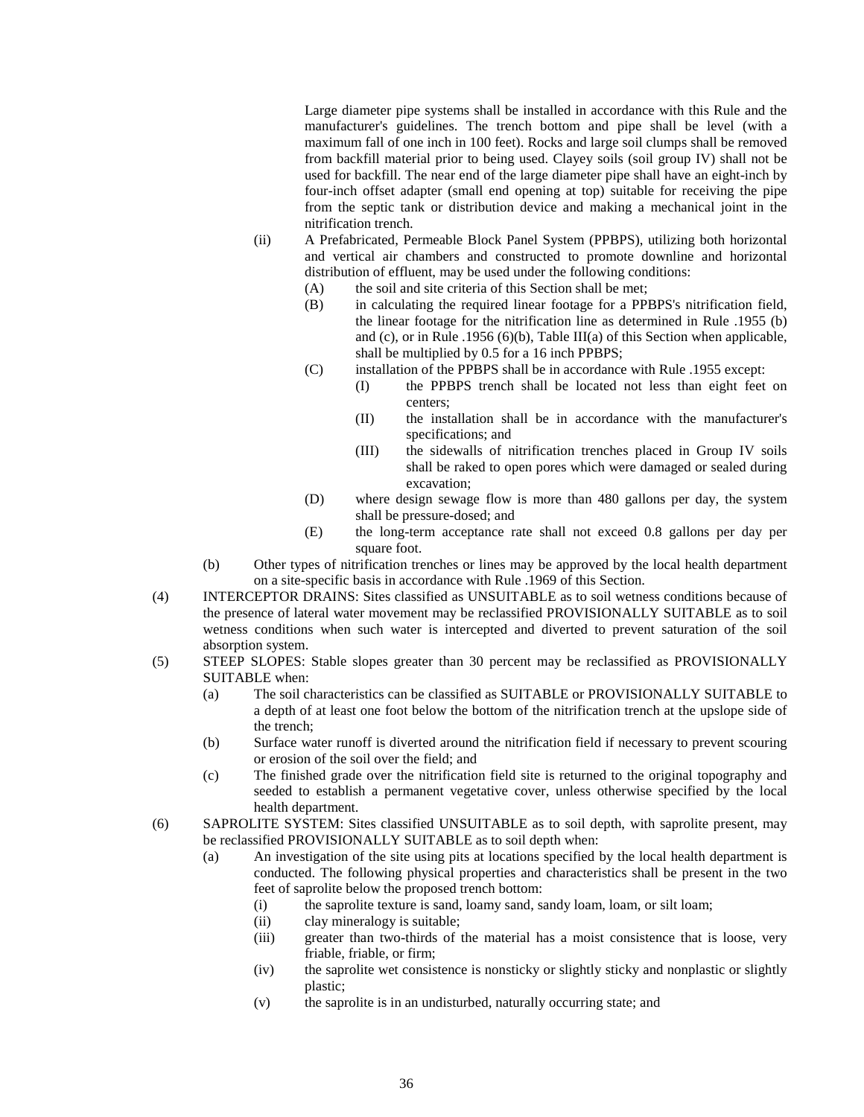Large diameter pipe systems shall be installed in accordance with this Rule and the manufacturer's guidelines. The trench bottom and pipe shall be level (with a maximum fall of one inch in 100 feet). Rocks and large soil clumps shall be removed from backfill material prior to being used. Clayey soils (soil group IV) shall not be used for backfill. The near end of the large diameter pipe shall have an eight-inch by four-inch offset adapter (small end opening at top) suitable for receiving the pipe from the septic tank or distribution device and making a mechanical joint in the nitrification trench.

- (ii) A Prefabricated, Permeable Block Panel System (PPBPS), utilizing both horizontal and vertical air chambers and constructed to promote downline and horizontal distribution of effluent, may be used under the following conditions:
	- (A) the soil and site criteria of this Section shall be met;
	- (B) in calculating the required linear footage for a PPBPS's nitrification field, the linear footage for the nitrification line as determined in Rule .1955 (b) and (c), or in Rule .1956 (6)(b), Table III(a) of this Section when applicable, shall be multiplied by 0.5 for a 16 inch PPBPS;
	- (C) installation of the PPBPS shall be in accordance with Rule .1955 except:
		- (I) the PPBPS trench shall be located not less than eight feet on centers;
		- (II) the installation shall be in accordance with the manufacturer's specifications; and
		- (III) the sidewalls of nitrification trenches placed in Group IV soils shall be raked to open pores which were damaged or sealed during excavation;
	- (D) where design sewage flow is more than 480 gallons per day, the system shall be pressure-dosed; and
	- (E) the long-term acceptance rate shall not exceed 0.8 gallons per day per square foot.
- (b) Other types of nitrification trenches or lines may be approved by the local health department on a site-specific basis in accordance with Rule .1969 of this Section.
- (4) INTERCEPTOR DRAINS: Sites classified as UNSUITABLE as to soil wetness conditions because of the presence of lateral water movement may be reclassified PROVISIONALLY SUITABLE as to soil wetness conditions when such water is intercepted and diverted to prevent saturation of the soil absorption system.
- (5) STEEP SLOPES: Stable slopes greater than 30 percent may be reclassified as PROVISIONALLY SUITABLE when:
	- (a) The soil characteristics can be classified as SUITABLE or PROVISIONALLY SUITABLE to a depth of at least one foot below the bottom of the nitrification trench at the upslope side of the trench;
	- (b) Surface water runoff is diverted around the nitrification field if necessary to prevent scouring or erosion of the soil over the field; and
	- (c) The finished grade over the nitrification field site is returned to the original topography and seeded to establish a permanent vegetative cover, unless otherwise specified by the local health department.
- (6) SAPROLITE SYSTEM: Sites classified UNSUITABLE as to soil depth, with saprolite present, may be reclassified PROVISIONALLY SUITABLE as to soil depth when:
	- (a) An investigation of the site using pits at locations specified by the local health department is conducted. The following physical properties and characteristics shall be present in the two feet of saprolite below the proposed trench bottom:
		- (i) the saprolite texture is sand, loamy sand, sandy loam, loam, or silt loam;
		- (ii) clay mineralogy is suitable;
		- (iii) greater than two-thirds of the material has a moist consistence that is loose, very friable, friable, or firm;
		- (iv) the saprolite wet consistence is nonsticky or slightly sticky and nonplastic or slightly plastic;
		- (v) the saprolite is in an undisturbed, naturally occurring state; and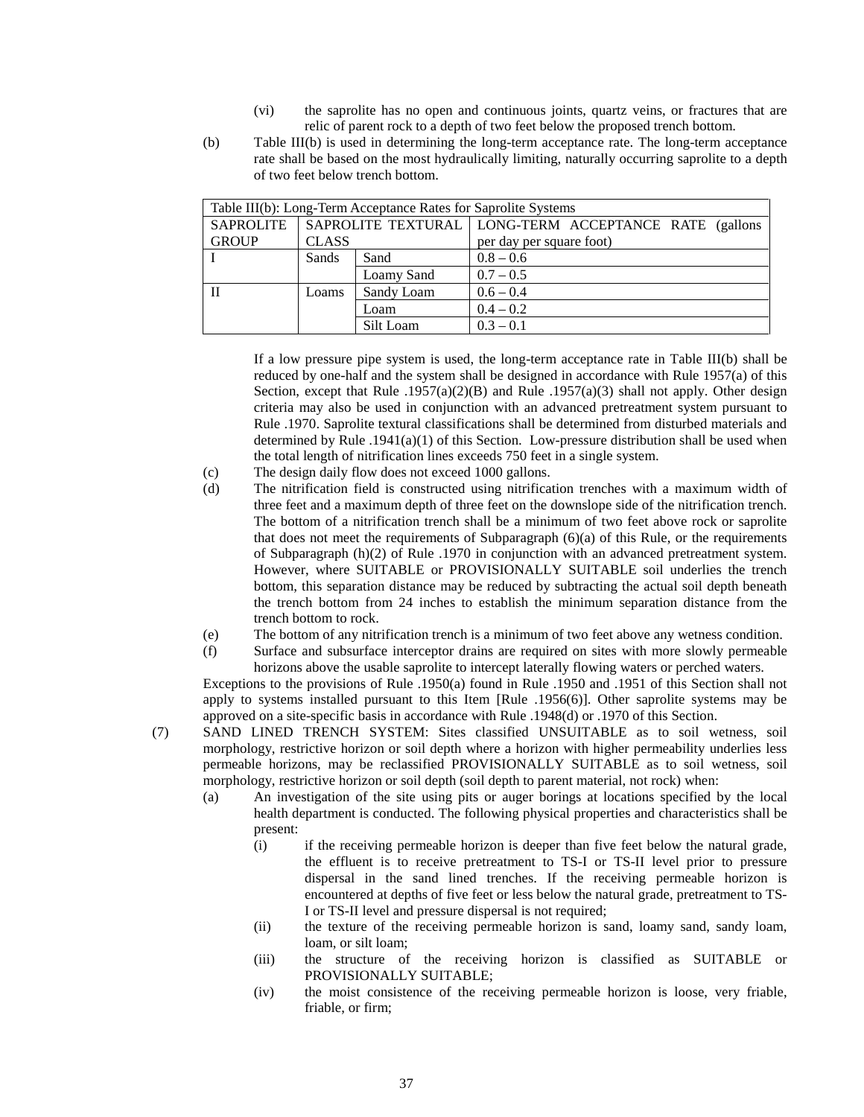- (vi) the saprolite has no open and continuous joints, quartz veins, or fractures that are relic of parent rock to a depth of two feet below the proposed trench bottom.
- (b) Table III(b) is used in determining the long-term acceptance rate. The long-term acceptance rate shall be based on the most hydraulically limiting, naturally occurring saprolite to a depth of two feet below trench bottom.

| Table III(b): Long-Term Acceptance Rates for Saprolite Systems |              |            |                                                         |  |  |
|----------------------------------------------------------------|--------------|------------|---------------------------------------------------------|--|--|
| <b>SAPROLITE</b>                                               |              |            | SAPROLITE TEXTURAL   LONG-TERM ACCEPTANCE RATE (gallons |  |  |
| <b>GROUP</b>                                                   | <b>CLASS</b> |            | per day per square foot)                                |  |  |
|                                                                | Sands        | Sand       | $0.8 - 0.6$                                             |  |  |
|                                                                |              | Loamy Sand | $0.7 - 0.5$                                             |  |  |
| $\mathbf{H}$                                                   | Loams        | Sandy Loam | $0.6 - 0.4$                                             |  |  |
|                                                                |              | Loam       | $0.4 - 0.2$                                             |  |  |
|                                                                |              | Silt Loam  | $0.3 - 0.1$                                             |  |  |

If a low pressure pipe system is used, the long-term acceptance rate in Table III(b) shall be reduced by one-half and the system shall be designed in accordance with Rule 1957(a) of this Section, except that Rule .1957(a)(2)(B) and Rule .1957(a)(3) shall not apply. Other design criteria may also be used in conjunction with an advanced pretreatment system pursuant to Rule .1970. Saprolite textural classifications shall be determined from disturbed materials and determined by Rule .1941(a)(1) of this Section. Low-pressure distribution shall be used when the total length of nitrification lines exceeds 750 feet in a single system.

- (c) The design daily flow does not exceed 1000 gallons.
- (d) The nitrification field is constructed using nitrification trenches with a maximum width of three feet and a maximum depth of three feet on the downslope side of the nitrification trench. The bottom of a nitrification trench shall be a minimum of two feet above rock or saprolite that does not meet the requirements of Subparagraph  $(6)(a)$  of this Rule, or the requirements of Subparagraph (h)(2) of Rule .1970 in conjunction with an advanced pretreatment system. However, where SUITABLE or PROVISIONALLY SUITABLE soil underlies the trench bottom, this separation distance may be reduced by subtracting the actual soil depth beneath the trench bottom from 24 inches to establish the minimum separation distance from the trench bottom to rock.
- (e) The bottom of any nitrification trench is a minimum of two feet above any wetness condition.
- (f) Surface and subsurface interceptor drains are required on sites with more slowly permeable horizons above the usable saprolite to intercept laterally flowing waters or perched waters.

Exceptions to the provisions of Rule .1950(a) found in Rule .1950 and .1951 of this Section shall not apply to systems installed pursuant to this Item [Rule .1956(6)]. Other saprolite systems may be approved on a site-specific basis in accordance with Rule .1948(d) or .1970 of this Section.

- (7) SAND LINED TRENCH SYSTEM: Sites classified UNSUITABLE as to soil wetness, soil morphology, restrictive horizon or soil depth where a horizon with higher permeability underlies less permeable horizons, may be reclassified PROVISIONALLY SUITABLE as to soil wetness, soil morphology, restrictive horizon or soil depth (soil depth to parent material, not rock) when:
	- (a) An investigation of the site using pits or auger borings at locations specified by the local health department is conducted. The following physical properties and characteristics shall be present:
		- (i) if the receiving permeable horizon is deeper than five feet below the natural grade, the effluent is to receive pretreatment to TS-I or TS-II level prior to pressure dispersal in the sand lined trenches. If the receiving permeable horizon is encountered at depths of five feet or less below the natural grade, pretreatment to TS-I or TS-II level and pressure dispersal is not required;
		- (ii) the texture of the receiving permeable horizon is sand, loamy sand, sandy loam, loam, or silt loam;
		- (iii) the structure of the receiving horizon is classified as SUITABLE or PROVISIONALLY SUITABLE;
		- (iv) the moist consistence of the receiving permeable horizon is loose, very friable, friable, or firm;

37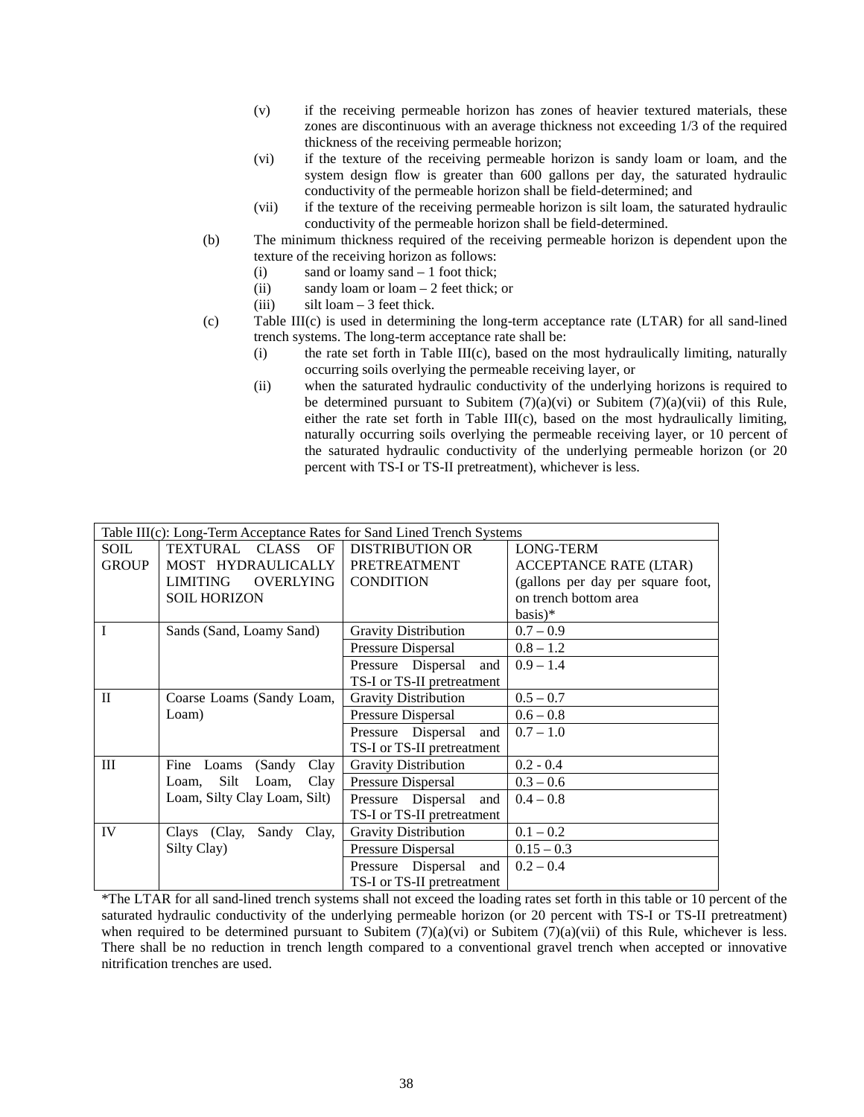- (v) if the receiving permeable horizon has zones of heavier textured materials, these zones are discontinuous with an average thickness not exceeding 1/3 of the required thickness of the receiving permeable horizon;
- (vi) if the texture of the receiving permeable horizon is sandy loam or loam, and the system design flow is greater than 600 gallons per day, the saturated hydraulic conductivity of the permeable horizon shall be field-determined; and
- (vii) if the texture of the receiving permeable horizon is silt loam, the saturated hydraulic conductivity of the permeable horizon shall be field-determined.
- (b) The minimum thickness required of the receiving permeable horizon is dependent upon the texture of the receiving horizon as follows:
	- (i) sand or loamy sand 1 foot thick;
	- (ii) sandy loam or loam 2 feet thick; or
	- (iii) silt loam 3 feet thick.

 $\sigma$  (c) Table III(c) is used in determining the long-term acceptance rate (LTAR) for all sand-lined trench systems. The long-term acceptance rate shall be:

- $(i)$  the rate set forth in Table III(c), based on the most hydraulically limiting, naturally occurring soils overlying the permeable receiving layer, or
- (ii) when the saturated hydraulic conductivity of the underlying horizons is required to be determined pursuant to Subitem  $(7)(a)(vi)$  or Subitem  $(7)(a)(vii)$  of this Rule, either the rate set forth in Table III(c), based on the most hydraulically limiting, naturally occurring soils overlying the permeable receiving layer, or 10 percent of the saturated hydraulic conductivity of the underlying permeable horizon (or 20 percent with TS-I or TS-II pretreatment), whichever is less.

|              | Table III(c): Long-Term Acceptance Rates for Sand Lined Trench Systems |                             |                                   |
|--------------|------------------------------------------------------------------------|-----------------------------|-----------------------------------|
| SOIL         | TEXTURAL CLASS<br>OF                                                   | <b>DISTRIBUTION OR</b>      | LONG-TERM                         |
| <b>GROUP</b> | MOST HYDRAULICALLY                                                     | PRETREATMENT                | <b>ACCEPTANCE RATE (LTAR)</b>     |
|              | <b>OVERLYING</b><br><b>LIMITING</b>                                    | <b>CONDITION</b>            | (gallons per day per square foot, |
|              | <b>SOIL HORIZON</b>                                                    |                             | on trench bottom area             |
|              |                                                                        |                             | $basis)*$                         |
| T            | Sands (Sand, Loamy Sand)                                               | <b>Gravity Distribution</b> | $0.7 - 0.9$                       |
|              |                                                                        | Pressure Dispersal          | $0.8 - 1.2$                       |
|              |                                                                        | Pressure Dispersal<br>and   | $0.9 - 1.4$                       |
|              |                                                                        | TS-I or TS-II pretreatment  |                                   |
| $\mathbf{H}$ | Coarse Loams (Sandy Loam,                                              | <b>Gravity Distribution</b> | $0.5 - 0.7$                       |
|              | Loam)                                                                  | Pressure Dispersal          | $0.6 - 0.8$                       |
|              |                                                                        | Pressure Dispersal and      | $0.7 - 1.0$                       |
|              |                                                                        | TS-I or TS-II pretreatment  |                                   |
| Ш            | Clay<br>Fine<br>Loams<br>(Sandy                                        | <b>Gravity Distribution</b> | $0.2 - 0.4$                       |
|              | Silt<br>Loam,<br>Clay<br>Loam.                                         | Pressure Dispersal          | $0.3 - 0.6$                       |
|              | Loam, Silty Clay Loam, Silt)                                           | Pressure Dispersal and      | $0.4 - 0.8$                       |
|              |                                                                        | TS-I or TS-II pretreatment  |                                   |
| IV           | Clays (Clay,<br>Sandy<br>Clay,                                         | <b>Gravity Distribution</b> | $0.1 - 0.2$                       |
|              | Silty Clay)                                                            | Pressure Dispersal          | $0.15 - 0.3$                      |
|              |                                                                        | Pressure Dispersal<br>and   | $0.2 - 0.4$                       |
|              |                                                                        | TS-I or TS-II pretreatment  |                                   |

\*The LTAR for all sand-lined trench systems shall not exceed the loading rates set forth in this table or 10 percent of the saturated hydraulic conductivity of the underlying permeable horizon (or 20 percent with TS-I or TS-II pretreatment) when required to be determined pursuant to Subitem  $(7)(a)(vi)$  or Subitem  $(7)(a)(vii)$  of this Rule, whichever is less. There shall be no reduction in trench length compared to a conventional gravel trench when accepted or innovative nitrification trenches are used.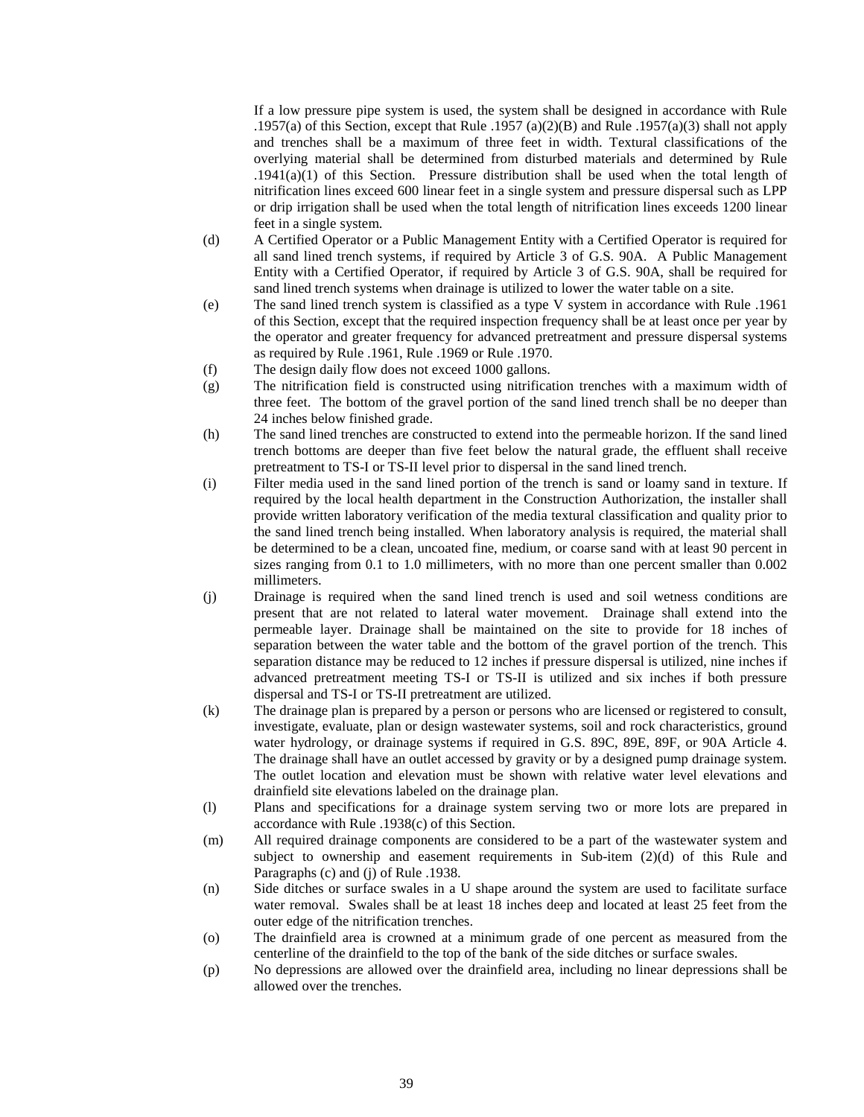If a low pressure pipe system is used, the system shall be designed in accordance with Rule .1957(a) of this Section, except that Rule .1957 (a)(2)(B) and Rule .1957(a)(3) shall not apply and trenches shall be a maximum of three feet in width. Textural classifications of the overlying material shall be determined from disturbed materials and determined by Rule .1941(a)(1) of this Section. Pressure distribution shall be used when the total length of nitrification lines exceed 600 linear feet in a single system and pressure dispersal such as LPP or drip irrigation shall be used when the total length of nitrification lines exceeds 1200 linear feet in a single system.

- (d) A Certified Operator or a Public Management Entity with a Certified Operator is required for all sand lined trench systems, if required by Article 3 of G.S. 90A. A Public Management Entity with a Certified Operator, if required by Article 3 of G.S. 90A, shall be required for sand lined trench systems when drainage is utilized to lower the water table on a site.
- (e) The sand lined trench system is classified as a type V system in accordance with Rule .1961 of this Section, except that the required inspection frequency shall be at least once per year by the operator and greater frequency for advanced pretreatment and pressure dispersal systems as required by Rule .1961, Rule .1969 or Rule .1970.
- (f) The design daily flow does not exceed 1000 gallons.
- (g) The nitrification field is constructed using nitrification trenches with a maximum width of three feet. The bottom of the gravel portion of the sand lined trench shall be no deeper than 24 inches below finished grade.
- (h) The sand lined trenches are constructed to extend into the permeable horizon. If the sand lined trench bottoms are deeper than five feet below the natural grade, the effluent shall receive pretreatment to TS-I or TS-II level prior to dispersal in the sand lined trench.
- (i) Filter media used in the sand lined portion of the trench is sand or loamy sand in texture. If required by the local health department in the Construction Authorization, the installer shall provide written laboratory verification of the media textural classification and quality prior to the sand lined trench being installed. When laboratory analysis is required, the material shall be determined to be a clean, uncoated fine, medium, or coarse sand with at least 90 percent in sizes ranging from 0.1 to 1.0 millimeters, with no more than one percent smaller than 0.002 millimeters.
- (j) Drainage is required when the sand lined trench is used and soil wetness conditions are present that are not related to lateral water movement. Drainage shall extend into the permeable layer. Drainage shall be maintained on the site to provide for 18 inches of separation between the water table and the bottom of the gravel portion of the trench. This separation distance may be reduced to 12 inches if pressure dispersal is utilized, nine inches if advanced pretreatment meeting TS-I or TS-II is utilized and six inches if both pressure dispersal and TS-I or TS-II pretreatment are utilized.
- (k) The drainage plan is prepared by a person or persons who are licensed or registered to consult, investigate, evaluate, plan or design wastewater systems, soil and rock characteristics, ground water hydrology, or drainage systems if required in G.S. 89C, 89E, 89F, or 90A Article 4. The drainage shall have an outlet accessed by gravity or by a designed pump drainage system. The outlet location and elevation must be shown with relative water level elevations and drainfield site elevations labeled on the drainage plan.
- (l) Plans and specifications for a drainage system serving two or more lots are prepared in accordance with Rule .1938(c) of this Section.
- (m) All required drainage components are considered to be a part of the wastewater system and subject to ownership and easement requirements in Sub-item  $(2)(d)$  of this Rule and Paragraphs (c) and (j) of Rule .1938.
- (n) Side ditches or surface swales in a U shape around the system are used to facilitate surface water removal. Swales shall be at least 18 inches deep and located at least 25 feet from the outer edge of the nitrification trenches.
- (o) The drainfield area is crowned at a minimum grade of one percent as measured from the centerline of the drainfield to the top of the bank of the side ditches or surface swales.
- (p) No depressions are allowed over the drainfield area, including no linear depressions shall be allowed over the trenches.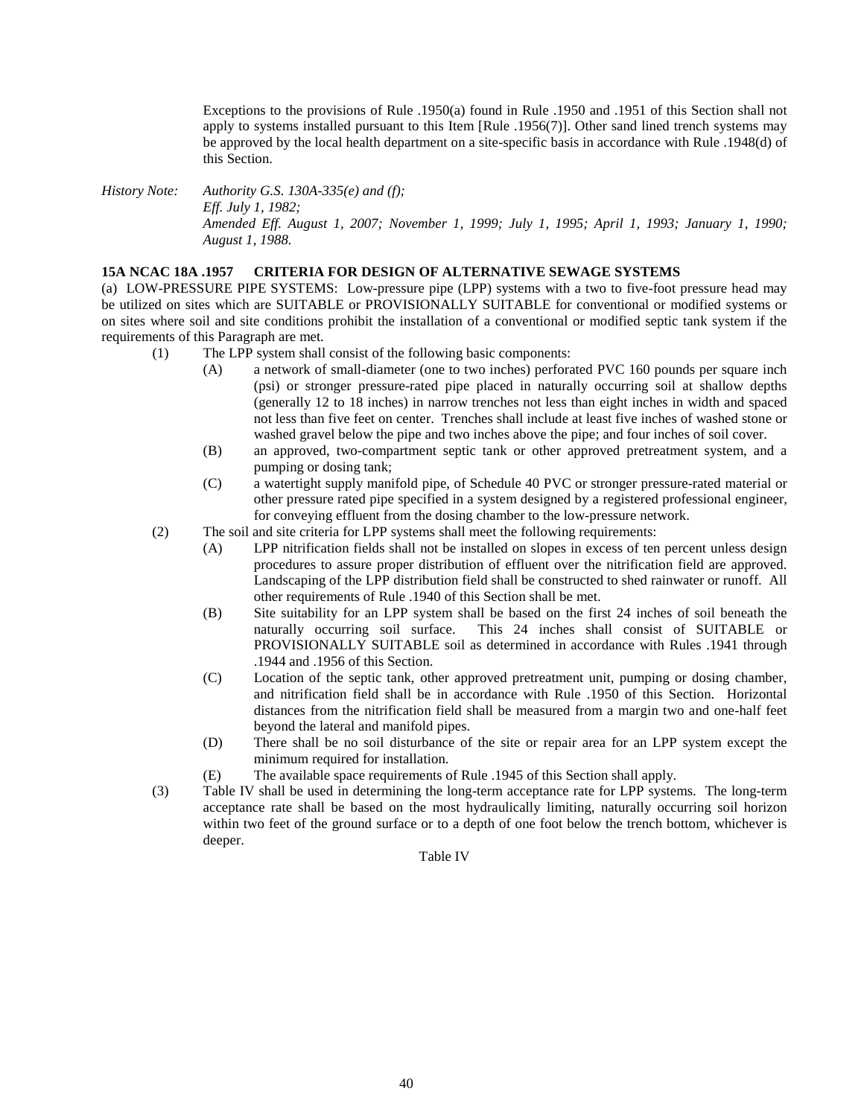Exceptions to the provisions of Rule .1950(a) found in Rule .1950 and .1951 of this Section shall not apply to systems installed pursuant to this Item [Rule .1956(7)]. Other sand lined trench systems may be approved by the local health department on a site-specific basis in accordance with Rule .1948(d) of this Section.

*History Note: Authority G.S. 130A-335(e) and (f); Eff. July 1, 1982; Amended Eff. August 1, 2007; November 1, 1999; July 1, 1995; April 1, 1993; January 1, 1990; August 1, 1988.*

#### **15A NCAC 18A .1957 CRITERIA FOR DESIGN OF ALTERNATIVE SEWAGE SYSTEMS**

(a) LOW-PRESSURE PIPE SYSTEMS: Low-pressure pipe (LPP) systems with a two to five-foot pressure head may be utilized on sites which are SUITABLE or PROVISIONALLY SUITABLE for conventional or modified systems or on sites where soil and site conditions prohibit the installation of a conventional or modified septic tank system if the requirements of this Paragraph are met.

- (1) The LPP system shall consist of the following basic components:
	- (A) a network of small-diameter (one to two inches) perforated PVC 160 pounds per square inch (psi) or stronger pressure-rated pipe placed in naturally occurring soil at shallow depths (generally 12 to 18 inches) in narrow trenches not less than eight inches in width and spaced not less than five feet on center. Trenches shall include at least five inches of washed stone or washed gravel below the pipe and two inches above the pipe; and four inches of soil cover.
	- (B) an approved, two-compartment septic tank or other approved pretreatment system, and a pumping or dosing tank;
	- (C) a watertight supply manifold pipe, of Schedule 40 PVC or stronger pressure-rated material or other pressure rated pipe specified in a system designed by a registered professional engineer, for conveying effluent from the dosing chamber to the low-pressure network.
- (2) The soil and site criteria for LPP systems shall meet the following requirements:
	- (A) LPP nitrification fields shall not be installed on slopes in excess of ten percent unless design procedures to assure proper distribution of effluent over the nitrification field are approved. Landscaping of the LPP distribution field shall be constructed to shed rainwater or runoff. All other requirements of Rule .1940 of this Section shall be met.
	- (B) Site suitability for an LPP system shall be based on the first 24 inches of soil beneath the naturally occurring soil surface. This 24 inches shall consist of SUITABLE or PROVISIONALLY SUITABLE soil as determined in accordance with Rules .1941 through .1944 and .1956 of this Section.
	- (C) Location of the septic tank, other approved pretreatment unit, pumping or dosing chamber, and nitrification field shall be in accordance with Rule .1950 of this Section. Horizontal distances from the nitrification field shall be measured from a margin two and one-half feet beyond the lateral and manifold pipes.
	- (D) There shall be no soil disturbance of the site or repair area for an LPP system except the minimum required for installation.
	- (E) The available space requirements of Rule .1945 of this Section shall apply.
- (3) Table IV shall be used in determining the long-term acceptance rate for LPP systems. The long-term acceptance rate shall be based on the most hydraulically limiting, naturally occurring soil horizon within two feet of the ground surface or to a depth of one foot below the trench bottom, whichever is deeper.

Table IV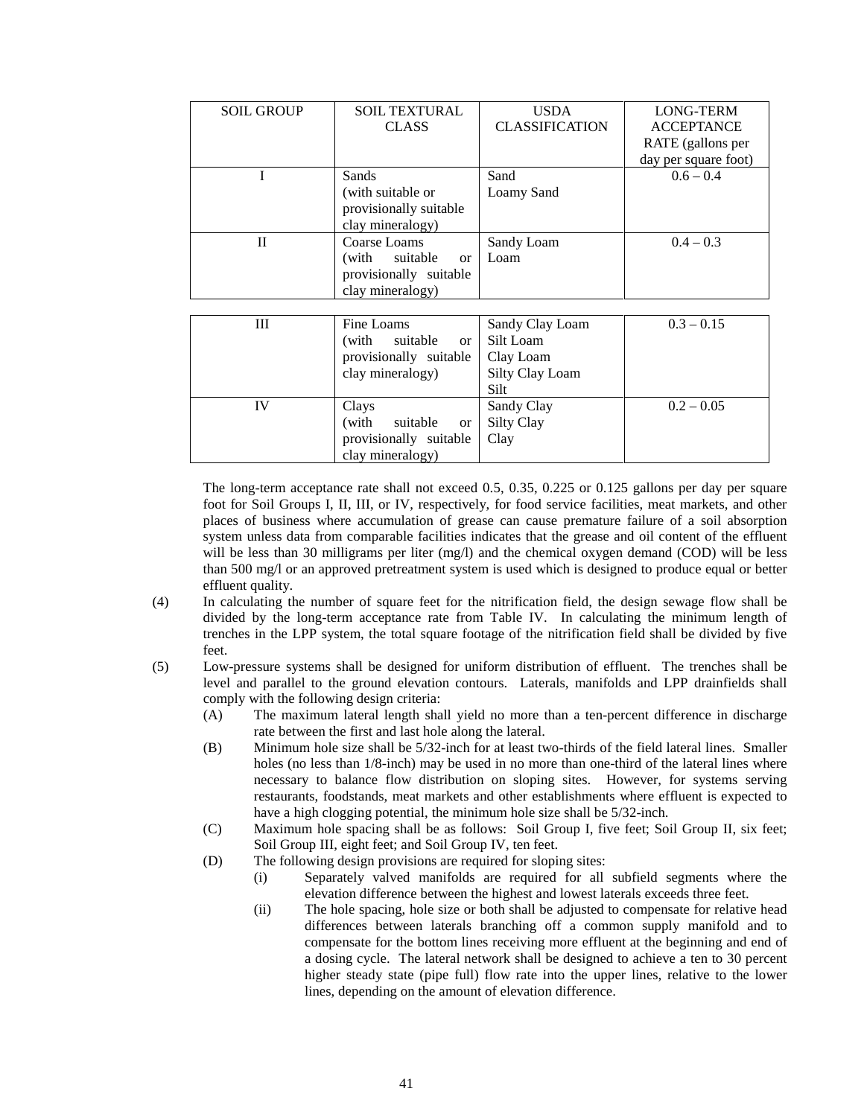| <b>SOIL GROUP</b> | <b>SOIL TEXTURAL</b>               | <b>USDA</b>           | LONG-TERM            |
|-------------------|------------------------------------|-----------------------|----------------------|
|                   | <b>CLASS</b>                       | <b>CLASSIFICATION</b> | <b>ACCEPTANCE</b>    |
|                   |                                    |                       | RATE (gallons per    |
|                   |                                    |                       | day per square foot) |
| I                 | Sands                              | Sand                  | $0.6 - 0.4$          |
|                   | (with suitable or                  | Loamy Sand            |                      |
|                   | provisionally suitable             |                       |                      |
|                   | clay mineralogy)                   |                       |                      |
| $\mathbf{I}$      | Coarse Loams                       | Sandy Loam            | $0.4 - 0.3$          |
|                   | (with<br>suitable<br><sub>or</sub> | Loam                  |                      |
|                   | provisionally suitable             |                       |                      |
|                   | clay mineralogy)                   |                       |                      |
|                   |                                    |                       |                      |
| Ш                 | Fine Loams                         | Sandy Clay Loam       | $0.3 - 0.15$         |
|                   | (with<br>suitable<br><sub>or</sub> | Silt Loam             |                      |
|                   | provisionally suitable             | Clay Loam             |                      |
|                   | clay mineralogy)                   | Silty Clay Loam       |                      |
|                   |                                    | Silt                  |                      |
| IV                | Clays                              | Sandy Clay            | $0.2 - 0.05$         |

The long-term acceptance rate shall not exceed 0.5, 0.35, 0.225 or 0.125 gallons per day per square foot for Soil Groups I, II, III, or IV, respectively, for food service facilities, meat markets, and other places of business where accumulation of grease can cause premature failure of a soil absorption system unless data from comparable facilities indicates that the grease and oil content of the effluent will be less than 30 milligrams per liter (mg/l) and the chemical oxygen demand (COD) will be less than 500 mg/l or an approved pretreatment system is used which is designed to produce equal or better effluent quality.

Silty Clay Clay

- (4) In calculating the number of square feet for the nitrification field, the design sewage flow shall be divided by the long-term acceptance rate from Table IV. In calculating the minimum length of trenches in the LPP system, the total square footage of the nitrification field shall be divided by five feet.
- (5) Low-pressure systems shall be designed for uniform distribution of effluent. The trenches shall be level and parallel to the ground elevation contours. Laterals, manifolds and LPP drainfields shall comply with the following design criteria:
	- (A) The maximum lateral length shall yield no more than a ten-percent difference in discharge rate between the first and last hole along the lateral.
	- (B) Minimum hole size shall be 5/32-inch for at least two-thirds of the field lateral lines. Smaller holes (no less than 1/8-inch) may be used in no more than one-third of the lateral lines where necessary to balance flow distribution on sloping sites. However, for systems serving restaurants, foodstands, meat markets and other establishments where effluent is expected to have a high clogging potential, the minimum hole size shall be 5/32-inch.
	- (C) Maximum hole spacing shall be as follows: Soil Group I, five feet; Soil Group II, six feet; Soil Group III, eight feet; and Soil Group IV, ten feet.
	- (D) The following design provisions are required for sloping sites:

(with suitable or provisionally suitable clay mineralogy)

- (i) Separately valved manifolds are required for all subfield segments where the elevation difference between the highest and lowest laterals exceeds three feet.
- (ii) The hole spacing, hole size or both shall be adjusted to compensate for relative head differences between laterals branching off a common supply manifold and to compensate for the bottom lines receiving more effluent at the beginning and end of a dosing cycle. The lateral network shall be designed to achieve a ten to 30 percent higher steady state (pipe full) flow rate into the upper lines, relative to the lower lines, depending on the amount of elevation difference.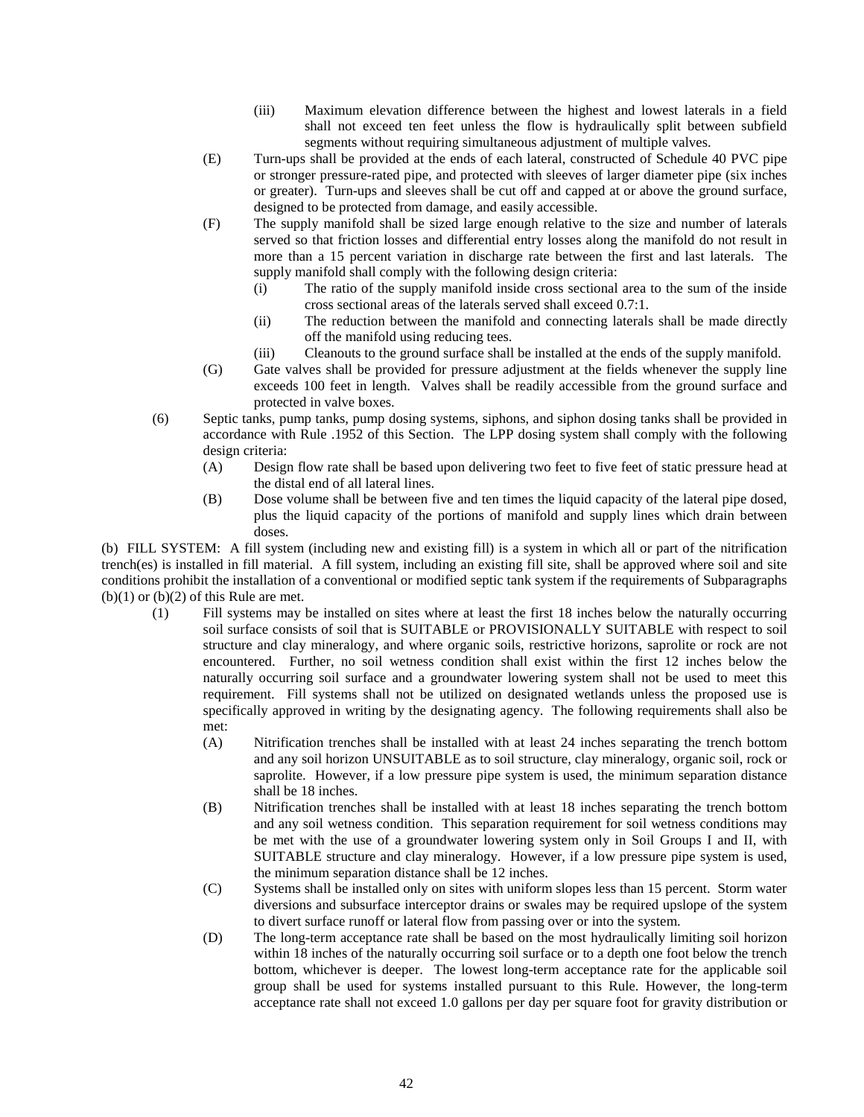- (iii) Maximum elevation difference between the highest and lowest laterals in a field shall not exceed ten feet unless the flow is hydraulically split between subfield segments without requiring simultaneous adjustment of multiple valves.
- (E) Turn-ups shall be provided at the ends of each lateral, constructed of Schedule 40 PVC pipe or stronger pressure-rated pipe, and protected with sleeves of larger diameter pipe (six inches or greater). Turn-ups and sleeves shall be cut off and capped at or above the ground surface, designed to be protected from damage, and easily accessible.
- (F) The supply manifold shall be sized large enough relative to the size and number of laterals served so that friction losses and differential entry losses along the manifold do not result in more than a 15 percent variation in discharge rate between the first and last laterals. The supply manifold shall comply with the following design criteria:
	- (i) The ratio of the supply manifold inside cross sectional area to the sum of the inside cross sectional areas of the laterals served shall exceed 0.7:1.
	- (ii) The reduction between the manifold and connecting laterals shall be made directly off the manifold using reducing tees.
	- (iii) Cleanouts to the ground surface shall be installed at the ends of the supply manifold.
- (G) Gate valves shall be provided for pressure adjustment at the fields whenever the supply line exceeds 100 feet in length. Valves shall be readily accessible from the ground surface and protected in valve boxes.
- (6) Septic tanks, pump tanks, pump dosing systems, siphons, and siphon dosing tanks shall be provided in accordance with Rule .1952 of this Section. The LPP dosing system shall comply with the following design criteria:
	- (A) Design flow rate shall be based upon delivering two feet to five feet of static pressure head at the distal end of all lateral lines.
	- (B) Dose volume shall be between five and ten times the liquid capacity of the lateral pipe dosed, plus the liquid capacity of the portions of manifold and supply lines which drain between doses.

(b) FILL SYSTEM: A fill system (including new and existing fill) is a system in which all or part of the nitrification trench(es) is installed in fill material. A fill system, including an existing fill site, shall be approved where soil and site conditions prohibit the installation of a conventional or modified septic tank system if the requirements of Subparagraphs  $(b)(1)$  or  $(b)(2)$  of this Rule are met.

- (1) Fill systems may be installed on sites where at least the first 18 inches below the naturally occurring soil surface consists of soil that is SUITABLE or PROVISIONALLY SUITABLE with respect to soil structure and clay mineralogy, and where organic soils, restrictive horizons, saprolite or rock are not encountered. Further, no soil wetness condition shall exist within the first 12 inches below the naturally occurring soil surface and a groundwater lowering system shall not be used to meet this requirement. Fill systems shall not be utilized on designated wetlands unless the proposed use is specifically approved in writing by the designating agency. The following requirements shall also be met:
	- (A) Nitrification trenches shall be installed with at least 24 inches separating the trench bottom and any soil horizon UNSUITABLE as to soil structure, clay mineralogy, organic soil, rock or saprolite. However, if a low pressure pipe system is used, the minimum separation distance shall be 18 inches.
	- (B) Nitrification trenches shall be installed with at least 18 inches separating the trench bottom and any soil wetness condition. This separation requirement for soil wetness conditions may be met with the use of a groundwater lowering system only in Soil Groups I and II, with SUITABLE structure and clay mineralogy. However, if a low pressure pipe system is used, the minimum separation distance shall be 12 inches.
	- (C) Systems shall be installed only on sites with uniform slopes less than 15 percent. Storm water diversions and subsurface interceptor drains or swales may be required upslope of the system to divert surface runoff or lateral flow from passing over or into the system.
	- (D) The long-term acceptance rate shall be based on the most hydraulically limiting soil horizon within 18 inches of the naturally occurring soil surface or to a depth one foot below the trench bottom, whichever is deeper. The lowest long-term acceptance rate for the applicable soil group shall be used for systems installed pursuant to this Rule. However, the long-term acceptance rate shall not exceed 1.0 gallons per day per square foot for gravity distribution or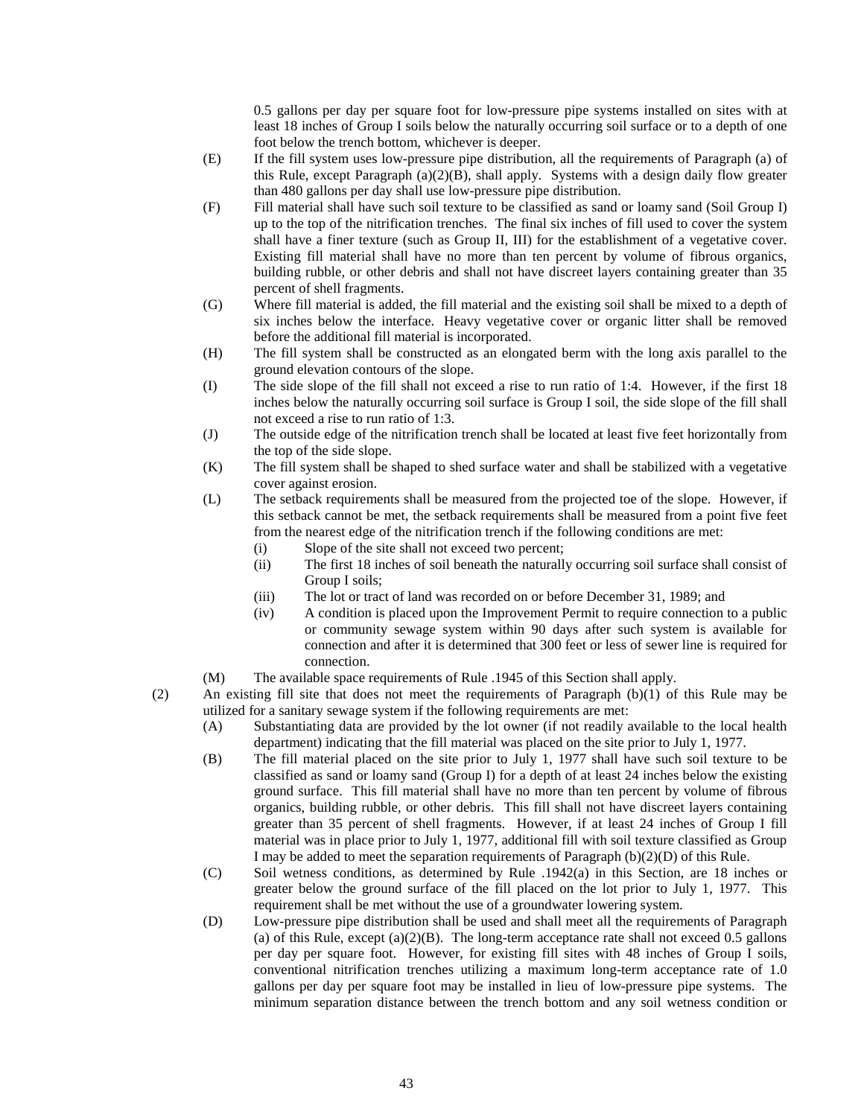0.5 gallons per day per square foot for low-pressure pipe systems installed on sites with at least 18 inches of Group I soils below the naturally occurring soil surface or to a depth of one foot below the trench bottom, whichever is deeper.

- (E) If the fill system uses low-pressure pipe distribution, all the requirements of Paragraph (a) of this Rule, except Paragraph (a)(2)(B), shall apply. Systems with a design daily flow greater than 480 gallons per day shall use low-pressure pipe distribution.
- (F) Fill material shall have such soil texture to be classified as sand or loamy sand (Soil Group I) up to the top of the nitrification trenches. The final six inches of fill used to cover the system shall have a finer texture (such as Group II, III) for the establishment of a vegetative cover. Existing fill material shall have no more than ten percent by volume of fibrous organics, building rubble, or other debris and shall not have discreet layers containing greater than 35 percent of shell fragments.
- (G) Where fill material is added, the fill material and the existing soil shall be mixed to a depth of six inches below the interface. Heavy vegetative cover or organic litter shall be removed before the additional fill material is incorporated.
- (H) The fill system shall be constructed as an elongated berm with the long axis parallel to the ground elevation contours of the slope.
- (I) The side slope of the fill shall not exceed a rise to run ratio of 1:4. However, if the first 18 inches below the naturally occurring soil surface is Group I soil, the side slope of the fill shall not exceed a rise to run ratio of 1:3.
- (J) The outside edge of the nitrification trench shall be located at least five feet horizontally from the top of the side slope.
- (K) The fill system shall be shaped to shed surface water and shall be stabilized with a vegetative cover against erosion.
- (L) The setback requirements shall be measured from the projected toe of the slope. However, if this setback cannot be met, the setback requirements shall be measured from a point five feet from the nearest edge of the nitrification trench if the following conditions are met:
	- (i) Slope of the site shall not exceed two percent;
	- (ii) The first 18 inches of soil beneath the naturally occurring soil surface shall consist of Group I soils;
	- (iii) The lot or tract of land was recorded on or before December 31, 1989; and
	- (iv) A condition is placed upon the Improvement Permit to require connection to a public or community sewage system within 90 days after such system is available for connection and after it is determined that 300 feet or less of sewer line is required for connection.
- (M) The available space requirements of Rule .1945 of this Section shall apply.
- (2) An existing fill site that does not meet the requirements of Paragraph (b)(1) of this Rule may be utilized for a sanitary sewage system if the following requirements are met:
	- (A) Substantiating data are provided by the lot owner (if not readily available to the local health department) indicating that the fill material was placed on the site prior to July 1, 1977.
	- (B) The fill material placed on the site prior to July 1, 1977 shall have such soil texture to be classified as sand or loamy sand (Group I) for a depth of at least 24 inches below the existing ground surface. This fill material shall have no more than ten percent by volume of fibrous organics, building rubble, or other debris. This fill shall not have discreet layers containing greater than 35 percent of shell fragments. However, if at least 24 inches of Group I fill material was in place prior to July 1, 1977, additional fill with soil texture classified as Group I may be added to meet the separation requirements of Paragraph  $(b)(2)(D)$  of this Rule.
	- (C) Soil wetness conditions, as determined by Rule .1942(a) in this Section, are 18 inches or greater below the ground surface of the fill placed on the lot prior to July 1, 1977. This requirement shall be met without the use of a groundwater lowering system.
	- (D) Low-pressure pipe distribution shall be used and shall meet all the requirements of Paragraph (a) of this Rule, except  $(a)(2)(B)$ . The long-term acceptance rate shall not exceed 0.5 gallons per day per square foot. However, for existing fill sites with 48 inches of Group I soils, conventional nitrification trenches utilizing a maximum long-term acceptance rate of 1.0 gallons per day per square foot may be installed in lieu of low-pressure pipe systems. The minimum separation distance between the trench bottom and any soil wetness condition or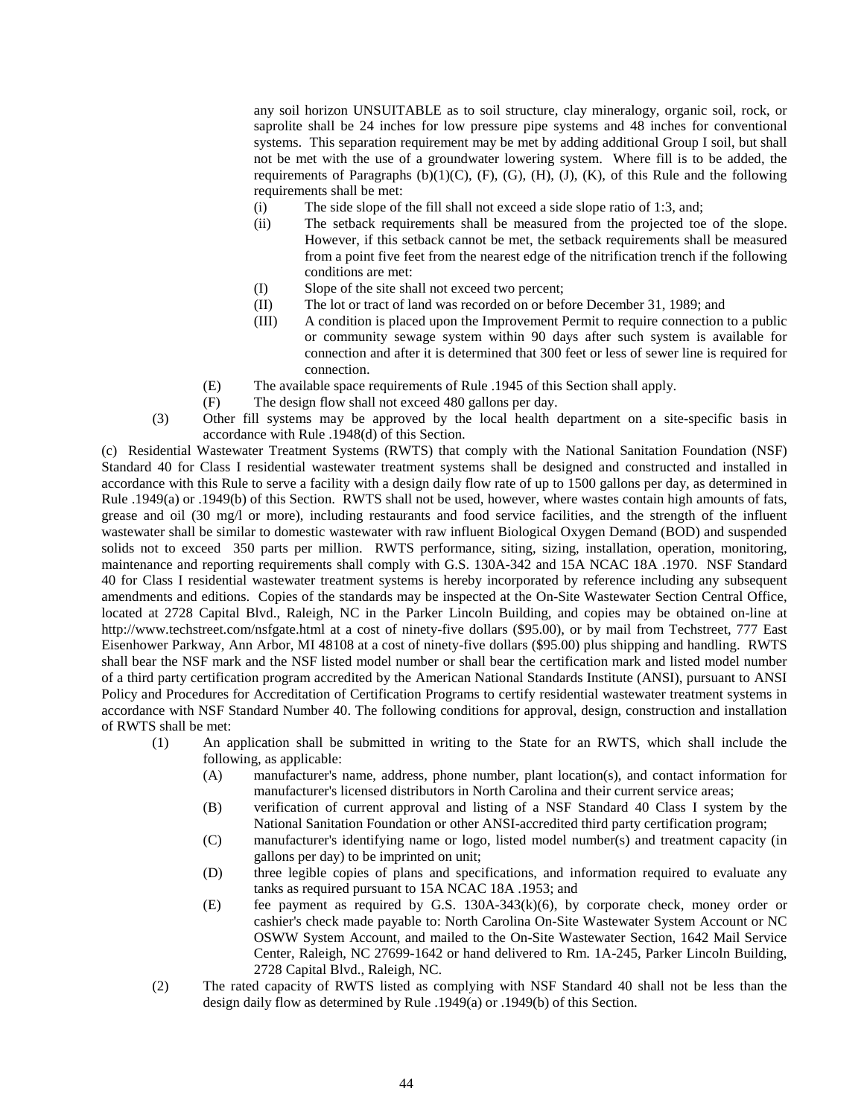any soil horizon UNSUITABLE as to soil structure, clay mineralogy, organic soil, rock, or saprolite shall be 24 inches for low pressure pipe systems and 48 inches for conventional systems. This separation requirement may be met by adding additional Group I soil, but shall not be met with the use of a groundwater lowering system. Where fill is to be added, the requirements of Paragraphs  $(b)(1)(C)$ ,  $(F)$ ,  $(G)$ ,  $(H)$ ,  $(J)$ ,  $(K)$ , of this Rule and the following requirements shall be met:

- (i) The side slope of the fill shall not exceed a side slope ratio of 1:3, and;
- (ii) The setback requirements shall be measured from the projected toe of the slope. However, if this setback cannot be met, the setback requirements shall be measured from a point five feet from the nearest edge of the nitrification trench if the following conditions are met:
- (I) Slope of the site shall not exceed two percent;
- (II) The lot or tract of land was recorded on or before December 31, 1989; and
- (III) A condition is placed upon the Improvement Permit to require connection to a public or community sewage system within 90 days after such system is available for connection and after it is determined that 300 feet or less of sewer line is required for connection.
- (E) The available space requirements of Rule .1945 of this Section shall apply.
- (F) The design flow shall not exceed 480 gallons per day.
- (3) Other fill systems may be approved by the local health department on a site-specific basis in accordance with Rule .1948(d) of this Section.

(c) Residential Wastewater Treatment Systems (RWTS) that comply with the National Sanitation Foundation (NSF) Standard 40 for Class I residential wastewater treatment systems shall be designed and constructed and installed in accordance with this Rule to serve a facility with a design daily flow rate of up to 1500 gallons per day, as determined in Rule .1949(a) or .1949(b) of this Section. RWTS shall not be used, however, where wastes contain high amounts of fats, grease and oil (30 mg/l or more), including restaurants and food service facilities, and the strength of the influent wastewater shall be similar to domestic wastewater with raw influent Biological Oxygen Demand (BOD) and suspended solids not to exceed 350 parts per million. RWTS performance, siting, sizing, installation, operation, monitoring, maintenance and reporting requirements shall comply with G.S. 130A-342 and 15A NCAC 18A .1970. NSF Standard 40 for Class I residential wastewater treatment systems is hereby incorporated by reference including any subsequent amendments and editions. Copies of the standards may be inspected at the On-Site Wastewater Section Central Office, located at 2728 Capital Blvd., Raleigh, NC in the Parker Lincoln Building, and copies may be obtained on-line at http://www.techstreet.com/nsfgate.html at a cost of ninety-five dollars (\$95.00), or by mail from Techstreet, 777 East Eisenhower Parkway, Ann Arbor, MI 48108 at a cost of ninety-five dollars (\$95.00) plus shipping and handling. RWTS shall bear the NSF mark and the NSF listed model number or shall bear the certification mark and listed model number of a third party certification program accredited by the American National Standards Institute (ANSI), pursuant to ANSI Policy and Procedures for Accreditation of Certification Programs to certify residential wastewater treatment systems in accordance with NSF Standard Number 40. The following conditions for approval, design, construction and installation of RWTS shall be met:

- (1) An application shall be submitted in writing to the State for an RWTS, which shall include the following, as applicable:
	- (A) manufacturer's name, address, phone number, plant location(s), and contact information for manufacturer's licensed distributors in North Carolina and their current service areas;
	- (B) verification of current approval and listing of a NSF Standard 40 Class I system by the National Sanitation Foundation or other ANSI-accredited third party certification program;
	- (C) manufacturer's identifying name or logo, listed model number(s) and treatment capacity (in gallons per day) to be imprinted on unit;
	- (D) three legible copies of plans and specifications, and information required to evaluate any tanks as required pursuant to 15A NCAC 18A .1953; and
	- (E) fee payment as required by G.S. 130A-343(k)(6), by corporate check, money order or cashier's check made payable to: North Carolina On-Site Wastewater System Account or NC OSWW System Account, and mailed to the On-Site Wastewater Section, 1642 Mail Service Center, Raleigh, NC 27699-1642 or hand delivered to Rm. 1A-245, Parker Lincoln Building, 2728 Capital Blvd., Raleigh, NC.
- (2) The rated capacity of RWTS listed as complying with NSF Standard 40 shall not be less than the design daily flow as determined by Rule .1949(a) or .1949(b) of this Section.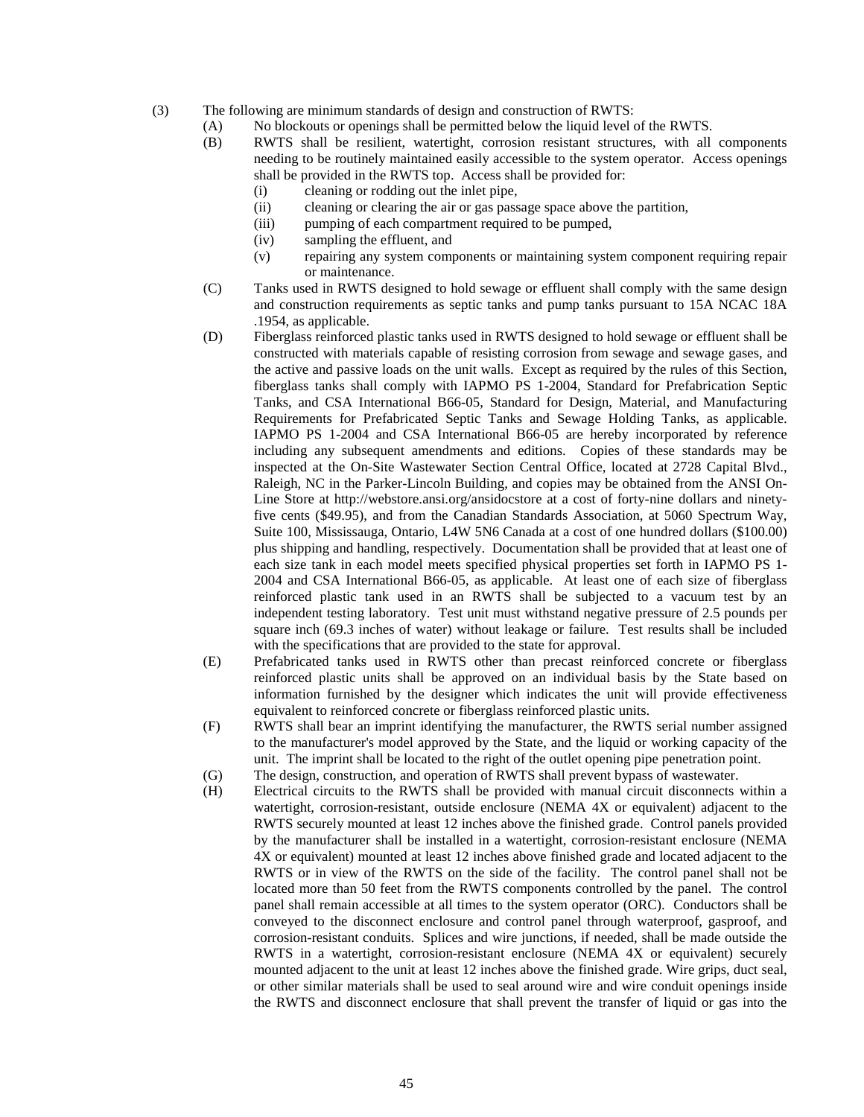- (3) The following are minimum standards of design and construction of RWTS:
	- (A) No blockouts or openings shall be permitted below the liquid level of the RWTS.
		- (B) RWTS shall be resilient, watertight, corrosion resistant structures, with all components needing to be routinely maintained easily accessible to the system operator. Access openings shall be provided in the RWTS top. Access shall be provided for:
			- (i) cleaning or rodding out the inlet pipe,
			- (ii) cleaning or clearing the air or gas passage space above the partition,
			- (iii) pumping of each compartment required to be pumped,
			- (iv) sampling the effluent, and
			- (v) repairing any system components or maintaining system component requiring repair or maintenance.
		- (C) Tanks used in RWTS designed to hold sewage or effluent shall comply with the same design and construction requirements as septic tanks and pump tanks pursuant to 15A NCAC 18A .1954, as applicable.
		- (D) Fiberglass reinforced plastic tanks used in RWTS designed to hold sewage or effluent shall be constructed with materials capable of resisting corrosion from sewage and sewage gases, and the active and passive loads on the unit walls. Except as required by the rules of this Section, fiberglass tanks shall comply with IAPMO PS 1-2004, Standard for Prefabrication Septic Tanks, and CSA International B66-05, Standard for Design, Material, and Manufacturing Requirements for Prefabricated Septic Tanks and Sewage Holding Tanks, as applicable. IAPMO PS 1-2004 and CSA International B66-05 are hereby incorporated by reference including any subsequent amendments and editions. Copies of these standards may be inspected at the On-Site Wastewater Section Central Office, located at 2728 Capital Blvd., Raleigh, NC in the Parker-Lincoln Building, and copies may be obtained from the ANSI On-Line Store at http://webstore.ansi.org/ansidocstore at a cost of forty-nine dollars and ninetyfive cents (\$49.95), and from the Canadian Standards Association, at 5060 Spectrum Way, Suite 100, Mississauga, Ontario, L4W 5N6 Canada at a cost of one hundred dollars (\$100.00) plus shipping and handling, respectively. Documentation shall be provided that at least one of each size tank in each model meets specified physical properties set forth in IAPMO PS 1- 2004 and CSA International B66-05, as applicable. At least one of each size of fiberglass reinforced plastic tank used in an RWTS shall be subjected to a vacuum test by an independent testing laboratory. Test unit must withstand negative pressure of 2.5 pounds per square inch (69.3 inches of water) without leakage or failure. Test results shall be included with the specifications that are provided to the state for approval.
		- (E) Prefabricated tanks used in RWTS other than precast reinforced concrete or fiberglass reinforced plastic units shall be approved on an individual basis by the State based on information furnished by the designer which indicates the unit will provide effectiveness equivalent to reinforced concrete or fiberglass reinforced plastic units.
		- (F) RWTS shall bear an imprint identifying the manufacturer, the RWTS serial number assigned to the manufacturer's model approved by the State, and the liquid or working capacity of the unit. The imprint shall be located to the right of the outlet opening pipe penetration point.
		- (G) The design, construction, and operation of RWTS shall prevent bypass of wastewater.
		- (H) Electrical circuits to the RWTS shall be provided with manual circuit disconnects within a watertight, corrosion-resistant, outside enclosure (NEMA 4X or equivalent) adjacent to the RWTS securely mounted at least 12 inches above the finished grade. Control panels provided by the manufacturer shall be installed in a watertight, corrosion-resistant enclosure (NEMA 4X or equivalent) mounted at least 12 inches above finished grade and located adjacent to the RWTS or in view of the RWTS on the side of the facility. The control panel shall not be located more than 50 feet from the RWTS components controlled by the panel. The control panel shall remain accessible at all times to the system operator (ORC). Conductors shall be conveyed to the disconnect enclosure and control panel through waterproof, gasproof, and corrosion-resistant conduits. Splices and wire junctions, if needed, shall be made outside the RWTS in a watertight, corrosion-resistant enclosure (NEMA 4X or equivalent) securely mounted adjacent to the unit at least 12 inches above the finished grade. Wire grips, duct seal, or other similar materials shall be used to seal around wire and wire conduit openings inside the RWTS and disconnect enclosure that shall prevent the transfer of liquid or gas into the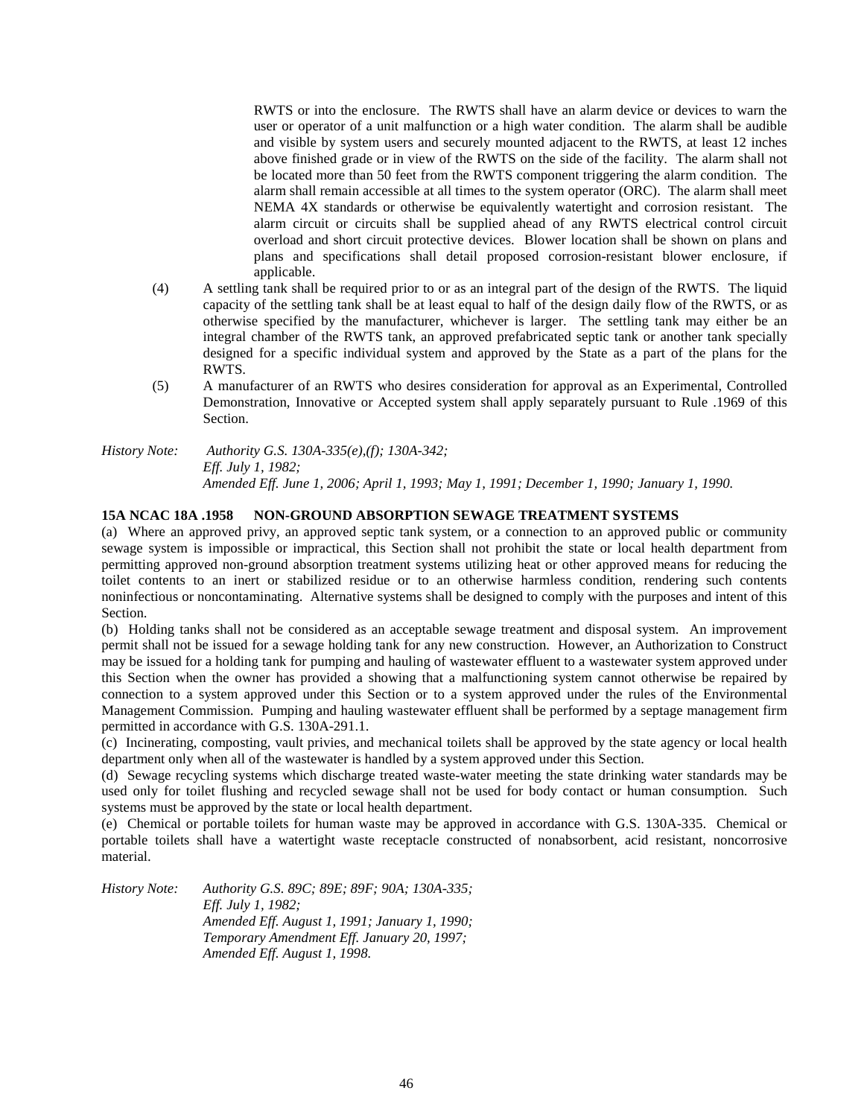RWTS or into the enclosure. The RWTS shall have an alarm device or devices to warn the user or operator of a unit malfunction or a high water condition. The alarm shall be audible and visible by system users and securely mounted adjacent to the RWTS, at least 12 inches above finished grade or in view of the RWTS on the side of the facility. The alarm shall not be located more than 50 feet from the RWTS component triggering the alarm condition. The alarm shall remain accessible at all times to the system operator (ORC). The alarm shall meet NEMA 4X standards or otherwise be equivalently watertight and corrosion resistant. The alarm circuit or circuits shall be supplied ahead of any RWTS electrical control circuit overload and short circuit protective devices. Blower location shall be shown on plans and plans and specifications shall detail proposed corrosion-resistant blower enclosure, if applicable.

- (4) A settling tank shall be required prior to or as an integral part of the design of the RWTS. The liquid capacity of the settling tank shall be at least equal to half of the design daily flow of the RWTS, or as otherwise specified by the manufacturer, whichever is larger. The settling tank may either be an integral chamber of the RWTS tank, an approved prefabricated septic tank or another tank specially designed for a specific individual system and approved by the State as a part of the plans for the RWTS.
- (5) A manufacturer of an RWTS who desires consideration for approval as an Experimental, Controlled Demonstration, Innovative or Accepted system shall apply separately pursuant to Rule .1969 of this Section.

*History Note: Authority G.S. 130A-335(e),(f); 130A-342; Eff. July 1, 1982; Amended Eff. June 1, 2006; April 1, 1993; May 1, 1991; December 1, 1990; January 1, 1990.*

## **15A NCAC 18A .1958 NON-GROUND ABSORPTION SEWAGE TREATMENT SYSTEMS**

(a) Where an approved privy, an approved septic tank system, or a connection to an approved public or community sewage system is impossible or impractical, this Section shall not prohibit the state or local health department from permitting approved non-ground absorption treatment systems utilizing heat or other approved means for reducing the toilet contents to an inert or stabilized residue or to an otherwise harmless condition, rendering such contents noninfectious or noncontaminating. Alternative systems shall be designed to comply with the purposes and intent of this Section.

(b) Holding tanks shall not be considered as an acceptable sewage treatment and disposal system. An improvement permit shall not be issued for a sewage holding tank for any new construction. However, an Authorization to Construct may be issued for a holding tank for pumping and hauling of wastewater effluent to a wastewater system approved under this Section when the owner has provided a showing that a malfunctioning system cannot otherwise be repaired by connection to a system approved under this Section or to a system approved under the rules of the Environmental Management Commission. Pumping and hauling wastewater effluent shall be performed by a septage management firm permitted in accordance with G.S. 130A-291.1.

(c) Incinerating, composting, vault privies, and mechanical toilets shall be approved by the state agency or local health department only when all of the wastewater is handled by a system approved under this Section.

(d) Sewage recycling systems which discharge treated waste-water meeting the state drinking water standards may be used only for toilet flushing and recycled sewage shall not be used for body contact or human consumption. Such systems must be approved by the state or local health department.

(e) Chemical or portable toilets for human waste may be approved in accordance with G.S. 130A-335. Chemical or portable toilets shall have a watertight waste receptacle constructed of nonabsorbent, acid resistant, noncorrosive material.

*History Note: Authority G.S. 89C; 89E; 89F; 90A; 130A-335; Eff. July 1, 1982; Amended Eff. August 1, 1991; January 1, 1990; Temporary Amendment Eff. January 20, 1997; Amended Eff. August 1, 1998.*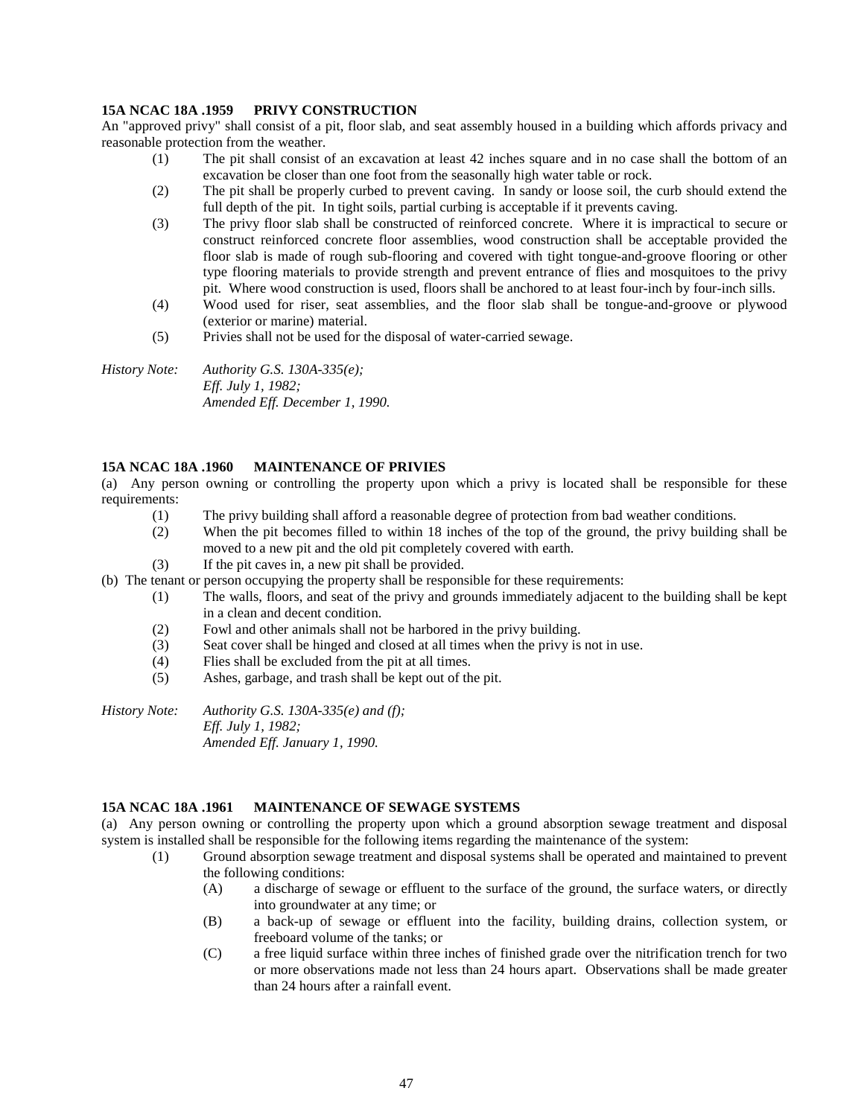## **15A NCAC 18A .1959 PRIVY CONSTRUCTION**

An "approved privy" shall consist of a pit, floor slab, and seat assembly housed in a building which affords privacy and reasonable protection from the weather.<br>(1) The pit shall consist of

- The pit shall consist of an excavation at least 42 inches square and in no case shall the bottom of an excavation be closer than one foot from the seasonally high water table or rock.
- (2) The pit shall be properly curbed to prevent caving. In sandy or loose soil, the curb should extend the full depth of the pit. In tight soils, partial curbing is acceptable if it prevents caving.
- (3) The privy floor slab shall be constructed of reinforced concrete. Where it is impractical to secure or construct reinforced concrete floor assemblies, wood construction shall be acceptable provided the floor slab is made of rough sub-flooring and covered with tight tongue-and-groove flooring or other type flooring materials to provide strength and prevent entrance of flies and mosquitoes to the privy pit. Where wood construction is used, floors shall be anchored to at least four-inch by four-inch sills.
- (4) Wood used for riser, seat assemblies, and the floor slab shall be tongue-and-groove or plywood (exterior or marine) material.
- (5) Privies shall not be used for the disposal of water-carried sewage.

*History Note: Authority G.S. 130A-335(e); Eff. July 1, 1982; Amended Eff. December 1, 1990.*

#### **15A NCAC 18A .1960 MAINTENANCE OF PRIVIES**

(a) Any person owning or controlling the property upon which a privy is located shall be responsible for these requirements:

- (1) The privy building shall afford a reasonable degree of protection from bad weather conditions.
- (2) When the pit becomes filled to within 18 inches of the top of the ground, the privy building shall be moved to a new pit and the old pit completely covered with earth.
- (3) If the pit caves in, a new pit shall be provided.
- (b) The tenant or person occupying the property shall be responsible for these requirements:
	- (1) The walls, floors, and seat of the privy and grounds immediately adjacent to the building shall be kept in a clean and decent condition.
	- (2) Fowl and other animals shall not be harbored in the privy building.
	- (3) Seat cover shall be hinged and closed at all times when the privy is not in use.
	- (4) Flies shall be excluded from the pit at all times.
	- (5) Ashes, garbage, and trash shall be kept out of the pit.

*History Note: Authority G.S. 130A-335(e) and (f); Eff. July 1, 1982; Amended Eff. January 1, 1990.*

## **15A NCAC 18A .1961 MAINTENANCE OF SEWAGE SYSTEMS**

(a) Any person owning or controlling the property upon which a ground absorption sewage treatment and disposal system is installed shall be responsible for the following items regarding the maintenance of the system:

- (1) Ground absorption sewage treatment and disposal systems shall be operated and maintained to prevent the following conditions:
	- (A) a discharge of sewage or effluent to the surface of the ground, the surface waters, or directly into groundwater at any time; or
	- (B) a back-up of sewage or effluent into the facility, building drains, collection system, or freeboard volume of the tanks; or
	- (C) a free liquid surface within three inches of finished grade over the nitrification trench for two or more observations made not less than 24 hours apart. Observations shall be made greater than 24 hours after a rainfall event.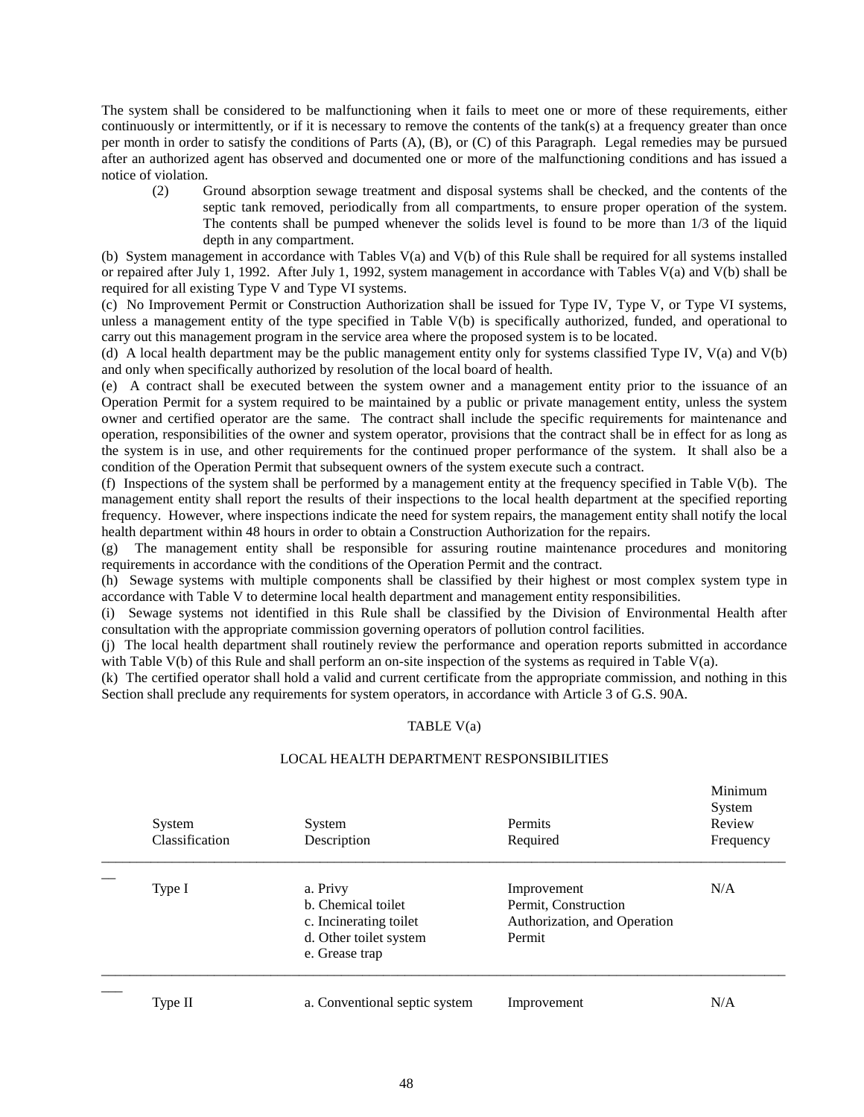The system shall be considered to be malfunctioning when it fails to meet one or more of these requirements, either continuously or intermittently, or if it is necessary to remove the contents of the tank(s) at a frequency greater than once per month in order to satisfy the conditions of Parts (A), (B), or (C) of this Paragraph. Legal remedies may be pursued after an authorized agent has observed and documented one or more of the malfunctioning conditions and has issued a notice of violation.

(2) Ground absorption sewage treatment and disposal systems shall be checked, and the contents of the septic tank removed, periodically from all compartments, to ensure proper operation of the system. The contents shall be pumped whenever the solids level is found to be more than 1/3 of the liquid depth in any compartment.

(b) System management in accordance with Tables V(a) and V(b) of this Rule shall be required for all systems installed or repaired after July 1, 1992. After July 1, 1992, system management in accordance with Tables V(a) and V(b) shall be required for all existing Type V and Type VI systems.

(c) No Improvement Permit or Construction Authorization shall be issued for Type IV, Type V, or Type VI systems, unless a management entity of the type specified in Table V(b) is specifically authorized, funded, and operational to carry out this management program in the service area where the proposed system is to be located.

(d) A local health department may be the public management entity only for systems classified Type IV, V(a) and V(b) and only when specifically authorized by resolution of the local board of health.

(e) A contract shall be executed between the system owner and a management entity prior to the issuance of an Operation Permit for a system required to be maintained by a public or private management entity, unless the system owner and certified operator are the same. The contract shall include the specific requirements for maintenance and operation, responsibilities of the owner and system operator, provisions that the contract shall be in effect for as long as the system is in use, and other requirements for the continued proper performance of the system. It shall also be a condition of the Operation Permit that subsequent owners of the system execute such a contract.

(f) Inspections of the system shall be performed by a management entity at the frequency specified in Table V(b). The management entity shall report the results of their inspections to the local health department at the specified reporting frequency. However, where inspections indicate the need for system repairs, the management entity shall notify the local health department within 48 hours in order to obtain a Construction Authorization for the repairs.

(g) The management entity shall be responsible for assuring routine maintenance procedures and monitoring requirements in accordance with the conditions of the Operation Permit and the contract.

(h) Sewage systems with multiple components shall be classified by their highest or most complex system type in accordance with Table V to determine local health department and management entity responsibilities.

(i) Sewage systems not identified in this Rule shall be classified by the Division of Environmental Health after consultation with the appropriate commission governing operators of pollution control facilities.

(j) The local health department shall routinely review the performance and operation reports submitted in accordance with Table V(b) of this Rule and shall perform an on-site inspection of the systems as required in Table V(a).

(k) The certified operator shall hold a valid and current certificate from the appropriate commission, and nothing in this Section shall preclude any requirements for system operators, in accordance with Article 3 of G.S. 90A.

#### TABLE V(a)

#### LOCAL HEALTH DEPARTMENT RESPONSIBILITIES

| System<br>Classification | System<br>Description                                                                                | <b>Permits</b><br>Required                                                    | Minimum<br>System<br>Review<br>Frequency |
|--------------------------|------------------------------------------------------------------------------------------------------|-------------------------------------------------------------------------------|------------------------------------------|
| Type I                   | a. Privy<br>b. Chemical toilet<br>c. Incinerating toilet<br>d. Other toilet system<br>e. Grease trap | Improvement<br>Permit, Construction<br>Authorization, and Operation<br>Permit | N/A                                      |
| Type II                  | a. Conventional septic system                                                                        | Improvement                                                                   | N/A                                      |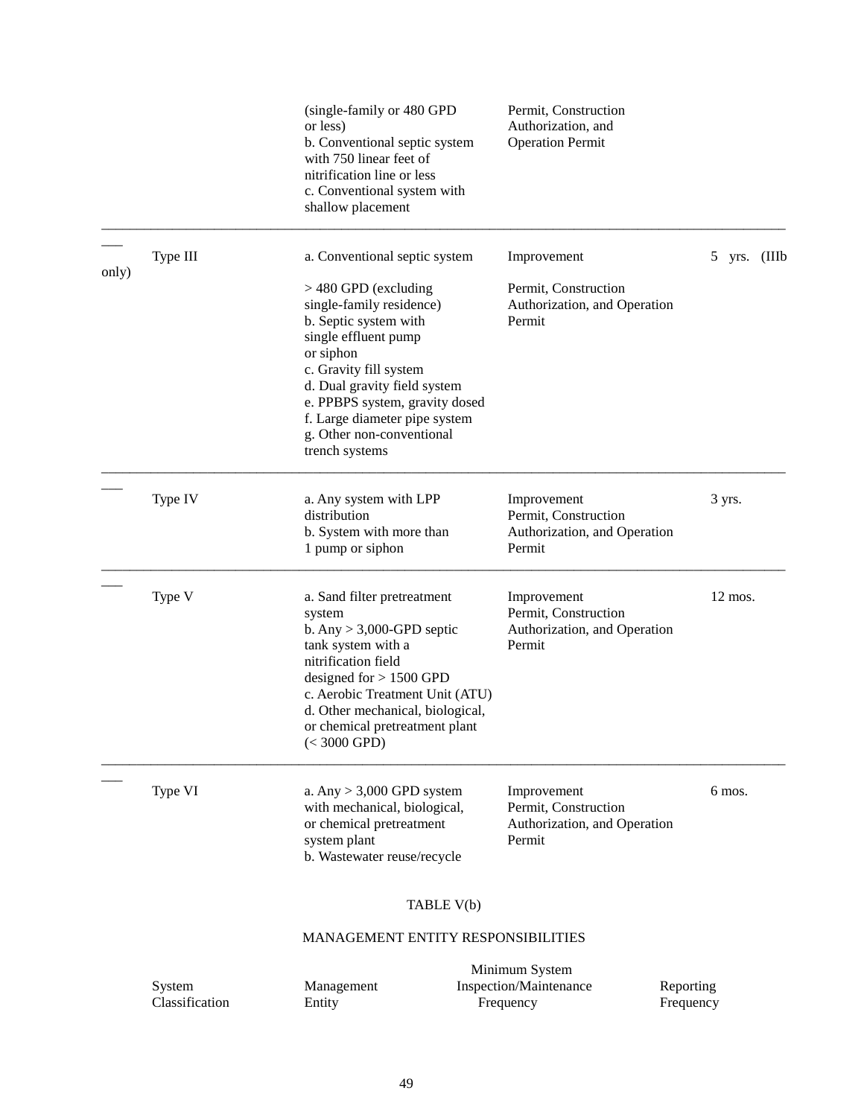|       |                          | (single-family or 480 GPD<br>or less)<br>b. Conventional septic system<br>with 750 linear feet of<br>nitrification line or less<br>c. Conventional system with<br>shallow placement                                                                                                          | Permit, Construction<br>Authorization, and<br><b>Operation Permit</b>         |                        |
|-------|--------------------------|----------------------------------------------------------------------------------------------------------------------------------------------------------------------------------------------------------------------------------------------------------------------------------------------|-------------------------------------------------------------------------------|------------------------|
|       | Type III                 | a. Conventional septic system                                                                                                                                                                                                                                                                | Improvement                                                                   | yrs. (IIIb<br>5        |
| only) |                          | $>$ 480 GPD (excluding<br>single-family residence)<br>b. Septic system with<br>single effluent pump<br>or siphon<br>c. Gravity fill system<br>d. Dual gravity field system<br>e. PPBPS system, gravity dosed<br>f. Large diameter pipe system<br>g. Other non-conventional<br>trench systems | Permit, Construction<br>Authorization, and Operation<br>Permit                |                        |
|       | Type IV                  | a. Any system with LPP<br>distribution<br>b. System with more than<br>1 pump or siphon                                                                                                                                                                                                       | Improvement<br>Permit, Construction<br>Authorization, and Operation<br>Permit | 3 yrs.                 |
|       | Type V                   | a. Sand filter pretreatment<br>system<br>b. Any $> 3,000$ -GPD septic<br>tank system with a<br>nitrification field<br>designed for $> 1500$ GPD<br>c. Aerobic Treatment Unit (ATU)<br>d. Other mechanical, biological,<br>or chemical pretreatment plant<br>$(< 3000$ GPD)                   | Improvement<br>Permit, Construction<br>Authorization, and Operation<br>Permit | 12 mos.                |
|       | Type VI                  | a. Any $> 3,000$ GPD system<br>with mechanical, biological,<br>or chemical pretreatment<br>system plant<br>b. Wastewater reuse/recycle                                                                                                                                                       | Improvement<br>Permit, Construction<br>Authorization, and Operation<br>Permit | 6 mos.                 |
|       |                          | TABLE V(b)                                                                                                                                                                                                                                                                                   |                                                                               |                        |
|       |                          | <b>MANAGEMENT ENTITY RESPONSIBILITIES</b>                                                                                                                                                                                                                                                    |                                                                               |                        |
|       | System<br>Classification | Management<br>Entity                                                                                                                                                                                                                                                                         | Minimum System<br>Inspection/Maintenance<br>Frequency                         | Reporting<br>Frequency |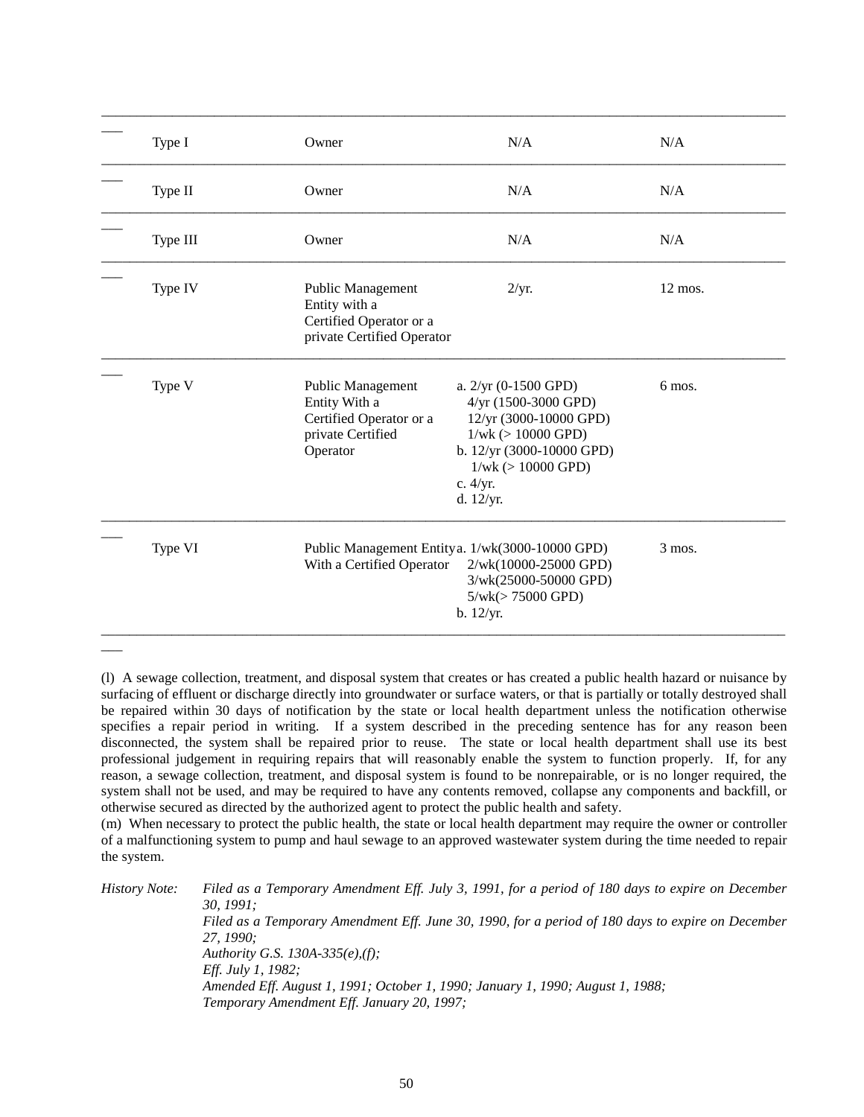| Type I   | Owner                                                                                                 | N/A                                                                                                                                                                                     | N/A       |
|----------|-------------------------------------------------------------------------------------------------------|-----------------------------------------------------------------------------------------------------------------------------------------------------------------------------------------|-----------|
| Type II  | Owner                                                                                                 | N/A                                                                                                                                                                                     | N/A       |
| Type III | Owner                                                                                                 | N/A                                                                                                                                                                                     | N/A       |
| Type IV  | Public Management<br>Entity with a<br>Certified Operator or a<br>private Certified Operator           | 2/yr.                                                                                                                                                                                   | $12$ mos. |
| Type V   | <b>Public Management</b><br>Entity With a<br>Certified Operator or a<br>private Certified<br>Operator | a. $2/yr$ (0-1500 GPD)<br>4/yr (1500-3000 GPD)<br>12/yr (3000-10000 GPD)<br>$1/wk$ ( $> 10000$ GPD)<br>b. 12/yr (3000-10000 GPD)<br>$1/wk$ ( $> 10000$ GPD)<br>c. 4/yr.<br>d. $12/yr$ . | 6 mos.    |
| Type VI  | With a Certified Operator                                                                             | Public Management Entity a. 1/wk(3000-10000 GPD)<br>2/wk(10000-25000 GPD)<br>3/wk(25000-50000 GPD)<br>$5/wk (> 75000$ GPD)<br>b. 12/yr.                                                 | 3 mos.    |

(l) A sewage collection, treatment, and disposal system that creates or has created a public health hazard or nuisance by surfacing of effluent or discharge directly into groundwater or surface waters, or that is partially or totally destroyed shall be repaired within 30 days of notification by the state or local health department unless the notification otherwise specifies a repair period in writing. If a system described in the preceding sentence has for any reason been disconnected, the system shall be repaired prior to reuse. The state or local health department shall use its best professional judgement in requiring repairs that will reasonably enable the system to function properly. If, for any reason, a sewage collection, treatment, and disposal system is found to be nonrepairable, or is no longer required, the system shall not be used, and may be required to have any contents removed, collapse any components and backfill, or otherwise secured as directed by the authorized agent to protect the public health and safety.

\_\_\_

(m) When necessary to protect the public health, the state or local health department may require the owner or controller of a malfunctioning system to pump and haul sewage to an approved wastewater system during the time needed to repair the system.

| History Note: | Filed as a Temporary Amendment Eff. July 3, 1991, for a period of 180 days to expire on December  |
|---------------|---------------------------------------------------------------------------------------------------|
|               | 30.1991:                                                                                          |
|               | Filed as a Temporary Amendment Eff. June 30, 1990, for a period of 180 days to expire on December |
|               | 27. 1990:                                                                                         |
|               | Authority G.S. 130A-335(e), $(f)$ ;                                                               |
|               | <i>Eff. July 1, 1982;</i>                                                                         |
|               | Amended Eff. August 1, 1991; October 1, 1990; January 1, 1990; August 1, 1988;                    |
|               | Temporary Amendment Eff. January 20, 1997;                                                        |
|               |                                                                                                   |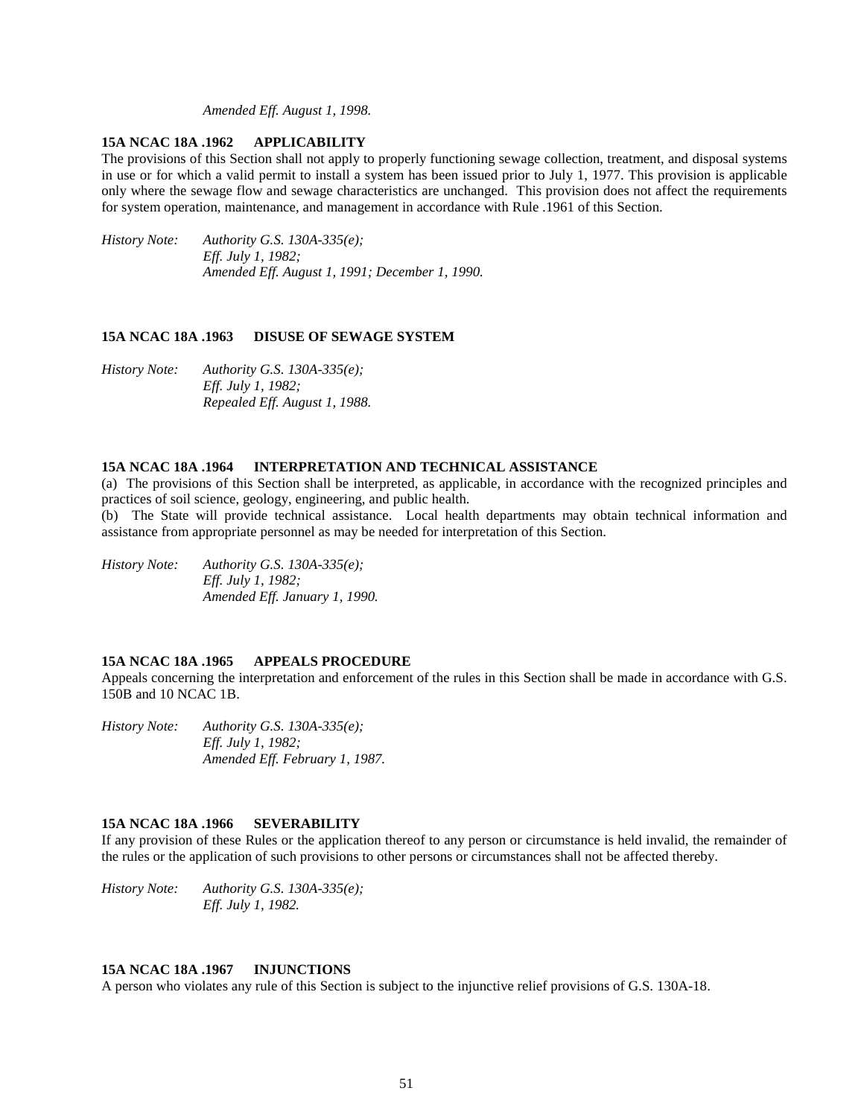*Amended Eff. August 1, 1998.*

### **15A NCAC 18A .1962 APPLICABILITY**

The provisions of this Section shall not apply to properly functioning sewage collection, treatment, and disposal systems in use or for which a valid permit to install a system has been issued prior to July 1, 1977. This provision is applicable only where the sewage flow and sewage characteristics are unchanged. This provision does not affect the requirements for system operation, maintenance, and management in accordance with Rule .1961 of this Section.

*History Note: Authority G.S. 130A-335(e); Eff. July 1, 1982; Amended Eff. August 1, 1991; December 1, 1990.*

## **15A NCAC 18A .1963 DISUSE OF SEWAGE SYSTEM**

*History Note: Authority G.S. 130A-335(e); Eff. July 1, 1982; Repealed Eff. August 1, 1988.*

#### **15A NCAC 18A .1964 INTERPRETATION AND TECHNICAL ASSISTANCE**

(a) The provisions of this Section shall be interpreted, as applicable, in accordance with the recognized principles and practices of soil science, geology, engineering, and public health.

(b) The State will provide technical assistance. Local health departments may obtain technical information and assistance from appropriate personnel as may be needed for interpretation of this Section.

*History Note: Authority G.S. 130A-335(e); Eff. July 1, 1982; Amended Eff. January 1, 1990.*

#### **15A NCAC 18A .1965 APPEALS PROCEDURE**

Appeals concerning the interpretation and enforcement of the rules in this Section shall be made in accordance with G.S. 150B and 10 NCAC 1B.

*History Note: Authority G.S. 130A-335(e); Eff. July 1, 1982; Amended Eff. February 1, 1987.*

#### **15A NCAC 18A .1966 SEVERABILITY**

If any provision of these Rules or the application thereof to any person or circumstance is held invalid, the remainder of the rules or the application of such provisions to other persons or circumstances shall not be affected thereby.

*History Note: Authority G.S. 130A-335(e); Eff. July 1, 1982.*

## **15A NCAC 18A .1967 INJUNCTIONS**

A person who violates any rule of this Section is subject to the injunctive relief provisions of G.S. 130A-18.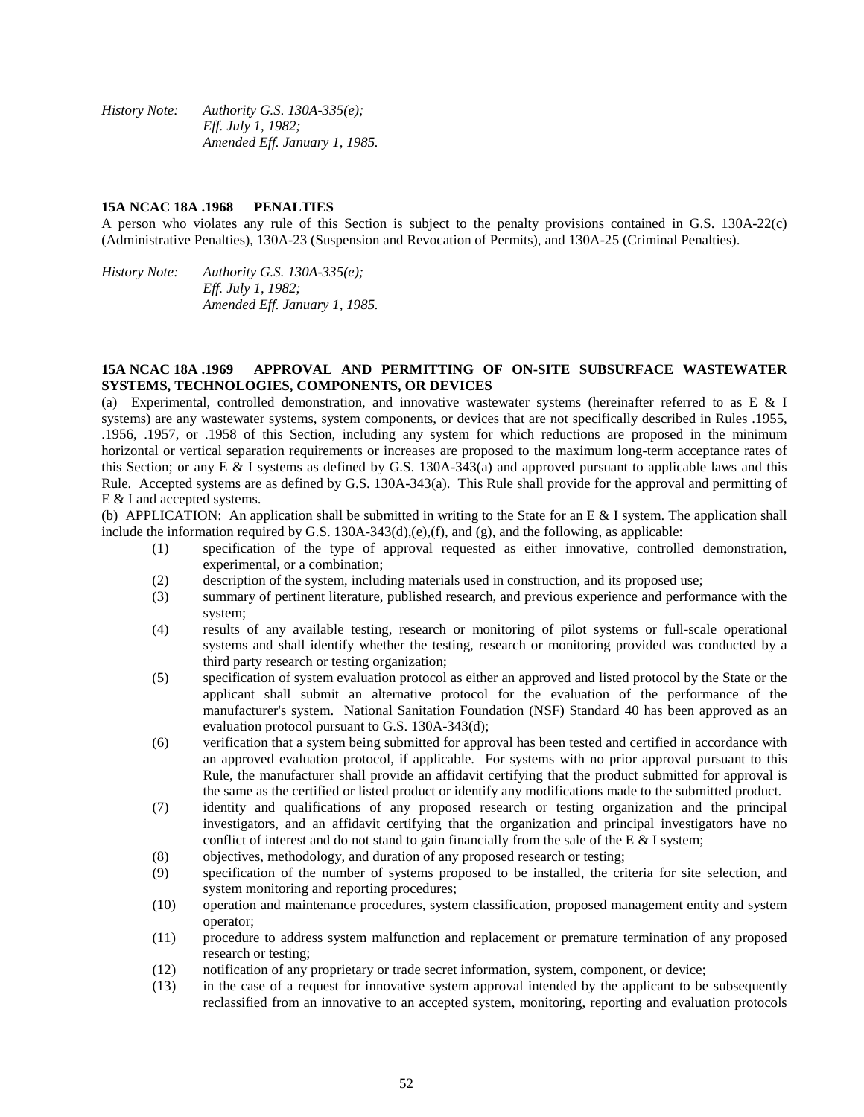*History Note: Authority G.S. 130A-335(e); Eff. July 1, 1982; Amended Eff. January 1, 1985.*

#### **15A NCAC 18A .1968 PENALTIES**

A person who violates any rule of this Section is subject to the penalty provisions contained in G.S. 130A-22(c) (Administrative Penalties), 130A-23 (Suspension and Revocation of Permits), and 130A-25 (Criminal Penalties).

*History Note: Authority G.S. 130A-335(e); Eff. July 1, 1982; Amended Eff. January 1, 1985.*

### **15A NCAC 18A .1969 APPROVAL AND PERMITTING OF ON-SITE SUBSURFACE WASTEWATER SYSTEMS, TECHNOLOGIES, COMPONENTS, OR DEVICES**

(a) Experimental, controlled demonstration, and innovative wastewater systems (hereinafter referred to as E & I systems) are any wastewater systems, system components, or devices that are not specifically described in Rules .1955, .1956, .1957, or .1958 of this Section, including any system for which reductions are proposed in the minimum horizontal or vertical separation requirements or increases are proposed to the maximum long-term acceptance rates of this Section; or any E & I systems as defined by G.S. 130A-343(a) and approved pursuant to applicable laws and this Rule. Accepted systems are as defined by G.S. 130A-343(a). This Rule shall provide for the approval and permitting of E & I and accepted systems.

(b) APPLICATION: An application shall be submitted in writing to the State for an E & I system. The application shall include the information required by G.S.  $130A-343(d)$ ,(e),(f), and (g), and the following, as applicable:

- (1) specification of the type of approval requested as either innovative, controlled demonstration, experimental, or a combination;
- (2) description of the system, including materials used in construction, and its proposed use;
- (3) summary of pertinent literature, published research, and previous experience and performance with the system;
- (4) results of any available testing, research or monitoring of pilot systems or full-scale operational systems and shall identify whether the testing, research or monitoring provided was conducted by a third party research or testing organization;
- (5) specification of system evaluation protocol as either an approved and listed protocol by the State or the applicant shall submit an alternative protocol for the evaluation of the performance of the manufacturer's system. National Sanitation Foundation (NSF) Standard 40 has been approved as an evaluation protocol pursuant to G.S. 130A-343(d);
- (6) verification that a system being submitted for approval has been tested and certified in accordance with an approved evaluation protocol, if applicable. For systems with no prior approval pursuant to this Rule, the manufacturer shall provide an affidavit certifying that the product submitted for approval is the same as the certified or listed product or identify any modifications made to the submitted product.
- (7) identity and qualifications of any proposed research or testing organization and the principal investigators, and an affidavit certifying that the organization and principal investigators have no conflict of interest and do not stand to gain financially from the sale of the E  $\&$  I system;
- (8) objectives, methodology, and duration of any proposed research or testing;
- (9) specification of the number of systems proposed to be installed, the criteria for site selection, and system monitoring and reporting procedures;
- (10) operation and maintenance procedures, system classification, proposed management entity and system operator;
- (11) procedure to address system malfunction and replacement or premature termination of any proposed research or testing;
- (12) notification of any proprietary or trade secret information, system, component, or device;
- (13) in the case of a request for innovative system approval intended by the applicant to be subsequently reclassified from an innovative to an accepted system, monitoring, reporting and evaluation protocols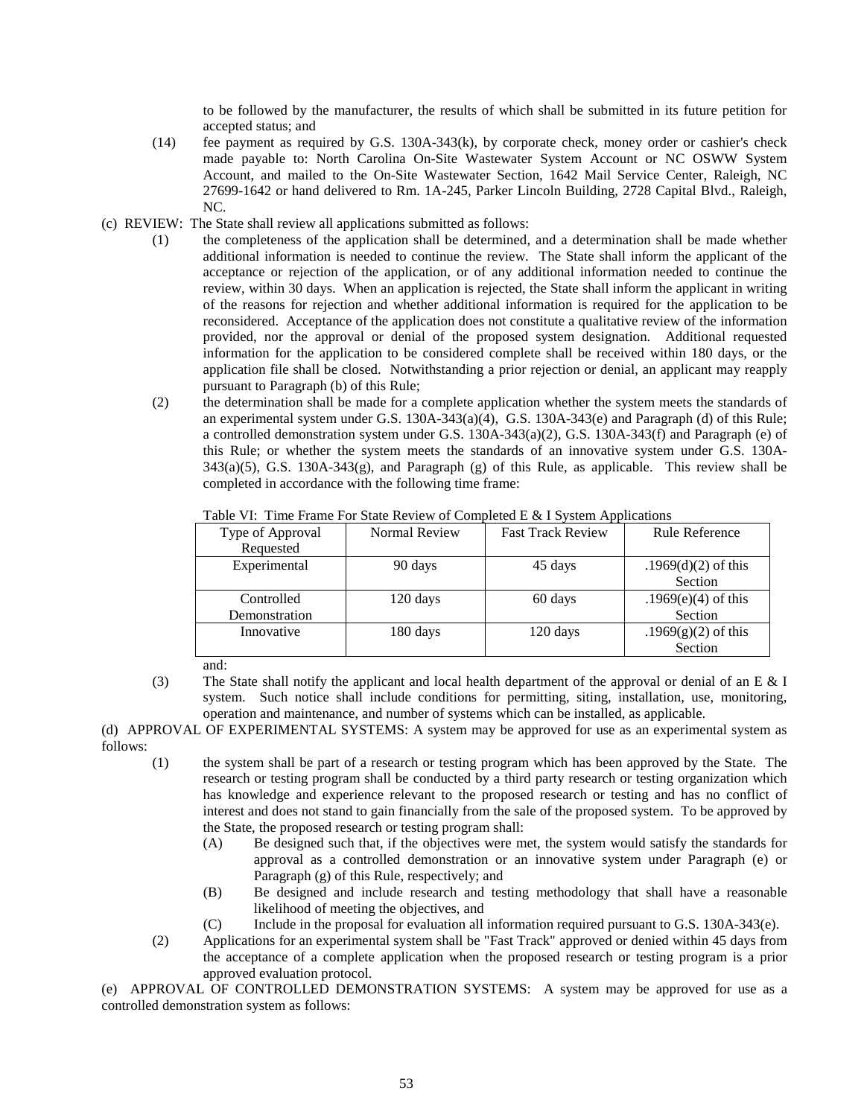to be followed by the manufacturer, the results of which shall be submitted in its future petition for accepted status; and

- (14) fee payment as required by G.S. 130A-343(k), by corporate check, money order or cashier's check made payable to: North Carolina On-Site Wastewater System Account or NC OSWW System Account, and mailed to the On-Site Wastewater Section, 1642 Mail Service Center, Raleigh, NC 27699-1642 or hand delivered to Rm. 1A-245, Parker Lincoln Building, 2728 Capital Blvd., Raleigh, NC.
- (c) REVIEW: The State shall review all applications submitted as follows:
	- (1) the completeness of the application shall be determined, and a determination shall be made whether additional information is needed to continue the review. The State shall inform the applicant of the acceptance or rejection of the application, or of any additional information needed to continue the review, within 30 days. When an application is rejected, the State shall inform the applicant in writing of the reasons for rejection and whether additional information is required for the application to be reconsidered. Acceptance of the application does not constitute a qualitative review of the information provided, nor the approval or denial of the proposed system designation. Additional requested information for the application to be considered complete shall be received within 180 days, or the application file shall be closed. Notwithstanding a prior rejection or denial, an applicant may reapply pursuant to Paragraph (b) of this Rule;
	- (2) the determination shall be made for a complete application whether the system meets the standards of an experimental system under G.S. 130A-343(a)(4), G.S. 130A-343(e) and Paragraph (d) of this Rule; a controlled demonstration system under G.S. 130A-343(a)(2), G.S. 130A-343(f) and Paragraph (e) of this Rule; or whether the system meets the standards of an innovative system under G.S. 130A-343(a)(5), G.S. 130A-343(g), and Paragraph (g) of this Rule, as applicable. This review shall be completed in accordance with the following time frame:

| Type of Approval        | Normal Review | <b>Fast Track Review</b> | Rule Reference         |  |
|-------------------------|---------------|--------------------------|------------------------|--|
| Requested               |               |                          |                        |  |
| Experimental<br>90 days |               | 45 days                  | .1969 $(d)(2)$ of this |  |
|                         |               |                          | Section                |  |
| Controlled              | 120 days      | 60 days                  | .1969 $(e)(4)$ of this |  |
| Demonstration           |               |                          | Section                |  |
| Innovative              | 180 days      | 120 days                 | .1969 $(g)(2)$ of this |  |
|                         |               |                          | Section                |  |

Table VI: Time Frame For State Review of Completed E & I System Applications

and:

(3) The State shall notify the applicant and local health department of the approval or denial of an E  $&$  I system. Such notice shall include conditions for permitting, siting, installation, use, monitoring, operation and maintenance, and number of systems which can be installed, as applicable.

(d) APPROVAL OF EXPERIMENTAL SYSTEMS: A system may be approved for use as an experimental system as follows:

- (1) the system shall be part of a research or testing program which has been approved by the State. The research or testing program shall be conducted by a third party research or testing organization which has knowledge and experience relevant to the proposed research or testing and has no conflict of interest and does not stand to gain financially from the sale of the proposed system. To be approved by the State, the proposed research or testing program shall:
	- (A) Be designed such that, if the objectives were met, the system would satisfy the standards for approval as a controlled demonstration or an innovative system under Paragraph (e) or Paragraph (g) of this Rule, respectively; and
	- (B) Be designed and include research and testing methodology that shall have a reasonable likelihood of meeting the objectives, and
	- (C) Include in the proposal for evaluation all information required pursuant to G.S. 130A-343(e).
- (2) Applications for an experimental system shall be "Fast Track" approved or denied within 45 days from the acceptance of a complete application when the proposed research or testing program is a prior approved evaluation protocol.

(e) APPROVAL OF CONTROLLED DEMONSTRATION SYSTEMS: A system may be approved for use as a controlled demonstration system as follows: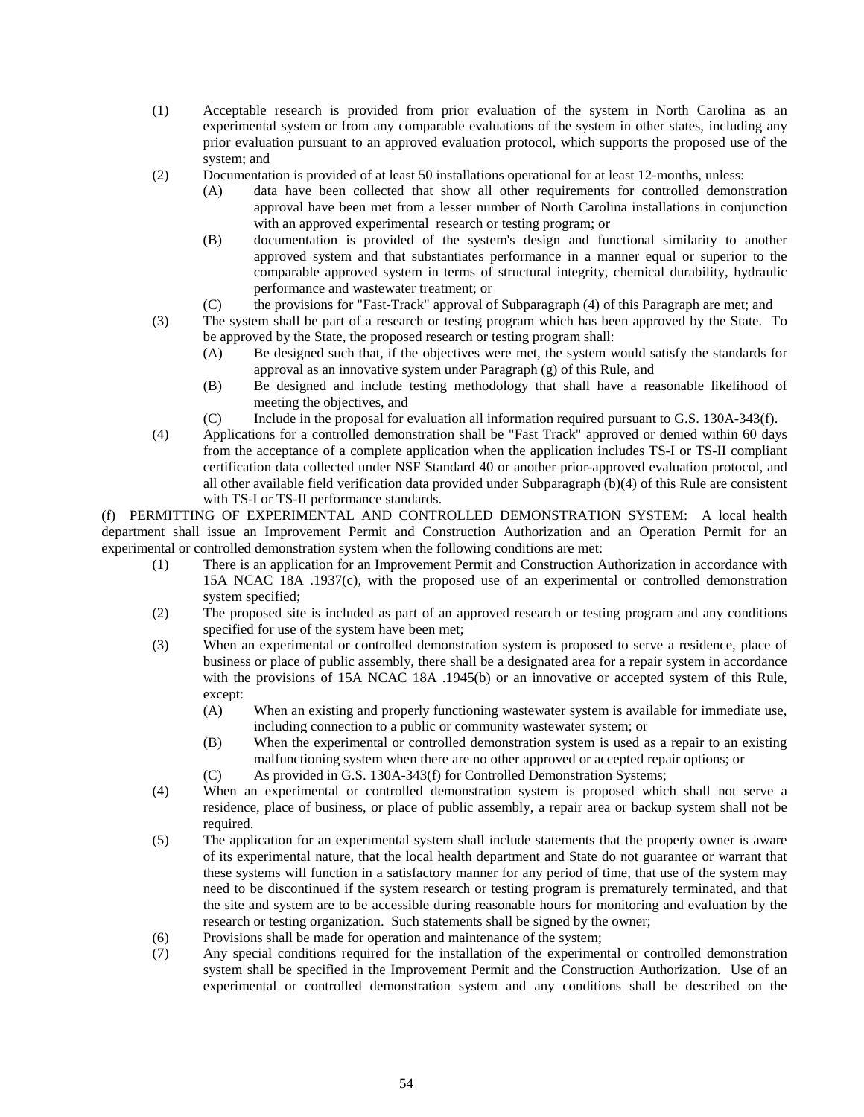- (1) Acceptable research is provided from prior evaluation of the system in North Carolina as an experimental system or from any comparable evaluations of the system in other states, including any prior evaluation pursuant to an approved evaluation protocol, which supports the proposed use of the system; and
- (2) Documentation is provided of at least 50 installations operational for at least 12-months, unless:
	- (A) data have been collected that show all other requirements for controlled demonstration approval have been met from a lesser number of North Carolina installations in conjunction with an approved experimental research or testing program; or
	- (B) documentation is provided of the system's design and functional similarity to another approved system and that substantiates performance in a manner equal or superior to the comparable approved system in terms of structural integrity, chemical durability, hydraulic performance and wastewater treatment; or
	- (C) the provisions for "Fast-Track" approval of Subparagraph (4) of this Paragraph are met; and
- (3) The system shall be part of a research or testing program which has been approved by the State. To be approved by the State, the proposed research or testing program shall:
	- (A) Be designed such that, if the objectives were met, the system would satisfy the standards for approval as an innovative system under Paragraph (g) of this Rule, and
	- (B) Be designed and include testing methodology that shall have a reasonable likelihood of meeting the objectives, and
	- (C) Include in the proposal for evaluation all information required pursuant to G.S. 130A-343(f).
- (4) Applications for a controlled demonstration shall be "Fast Track" approved or denied within 60 days from the acceptance of a complete application when the application includes TS-I or TS-II compliant certification data collected under NSF Standard 40 or another prior-approved evaluation protocol, and all other available field verification data provided under Subparagraph (b)(4) of this Rule are consistent with TS-I or TS-II performance standards.

(f) PERMITTING OF EXPERIMENTAL AND CONTROLLED DEMONSTRATION SYSTEM: A local health department shall issue an Improvement Permit and Construction Authorization and an Operation Permit for an experimental or controlled demonstration system when the following conditions are met:

- (1) There is an application for an Improvement Permit and Construction Authorization in accordance with 15A NCAC 18A .1937(c), with the proposed use of an experimental or controlled demonstration system specified;
- (2) The proposed site is included as part of an approved research or testing program and any conditions specified for use of the system have been met;
- (3) When an experimental or controlled demonstration system is proposed to serve a residence, place of business or place of public assembly, there shall be a designated area for a repair system in accordance with the provisions of 15A NCAC 18A .1945(b) or an innovative or accepted system of this Rule, except:
	- (A) When an existing and properly functioning wastewater system is available for immediate use, including connection to a public or community wastewater system; or
	- (B) When the experimental or controlled demonstration system is used as a repair to an existing malfunctioning system when there are no other approved or accepted repair options; or
	- (C) As provided in G.S. 130A-343(f) for Controlled Demonstration Systems;
- (4) When an experimental or controlled demonstration system is proposed which shall not serve a residence, place of business, or place of public assembly, a repair area or backup system shall not be required.
- (5) The application for an experimental system shall include statements that the property owner is aware of its experimental nature, that the local health department and State do not guarantee or warrant that these systems will function in a satisfactory manner for any period of time, that use of the system may need to be discontinued if the system research or testing program is prematurely terminated, and that the site and system are to be accessible during reasonable hours for monitoring and evaluation by the research or testing organization. Such statements shall be signed by the owner;
- (6) Provisions shall be made for operation and maintenance of the system;
- (7) Any special conditions required for the installation of the experimental or controlled demonstration system shall be specified in the Improvement Permit and the Construction Authorization. Use of an experimental or controlled demonstration system and any conditions shall be described on the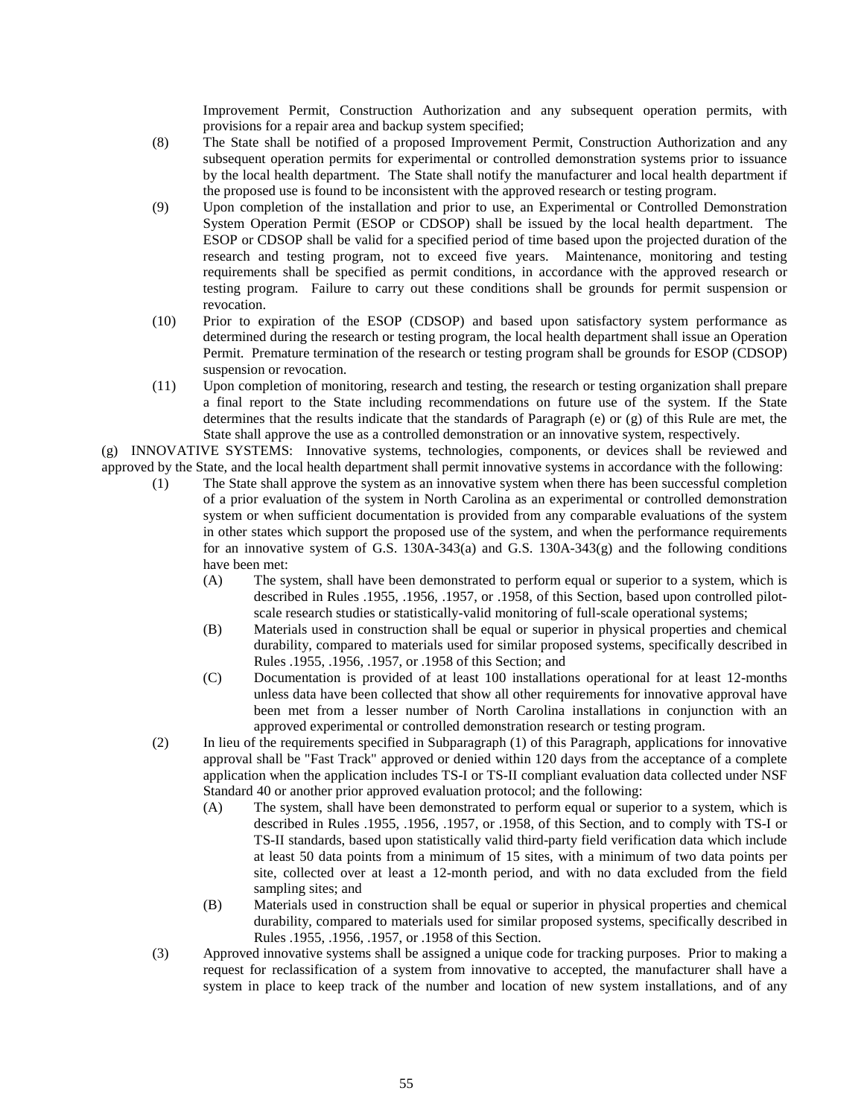Improvement Permit, Construction Authorization and any subsequent operation permits, with provisions for a repair area and backup system specified;

- (8) The State shall be notified of a proposed Improvement Permit, Construction Authorization and any subsequent operation permits for experimental or controlled demonstration systems prior to issuance by the local health department. The State shall notify the manufacturer and local health department if the proposed use is found to be inconsistent with the approved research or testing program.
- (9) Upon completion of the installation and prior to use, an Experimental or Controlled Demonstration System Operation Permit (ESOP or CDSOP) shall be issued by the local health department. The ESOP or CDSOP shall be valid for a specified period of time based upon the projected duration of the research and testing program, not to exceed five years. Maintenance, monitoring and testing requirements shall be specified as permit conditions, in accordance with the approved research or testing program. Failure to carry out these conditions shall be grounds for permit suspension or revocation.
- (10) Prior to expiration of the ESOP (CDSOP) and based upon satisfactory system performance as determined during the research or testing program, the local health department shall issue an Operation Permit. Premature termination of the research or testing program shall be grounds for ESOP (CDSOP) suspension or revocation.
- (11) Upon completion of monitoring, research and testing, the research or testing organization shall prepare a final report to the State including recommendations on future use of the system. If the State determines that the results indicate that the standards of Paragraph (e) or (g) of this Rule are met, the State shall approve the use as a controlled demonstration or an innovative system, respectively.

(g) INNOVATIVE SYSTEMS: Innovative systems, technologies, components, or devices shall be reviewed and approved by the State, and the local health department shall permit innovative systems in accordance with the following:

- (1) The State shall approve the system as an innovative system when there has been successful completion of a prior evaluation of the system in North Carolina as an experimental or controlled demonstration system or when sufficient documentation is provided from any comparable evaluations of the system in other states which support the proposed use of the system, and when the performance requirements for an innovative system of G.S. 130A-343(a) and G.S. 130A-343(g) and the following conditions have been met:
	- (A) The system, shall have been demonstrated to perform equal or superior to a system, which is described in Rules .1955, .1956, .1957, or .1958, of this Section, based upon controlled pilotscale research studies or statistically-valid monitoring of full-scale operational systems;
	- (B) Materials used in construction shall be equal or superior in physical properties and chemical durability, compared to materials used for similar proposed systems, specifically described in Rules .1955, .1956, .1957, or .1958 of this Section; and
	- (C) Documentation is provided of at least 100 installations operational for at least 12-months unless data have been collected that show all other requirements for innovative approval have been met from a lesser number of North Carolina installations in conjunction with an approved experimental or controlled demonstration research or testing program.
- (2) In lieu of the requirements specified in Subparagraph (1) of this Paragraph, applications for innovative approval shall be "Fast Track" approved or denied within 120 days from the acceptance of a complete application when the application includes TS-I or TS-II compliant evaluation data collected under NSF Standard 40 or another prior approved evaluation protocol; and the following:
	- (A) The system, shall have been demonstrated to perform equal or superior to a system, which is described in Rules .1955, .1956, .1957, or .1958, of this Section, and to comply with TS-I or TS-II standards, based upon statistically valid third-party field verification data which include at least 50 data points from a minimum of 15 sites, with a minimum of two data points per site, collected over at least a 12-month period, and with no data excluded from the field sampling sites; and
	- (B) Materials used in construction shall be equal or superior in physical properties and chemical durability, compared to materials used for similar proposed systems, specifically described in Rules .1955, .1956, .1957, or .1958 of this Section.
- (3) Approved innovative systems shall be assigned a unique code for tracking purposes. Prior to making a request for reclassification of a system from innovative to accepted, the manufacturer shall have a system in place to keep track of the number and location of new system installations, and of any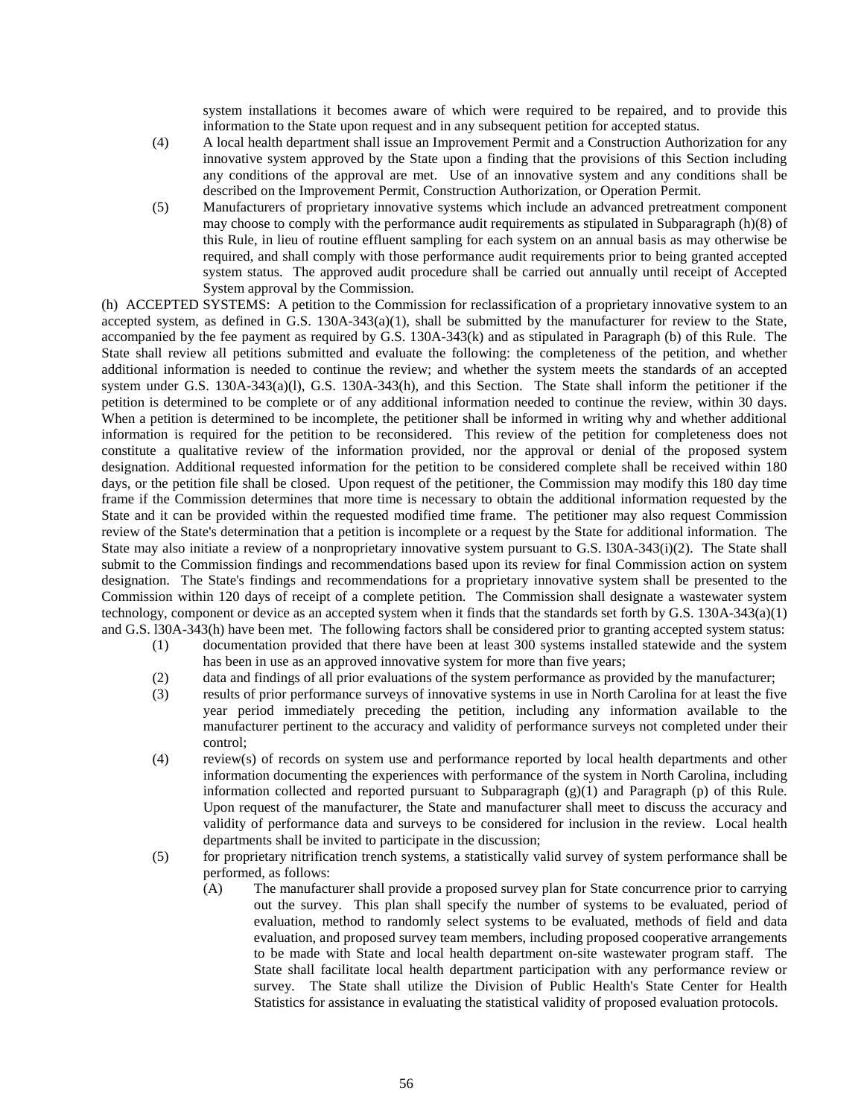system installations it becomes aware of which were required to be repaired, and to provide this information to the State upon request and in any subsequent petition for accepted status.

- (4) A local health department shall issue an Improvement Permit and a Construction Authorization for any innovative system approved by the State upon a finding that the provisions of this Section including any conditions of the approval are met. Use of an innovative system and any conditions shall be described on the Improvement Permit, Construction Authorization, or Operation Permit.
- (5) Manufacturers of proprietary innovative systems which include an advanced pretreatment component may choose to comply with the performance audit requirements as stipulated in Subparagraph (h)(8) of this Rule, in lieu of routine effluent sampling for each system on an annual basis as may otherwise be required, and shall comply with those performance audit requirements prior to being granted accepted system status. The approved audit procedure shall be carried out annually until receipt of Accepted System approval by the Commission.

(h) ACCEPTED SYSTEMS: A petition to the Commission for reclassification of a proprietary innovative system to an accepted system, as defined in G.S.  $130A-343(a)(1)$ , shall be submitted by the manufacturer for review to the State, accompanied by the fee payment as required by G.S. 130A-343(k) and as stipulated in Paragraph (b) of this Rule. The State shall review all petitions submitted and evaluate the following: the completeness of the petition, and whether additional information is needed to continue the review; and whether the system meets the standards of an accepted system under G.S. 130A-343(a)(l), G.S. 130A-343(h), and this Section. The State shall inform the petitioner if the petition is determined to be complete or of any additional information needed to continue the review, within 30 days. When a petition is determined to be incomplete, the petitioner shall be informed in writing why and whether additional information is required for the petition to be reconsidered. This review of the petition for completeness does not constitute a qualitative review of the information provided, nor the approval or denial of the proposed system designation. Additional requested information for the petition to be considered complete shall be received within 180 days, or the petition file shall be closed. Upon request of the petitioner, the Commission may modify this 180 day time frame if the Commission determines that more time is necessary to obtain the additional information requested by the State and it can be provided within the requested modified time frame. The petitioner may also request Commission review of the State's determination that a petition is incomplete or a request by the State for additional information. The State may also initiate a review of a nonproprietary innovative system pursuant to G.S. l30A-343(i)(2). The State shall submit to the Commission findings and recommendations based upon its review for final Commission action on system designation. The State's findings and recommendations for a proprietary innovative system shall be presented to the Commission within 120 days of receipt of a complete petition. The Commission shall designate a wastewater system technology, component or device as an accepted system when it finds that the standards set forth by G.S. 130A-343(a)(1) and G.S. l30A-343(h) have been met. The following factors shall be considered prior to granting accepted system status:

- (1) documentation provided that there have been at least 300 systems installed statewide and the system has been in use as an approved innovative system for more than five years;
- (2) data and findings of all prior evaluations of the system performance as provided by the manufacturer;
- (3) results of prior performance surveys of innovative systems in use in North Carolina for at least the five year period immediately preceding the petition, including any information available to the manufacturer pertinent to the accuracy and validity of performance surveys not completed under their control;
- (4) review(s) of records on system use and performance reported by local health departments and other information documenting the experiences with performance of the system in North Carolina, including information collected and reported pursuant to Subparagraph (g)(1) and Paragraph (p) of this Rule. Upon request of the manufacturer, the State and manufacturer shall meet to discuss the accuracy and validity of performance data and surveys to be considered for inclusion in the review. Local health departments shall be invited to participate in the discussion;
- (5) for proprietary nitrification trench systems, a statistically valid survey of system performance shall be performed, as follows:
	- (A) The manufacturer shall provide a proposed survey plan for State concurrence prior to carrying out the survey. This plan shall specify the number of systems to be evaluated, period of evaluation, method to randomly select systems to be evaluated, methods of field and data evaluation, and proposed survey team members, including proposed cooperative arrangements to be made with State and local health department on-site wastewater program staff. The State shall facilitate local health department participation with any performance review or survey. The State shall utilize the Division of Public Health's State Center for Health Statistics for assistance in evaluating the statistical validity of proposed evaluation protocols.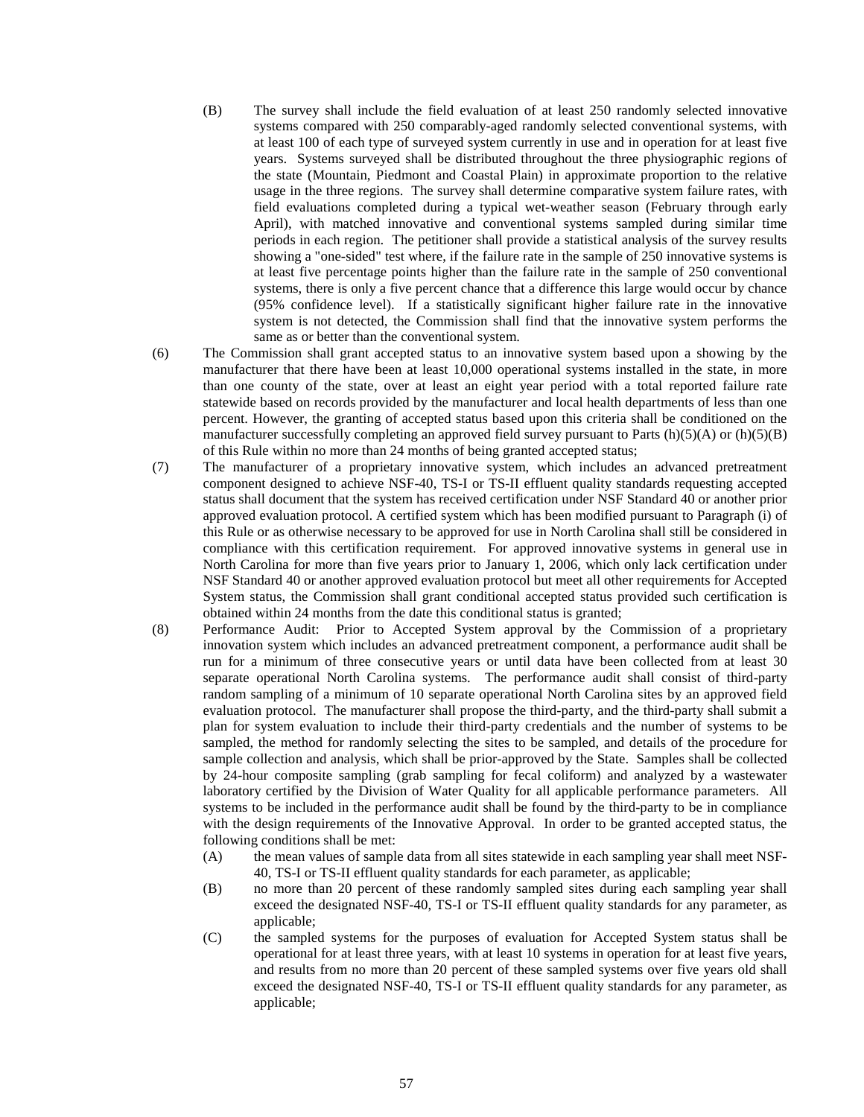- (B) The survey shall include the field evaluation of at least 250 randomly selected innovative systems compared with 250 comparably-aged randomly selected conventional systems, with at least 100 of each type of surveyed system currently in use and in operation for at least five years. Systems surveyed shall be distributed throughout the three physiographic regions of the state (Mountain, Piedmont and Coastal Plain) in approximate proportion to the relative usage in the three regions. The survey shall determine comparative system failure rates, with field evaluations completed during a typical wet-weather season (February through early April), with matched innovative and conventional systems sampled during similar time periods in each region. The petitioner shall provide a statistical analysis of the survey results showing a "one-sided" test where, if the failure rate in the sample of 250 innovative systems is at least five percentage points higher than the failure rate in the sample of 250 conventional systems, there is only a five percent chance that a difference this large would occur by chance (95% confidence level). If a statistically significant higher failure rate in the innovative system is not detected, the Commission shall find that the innovative system performs the same as or better than the conventional system.
- (6) The Commission shall grant accepted status to an innovative system based upon a showing by the manufacturer that there have been at least 10,000 operational systems installed in the state, in more than one county of the state, over at least an eight year period with a total reported failure rate statewide based on records provided by the manufacturer and local health departments of less than one percent. However, the granting of accepted status based upon this criteria shall be conditioned on the manufacturer successfully completing an approved field survey pursuant to Parts  $(h)(5)(A)$  or  $(h)(5)(B)$ of this Rule within no more than 24 months of being granted accepted status;
- (7) The manufacturer of a proprietary innovative system, which includes an advanced pretreatment component designed to achieve NSF-40, TS-I or TS-II effluent quality standards requesting accepted status shall document that the system has received certification under NSF Standard 40 or another prior approved evaluation protocol. A certified system which has been modified pursuant to Paragraph (i) of this Rule or as otherwise necessary to be approved for use in North Carolina shall still be considered in compliance with this certification requirement. For approved innovative systems in general use in North Carolina for more than five years prior to January 1, 2006, which only lack certification under NSF Standard 40 or another approved evaluation protocol but meet all other requirements for Accepted System status, the Commission shall grant conditional accepted status provided such certification is obtained within 24 months from the date this conditional status is granted;
- (8) Performance Audit: Prior to Accepted System approval by the Commission of a proprietary innovation system which includes an advanced pretreatment component, a performance audit shall be run for a minimum of three consecutive years or until data have been collected from at least 30 separate operational North Carolina systems. The performance audit shall consist of third-party random sampling of a minimum of 10 separate operational North Carolina sites by an approved field evaluation protocol. The manufacturer shall propose the third-party, and the third-party shall submit a plan for system evaluation to include their third-party credentials and the number of systems to be sampled, the method for randomly selecting the sites to be sampled, and details of the procedure for sample collection and analysis, which shall be prior-approved by the State. Samples shall be collected by 24-hour composite sampling (grab sampling for fecal coliform) and analyzed by a wastewater laboratory certified by the Division of Water Quality for all applicable performance parameters. All systems to be included in the performance audit shall be found by the third-party to be in compliance with the design requirements of the Innovative Approval. In order to be granted accepted status, the following conditions shall be met:
	- (A) the mean values of sample data from all sites statewide in each sampling year shall meet NSF-40, TS-I or TS-II effluent quality standards for each parameter, as applicable;
	- (B) no more than 20 percent of these randomly sampled sites during each sampling year shall exceed the designated NSF-40, TS-I or TS-II effluent quality standards for any parameter, as applicable;
	- (C) the sampled systems for the purposes of evaluation for Accepted System status shall be operational for at least three years, with at least 10 systems in operation for at least five years, and results from no more than 20 percent of these sampled systems over five years old shall exceed the designated NSF-40, TS-I or TS-II effluent quality standards for any parameter, as applicable;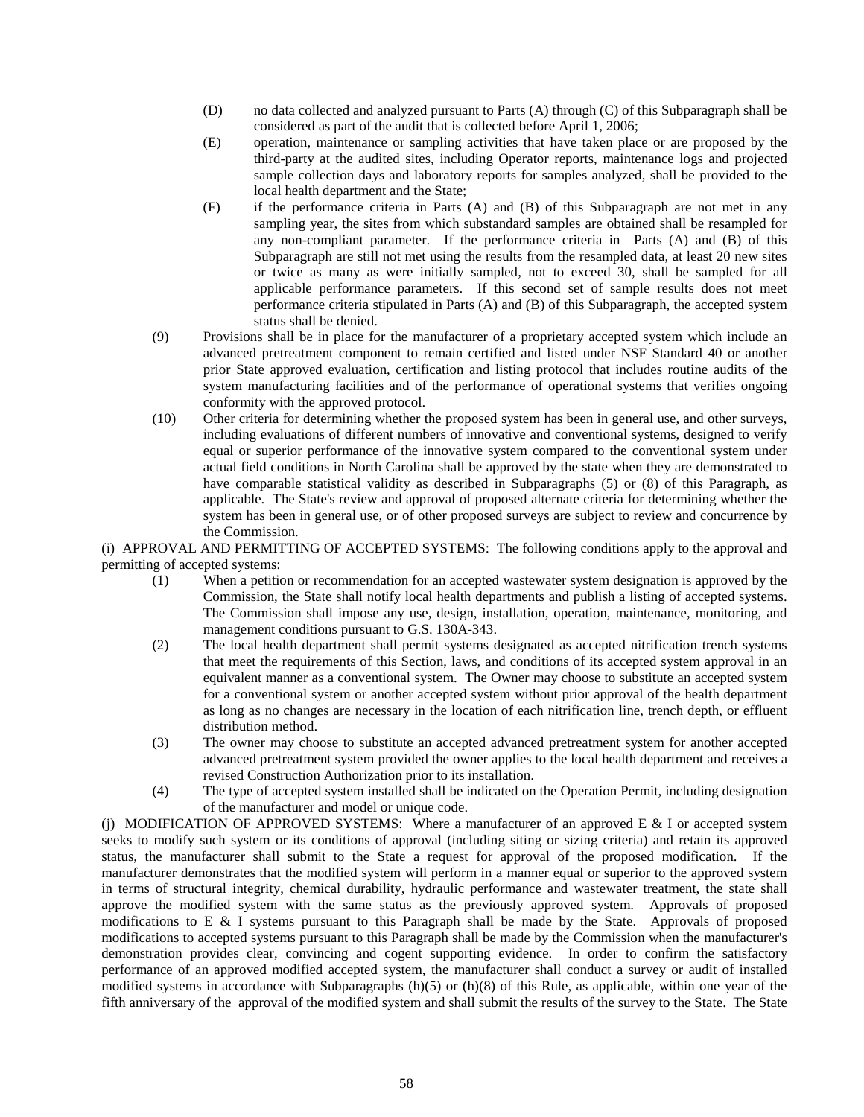- (D) no data collected and analyzed pursuant to Parts (A) through (C) of this Subparagraph shall be considered as part of the audit that is collected before April 1, 2006;
- (E) operation, maintenance or sampling activities that have taken place or are proposed by the third-party at the audited sites, including Operator reports, maintenance logs and projected sample collection days and laboratory reports for samples analyzed, shall be provided to the local health department and the State;
- (F) if the performance criteria in Parts (A) and (B) of this Subparagraph are not met in any sampling year, the sites from which substandard samples are obtained shall be resampled for any non-compliant parameter. If the performance criteria in Parts (A) and (B) of this Subparagraph are still not met using the results from the resampled data, at least 20 new sites or twice as many as were initially sampled, not to exceed 30, shall be sampled for all applicable performance parameters. If this second set of sample results does not meet performance criteria stipulated in Parts (A) and (B) of this Subparagraph, the accepted system status shall be denied.
- (9) Provisions shall be in place for the manufacturer of a proprietary accepted system which include an advanced pretreatment component to remain certified and listed under NSF Standard 40 or another prior State approved evaluation, certification and listing protocol that includes routine audits of the system manufacturing facilities and of the performance of operational systems that verifies ongoing conformity with the approved protocol.
- (10) Other criteria for determining whether the proposed system has been in general use, and other surveys, including evaluations of different numbers of innovative and conventional systems, designed to verify equal or superior performance of the innovative system compared to the conventional system under actual field conditions in North Carolina shall be approved by the state when they are demonstrated to have comparable statistical validity as described in Subparagraphs (5) or (8) of this Paragraph, as applicable. The State's review and approval of proposed alternate criteria for determining whether the system has been in general use, or of other proposed surveys are subject to review and concurrence by the Commission.

(i) APPROVAL AND PERMITTING OF ACCEPTED SYSTEMS: The following conditions apply to the approval and permitting of accepted systems:

- (1) When a petition or recommendation for an accepted wastewater system designation is approved by the Commission, the State shall notify local health departments and publish a listing of accepted systems. The Commission shall impose any use, design, installation, operation, maintenance, monitoring, and management conditions pursuant to G.S. 130A-343.
- (2) The local health department shall permit systems designated as accepted nitrification trench systems that meet the requirements of this Section, laws, and conditions of its accepted system approval in an equivalent manner as a conventional system. The Owner may choose to substitute an accepted system for a conventional system or another accepted system without prior approval of the health department as long as no changes are necessary in the location of each nitrification line, trench depth, or effluent distribution method.
- (3) The owner may choose to substitute an accepted advanced pretreatment system for another accepted advanced pretreatment system provided the owner applies to the local health department and receives a revised Construction Authorization prior to its installation.
- (4) The type of accepted system installed shall be indicated on the Operation Permit, including designation of the manufacturer and model or unique code.

(i) MODIFICATION OF APPROVED SYSTEMS: Where a manufacturer of an approved  $E \& I$  or accepted system seeks to modify such system or its conditions of approval (including siting or sizing criteria) and retain its approved status, the manufacturer shall submit to the State a request for approval of the proposed modification. If the manufacturer demonstrates that the modified system will perform in a manner equal or superior to the approved system in terms of structural integrity, chemical durability, hydraulic performance and wastewater treatment, the state shall approve the modified system with the same status as the previously approved system. Approvals of proposed modifications to E & I systems pursuant to this Paragraph shall be made by the State. Approvals of proposed modifications to accepted systems pursuant to this Paragraph shall be made by the Commission when the manufacturer's demonstration provides clear, convincing and cogent supporting evidence. In order to confirm the satisfactory performance of an approved modified accepted system, the manufacturer shall conduct a survey or audit of installed modified systems in accordance with Subparagraphs  $(h)(5)$  or  $(h)(8)$  of this Rule, as applicable, within one year of the fifth anniversary of the approval of the modified system and shall submit the results of the survey to the State. The State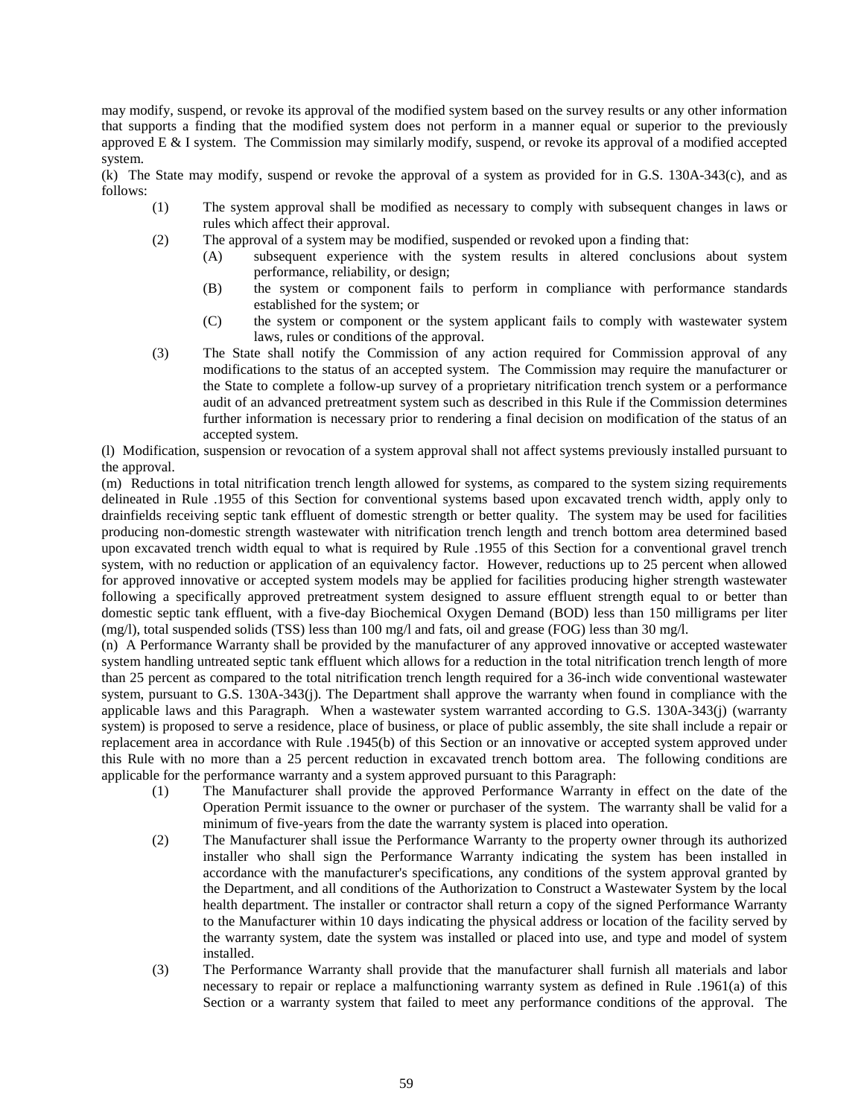may modify, suspend, or revoke its approval of the modified system based on the survey results or any other information that supports a finding that the modified system does not perform in a manner equal or superior to the previously approved E & I system. The Commission may similarly modify, suspend, or revoke its approval of a modified accepted system.

(k) The State may modify, suspend or revoke the approval of a system as provided for in G.S. 130A-343(c), and as follows:

- (1) The system approval shall be modified as necessary to comply with subsequent changes in laws or rules which affect their approval.
- (2) The approval of a system may be modified, suspended or revoked upon a finding that:
	- (A) subsequent experience with the system results in altered conclusions about system performance, reliability, or design;
	- (B) the system or component fails to perform in compliance with performance standards established for the system; or
	- (C) the system or component or the system applicant fails to comply with wastewater system laws, rules or conditions of the approval.
- (3) The State shall notify the Commission of any action required for Commission approval of any modifications to the status of an accepted system. The Commission may require the manufacturer or the State to complete a follow-up survey of a proprietary nitrification trench system or a performance audit of an advanced pretreatment system such as described in this Rule if the Commission determines further information is necessary prior to rendering a final decision on modification of the status of an accepted system.

(l) Modification, suspension or revocation of a system approval shall not affect systems previously installed pursuant to the approval.

(m) Reductions in total nitrification trench length allowed for systems, as compared to the system sizing requirements delineated in Rule .1955 of this Section for conventional systems based upon excavated trench width, apply only to drainfields receiving septic tank effluent of domestic strength or better quality. The system may be used for facilities producing non-domestic strength wastewater with nitrification trench length and trench bottom area determined based upon excavated trench width equal to what is required by Rule .1955 of this Section for a conventional gravel trench system, with no reduction or application of an equivalency factor. However, reductions up to 25 percent when allowed for approved innovative or accepted system models may be applied for facilities producing higher strength wastewater following a specifically approved pretreatment system designed to assure effluent strength equal to or better than domestic septic tank effluent, with a five-day Biochemical Oxygen Demand (BOD) less than 150 milligrams per liter (mg/l), total suspended solids (TSS) less than 100 mg/l and fats, oil and grease (FOG) less than 30 mg/l.

(n) A Performance Warranty shall be provided by the manufacturer of any approved innovative or accepted wastewater system handling untreated septic tank effluent which allows for a reduction in the total nitrification trench length of more than 25 percent as compared to the total nitrification trench length required for a 36-inch wide conventional wastewater system, pursuant to G.S. 130A-343(j). The Department shall approve the warranty when found in compliance with the applicable laws and this Paragraph. When a wastewater system warranted according to G.S. 130A-343(j) (warranty system) is proposed to serve a residence, place of business, or place of public assembly, the site shall include a repair or replacement area in accordance with Rule .1945(b) of this Section or an innovative or accepted system approved under this Rule with no more than a 25 percent reduction in excavated trench bottom area. The following conditions are applicable for the performance warranty and a system approved pursuant to this Paragraph:

- (1) The Manufacturer shall provide the approved Performance Warranty in effect on the date of the Operation Permit issuance to the owner or purchaser of the system. The warranty shall be valid for a minimum of five-years from the date the warranty system is placed into operation.
- (2) The Manufacturer shall issue the Performance Warranty to the property owner through its authorized installer who shall sign the Performance Warranty indicating the system has been installed in accordance with the manufacturer's specifications, any conditions of the system approval granted by the Department, and all conditions of the Authorization to Construct a Wastewater System by the local health department. The installer or contractor shall return a copy of the signed Performance Warranty to the Manufacturer within 10 days indicating the physical address or location of the facility served by the warranty system, date the system was installed or placed into use, and type and model of system installed.
- (3) The Performance Warranty shall provide that the manufacturer shall furnish all materials and labor necessary to repair or replace a malfunctioning warranty system as defined in Rule .1961(a) of this Section or a warranty system that failed to meet any performance conditions of the approval. The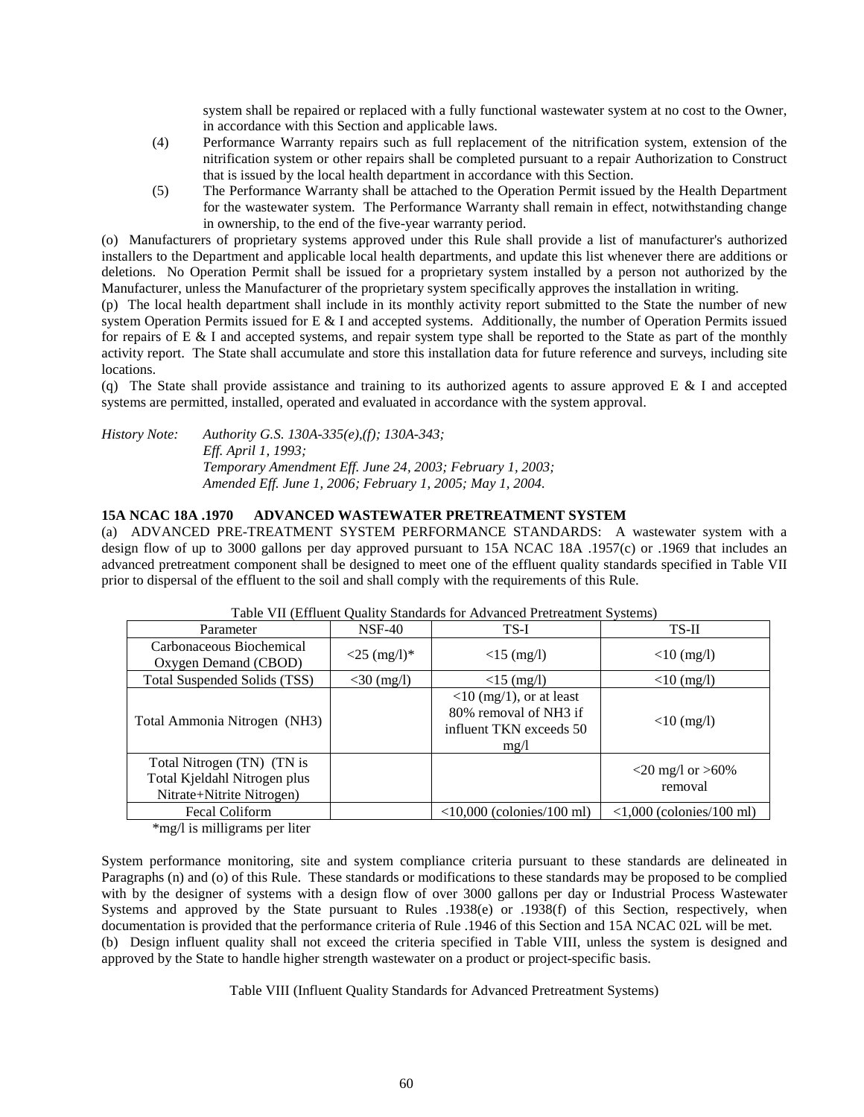system shall be repaired or replaced with a fully functional wastewater system at no cost to the Owner, in accordance with this Section and applicable laws.

- (4) Performance Warranty repairs such as full replacement of the nitrification system, extension of the nitrification system or other repairs shall be completed pursuant to a repair Authorization to Construct that is issued by the local health department in accordance with this Section.
- (5) The Performance Warranty shall be attached to the Operation Permit issued by the Health Department for the wastewater system. The Performance Warranty shall remain in effect, notwithstanding change in ownership, to the end of the five-year warranty period.

(o) Manufacturers of proprietary systems approved under this Rule shall provide a list of manufacturer's authorized installers to the Department and applicable local health departments, and update this list whenever there are additions or deletions. No Operation Permit shall be issued for a proprietary system installed by a person not authorized by the Manufacturer, unless the Manufacturer of the proprietary system specifically approves the installation in writing.

(p) The local health department shall include in its monthly activity report submitted to the State the number of new system Operation Permits issued for E & I and accepted systems. Additionally, the number of Operation Permits issued for repairs of  $E \& I$  and accepted systems, and repair system type shall be reported to the State as part of the monthly activity report. The State shall accumulate and store this installation data for future reference and surveys, including site locations.

(q) The State shall provide assistance and training to its authorized agents to assure approved E  $\&$  I and accepted systems are permitted, installed, operated and evaluated in accordance with the system approval.

*History Note: Authority G.S. 130A-335(e),(f); 130A-343; Eff. April 1, 1993; Temporary Amendment Eff. June 24, 2003; February 1, 2003; Amended Eff. June 1, 2006; February 1, 2005; May 1, 2004.*

## **15A NCAC 18A .1970 ADVANCED WASTEWATER PRETREATMENT SYSTEM**

(a) ADVANCED PRE-TREATMENT SYSTEM PERFORMANCE STANDARDS: A wastewater system with a design flow of up to 3000 gallons per day approved pursuant to 15A NCAC 18A .1957(c) or .1969 that includes an advanced pretreatment component shall be designed to meet one of the effluent quality standards specified in Table VII prior to dispersal of the effluent to the soil and shall comply with the requirements of this Rule.

| I able VII (Effilient Quanty Standards for Advanced Pretreatment Systems)               |                            |                                                                                                                      |                                           |  |
|-----------------------------------------------------------------------------------------|----------------------------|----------------------------------------------------------------------------------------------------------------------|-------------------------------------------|--|
| Parameter                                                                               | $NSF-40$                   | TS-I                                                                                                                 | TS-II                                     |  |
| Carbonaceous Biochemical<br>Oxygen Demand (CBOD)                                        | $<$ 25 (mg/l) <sup>*</sup> | $<15$ (mg/l)                                                                                                         | $<$ 10 (mg/l)                             |  |
| Total Suspended Solids (TSS)                                                            | $<$ 30 (mg/l)              | $<15$ (mg/l)                                                                                                         | $<$ 10 (mg/l)                             |  |
| Total Ammonia Nitrogen (NH3)                                                            |                            | $\langle 10 \text{ (mg/1)}, \text{ or at least} \rangle$<br>80% removal of NH3 if<br>influent TKN exceeds 50<br>mg/l | $<$ 10 (mg/l)                             |  |
| Total Nitrogen (TN) (TN is<br>Total Kjeldahl Nitrogen plus<br>Nitrate+Nitrite Nitrogen) |                            |                                                                                                                      | $<$ 20 mg/l or $>$ 60%<br>removal         |  |
| Fecal Coliform                                                                          |                            | $\langle 10,000 \rangle$ (colonies/100 ml)                                                                           | $\langle 1,000 \rangle$ (colonies/100 ml) |  |

# Table VII (Effluent Quality Standards for Advanced Pretreatment Systems)

\*mg/l is milligrams per liter

System performance monitoring, site and system compliance criteria pursuant to these standards are delineated in Paragraphs (n) and (o) of this Rule. These standards or modifications to these standards may be proposed to be complied with by the designer of systems with a design flow of over 3000 gallons per day or Industrial Process Wastewater Systems and approved by the State pursuant to Rules .1938(e) or .1938(f) of this Section, respectively, when documentation is provided that the performance criteria of Rule .1946 of this Section and 15A NCAC 02L will be met. (b) Design influent quality shall not exceed the criteria specified in Table VIII, unless the system is designed and approved by the State to handle higher strength wastewater on a product or project-specific basis.

Table VIII (Influent Quality Standards for Advanced Pretreatment Systems)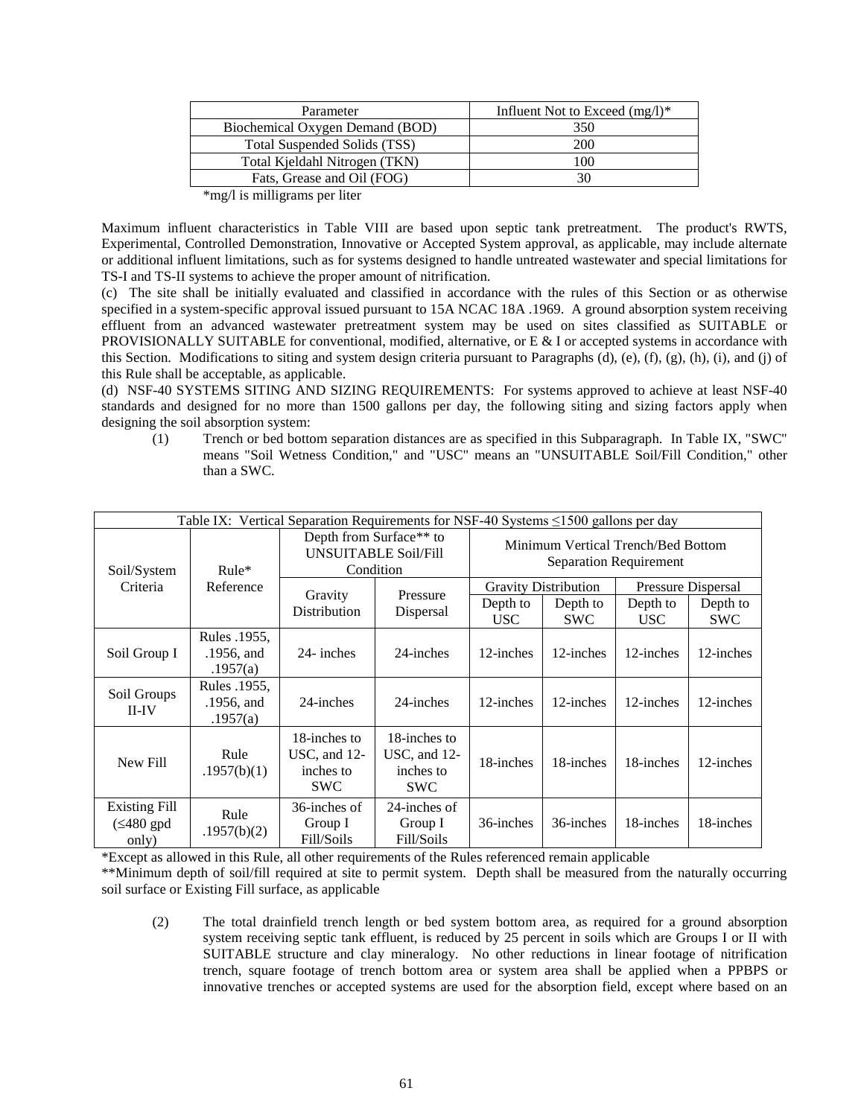| Parameter                        | Influent Not to Exceed $(mg/l)^*$ |
|----------------------------------|-----------------------------------|
| Biochemical Oxygen Demand (BOD)  | 350                               |
| Total Suspended Solids (TSS)     | 200                               |
| Total Kjeldahl Nitrogen (TKN)    | 100                               |
| Fats, Grease and Oil (FOG)       |                                   |
| $\mathbf{A}$<br>$\mathbf{r}$<br> |                                   |

\*mg/l is milligrams per liter

Maximum influent characteristics in Table VIII are based upon septic tank pretreatment. The product's RWTS, Experimental, Controlled Demonstration, Innovative or Accepted System approval, as applicable, may include alternate or additional influent limitations, such as for systems designed to handle untreated wastewater and special limitations for TS-I and TS-II systems to achieve the proper amount of nitrification.

(c) The site shall be initially evaluated and classified in accordance with the rules of this Section or as otherwise specified in a system-specific approval issued pursuant to 15A NCAC 18A .1969. A ground absorption system receiving effluent from an advanced wastewater pretreatment system may be used on sites classified as SUITABLE or PROVISIONALLY SUITABLE for conventional, modified, alternative, or E & I or accepted systems in accordance with this Section. Modifications to siting and system design criteria pursuant to Paragraphs (d), (e), (f), (g), (h), (i), and (j) of this Rule shall be acceptable, as applicable.

(d) NSF-40 SYSTEMS SITING AND SIZING REQUIREMENTS: For systems approved to achieve at least NSF-40 standards and designed for no more than 1500 gallons per day, the following siting and sizing factors apply when designing the soil absorption system:

(1) Trench or bed bottom separation distances are as specified in this Subparagraph. In Table IX, "SWC" means "Soil Wetness Condition," and "USC" means an "UNSUITABLE Soil/Fill Condition," other than a SWC.

| Table IX: Vertical Separation Requirements for NSF-40 Systems $\leq$ 1500 gallons per day |                                        |                                                                                 |                                                         |                                                                     |                             |                        |                        |
|-------------------------------------------------------------------------------------------|----------------------------------------|---------------------------------------------------------------------------------|---------------------------------------------------------|---------------------------------------------------------------------|-----------------------------|------------------------|------------------------|
| Soil/System                                                                               | $Rule*$                                | Depth from Surface <sup>**</sup> to<br><b>UNSUITABLE Soil/Fill</b><br>Condition |                                                         | Minimum Vertical Trench/Bed Bottom<br><b>Separation Requirement</b> |                             |                        |                        |
| Criteria                                                                                  | Reference                              |                                                                                 |                                                         |                                                                     | <b>Gravity Distribution</b> |                        | Pressure Dispersal     |
|                                                                                           |                                        | Gravity<br>Distribution                                                         | Pressure<br>Dispersal                                   | Depth to<br><b>USC</b>                                              | Depth to<br><b>SWC</b>      | Depth to<br><b>USC</b> | Depth to<br><b>SWC</b> |
| Soil Group I                                                                              | Rules .1955.<br>.1956, and<br>.1957(a) | 24- inches                                                                      | 24-inches                                               | 12-inches                                                           | 12-inches                   | 12-inches              | 12-inches              |
| Soil Groups<br>$II$ -IV                                                                   | Rules .1955.<br>.1956, and<br>.1957(a) | 24-inches                                                                       | 24-inches                                               | 12-inches                                                           | 12-inches                   | 12-inches              | 12-inches              |
| New Fill                                                                                  | Rule<br>.1957(b)(1)                    | 18-inches to<br>USC, and 12-<br>inches to<br><b>SWC</b>                         | 18-inches to<br>USC, and 12-<br>inches to<br><b>SWC</b> | 18-inches                                                           | 18-inches                   | 18-inches              | 12-inches              |
| Existing Fill<br>$(\leq 480$ gpd<br>only)                                                 | Rule<br>.1957(b)(2)                    | 36-inches of<br>Group I<br>Fill/Soils                                           | 24-inches of<br>Group I<br>Fill/Soils                   | 36-inches                                                           | 36-inches                   | 18-inches              | 18-inches              |

\*Except as allowed in this Rule, all other requirements of the Rules referenced remain applicable

\*\*Minimum depth of soil/fill required at site to permit system. Depth shall be measured from the naturally occurring soil surface or Existing Fill surface, as applicable

(2) The total drainfield trench length or bed system bottom area, as required for a ground absorption system receiving septic tank effluent, is reduced by 25 percent in soils which are Groups I or II with SUITABLE structure and clay mineralogy. No other reductions in linear footage of nitrification trench, square footage of trench bottom area or system area shall be applied when a PPBPS or innovative trenches or accepted systems are used for the absorption field, except where based on an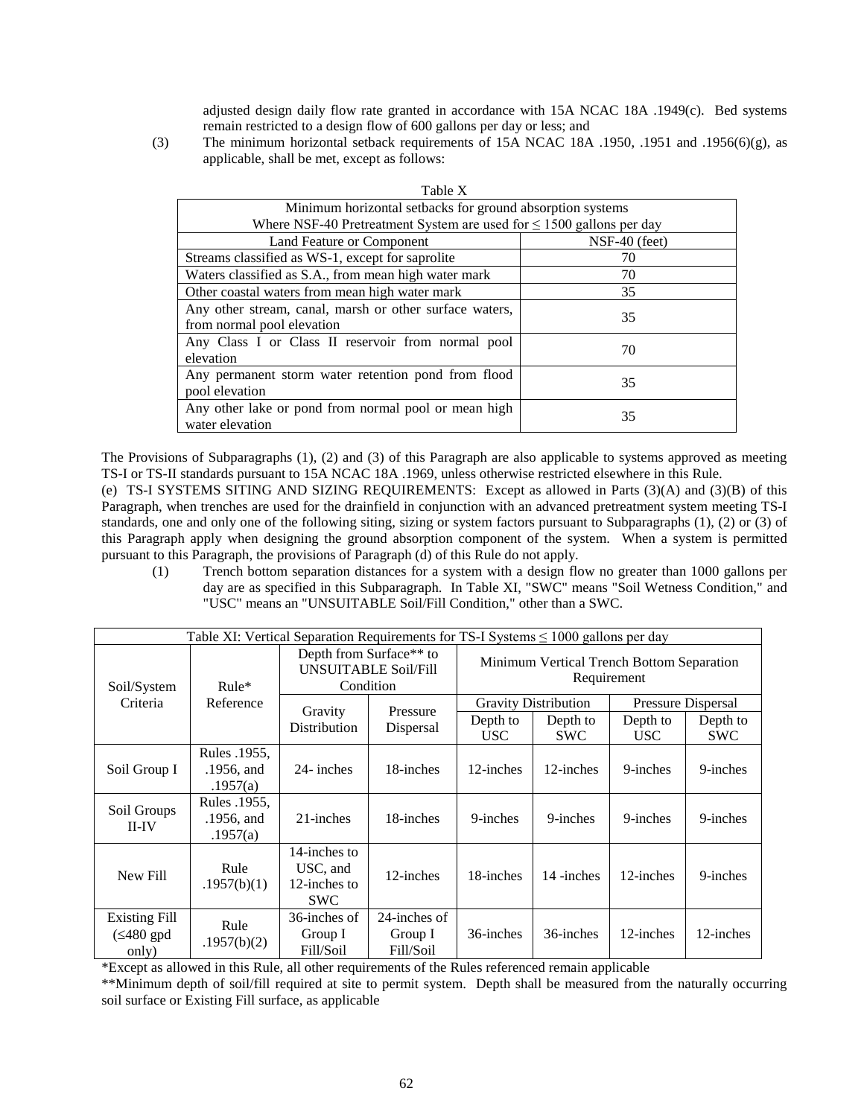adjusted design daily flow rate granted in accordance with 15A NCAC 18A .1949(c). Bed systems remain restricted to a design flow of 600 gallons per day or less; and

(3) The minimum horizontal setback requirements of 15A NCAC 18A .1950, .1951 and .1956(6)(g), as applicable, shall be met, except as follows:

| Table X                                                                   |               |  |  |
|---------------------------------------------------------------------------|---------------|--|--|
| Minimum horizontal setbacks for ground absorption systems                 |               |  |  |
| Where NSF-40 Pretreatment System are used for $\leq 1500$ gallons per day |               |  |  |
| Land Feature or Component                                                 | NSF-40 (feet) |  |  |
| Streams classified as WS-1, except for saprolite                          | 70            |  |  |
| Waters classified as S.A., from mean high water mark                      | 70            |  |  |
| Other coastal waters from mean high water mark                            | 35            |  |  |
| Any other stream, canal, marsh or other surface waters,                   | 35            |  |  |
| from normal pool elevation                                                |               |  |  |
| Any Class I or Class II reservoir from normal pool<br>elevation           | 70            |  |  |
| Any permanent storm water retention pond from flood<br>pool elevation     | 35            |  |  |
| Any other lake or pond from normal pool or mean high<br>water elevation   | 35            |  |  |

The Provisions of Subparagraphs (1), (2) and (3) of this Paragraph are also applicable to systems approved as meeting TS-I or TS-II standards pursuant to 15A NCAC 18A .1969, unless otherwise restricted elsewhere in this Rule.

(e) TS-I SYSTEMS SITING AND SIZING REQUIREMENTS: Except as allowed in Parts (3)(A) and (3)(B) of this Paragraph, when trenches are used for the drainfield in conjunction with an advanced pretreatment system meeting TS-I standards, one and only one of the following siting, sizing or system factors pursuant to Subparagraphs (1), (2) or (3) of this Paragraph apply when designing the ground absorption component of the system. When a system is permitted pursuant to this Paragraph, the provisions of Paragraph (d) of this Rule do not apply.

(1) Trench bottom separation distances for a system with a design flow no greater than 1000 gallons per day are as specified in this Subparagraph. In Table XI, "SWC" means "Soil Wetness Condition," and "USC" means an "UNSUITABLE Soil/Fill Condition," other than a SWC.

| Table XI: Vertical Separation Requirements for TS-I Systems $\leq 1000$ gallons per day |                                        |                                                                                 |                                      |                                                          |                        |                        |                        |
|-----------------------------------------------------------------------------------------|----------------------------------------|---------------------------------------------------------------------------------|--------------------------------------|----------------------------------------------------------|------------------------|------------------------|------------------------|
| Soil/System                                                                             | $Rule*$<br>Reference                   | Depth from Surface <sup>**</sup> to<br><b>UNSUITABLE Soil/Fill</b><br>Condition |                                      | Minimum Vertical Trench Bottom Separation<br>Requirement |                        |                        |                        |
| Criteria                                                                                |                                        | Gravity<br>Distribution                                                         | Pressure<br>Dispersal                | <b>Gravity Distribution</b><br>Pressure Dispersal        |                        |                        |                        |
|                                                                                         |                                        |                                                                                 |                                      | Depth to<br>USC                                          | Depth to<br><b>SWC</b> | Depth to<br><b>USC</b> | Depth to<br><b>SWC</b> |
| Soil Group I                                                                            | Rules .1955.<br>.1956, and<br>.1957(a) | 24- inches                                                                      | 18-inches                            | 12-inches                                                | 12-inches              | 9-inches               | 9-inches               |
| Soil Groups<br>$II$ -IV                                                                 | Rules .1955.<br>.1956, and<br>.1957(a) | 21-inches                                                                       | 18-inches                            | 9-inches                                                 | 9-inches               | 9-inches               | 9-inches               |
| New Fill                                                                                | Rule<br>.1957(b)(1)                    | 14-inches to<br>USC, and<br>12-inches to<br><b>SWC</b>                          | 12-inches                            | 18-inches                                                | 14-inches              | 12-inches              | 9-inches               |
| <b>Existing Fill</b><br>$(\leq 480$ gpd<br>only)                                        | Rule<br>.1957(b)(2)                    | 36-inches of<br>Group I<br>Fill/Soil                                            | 24-inches of<br>Group I<br>Fill/Soil | 36-inches                                                | 36-inches              | 12-inches              | 12-inches              |

\*Except as allowed in this Rule, all other requirements of the Rules referenced remain applicable

\*\*Minimum depth of soil/fill required at site to permit system. Depth shall be measured from the naturally occurring soil surface or Existing Fill surface, as applicable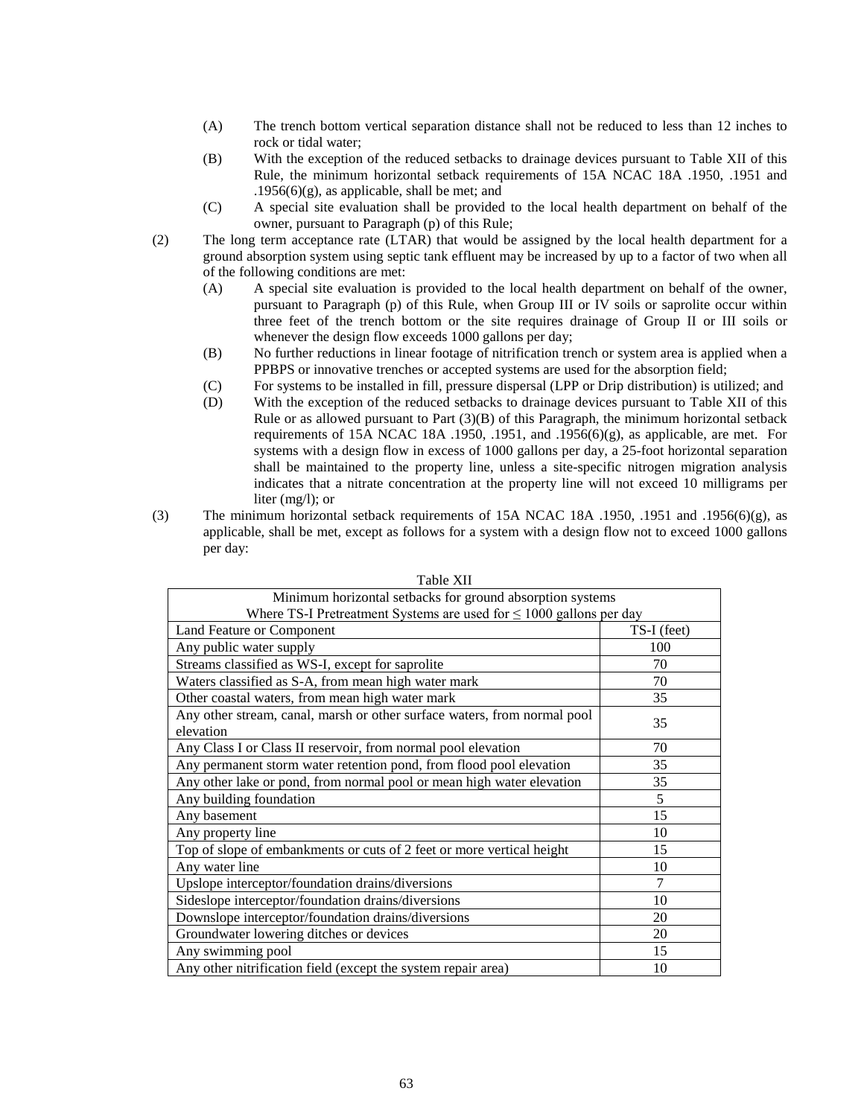- (A) The trench bottom vertical separation distance shall not be reduced to less than 12 inches to rock or tidal water;
- (B) With the exception of the reduced setbacks to drainage devices pursuant to Table XII of this Rule, the minimum horizontal setback requirements of 15A NCAC 18A .1950, .1951 and  $.1956(6)(g)$ , as applicable, shall be met; and
- (C) A special site evaluation shall be provided to the local health department on behalf of the owner, pursuant to Paragraph (p) of this Rule;
- (2) The long term acceptance rate (LTAR) that would be assigned by the local health department for a ground absorption system using septic tank effluent may be increased by up to a factor of two when all of the following conditions are met:
	- (A) A special site evaluation is provided to the local health department on behalf of the owner, pursuant to Paragraph (p) of this Rule, when Group III or IV soils or saprolite occur within three feet of the trench bottom or the site requires drainage of Group II or III soils or whenever the design flow exceeds 1000 gallons per day;
	- (B) No further reductions in linear footage of nitrification trench or system area is applied when a PPBPS or innovative trenches or accepted systems are used for the absorption field;
	- (C) For systems to be installed in fill, pressure dispersal (LPP or Drip distribution) is utilized; and
	- (D) With the exception of the reduced setbacks to drainage devices pursuant to Table XII of this Rule or as allowed pursuant to Part (3)(B) of this Paragraph, the minimum horizontal setback requirements of 15A NCAC 18A .1950, .1951, and .1956(6)(g), as applicable, are met. For systems with a design flow in excess of 1000 gallons per day, a 25-foot horizontal separation shall be maintained to the property line, unless a site-specific nitrogen migration analysis indicates that a nitrate concentration at the property line will not exceed 10 milligrams per liter (mg/l); or
- (3) The minimum horizontal setback requirements of 15A NCAC 18A .1950, .1951 and .1956(6)(g), as applicable, shall be met, except as follows for a system with a design flow not to exceed 1000 gallons per day:

| I AVIC AII                                                               |             |  |  |  |
|--------------------------------------------------------------------------|-------------|--|--|--|
| Minimum horizontal setbacks for ground absorption systems                |             |  |  |  |
| Where TS-I Pretreatment Systems are used for $\leq 1000$ gallons per day |             |  |  |  |
| Land Feature or Component                                                | TS-I (feet) |  |  |  |
| Any public water supply                                                  | 100         |  |  |  |
| Streams classified as WS-I, except for saprolite                         | 70          |  |  |  |
| Waters classified as S-A, from mean high water mark                      | 70          |  |  |  |
| Other coastal waters, from mean high water mark                          | 35          |  |  |  |
| Any other stream, canal, marsh or other surface waters, from normal pool | 35          |  |  |  |
| elevation                                                                |             |  |  |  |
| Any Class I or Class II reservoir, from normal pool elevation            | 70          |  |  |  |
| Any permanent storm water retention pond, from flood pool elevation      | 35          |  |  |  |
| Any other lake or pond, from normal pool or mean high water elevation    | 35          |  |  |  |
| Any building foundation                                                  | 5           |  |  |  |
| Any basement                                                             | 15          |  |  |  |
| Any property line                                                        | 10          |  |  |  |
| Top of slope of embankments or cuts of 2 feet or more vertical height    | 15          |  |  |  |
| Any water line                                                           | 10          |  |  |  |
| Upslope interceptor/foundation drains/diversions                         | 7           |  |  |  |
| Sideslope interceptor/foundation drains/diversions                       | 10          |  |  |  |
| Downslope interceptor/foundation drains/diversions                       | 20          |  |  |  |
| Groundwater lowering ditches or devices                                  | 20          |  |  |  |
| Any swimming pool                                                        | 15          |  |  |  |
| Any other nitrification field (except the system repair area)            | 10          |  |  |  |

Table XII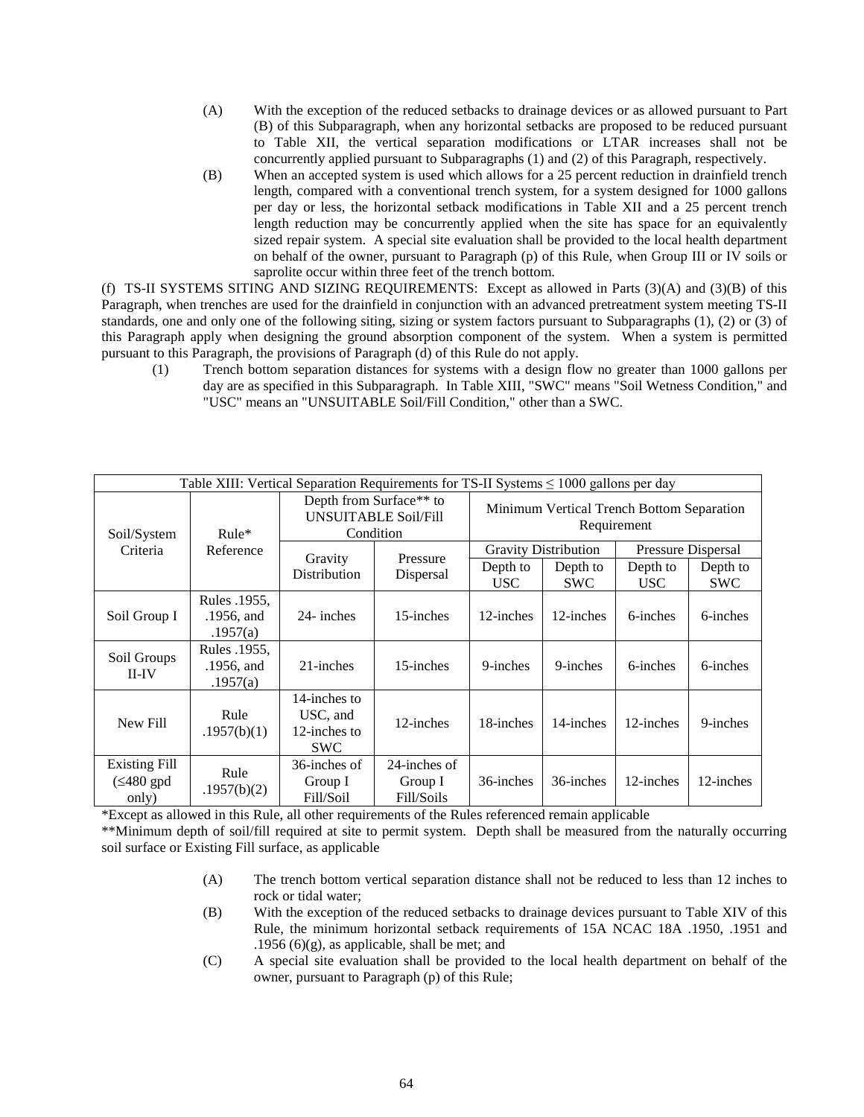- (A) With the exception of the reduced setbacks to drainage devices or as allowed pursuant to Part (B) of this Subparagraph, when any horizontal setbacks are proposed to be reduced pursuant to Table XII, the vertical separation modifications or LTAR increases shall not be concurrently applied pursuant to Subparagraphs (1) and (2) of this Paragraph, respectively.
- (B) When an accepted system is used which allows for a 25 percent reduction in drainfield trench length, compared with a conventional trench system, for a system designed for 1000 gallons per day or less, the horizontal setback modifications in Table XII and a 25 percent trench length reduction may be concurrently applied when the site has space for an equivalently sized repair system. A special site evaluation shall be provided to the local health department on behalf of the owner, pursuant to Paragraph (p) of this Rule, when Group III or IV soils or saprolite occur within three feet of the trench bottom.

(f) TS-II SYSTEMS SITING AND SIZING REQUIREMENTS: Except as allowed in Parts (3)(A) and (3)(B) of this Paragraph, when trenches are used for the drainfield in conjunction with an advanced pretreatment system meeting TS-II standards, one and only one of the following siting, sizing or system factors pursuant to Subparagraphs (1), (2) or (3) of this Paragraph apply when designing the ground absorption component of the system. When a system is permitted pursuant to this Paragraph, the provisions of Paragraph (d) of this Rule do not apply.

(1) Trench bottom separation distances for systems with a design flow no greater than 1000 gallons per day are as specified in this Subparagraph. In Table XIII, "SWC" means "Soil Wetness Condition," and "USC" means an "UNSUITABLE Soil/Fill Condition," other than a SWC.

| Table XIII: Vertical Separation Requirements for TS-II Systems $\leq 1000$ gallons per day |                                        |                                                                     |                                       |                                                          |                        |                        |                        |
|--------------------------------------------------------------------------------------------|----------------------------------------|---------------------------------------------------------------------|---------------------------------------|----------------------------------------------------------|------------------------|------------------------|------------------------|
| Soil/System                                                                                | $Rule*$<br>Reference                   | Depth from Surface** to<br><b>UNSUITABLE Soil/Fill</b><br>Condition |                                       | Minimum Vertical Trench Bottom Separation<br>Requirement |                        |                        |                        |
| Criteria                                                                                   |                                        | Gravity<br>Distribution                                             |                                       | <b>Gravity Distribution</b><br>Pressure Dispersal        |                        |                        |                        |
|                                                                                            |                                        |                                                                     | Pressure<br>Dispersal                 | Depth to<br><b>USC</b>                                   | Depth to<br><b>SWC</b> | Depth to<br><b>USC</b> | Depth to<br><b>SWC</b> |
| Soil Group I                                                                               | Rules .1955.<br>.1956, and<br>.1957(a) | 24- inches                                                          | 15-inches                             | 12-inches                                                | 12-inches              | 6-inches               | 6-inches               |
| Soil Groups<br>$II$ - $IV$                                                                 | Rules .1955,<br>.1956, and<br>.1957(a) | 21-inches                                                           | 15-inches                             | 9-inches                                                 | 9-inches               | 6-inches               | 6-inches               |
| New Fill                                                                                   | Rule<br>.1957(b)(1)                    | 14-inches to<br>USC, and<br>12-inches to<br><b>SWC</b>              | 12-inches                             | 18-inches                                                | 14-inches              | 12-inches              | 9-inches               |
| <b>Existing Fill</b><br>$(\leq 480$ gpd<br>only)                                           | Rule<br>.1957(b)(2)                    | 36-inches of<br>Group I<br>Fill/Soil                                | 24-inches of<br>Group I<br>Fill/Soils | 36-inches                                                | 36-inches              | 12-inches              | 12-inches              |

\*Except as allowed in this Rule, all other requirements of the Rules referenced remain applicable

\*\*Minimum depth of soil/fill required at site to permit system. Depth shall be measured from the naturally occurring soil surface or Existing Fill surface, as applicable

- (A) The trench bottom vertical separation distance shall not be reduced to less than 12 inches to rock or tidal water;
- (B) With the exception of the reduced setbacks to drainage devices pursuant to Table XIV of this Rule, the minimum horizontal setback requirements of 15A NCAC 18A .1950, .1951 and .1956 (6) $(g)$ , as applicable, shall be met; and
- (C) A special site evaluation shall be provided to the local health department on behalf of the owner, pursuant to Paragraph (p) of this Rule;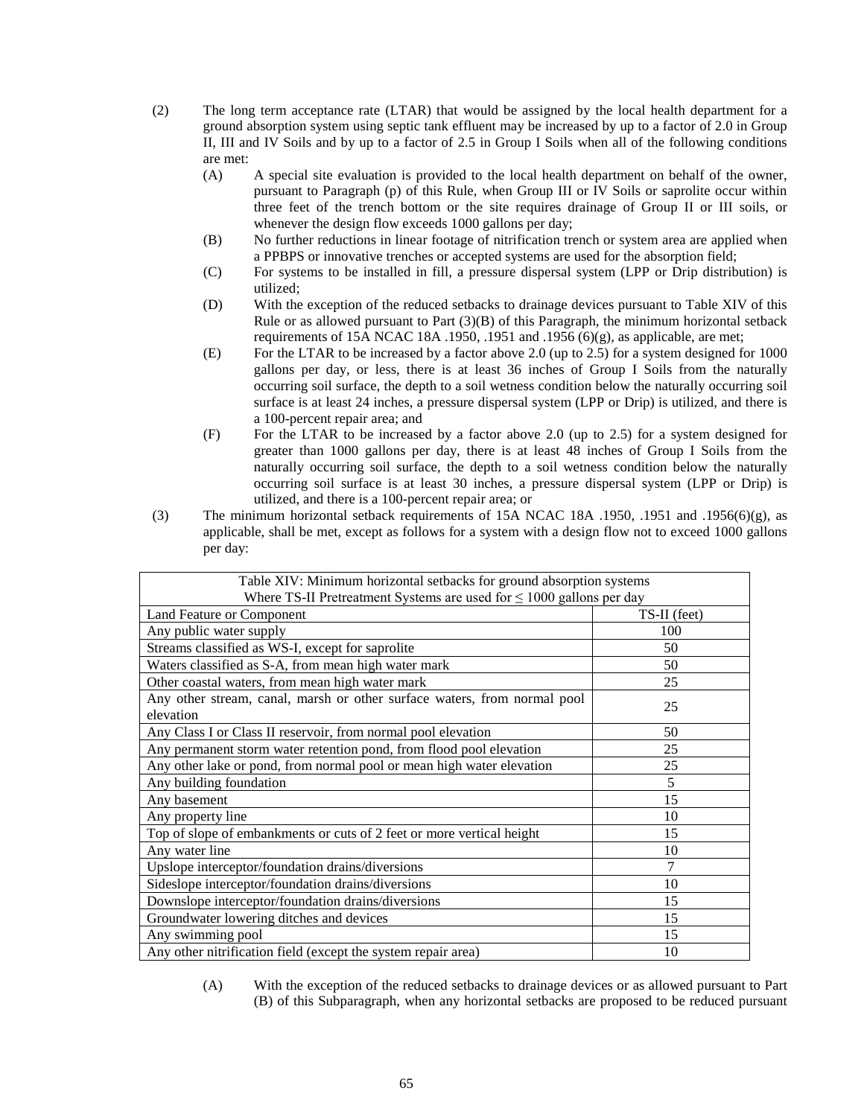- (2) The long term acceptance rate (LTAR) that would be assigned by the local health department for a ground absorption system using septic tank effluent may be increased by up to a factor of 2.0 in Group II, III and IV Soils and by up to a factor of 2.5 in Group I Soils when all of the following conditions are met:
	- (A) A special site evaluation is provided to the local health department on behalf of the owner, pursuant to Paragraph (p) of this Rule, when Group III or IV Soils or saprolite occur within three feet of the trench bottom or the site requires drainage of Group II or III soils, or whenever the design flow exceeds 1000 gallons per day;
	- (B) No further reductions in linear footage of nitrification trench or system area are applied when a PPBPS or innovative trenches or accepted systems are used for the absorption field;
	- (C) For systems to be installed in fill, a pressure dispersal system (LPP or Drip distribution) is utilized;
	- (D) With the exception of the reduced setbacks to drainage devices pursuant to Table XIV of this Rule or as allowed pursuant to Part (3)(B) of this Paragraph, the minimum horizontal setback requirements of 15A NCAC 18A .1950, .1951 and .1956 (6)(g), as applicable, are met;
	- (E) For the LTAR to be increased by a factor above 2.0 (up to 2.5) for a system designed for 1000 gallons per day, or less, there is at least 36 inches of Group I Soils from the naturally occurring soil surface, the depth to a soil wetness condition below the naturally occurring soil surface is at least 24 inches, a pressure dispersal system (LPP or Drip) is utilized, and there is a 100-percent repair area; and
	- (F) For the LTAR to be increased by a factor above 2.0 (up to 2.5) for a system designed for greater than 1000 gallons per day, there is at least 48 inches of Group I Soils from the naturally occurring soil surface, the depth to a soil wetness condition below the naturally occurring soil surface is at least 30 inches, a pressure dispersal system (LPP or Drip) is utilized, and there is a 100-percent repair area; or
- (3) The minimum horizontal setback requirements of 15A NCAC 18A .1950, .1951 and .1956(6)(g), as applicable, shall be met, except as follows for a system with a design flow not to exceed 1000 gallons per day:

| Table XIV: Minimum horizontal setbacks for ground absorption systems                  |              |  |  |  |
|---------------------------------------------------------------------------------------|--------------|--|--|--|
| Where TS-II Pretreatment Systems are used for $\leq 1000$ gallons per day             |              |  |  |  |
| Land Feature or Component                                                             | TS-II (feet) |  |  |  |
| Any public water supply                                                               | 100          |  |  |  |
| Streams classified as WS-I, except for saprolite                                      | 50           |  |  |  |
| Waters classified as S-A, from mean high water mark                                   | 50           |  |  |  |
| Other coastal waters, from mean high water mark                                       | 25           |  |  |  |
| Any other stream, canal, marsh or other surface waters, from normal pool<br>elevation | 25           |  |  |  |
| Any Class I or Class II reservoir, from normal pool elevation                         | 50           |  |  |  |
| Any permanent storm water retention pond, from flood pool elevation                   | 25           |  |  |  |
| Any other lake or pond, from normal pool or mean high water elevation                 | 25           |  |  |  |
| Any building foundation                                                               | 5            |  |  |  |
| Any basement                                                                          | 15           |  |  |  |
| Any property line                                                                     | 10           |  |  |  |
| Top of slope of embankments or cuts of 2 feet or more vertical height                 | 15           |  |  |  |
| Any water line                                                                        | 10           |  |  |  |
| Upslope interceptor/foundation drains/diversions                                      |              |  |  |  |
| Sideslope interceptor/foundation drains/diversions                                    | 10           |  |  |  |
| Downslope interceptor/foundation drains/diversions                                    | 15           |  |  |  |
| Groundwater lowering ditches and devices                                              | 15           |  |  |  |
| Any swimming pool                                                                     | 15           |  |  |  |
| Any other nitrification field (except the system repair area)                         | 10           |  |  |  |

(A) With the exception of the reduced setbacks to drainage devices or as allowed pursuant to Part (B) of this Subparagraph, when any horizontal setbacks are proposed to be reduced pursuant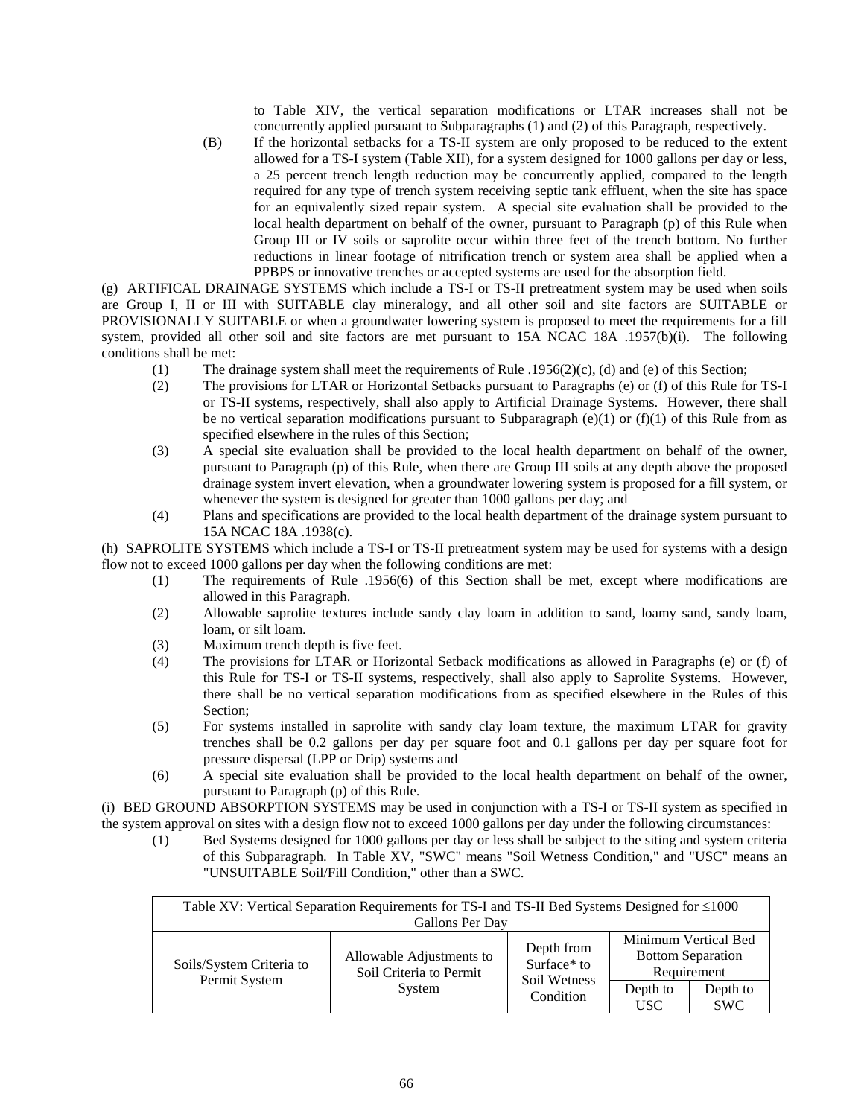to Table XIV, the vertical separation modifications or LTAR increases shall not be concurrently applied pursuant to Subparagraphs (1) and (2) of this Paragraph, respectively.

(B) If the horizontal setbacks for a TS-II system are only proposed to be reduced to the extent allowed for a TS-I system (Table XII), for a system designed for 1000 gallons per day or less, a 25 percent trench length reduction may be concurrently applied, compared to the length required for any type of trench system receiving septic tank effluent, when the site has space for an equivalently sized repair system. A special site evaluation shall be provided to the local health department on behalf of the owner, pursuant to Paragraph (p) of this Rule when Group III or IV soils or saprolite occur within three feet of the trench bottom. No further reductions in linear footage of nitrification trench or system area shall be applied when a PPBPS or innovative trenches or accepted systems are used for the absorption field.

(g) ARTIFICAL DRAINAGE SYSTEMS which include a TS-I or TS-II pretreatment system may be used when soils are Group I, II or III with SUITABLE clay mineralogy, and all other soil and site factors are SUITABLE or PROVISIONALLY SUITABLE or when a groundwater lowering system is proposed to meet the requirements for a fill system, provided all other soil and site factors are met pursuant to 15A NCAC 18A .1957(b)(i). The following conditions shall be met:

- (1) The drainage system shall meet the requirements of Rule .1956(2)(c), (d) and (e) of this Section;
- (2) The provisions for LTAR or Horizontal Setbacks pursuant to Paragraphs (e) or (f) of this Rule for TS-I or TS-II systems, respectively, shall also apply to Artificial Drainage Systems. However, there shall be no vertical separation modifications pursuant to Subparagraph  $(e)(1)$  or  $(f)(1)$  of this Rule from as specified elsewhere in the rules of this Section;
- (3) A special site evaluation shall be provided to the local health department on behalf of the owner, pursuant to Paragraph (p) of this Rule, when there are Group III soils at any depth above the proposed drainage system invert elevation, when a groundwater lowering system is proposed for a fill system, or whenever the system is designed for greater than 1000 gallons per day; and
- (4) Plans and specifications are provided to the local health department of the drainage system pursuant to 15A NCAC 18A .1938(c).

(h) SAPROLITE SYSTEMS which include a TS-I or TS-II pretreatment system may be used for systems with a design flow not to exceed 1000 gallons per day when the following conditions are met:

- (1) The requirements of Rule .1956(6) of this Section shall be met, except where modifications are allowed in this Paragraph.
- (2) Allowable saprolite textures include sandy clay loam in addition to sand, loamy sand, sandy loam, loam, or silt loam.
- (3) Maximum trench depth is five feet.
- (4) The provisions for LTAR or Horizontal Setback modifications as allowed in Paragraphs (e) or (f) of this Rule for TS-I or TS-II systems, respectively, shall also apply to Saprolite Systems. However, there shall be no vertical separation modifications from as specified elsewhere in the Rules of this Section;
- (5) For systems installed in saprolite with sandy clay loam texture, the maximum LTAR for gravity trenches shall be 0.2 gallons per day per square foot and 0.1 gallons per day per square foot for pressure dispersal (LPP or Drip) systems and
- (6) A special site evaluation shall be provided to the local health department on behalf of the owner, pursuant to Paragraph (p) of this Rule.

(i) BED GROUND ABSORPTION SYSTEMS may be used in conjunction with a TS-I or TS-II system as specified in the system approval on sites with a design flow not to exceed 1000 gallons per day under the following circumstances:

(1) Bed Systems designed for 1000 gallons per day or less shall be subject to the siting and system criteria of this Subparagraph. In Table XV, "SWC" means "Soil Wetness Condition," and "USC" means an "UNSUITABLE Soil/Fill Condition," other than a SWC.

| Table XV: Vertical Separation Requirements for TS-I and TS-II Bed Systems Designed for $\leq 1000$<br>Gallons Per Day |                                                               |                           |                                                                 |                        |
|-----------------------------------------------------------------------------------------------------------------------|---------------------------------------------------------------|---------------------------|-----------------------------------------------------------------|------------------------|
| Soils/System Criteria to<br>Permit System                                                                             | Allowable Adjustments to<br>Soil Criteria to Permit<br>System | Depth from<br>Surface* to | Minimum Vertical Bed<br><b>Bottom Separation</b><br>Requirement |                        |
|                                                                                                                       |                                                               | Soil Wetness<br>Condition | Depth to<br><b>USC</b>                                          | Depth to<br><b>SWC</b> |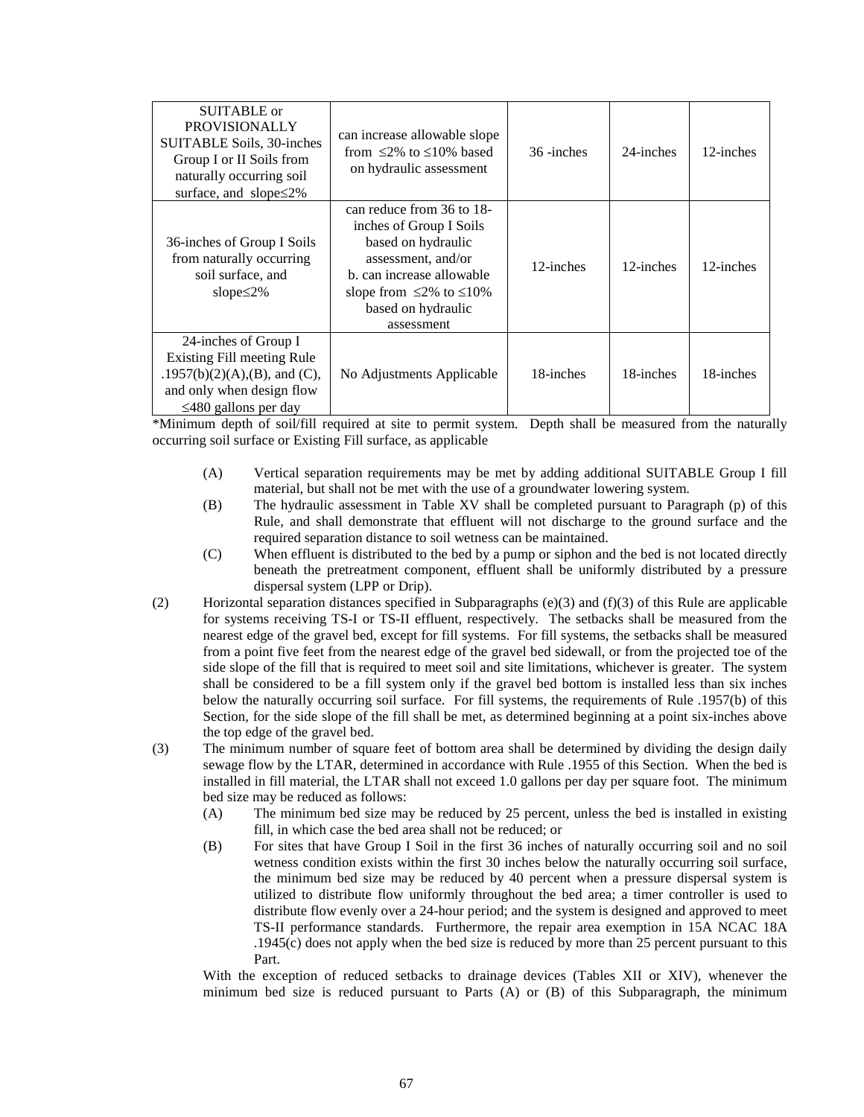| SUITABLE or<br><b>PROVISIONALLY</b><br>SUITABLE Soils, 30-inches<br>Group I or II Soils from<br>naturally occurring soil<br>surface, and slope $\leq$ 2% | can increase allowable slope<br>from $\leq$ 2% to $\leq$ 10% based<br>on hydraulic assessment                                                                                                           | 36 -inches | 24-inches | 12-inches |
|----------------------------------------------------------------------------------------------------------------------------------------------------------|---------------------------------------------------------------------------------------------------------------------------------------------------------------------------------------------------------|------------|-----------|-----------|
| 36-inches of Group I Soils<br>from naturally occurring<br>soil surface, and<br>slope $\leq$ 2%                                                           | can reduce from 36 to 18-<br>inches of Group I Soils<br>based on hydraulic<br>assessment, and/or<br>b. can increase allowable<br>slope from $\leq$ 2% to $\leq$ 10%<br>based on hydraulic<br>assessment | 12-inches  | 12-inches | 12-inches |
| 24-inches of Group I<br>Existing Fill meeting Rule<br>.1957(b)(2)(A),(B), and (C),<br>and only when design flow<br>$\leq$ 480 gallons per day            | No Adjustments Applicable                                                                                                                                                                               | 18-inches  | 18-inches | 18-inches |

\*Minimum depth of soil/fill required at site to permit system. Depth shall be measured from the naturally occurring soil surface or Existing Fill surface, as applicable

- (A) Vertical separation requirements may be met by adding additional SUITABLE Group I fill material, but shall not be met with the use of a groundwater lowering system.
- (B) The hydraulic assessment in Table XV shall be completed pursuant to Paragraph (p) of this Rule, and shall demonstrate that effluent will not discharge to the ground surface and the required separation distance to soil wetness can be maintained.
- (C) When effluent is distributed to the bed by a pump or siphon and the bed is not located directly beneath the pretreatment component, effluent shall be uniformly distributed by a pressure dispersal system (LPP or Drip).
- (2) Horizontal separation distances specified in Subparagraphs (e)(3) and (f)(3) of this Rule are applicable for systems receiving TS-I or TS-II effluent, respectively. The setbacks shall be measured from the nearest edge of the gravel bed, except for fill systems. For fill systems, the setbacks shall be measured from a point five feet from the nearest edge of the gravel bed sidewall, or from the projected toe of the side slope of the fill that is required to meet soil and site limitations, whichever is greater. The system shall be considered to be a fill system only if the gravel bed bottom is installed less than six inches below the naturally occurring soil surface. For fill systems, the requirements of Rule .1957(b) of this Section, for the side slope of the fill shall be met, as determined beginning at a point six-inches above the top edge of the gravel bed.
- (3) The minimum number of square feet of bottom area shall be determined by dividing the design daily sewage flow by the LTAR, determined in accordance with Rule .1955 of this Section. When the bed is installed in fill material, the LTAR shall not exceed 1.0 gallons per day per square foot. The minimum bed size may be reduced as follows:
	- (A) The minimum bed size may be reduced by 25 percent, unless the bed is installed in existing fill, in which case the bed area shall not be reduced; or
	- (B) For sites that have Group I Soil in the first 36 inches of naturally occurring soil and no soil wetness condition exists within the first 30 inches below the naturally occurring soil surface, the minimum bed size may be reduced by 40 percent when a pressure dispersal system is utilized to distribute flow uniformly throughout the bed area; a timer controller is used to distribute flow evenly over a 24-hour period; and the system is designed and approved to meet TS-II performance standards. Furthermore, the repair area exemption in 15A NCAC 18A .1945(c) does not apply when the bed size is reduced by more than 25 percent pursuant to this Part.

With the exception of reduced setbacks to drainage devices (Tables XII or XIV), whenever the minimum bed size is reduced pursuant to Parts (A) or (B) of this Subparagraph, the minimum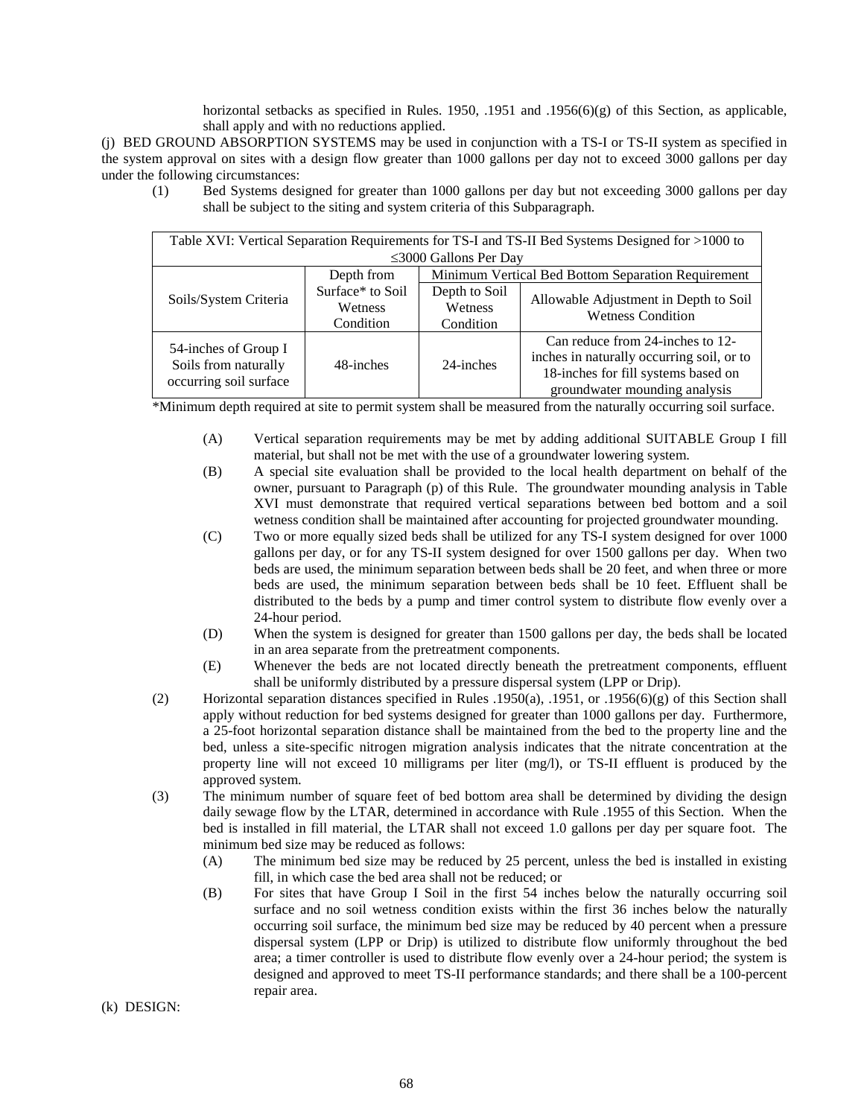horizontal setbacks as specified in Rules. 1950, .1951 and .1956(6)(g) of this Section, as applicable, shall apply and with no reductions applied.

(j) BED GROUND ABSORPTION SYSTEMS may be used in conjunction with a TS-I or TS-II system as specified in the system approval on sites with a design flow greater than 1000 gallons per day not to exceed 3000 gallons per day under the following circumstances:

(1) Bed Systems designed for greater than 1000 gallons per day but not exceeding 3000 gallons per day shall be subject to the siting and system criteria of this Subparagraph.

| Table XVI: Vertical Separation Requirements for TS-I and TS-II Bed Systems Designed for >1000 to |                  |                                                    |                                                                   |  |  |  |
|--------------------------------------------------------------------------------------------------|------------------|----------------------------------------------------|-------------------------------------------------------------------|--|--|--|
| $\leq$ 3000 Gallons Per Day                                                                      |                  |                                                    |                                                                   |  |  |  |
|                                                                                                  | Depth from       | Minimum Vertical Bed Bottom Separation Requirement |                                                                   |  |  |  |
| Soils/System Criteria                                                                            | Surface* to Soil | Depth to Soil                                      |                                                                   |  |  |  |
|                                                                                                  | <b>Wetness</b>   | Wetness                                            | Allowable Adjustment in Depth to Soil<br><b>Wetness Condition</b> |  |  |  |
|                                                                                                  | Condition        | Condition                                          |                                                                   |  |  |  |
|                                                                                                  |                  |                                                    | Can reduce from 24-inches to 12-                                  |  |  |  |
| 54-inches of Group I<br>Soils from naturally<br>occurring soil surface                           | 48-inches        | 24-inches                                          | inches in naturally occurring soil, or to                         |  |  |  |
|                                                                                                  |                  |                                                    | 18-inches for fill systems based on                               |  |  |  |
|                                                                                                  |                  |                                                    | groundwater mounding analysis                                     |  |  |  |

\*Minimum depth required at site to permit system shall be measured from the naturally occurring soil surface.

- (A) Vertical separation requirements may be met by adding additional SUITABLE Group I fill material, but shall not be met with the use of a groundwater lowering system.
- (B) A special site evaluation shall be provided to the local health department on behalf of the owner, pursuant to Paragraph (p) of this Rule. The groundwater mounding analysis in Table XVI must demonstrate that required vertical separations between bed bottom and a soil wetness condition shall be maintained after accounting for projected groundwater mounding.
- (C) Two or more equally sized beds shall be utilized for any TS-I system designed for over 1000 gallons per day, or for any TS-II system designed for over 1500 gallons per day. When two beds are used, the minimum separation between beds shall be 20 feet, and when three or more beds are used, the minimum separation between beds shall be 10 feet. Effluent shall be distributed to the beds by a pump and timer control system to distribute flow evenly over a 24-hour period.
- (D) When the system is designed for greater than 1500 gallons per day, the beds shall be located in an area separate from the pretreatment components.
- (E) Whenever the beds are not located directly beneath the pretreatment components, effluent shall be uniformly distributed by a pressure dispersal system (LPP or Drip).
- (2) Horizontal separation distances specified in Rules .1950(a), .1951, or .1956(6)(g) of this Section shall apply without reduction for bed systems designed for greater than 1000 gallons per day. Furthermore, a 25-foot horizontal separation distance shall be maintained from the bed to the property line and the bed, unless a site-specific nitrogen migration analysis indicates that the nitrate concentration at the property line will not exceed 10 milligrams per liter (mg/l), or TS-II effluent is produced by the approved system.
- (3) The minimum number of square feet of bed bottom area shall be determined by dividing the design daily sewage flow by the LTAR, determined in accordance with Rule .1955 of this Section. When the bed is installed in fill material, the LTAR shall not exceed 1.0 gallons per day per square foot. The minimum bed size may be reduced as follows:
	- (A) The minimum bed size may be reduced by 25 percent, unless the bed is installed in existing fill, in which case the bed area shall not be reduced; or
	- (B) For sites that have Group I Soil in the first 54 inches below the naturally occurring soil surface and no soil wetness condition exists within the first 36 inches below the naturally occurring soil surface, the minimum bed size may be reduced by 40 percent when a pressure dispersal system (LPP or Drip) is utilized to distribute flow uniformly throughout the bed area; a timer controller is used to distribute flow evenly over a 24-hour period; the system is designed and approved to meet TS-II performance standards; and there shall be a 100-percent repair area.

(k) DESIGN: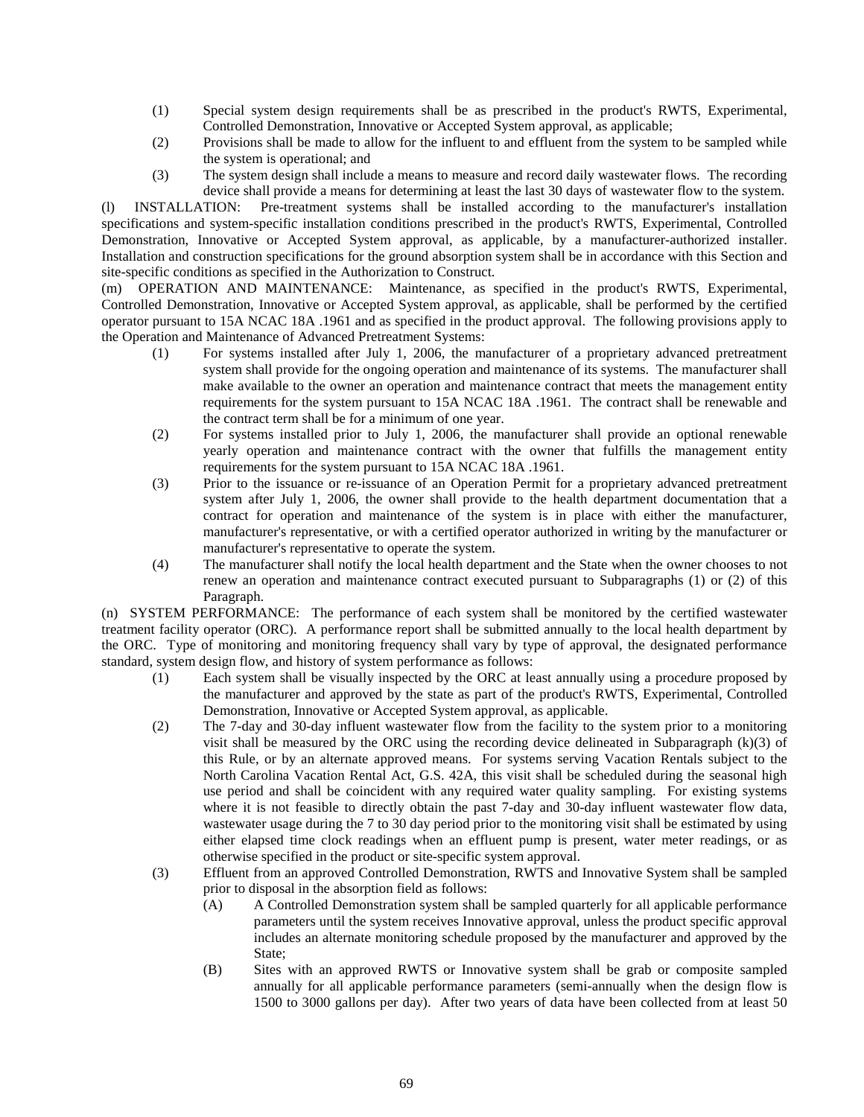- (1) Special system design requirements shall be as prescribed in the product's RWTS, Experimental, Controlled Demonstration, Innovative or Accepted System approval, as applicable;
- (2) Provisions shall be made to allow for the influent to and effluent from the system to be sampled while the system is operational; and
- (3) The system design shall include a means to measure and record daily wastewater flows. The recording device shall provide a means for determining at least the last 30 days of wastewater flow to the system.

(l) INSTALLATION: Pre-treatment systems shall be installed according to the manufacturer's installation specifications and system-specific installation conditions prescribed in the product's RWTS, Experimental, Controlled Demonstration, Innovative or Accepted System approval, as applicable, by a manufacturer-authorized installer. Installation and construction specifications for the ground absorption system shall be in accordance with this Section and site-specific conditions as specified in the Authorization to Construct.

(m) OPERATION AND MAINTENANCE: Maintenance, as specified in the product's RWTS, Experimental, Controlled Demonstration, Innovative or Accepted System approval, as applicable, shall be performed by the certified operator pursuant to 15A NCAC 18A .1961 and as specified in the product approval. The following provisions apply to the Operation and Maintenance of Advanced Pretreatment Systems:

- (1) For systems installed after July 1, 2006, the manufacturer of a proprietary advanced pretreatment system shall provide for the ongoing operation and maintenance of its systems. The manufacturer shall make available to the owner an operation and maintenance contract that meets the management entity requirements for the system pursuant to 15A NCAC 18A .1961. The contract shall be renewable and the contract term shall be for a minimum of one year.
- (2) For systems installed prior to July 1, 2006, the manufacturer shall provide an optional renewable yearly operation and maintenance contract with the owner that fulfills the management entity requirements for the system pursuant to 15A NCAC 18A .1961.
- (3) Prior to the issuance or re-issuance of an Operation Permit for a proprietary advanced pretreatment system after July 1, 2006, the owner shall provide to the health department documentation that a contract for operation and maintenance of the system is in place with either the manufacturer, manufacturer's representative, or with a certified operator authorized in writing by the manufacturer or manufacturer's representative to operate the system.
- (4) The manufacturer shall notify the local health department and the State when the owner chooses to not renew an operation and maintenance contract executed pursuant to Subparagraphs (1) or (2) of this Paragraph.

(n) SYSTEM PERFORMANCE: The performance of each system shall be monitored by the certified wastewater treatment facility operator (ORC). A performance report shall be submitted annually to the local health department by the ORC. Type of monitoring and monitoring frequency shall vary by type of approval, the designated performance standard, system design flow, and history of system performance as follows:

- (1) Each system shall be visually inspected by the ORC at least annually using a procedure proposed by the manufacturer and approved by the state as part of the product's RWTS, Experimental, Controlled Demonstration, Innovative or Accepted System approval, as applicable.
- (2) The 7-day and 30-day influent wastewater flow from the facility to the system prior to a monitoring visit shall be measured by the ORC using the recording device delineated in Subparagraph  $(k)(3)$  of this Rule, or by an alternate approved means. For systems serving Vacation Rentals subject to the North Carolina Vacation Rental Act, G.S. 42A, this visit shall be scheduled during the seasonal high use period and shall be coincident with any required water quality sampling. For existing systems where it is not feasible to directly obtain the past 7-day and 30-day influent wastewater flow data, wastewater usage during the 7 to 30 day period prior to the monitoring visit shall be estimated by using either elapsed time clock readings when an effluent pump is present, water meter readings, or as otherwise specified in the product or site-specific system approval.
- (3) Effluent from an approved Controlled Demonstration, RWTS and Innovative System shall be sampled prior to disposal in the absorption field as follows:
	- (A) A Controlled Demonstration system shall be sampled quarterly for all applicable performance parameters until the system receives Innovative approval, unless the product specific approval includes an alternate monitoring schedule proposed by the manufacturer and approved by the State;
	- (B) Sites with an approved RWTS or Innovative system shall be grab or composite sampled annually for all applicable performance parameters (semi-annually when the design flow is 1500 to 3000 gallons per day). After two years of data have been collected from at least 50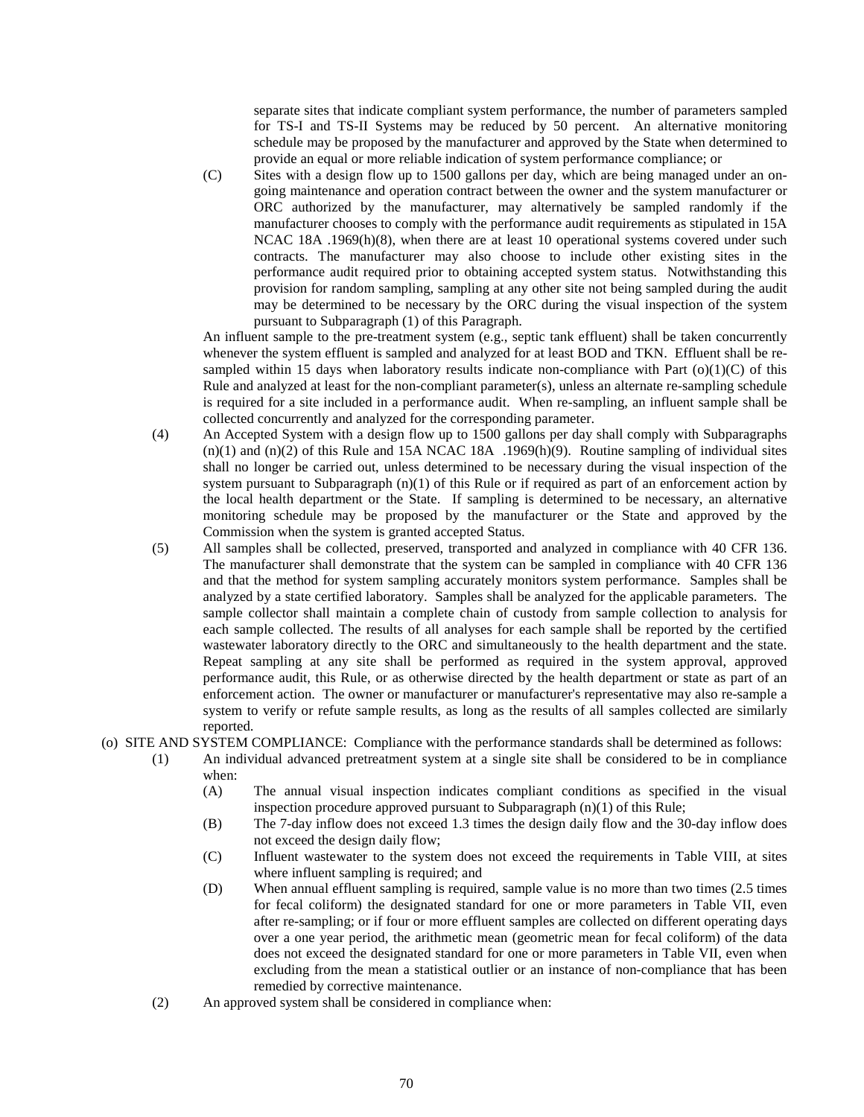separate sites that indicate compliant system performance, the number of parameters sampled for TS-I and TS-II Systems may be reduced by 50 percent. An alternative monitoring schedule may be proposed by the manufacturer and approved by the State when determined to provide an equal or more reliable indication of system performance compliance; or

(C) Sites with a design flow up to 1500 gallons per day, which are being managed under an ongoing maintenance and operation contract between the owner and the system manufacturer or ORC authorized by the manufacturer, may alternatively be sampled randomly if the manufacturer chooses to comply with the performance audit requirements as stipulated in 15A NCAC 18A .1969(h)(8), when there are at least 10 operational systems covered under such contracts. The manufacturer may also choose to include other existing sites in the performance audit required prior to obtaining accepted system status. Notwithstanding this provision for random sampling, sampling at any other site not being sampled during the audit may be determined to be necessary by the ORC during the visual inspection of the system pursuant to Subparagraph (1) of this Paragraph.

An influent sample to the pre-treatment system (e.g., septic tank effluent) shall be taken concurrently whenever the system effluent is sampled and analyzed for at least BOD and TKN. Effluent shall be resampled within 15 days when laboratory results indicate non-compliance with Part  $(o)(1)(C)$  of this Rule and analyzed at least for the non-compliant parameter(s), unless an alternate re-sampling schedule is required for a site included in a performance audit. When re-sampling, an influent sample shall be collected concurrently and analyzed for the corresponding parameter.

- (4) An Accepted System with a design flow up to 1500 gallons per day shall comply with Subparagraphs  $(n)(1)$  and  $(n)(2)$  of this Rule and 15A NCAC 18A .1969 $(h)(9)$ . Routine sampling of individual sites shall no longer be carried out, unless determined to be necessary during the visual inspection of the system pursuant to Subparagraph  $(n)(1)$  of this Rule or if required as part of an enforcement action by the local health department or the State. If sampling is determined to be necessary, an alternative monitoring schedule may be proposed by the manufacturer or the State and approved by the Commission when the system is granted accepted Status.
- (5) All samples shall be collected, preserved, transported and analyzed in compliance with 40 CFR 136. The manufacturer shall demonstrate that the system can be sampled in compliance with 40 CFR 136 and that the method for system sampling accurately monitors system performance. Samples shall be analyzed by a state certified laboratory. Samples shall be analyzed for the applicable parameters. The sample collector shall maintain a complete chain of custody from sample collection to analysis for each sample collected. The results of all analyses for each sample shall be reported by the certified wastewater laboratory directly to the ORC and simultaneously to the health department and the state. Repeat sampling at any site shall be performed as required in the system approval, approved performance audit, this Rule, or as otherwise directed by the health department or state as part of an enforcement action. The owner or manufacturer or manufacturer's representative may also re-sample a system to verify or refute sample results, as long as the results of all samples collected are similarly reported.
- (o) SITE AND SYSTEM COMPLIANCE: Compliance with the performance standards shall be determined as follows:
	- (1) An individual advanced pretreatment system at a single site shall be considered to be in compliance when:
		- (A) The annual visual inspection indicates compliant conditions as specified in the visual inspection procedure approved pursuant to Subparagraph (n)(1) of this Rule;
		- (B) The 7-day inflow does not exceed 1.3 times the design daily flow and the 30-day inflow does not exceed the design daily flow;
		- (C) Influent wastewater to the system does not exceed the requirements in Table VIII, at sites where influent sampling is required; and
		- (D) When annual effluent sampling is required, sample value is no more than two times (2.5 times for fecal coliform) the designated standard for one or more parameters in Table VII, even after re-sampling; or if four or more effluent samples are collected on different operating days over a one year period, the arithmetic mean (geometric mean for fecal coliform) of the data does not exceed the designated standard for one or more parameters in Table VII, even when excluding from the mean a statistical outlier or an instance of non-compliance that has been remedied by corrective maintenance.
	- (2) An approved system shall be considered in compliance when: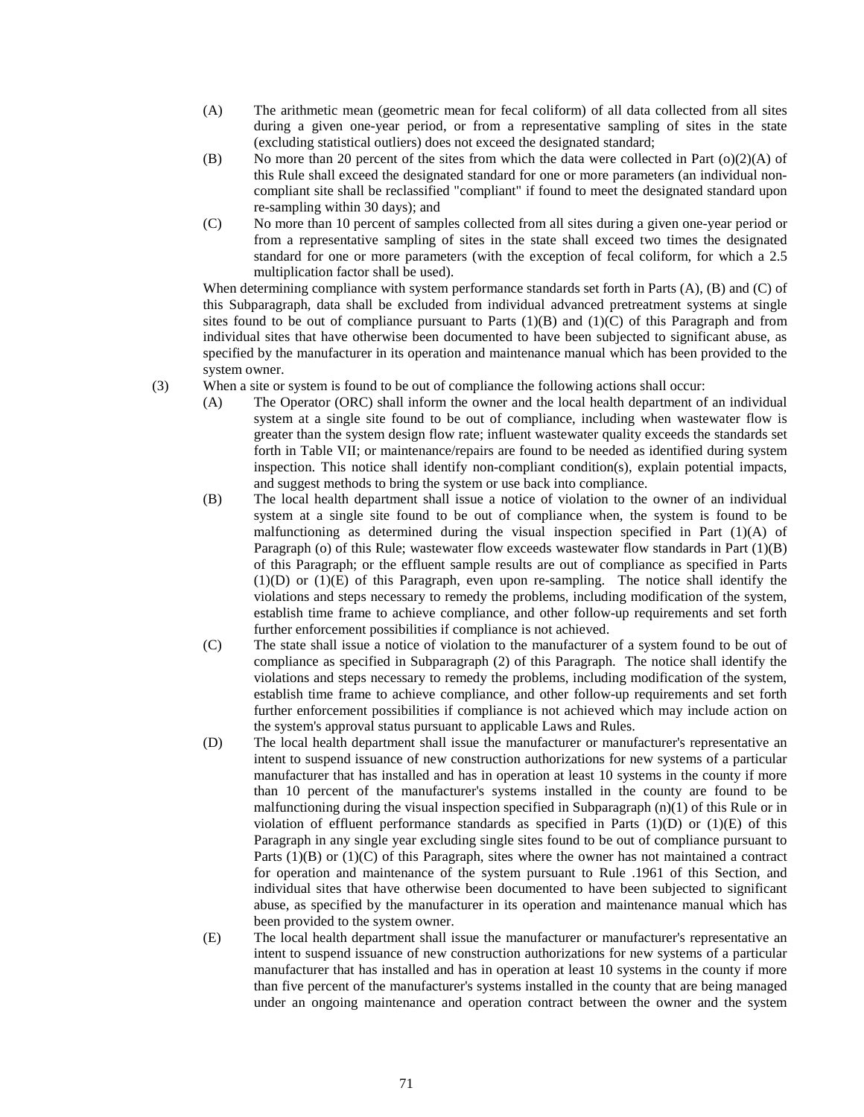- (A) The arithmetic mean (geometric mean for fecal coliform) of all data collected from all sites during a given one-year period, or from a representative sampling of sites in the state (excluding statistical outliers) does not exceed the designated standard;
- (B) No more than 20 percent of the sites from which the data were collected in Part ( $o(2)(A)$  of this Rule shall exceed the designated standard for one or more parameters (an individual noncompliant site shall be reclassified "compliant" if found to meet the designated standard upon re-sampling within 30 days); and
- (C) No more than 10 percent of samples collected from all sites during a given one-year period or from a representative sampling of sites in the state shall exceed two times the designated standard for one or more parameters (with the exception of fecal coliform, for which a 2.5 multiplication factor shall be used).

When determining compliance with system performance standards set forth in Parts (A), (B) and (C) of this Subparagraph, data shall be excluded from individual advanced pretreatment systems at single sites found to be out of compliance pursuant to Parts  $(1)(B)$  and  $(1)(C)$  of this Paragraph and from individual sites that have otherwise been documented to have been subjected to significant abuse, as specified by the manufacturer in its operation and maintenance manual which has been provided to the system owner.

- (3) When a site or system is found to be out of compliance the following actions shall occur:
	- (A) The Operator (ORC) shall inform the owner and the local health department of an individual system at a single site found to be out of compliance, including when wastewater flow is greater than the system design flow rate; influent wastewater quality exceeds the standards set forth in Table VII; or maintenance/repairs are found to be needed as identified during system inspection. This notice shall identify non-compliant condition(s), explain potential impacts, and suggest methods to bring the system or use back into compliance.
	- (B) The local health department shall issue a notice of violation to the owner of an individual system at a single site found to be out of compliance when, the system is found to be malfunctioning as determined during the visual inspection specified in Part  $(1)(A)$  of Paragraph (o) of this Rule; wastewater flow exceeds wastewater flow standards in Part (1)(B) of this Paragraph; or the effluent sample results are out of compliance as specified in Parts (1)(D) or (1)(E) of this Paragraph, even upon re-sampling. The notice shall identify the violations and steps necessary to remedy the problems, including modification of the system, establish time frame to achieve compliance, and other follow-up requirements and set forth further enforcement possibilities if compliance is not achieved.
	- (C) The state shall issue a notice of violation to the manufacturer of a system found to be out of compliance as specified in Subparagraph (2) of this Paragraph. The notice shall identify the violations and steps necessary to remedy the problems, including modification of the system, establish time frame to achieve compliance, and other follow-up requirements and set forth further enforcement possibilities if compliance is not achieved which may include action on the system's approval status pursuant to applicable Laws and Rules.
	- (D) The local health department shall issue the manufacturer or manufacturer's representative an intent to suspend issuance of new construction authorizations for new systems of a particular manufacturer that has installed and has in operation at least 10 systems in the county if more than 10 percent of the manufacturer's systems installed in the county are found to be malfunctioning during the visual inspection specified in Subparagraph  $(n)(1)$  of this Rule or in violation of effluent performance standards as specified in Parts  $(1)(D)$  or  $(1)(E)$  of this Paragraph in any single year excluding single sites found to be out of compliance pursuant to Parts  $(1)(B)$  or  $(1)(C)$  of this Paragraph, sites where the owner has not maintained a contract for operation and maintenance of the system pursuant to Rule .1961 of this Section, and individual sites that have otherwise been documented to have been subjected to significant abuse, as specified by the manufacturer in its operation and maintenance manual which has been provided to the system owner.
	- (E) The local health department shall issue the manufacturer or manufacturer's representative an intent to suspend issuance of new construction authorizations for new systems of a particular manufacturer that has installed and has in operation at least 10 systems in the county if more than five percent of the manufacturer's systems installed in the county that are being managed under an ongoing maintenance and operation contract between the owner and the system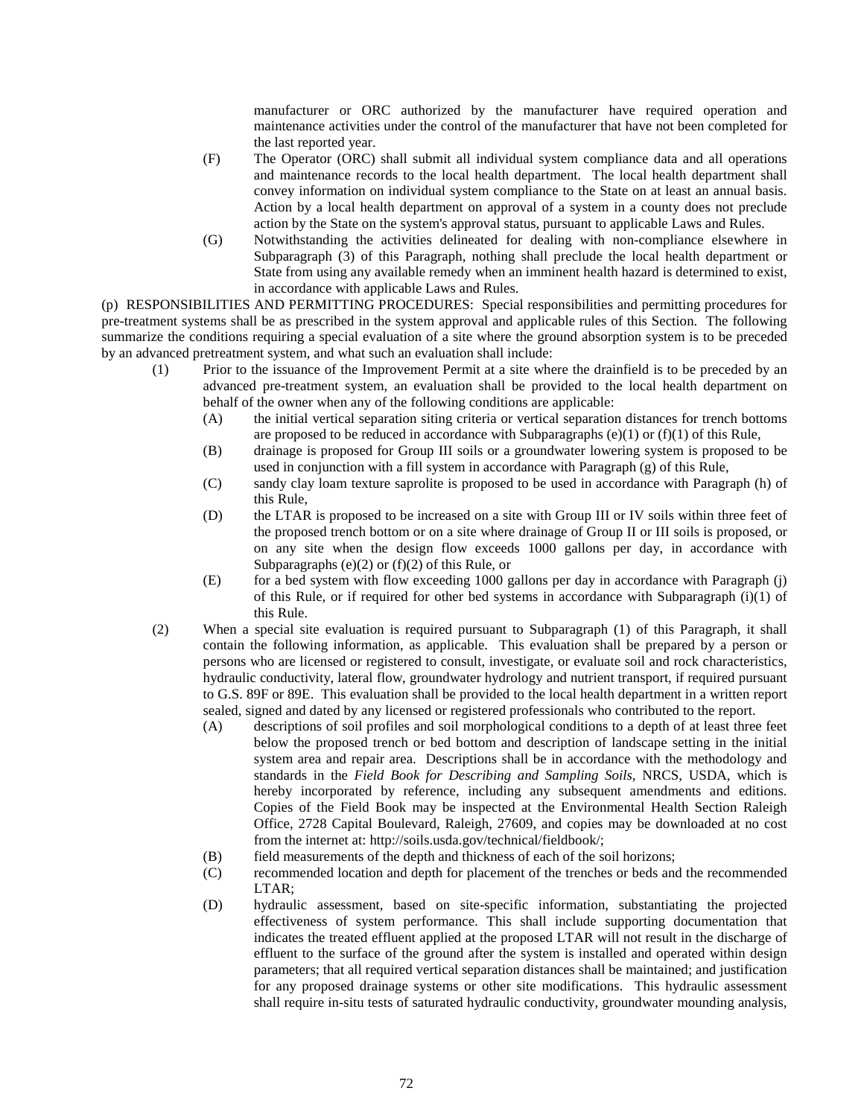manufacturer or ORC authorized by the manufacturer have required operation and maintenance activities under the control of the manufacturer that have not been completed for the last reported year.

- (F) The Operator (ORC) shall submit all individual system compliance data and all operations and maintenance records to the local health department. The local health department shall convey information on individual system compliance to the State on at least an annual basis. Action by a local health department on approval of a system in a county does not preclude action by the State on the system's approval status, pursuant to applicable Laws and Rules.
- (G) Notwithstanding the activities delineated for dealing with non-compliance elsewhere in Subparagraph (3) of this Paragraph, nothing shall preclude the local health department or State from using any available remedy when an imminent health hazard is determined to exist, in accordance with applicable Laws and Rules.

(p) RESPONSIBILITIES AND PERMITTING PROCEDURES: Special responsibilities and permitting procedures for pre-treatment systems shall be as prescribed in the system approval and applicable rules of this Section. The following summarize the conditions requiring a special evaluation of a site where the ground absorption system is to be preceded by an advanced pretreatment system, and what such an evaluation shall include:

- (1) Prior to the issuance of the Improvement Permit at a site where the drainfield is to be preceded by an advanced pre-treatment system, an evaluation shall be provided to the local health department on behalf of the owner when any of the following conditions are applicable:
	- (A) the initial vertical separation siting criteria or vertical separation distances for trench bottoms are proposed to be reduced in accordance with Subparagraphs  $(e)(1)$  or  $(f)(1)$  of this Rule,
	- (B) drainage is proposed for Group III soils or a groundwater lowering system is proposed to be used in conjunction with a fill system in accordance with Paragraph (g) of this Rule,
	- (C) sandy clay loam texture saprolite is proposed to be used in accordance with Paragraph (h) of this Rule,
	- (D) the LTAR is proposed to be increased on a site with Group III or IV soils within three feet of the proposed trench bottom or on a site where drainage of Group II or III soils is proposed, or on any site when the design flow exceeds 1000 gallons per day, in accordance with Subparagraphs (e) $(2)$  or  $(f)(2)$  of this Rule, or
	- (E) for a bed system with flow exceeding 1000 gallons per day in accordance with Paragraph (j) of this Rule, or if required for other bed systems in accordance with Subparagraph (i)(1) of this Rule.
- (2) When a special site evaluation is required pursuant to Subparagraph (1) of this Paragraph, it shall contain the following information, as applicable. This evaluation shall be prepared by a person or persons who are licensed or registered to consult, investigate, or evaluate soil and rock characteristics, hydraulic conductivity, lateral flow, groundwater hydrology and nutrient transport, if required pursuant to G.S. 89F or 89E. This evaluation shall be provided to the local health department in a written report sealed, signed and dated by any licensed or registered professionals who contributed to the report.
	- (A) descriptions of soil profiles and soil morphological conditions to a depth of at least three feet below the proposed trench or bed bottom and description of landscape setting in the initial system area and repair area. Descriptions shall be in accordance with the methodology and standards in the *Field Book for Describing and Sampling Soils*, NRCS, USDA, which is hereby incorporated by reference, including any subsequent amendments and editions. Copies of the Field Book may be inspected at the Environmental Health Section Raleigh Office, 2728 Capital Boulevard, Raleigh, 27609, and copies may be downloaded at no cost from the internet at: [http://soils.usda.gov/technical/fieldbook/;](http://soils.usda.gov/technical/fieldbook/)
	- (B) field measurements of the depth and thickness of each of the soil horizons;
	- (C) recommended location and depth for placement of the trenches or beds and the recommended LTAR;
	- (D) hydraulic assessment, based on site-specific information, substantiating the projected effectiveness of system performance. This shall include supporting documentation that indicates the treated effluent applied at the proposed LTAR will not result in the discharge of effluent to the surface of the ground after the system is installed and operated within design parameters; that all required vertical separation distances shall be maintained; and justification for any proposed drainage systems or other site modifications. This hydraulic assessment shall require in-situ tests of saturated hydraulic conductivity, groundwater mounding analysis,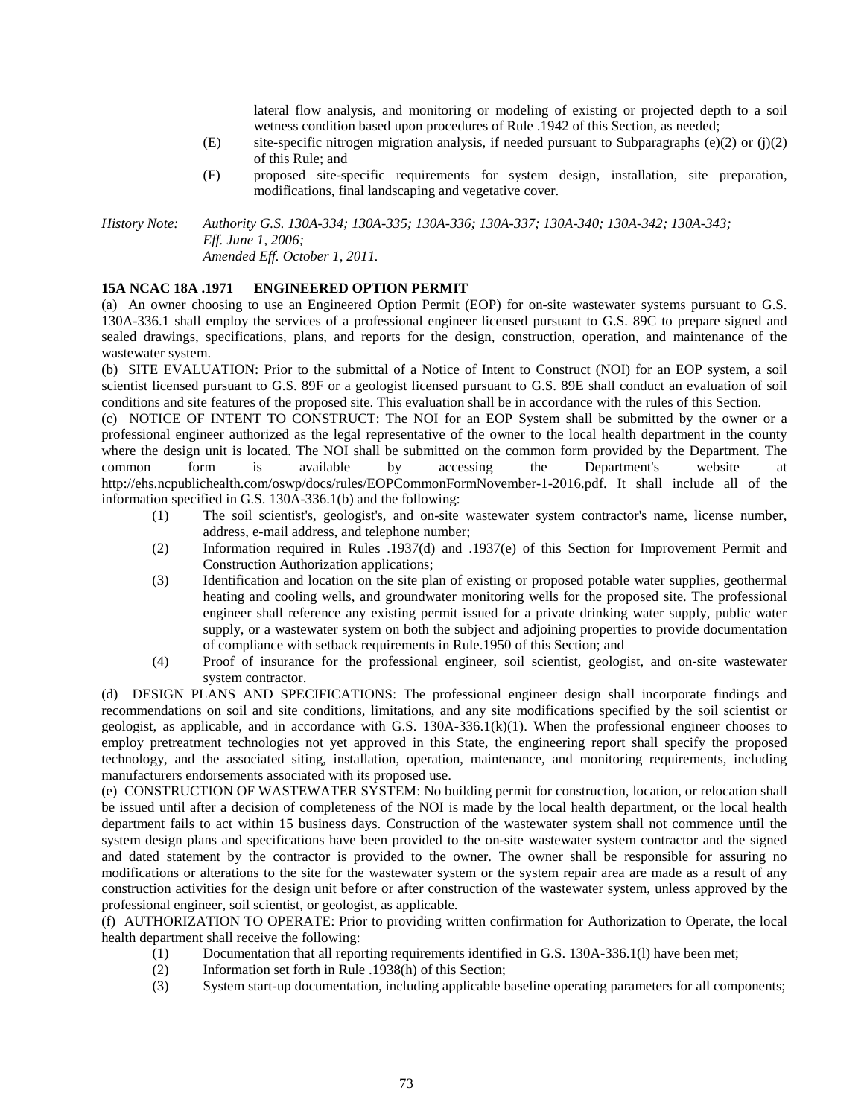lateral flow analysis, and monitoring or modeling of existing or projected depth to a soil wetness condition based upon procedures of Rule .1942 of this Section, as needed;

- (E) site-specific nitrogen migration analysis, if needed pursuant to Subparagraphs (e)(2) or (j)(2) of this Rule; and
- (F) proposed site-specific requirements for system design, installation, site preparation, modifications, final landscaping and vegetative cover.

*History Note: Authority G.S. 130A-334; 130A-335; 130A-336; 130A-337; 130A-340; 130A-342; 130A-343; Eff. June 1, 2006; Amended Eff. October 1, 2011.*

## **15A NCAC 18A .1971 ENGINEERED OPTION PERMIT**

(a) An owner choosing to use an Engineered Option Permit (EOP) for on-site wastewater systems pursuant to G.S. 130A-336.1 shall employ the services of a professional engineer licensed pursuant to G.S. 89C to prepare signed and sealed drawings, specifications, plans, and reports for the design, construction, operation, and maintenance of the wastewater system.

(b) SITE EVALUATION: Prior to the submittal of a Notice of Intent to Construct (NOI) for an EOP system, a soil scientist licensed pursuant to G.S. 89F or a geologist licensed pursuant to G.S. 89E shall conduct an evaluation of soil conditions and site features of the proposed site. This evaluation shall be in accordance with the rules of this Section.

(c) NOTICE OF INTENT TO CONSTRUCT: The NOI for an EOP System shall be submitted by the owner or a professional engineer authorized as the legal representative of the owner to the local health department in the county where the design unit is located. The NOI shall be submitted on the common form provided by the Department. The common form is available by accessing the Department's website at http://ehs.ncpublichealth.com/oswp/docs/rules/EOPCommonFormNovember-1-2016.pdf. It shall include all of the information specified in G.S. 130A-336.1(b) and the following:

- (1) The soil scientist's, geologist's, and on-site wastewater system contractor's name, license number, address, e-mail address, and telephone number;
- (2) Information required in Rules .1937(d) and .1937(e) of this Section for Improvement Permit and Construction Authorization applications;
- (3) Identification and location on the site plan of existing or proposed potable water supplies, geothermal heating and cooling wells, and groundwater monitoring wells for the proposed site. The professional engineer shall reference any existing permit issued for a private drinking water supply, public water supply, or a wastewater system on both the subject and adjoining properties to provide documentation of compliance with setback requirements in Rule.1950 of this Section; and
- (4) Proof of insurance for the professional engineer, soil scientist, geologist, and on-site wastewater system contractor.

(d) DESIGN PLANS AND SPECIFICATIONS: The professional engineer design shall incorporate findings and recommendations on soil and site conditions, limitations, and any site modifications specified by the soil scientist or geologist, as applicable, and in accordance with G.S. 130A-336.1(k)(1). When the professional engineer chooses to employ pretreatment technologies not yet approved in this State, the engineering report shall specify the proposed technology, and the associated siting, installation, operation, maintenance, and monitoring requirements, including manufacturers endorsements associated with its proposed use.

(e) CONSTRUCTION OF WASTEWATER SYSTEM: No building permit for construction, location, or relocation shall be issued until after a decision of completeness of the NOI is made by the local health department, or the local health department fails to act within 15 business days. Construction of the wastewater system shall not commence until the system design plans and specifications have been provided to the on-site wastewater system contractor and the signed and dated statement by the contractor is provided to the owner. The owner shall be responsible for assuring no modifications or alterations to the site for the wastewater system or the system repair area are made as a result of any construction activities for the design unit before or after construction of the wastewater system, unless approved by the professional engineer, soil scientist, or geologist, as applicable.

(f) AUTHORIZATION TO OPERATE: Prior to providing written confirmation for Authorization to Operate, the local health department shall receive the following:

- (1) Documentation that all reporting requirements identified in G.S. 130A-336.1(l) have been met;<br>(2) Information set forth in Rule .1938(h) of this Section;
- Information set forth in Rule .1938(h) of this Section;
- (3) System start-up documentation, including applicable baseline operating parameters for all components;